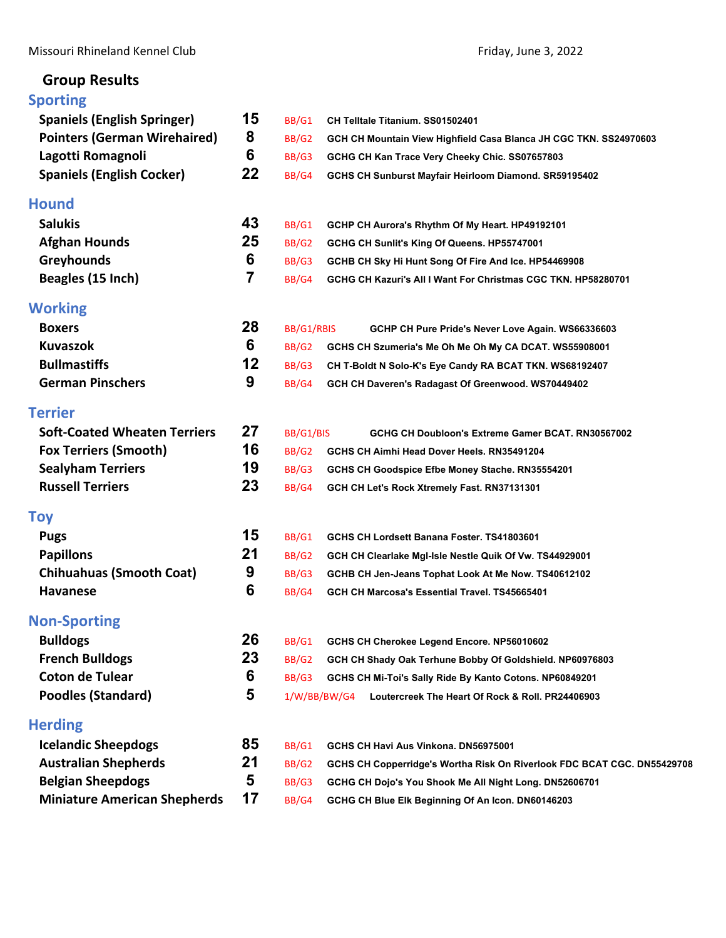## **Group Results**

## **[Sporting](#page-2-0)**

| <b>Spaniels (English Springer)</b>  | 15 | BB/G1        | CH Telltale Titanium. SS01502401                                        |
|-------------------------------------|----|--------------|-------------------------------------------------------------------------|
| <b>Pointers (German Wirehaired)</b> | 8  | BB/G2        | GCH CH Mountain View Highfield Casa Blanca JH CGC TKN. SS24970603       |
| Lagotti Romagnoli                   | 6  | BB/G3        | GCHG CH Kan Trace Very Cheeky Chic. SS07657803                          |
| <b>Spaniels (English Cocker)</b>    | 22 | BB/G4        | GCHS CH Sunburst Mayfair Heirloom Diamond. SR59195402                   |
| <b>Hound</b>                        |    |              |                                                                         |
| <b>Salukis</b>                      | 43 | BB/G1        | GCHP CH Aurora's Rhythm Of My Heart. HP49192101                         |
| <b>Afghan Hounds</b>                | 25 | BB/G2        | GCHG CH Sunlit's King Of Queens. HP55747001                             |
| <b>Greyhounds</b>                   | 6  | BB/G3        | GCHB CH Sky Hi Hunt Song Of Fire And Ice. HP54469908                    |
| Beagles (15 Inch)                   | 7  | BB/G4        | GCHG CH Kazuri's All I Want For Christmas CGC TKN, HP58280701           |
| <b>Working</b>                      |    |              |                                                                         |
| <b>Boxers</b>                       | 28 | BB/G1/RBIS   | GCHP CH Pure Pride's Never Love Again. WS66336603                       |
| <b>Kuvaszok</b>                     | 6  | BB/G2        | GCHS CH Szumeria's Me Oh Me Oh My CA DCAT. WS55908001                   |
| <b>Bullmastiffs</b>                 | 12 | BB/G3        | CH T-Boldt N Solo-K's Eye Candy RA BCAT TKN. WS68192407                 |
| <b>German Pinschers</b>             | 9  | BB/G4        | GCH CH Daveren's Radagast Of Greenwood. WS70449402                      |
| <b>Terrier</b>                      |    |              |                                                                         |
| <b>Soft-Coated Wheaten Terriers</b> | 27 | BB/G1/BIS    | GCHG CH Doubloon's Extreme Gamer BCAT. RN30567002                       |
| <b>Fox Terriers (Smooth)</b>        | 16 | BB/G2        | GCHS CH Aimhi Head Dover Heels. RN35491204                              |
| <b>Sealyham Terriers</b>            | 19 | BB/G3        | GCHS CH Goodspice Efbe Money Stache. RN35554201                         |
| <b>Russell Terriers</b>             | 23 | BB/G4        | GCH CH Let's Rock Xtremely Fast. RN37131301                             |
| <b>Toy</b>                          |    |              |                                                                         |
| <b>Pugs</b>                         | 15 | BB/G1        | GCHS CH Lordsett Banana Foster. TS41803601                              |
| <b>Papillons</b>                    | 21 | BB/G2        | GCH CH Clearlake MgI-Isle Nestle Quik Of Vw. TS44929001                 |
| <b>Chihuahuas (Smooth Coat)</b>     | 9  | BB/G3        | GCHB CH Jen-Jeans Tophat Look At Me Now. TS40612102                     |
| <b>Havanese</b>                     | 6  | BB/G4        | GCH CH Marcosa's Essential Travel. TS45665401                           |
| <b>Non-Sporting</b>                 |    |              |                                                                         |
| <b>Bulldogs</b>                     | 26 | BB/G1        | GCHS CH Cherokee Legend Encore. NP56010602                              |
| <b>French Bulldogs</b>              | 23 | BB/G2        | GCH CH Shady Oak Terhune Bobby Of Goldshield. NP60976803                |
| <b>Coton de Tulear</b>              | 6  | BB/G3        | GCHS CH Mi-Toi's Sally Ride By Kanto Cotons. NP60849201                 |
| <b>Poodles (Standard)</b>           | 5  | 1/W/BB/BW/G4 | Loutercreek The Heart Of Rock & Roll. PR24406903                        |
| <b>Herding</b>                      |    |              |                                                                         |
| <b>Icelandic Sheepdogs</b>          | 85 | BB/G1        | GCHS CH Havi Aus Vinkona. DN56975001                                    |
| <b>Australian Shepherds</b>         | 21 | BB/G2        | GCHS CH Copperridge's Wortha Risk On Riverlook FDC BCAT CGC. DN55429708 |
| <b>Belgian Sheepdogs</b>            | 5  | BB/G3        | GCHG CH Dojo's You Shook Me All Night Long. DN52606701                  |
| <b>Miniature American Shepherds</b> | 17 | BB/G4        | GCHG CH Blue Elk Beginning Of An Icon. DN60146203                       |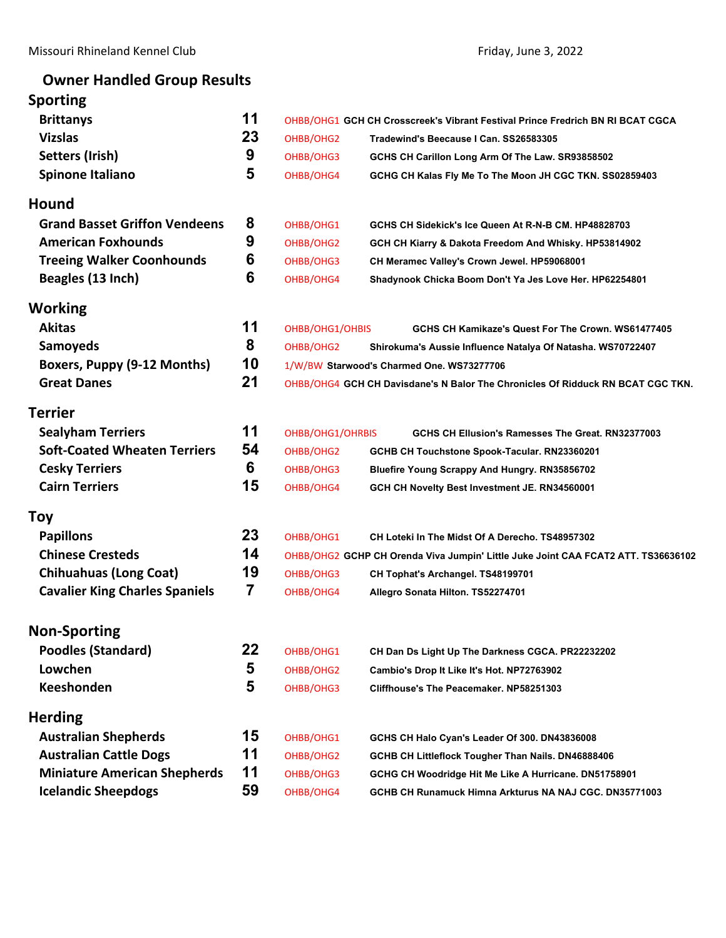## **Owner Handled Group Results**

| <b>Sporting</b>                       |    |                  |                                                                                 |                                                                                   |  |  |
|---------------------------------------|----|------------------|---------------------------------------------------------------------------------|-----------------------------------------------------------------------------------|--|--|
| <b>Brittanys</b>                      | 11 |                  |                                                                                 | OHBB/OHG1 GCH CH Crosscreek's Vibrant Festival Prince Fredrich BN RI BCAT CGCA    |  |  |
| <b>Vizslas</b>                        | 23 | OHBB/OHG2        |                                                                                 | Tradewind's Beecause I Can. SS26583305                                            |  |  |
| Setters (Irish)                       | 9  | OHBB/OHG3        |                                                                                 | GCHS CH Carillon Long Arm Of The Law. SR93858502                                  |  |  |
| Spinone Italiano                      | 5  | OHBB/OHG4        |                                                                                 | GCHG CH Kalas Fly Me To The Moon JH CGC TKN. SS02859403                           |  |  |
| <b>Hound</b>                          |    |                  |                                                                                 |                                                                                   |  |  |
| <b>Grand Basset Griffon Vendeens</b>  | 8  | OHBB/OHG1        |                                                                                 | GCHS CH Sidekick's Ice Queen At R-N-B CM. HP48828703                              |  |  |
| <b>American Foxhounds</b>             | 9  | OHBB/OHG2        |                                                                                 | GCH CH Kiarry & Dakota Freedom And Whisky. HP53814902                             |  |  |
| <b>Treeing Walker Coonhounds</b>      | 6  | OHBB/OHG3        |                                                                                 | CH Meramec Valley's Crown Jewel. HP59068001                                       |  |  |
| Beagles (13 Inch)                     | 6  | OHBB/OHG4        |                                                                                 | Shadynook Chicka Boom Don't Ya Jes Love Her. HP62254801                           |  |  |
| <b>Working</b>                        |    |                  |                                                                                 |                                                                                   |  |  |
| <b>Akitas</b>                         | 11 | OHBB/OHG1/OHBIS  |                                                                                 | GCHS CH Kamikaze's Quest For The Crown, WS61477405                                |  |  |
| <b>Samoyeds</b>                       | 8  | OHBB/OHG2        |                                                                                 | Shirokuma's Aussie Influence Natalya Of Natasha. WS70722407                       |  |  |
| Boxers, Puppy (9-12 Months)           | 10 |                  |                                                                                 | 1/W/BW Starwood's Charmed One. WS73277706                                         |  |  |
| <b>Great Danes</b>                    | 21 |                  | OHBB/OHG4 GCH CH Davisdane's N Balor The Chronicles Of Ridduck RN BCAT CGC TKN. |                                                                                   |  |  |
| <b>Terrier</b>                        |    |                  |                                                                                 |                                                                                   |  |  |
| <b>Sealyham Terriers</b>              | 11 | OHBB/OHG1/OHRBIS |                                                                                 | GCHS CH Ellusion's Ramesses The Great, RN32377003                                 |  |  |
| <b>Soft-Coated Wheaten Terriers</b>   | 54 | OHBB/OHG2        |                                                                                 | GCHB CH Touchstone Spook-Tacular. RN23360201                                      |  |  |
| <b>Cesky Terriers</b>                 | 6  | OHBB/OHG3        |                                                                                 | <b>Bluefire Young Scrappy And Hungry. RN35856702</b>                              |  |  |
| <b>Cairn Terriers</b>                 | 15 | OHBB/OHG4        |                                                                                 | GCH CH Novelty Best Investment JE. RN34560001                                     |  |  |
| <b>Toy</b>                            |    |                  |                                                                                 |                                                                                   |  |  |
| <b>Papillons</b>                      | 23 | OHBB/OHG1        |                                                                                 | CH Loteki In The Midst Of A Derecho. TS48957302                                   |  |  |
| <b>Chinese Cresteds</b>               | 14 |                  |                                                                                 | OHBB/OHG2 GCHP CH Orenda Viva Jumpin' Little Juke Joint CAA FCAT2 ATT. TS36636102 |  |  |
| <b>Chihuahuas (Long Coat)</b>         | 19 | OHBB/OHG3        |                                                                                 | CH Tophat's Archangel. TS48199701                                                 |  |  |
| <b>Cavalier King Charles Spaniels</b> | 7  | OHBB/OHG4        |                                                                                 | Allegro Sonata Hilton. TS52274701                                                 |  |  |
| <b>Non-Sporting</b>                   |    |                  |                                                                                 |                                                                                   |  |  |
| <b>Poodles (Standard)</b>             | 22 | OHBB/OHG1        |                                                                                 | CH Dan Ds Light Up The Darkness CGCA. PR22232202                                  |  |  |
| Lowchen                               | 5  | OHBB/OHG2        |                                                                                 | Cambio's Drop It Like It's Hot. NP72763902                                        |  |  |
| <b>Keeshonden</b>                     | 5  | OHBB/OHG3        |                                                                                 | Cliffhouse's The Peacemaker, NP58251303                                           |  |  |
| <b>Herding</b>                        |    |                  |                                                                                 |                                                                                   |  |  |
| <b>Australian Shepherds</b>           | 15 | OHBB/OHG1        |                                                                                 | GCHS CH Halo Cyan's Leader Of 300. DN43836008                                     |  |  |
| <b>Australian Cattle Dogs</b>         | 11 | OHBB/OHG2        |                                                                                 | GCHB CH Littleflock Tougher Than Nails. DN46888406                                |  |  |
| <b>Miniature American Shepherds</b>   | 11 | OHBB/OHG3        |                                                                                 | GCHG CH Woodridge Hit Me Like A Hurricane. DN51758901                             |  |  |
| <b>Icelandic Sheepdogs</b>            | 59 | OHBB/OHG4        |                                                                                 | GCHB CH Runamuck Himna Arkturus NA NAJ CGC. DN35771003                            |  |  |
|                                       |    |                  |                                                                                 |                                                                                   |  |  |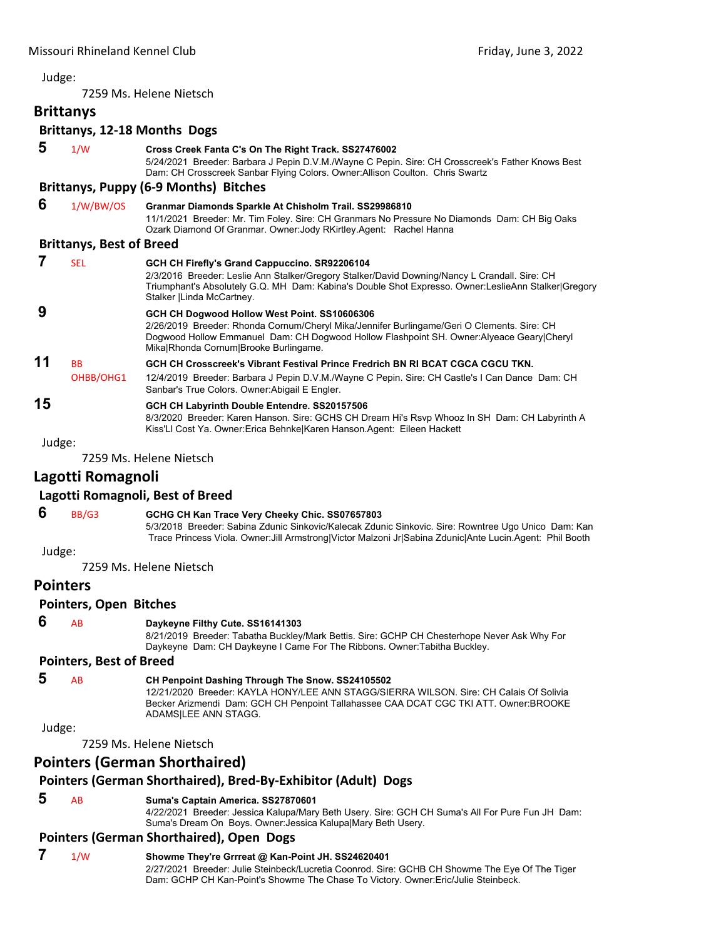<span id="page-2-0"></span>7259 Ms. Helene Nietsch

### **Brittanys**

#### **Brittanys, 12‐18 Months Dogs**

|    |                                 | DIILLAIIVS, IZ-IO IVIUIILIIS DUKS                                                                                                                                                                                                                                                   |
|----|---------------------------------|-------------------------------------------------------------------------------------------------------------------------------------------------------------------------------------------------------------------------------------------------------------------------------------|
| 5  | 1/W                             | Cross Creek Fanta C's On The Right Track. SS27476002<br>5/24/2021 Breeder: Barbara J Pepin D.V.M./Wayne C Pepin. Sire: CH Crosscreek's Father Knows Best<br>Dam: CH Crosscreek Sanbar Flying Colors. Owner: Allison Coulton. Chris Swartz                                           |
|    |                                 | <b>Brittanys, Puppy (6-9 Months) Bitches</b>                                                                                                                                                                                                                                        |
| 6  | 1/W/BW/OS                       | Granmar Diamonds Sparkle At Chisholm Trail. SS29986810<br>11/1/2021 Breeder: Mr. Tim Foley. Sire: CH Granmars No Pressure No Diamonds Dam: CH Big Oaks<br>Ozark Diamond Of Granmar. Owner: Jody RKirtley Agent: Rachel Hanna                                                        |
|    | <b>Brittanys, Best of Breed</b> |                                                                                                                                                                                                                                                                                     |
| 7  | <b>SEL</b>                      | GCH CH Firefly's Grand Cappuccino. SR92206104<br>2/3/2016 Breeder: Leslie Ann Stalker/Gregory Stalker/David Downing/Nancy L Crandall. Sire: CH<br>Triumphant's Absolutely G.Q. MH Dam: Kabina's Double Shot Expresso. Owner:LeslieAnn Stalker Gregory<br>Stalker   Linda McCartney. |
| 9  |                                 | GCH CH Dogwood Hollow West Point. SS10606306<br>2/26/2019 Breeder: Rhonda Cornum/Cheryl Mika/Jennifer Burlingame/Geri O Clements. Sire: CH<br>Dogwood Hollow Emmanuel Dam: CH Dogwood Hollow Flashpoint SH. Owner:Alyeace Geary Cheryl<br>Mika Rhonda Cornum Brooke Burlingame.     |
| 11 | <b>BB</b><br>OHBB/OHG1          | GCH CH Crosscreek's Vibrant Festival Prince Fredrich BN RI BCAT CGCA CGCU TKN.<br>12/4/2019 Breeder: Barbara J Pepin D.V.M./Wayne C Pepin. Sire: CH Castle's I Can Dance Dam: CH<br>Sanbar's True Colors. Owner: Abigail E Engler.                                                  |

## **15 GCH CH Labyrinth Double Entendre. SS20157506**

8/3/2020 Breeder: Karen Hanson. Sire: GCHS CH Dream Hi's Rsvp Whooz In SH Dam: CH Labyrinth A Kiss'Ll Cost Ya. Owner:Erica Behnke|Karen Hanson.Agent: Eileen Hackett

Judge:

7259 Ms. Helene Nietsch

#### **Lagotti Romagnoli**

#### **Lagotti Romagnoli, Best of Breed**

#### **6** BB/G3 **GCHG CH Kan Trace Very Cheeky Chic. SS07657803**

5/3/2018 Breeder: Sabina Zdunic Sinkovic/Kalecak Zdunic Sinkovic. Sire: Rowntree Ugo Unico Dam: Kan Trace Princess Viola. Owner:Jill Armstrong|Victor Malzoni Jr|Sabina Zdunic|Ante Lucin.Agent: Phil Booth

Judge:

7259 Ms. Helene Nietsch

**Pointers**

#### **Pointers, Open Bitches**

#### **6** AB **Daykeyne Filthy Cute. SS16141303**

8/21/2019 Breeder: Tabatha Buckley/Mark Bettis. Sire: GCHP CH Chesterhope Never Ask Why For Daykeyne Dam: CH Daykeyne I Came For The Ribbons. Owner:Tabitha Buckley.

#### **Pointers, Best of Breed**

#### **5** AB **CH Penpoint Dashing Through The Snow. SS24105502**

12/21/2020 Breeder: KAYLA HONY/LEE ANN STAGG/SIERRA WILSON. Sire: CH Calais Of Solivia Becker Arizmendi Dam: GCH CH Penpoint Tallahassee CAA DCAT CGC TKI ATT. Owner:BROOKE ADAMS|LEE ANN STAGG.

Judge:

7259 Ms. Helene Nietsch

#### **Pointers (German Shorthaired)**

#### **Pointers (German Shorthaired), Bred‐By‐Exhibitor (Adult) Dogs**

#### **5** AB **Suma's Captain America. SS27870601**

4/22/2021 Breeder: Jessica Kalupa/Mary Beth Usery. Sire: GCH CH Suma's All For Pure Fun JH Dam: Suma's Dream On Boys. Owner:Jessica Kalupa|Mary Beth Usery.

#### **Pointers (German Shorthaired), Open Dogs**

#### **7** 1/W **Showme They're Grrreat @ Kan-Point JH. SS24620401** 2/27/2021 Breeder: Julie Steinbeck/Lucretia Coonrod. Sire: GCHB CH Showme The Eye Of The Tiger Dam: GCHP CH Kan-Point's Showme The Chase To Victory. Owner:Eric/Julie Steinbeck.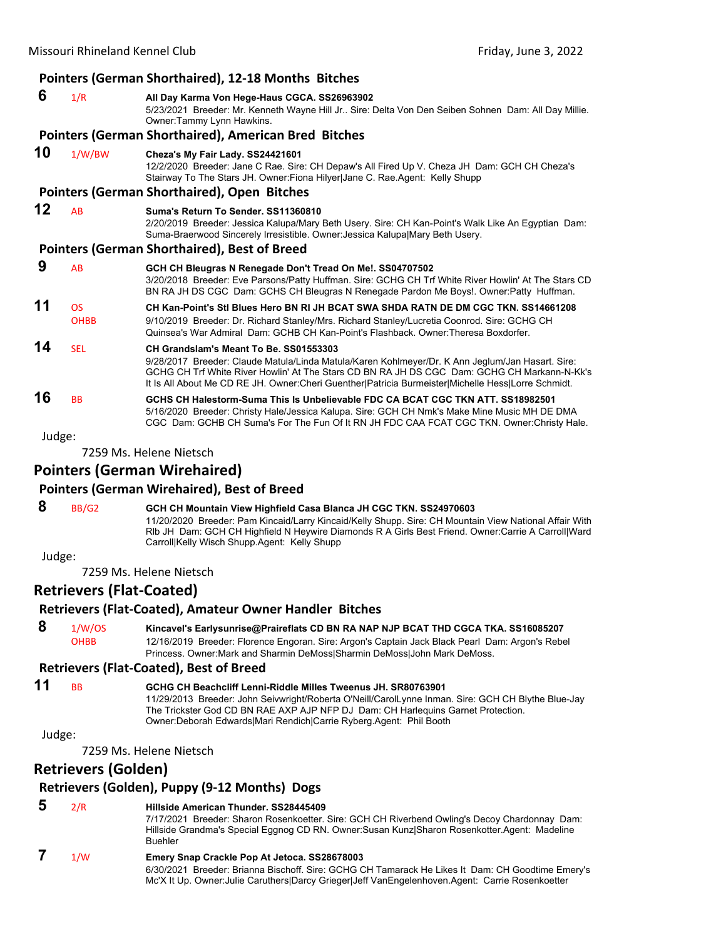|        |                          | <b>Pointers (German Shorthaired), 12-18 Months Bitches</b>                                                                                                                                                                                                                                                                                             |
|--------|--------------------------|--------------------------------------------------------------------------------------------------------------------------------------------------------------------------------------------------------------------------------------------------------------------------------------------------------------------------------------------------------|
| 6      | 1/R                      | All Day Karma Von Hege-Haus CGCA. SS26963902<br>5/23/2021 Breeder: Mr. Kenneth Wayne Hill Jr Sire: Delta Von Den Seiben Sohnen Dam: All Day Millie.<br>Owner:Tammy Lynn Hawkins.                                                                                                                                                                       |
|        |                          | Pointers (German Shorthaired), American Bred Bitches                                                                                                                                                                                                                                                                                                   |
| 10     | 1/W/BW                   | Cheza's My Fair Lady. SS24421601<br>12/2/2020 Breeder: Jane C Rae. Sire: CH Depaw's All Fired Up V. Cheza JH Dam: GCH CH Cheza's<br>Stairway To The Stars JH. Owner: Fiona Hilyer Jane C. Rae Agent: Kelly Shupp                                                                                                                                       |
|        |                          | Pointers (German Shorthaired), Open Bitches                                                                                                                                                                                                                                                                                                            |
| 12     | <b>AB</b>                | Suma's Return To Sender, SS11360810<br>2/20/2019 Breeder: Jessica Kalupa/Mary Beth Usery. Sire: CH Kan-Point's Walk Like An Eqyptian Dam:<br>Suma-Braerwood Sincerely Irresistible. Owner: Jessica Kalupa Mary Beth Usery.                                                                                                                             |
|        |                          | <b>Pointers (German Shorthaired), Best of Breed</b>                                                                                                                                                                                                                                                                                                    |
| 9      | AB                       | GCH CH Bleugras N Renegade Don't Tread On Me!. SS04707502<br>3/20/2018 Breeder: Eve Parsons/Patty Huffman. Sire: GCHG CH Trf White River Howlin' At The Stars CD<br>BN RA JH DS CGC Dam: GCHS CH Bleugras N Renegade Pardon Me Boys!. Owner:Patty Huffman.                                                                                             |
| 11     | <b>OS</b><br><b>OHBB</b> | CH Kan-Point's Stl Blues Hero BN RI JH BCAT SWA SHDA RATN DE DM CGC TKN, SS14661208<br>9/10/2019 Breeder: Dr. Richard Stanley/Mrs. Richard Stanley/Lucretia Coonrod. Sire: GCHG CH<br>Quinsea's War Admiral Dam: GCHB CH Kan-Point's Flashback, Owner: Theresa Boxdorfer,                                                                              |
| 14     | <b>SEL</b>               | CH Grandslam's Meant To Be. SS01553303<br>9/28/2017 Breeder: Claude Matula/Linda Matula/Karen Kohlmeyer/Dr. K Ann Jeglum/Jan Hasart. Sire:<br>GCHG CH Trf White River Howlin' At The Stars CD BN RA JH DS CGC Dam: GCHG CH Markann-N-Kk's<br>It Is All About Me CD RE JH. Owner: Cheri Guenther   Patricia Burmeister   Michelle Hess   Lorre Schmidt. |
| 16     | <b>BB</b>                | GCHS CH Halestorm-Suma This Is Unbelievable FDC CA BCAT CGC TKN ATT, SS18982501<br>5/16/2020 Breeder: Christy Hale/Jessica Kalupa. Sire: GCH CH Nmk's Make Mine Music MH DE DMA<br>CGC Dam: GCHB CH Suma's For The Fun Of It RN JH FDC CAA FCAT CGC TKN. Owner:Christy Hale.                                                                           |
| Judge: |                          |                                                                                                                                                                                                                                                                                                                                                        |
|        |                          | 7259 Ms. Helene Nietsch                                                                                                                                                                                                                                                                                                                                |

#### **Pointers (German Wirehaired)**

#### **Pointers (German Wirehaired), Best of Breed**

 **8** BB/G2 **GCH CH Mountain View Highfield Casa Blanca JH CGC TKN. SS24970603**

11/20/2020 Breeder: Pam Kincaid/Larry Kincaid/Kelly Shupp. Sire: CH Mountain View National Affair With Rlb JH Dam: GCH CH Highfield N Heywire Diamonds R A Girls Best Friend. Owner:Carrie A Carroll|Ward Carroll|Kelly Wisch Shupp.Agent: Kelly Shupp

Judge:

7259 Ms. Helene Nietsch

#### **Retrievers (Flat‐Coated)**

#### **Retrievers (Flat‐Coated), Amateur Owner Handler Bitches**

 **8** 1/W/OS **Kincavel's Earlysunrise@Praireflats CD BN RA NAP NJP BCAT THD CGCA TKA. SS16085207** OHBB 12/16/2019 Breeder: Florence Engoran. Sire: Argon's Captain Jack Black Pearl Dam: Argon's Rebel Princess. Owner:Mark and Sharmin DeMoss|Sharmin DeMoss|John Mark DeMoss.

#### **Retrievers (Flat‐Coated), Best of Breed**

- **11** BB **GCHG CH Beachcliff Lenni-Riddle Milles Tweenus JH. SR80763901**
	- 11/29/2013 Breeder: John Seivwright/Roberta O'Neill/CarolLynne Inman. Sire: GCH CH Blythe Blue-Jay The Trickster God CD BN RAE AXP AJP NFP DJ Dam: CH Harlequins Garnet Protection. Owner:Deborah Edwards|Mari Rendich|Carrie Ryberg.Agent: Phil Booth

Judge:

7259 Ms. Helene Nietsch

#### **Retrievers (Golden)**

#### **Retrievers (Golden), Puppy (9‐12 Months) Dogs**

| 5 | 2/R | Hillside American Thunder. SS28445409<br>7/17/2021 Breeder: Sharon Rosenkoetter. Sire: GCH CH Riverbend Owling's Decoy Chardonnay Dam:<br>Hillside Grandma's Special Eggnog CD RN. Owner: Susan Kunz Sharon Rosenkotter Agent: Madeline<br><b>Buehler</b> |
|---|-----|-----------------------------------------------------------------------------------------------------------------------------------------------------------------------------------------------------------------------------------------------------------|
|   | 1/W | Emery Snap Crackle Pop At Jetoca. SS28678003<br>6/30/2021 Breeder: Brianna Bischoff. Sire: GCHG CH Tamarack He Likes It Dam: CH Goodtime Emery's<br>Mc'X It Up. Owner: Julie Caruthers Darcy Grieger Jeff Van Engelenhoven. Agent: Carrie Rosenkoetter    |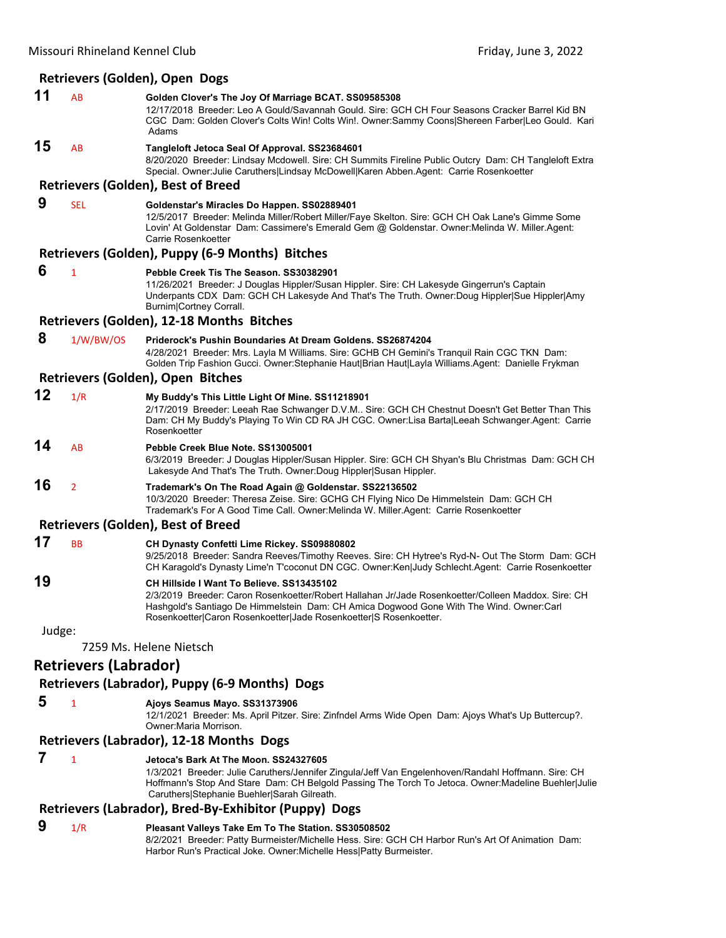#### **Retrievers (Golden), Open Dogs**

| 11     | AB                           | Golden Clover's The Joy Of Marriage BCAT. SS09585308<br>12/17/2018 Breeder: Leo A Gould/Savannah Gould. Sire: GCH CH Four Seasons Cracker Barrel Kid BN<br>CGC Dam: Golden Clover's Colts Win! Colts Win!. Owner:Sammy Coons Shereen Farber Leo Gould. Kari<br>Adams                                            |
|--------|------------------------------|-----------------------------------------------------------------------------------------------------------------------------------------------------------------------------------------------------------------------------------------------------------------------------------------------------------------|
| 15     | AB                           | Tangleloft Jetoca Seal Of Approval. SS23684601<br>8/20/2020 Breeder: Lindsay Mcdowell. Sire: CH Summits Fireline Public Outcry Dam: CH Tangleloft Extra<br>Special. Owner: Julie Caruthers Lindsay McDowell Karen Abben.Agent: Carrie Rosenkoetter                                                              |
|        |                              | <b>Retrievers (Golden), Best of Breed</b>                                                                                                                                                                                                                                                                       |
| 9      | <b>SEL</b>                   | Goldenstar's Miracles Do Happen. SS02889401<br>12/5/2017 Breeder: Melinda Miller/Robert Miller/Faye Skelton. Sire: GCH CH Oak Lane's Gimme Some<br>Lovin' At Goldenstar Dam: Cassimere's Emerald Gem @ Goldenstar. Owner: Melinda W. Miller. Agent:<br>Carrie Rosenkoetter                                      |
|        |                              | Retrievers (Golden), Puppy (6-9 Months) Bitches                                                                                                                                                                                                                                                                 |
| 6      | $\mathbf{1}$                 | Pebble Creek Tis The Season. SS30382901<br>11/26/2021 Breeder: J Douglas Hippler/Susan Hippler. Sire: CH Lakesyde Gingerrun's Captain<br>Underpants CDX Dam: GCH CH Lakesyde And That's The Truth. Owner:Doug Hippler Sue Hippler Amy<br>Burnim Cortney Corrall.                                                |
|        |                              | Retrievers (Golden), 12-18 Months Bitches                                                                                                                                                                                                                                                                       |
| 8      | 1/W/BW/OS                    | Priderock's Pushin Boundaries At Dream Goldens, SS26874204<br>4/28/2021 Breeder: Mrs. Layla M Williams. Sire: GCHB CH Gemini's Tranquil Rain CGC TKN Dam:<br>Golden Trip Fashion Gucci. Owner:Stephanie Haut Brian Haut Layla Williams.Agent: Danielle Frykman                                                  |
|        |                              | Retrievers (Golden), Open Bitches                                                                                                                                                                                                                                                                               |
| 12     | 1/R                          | My Buddy's This Little Light Of Mine. SS11218901<br>2/17/2019 Breeder: Leeah Rae Schwanger D.V.M Sire: GCH CH Chestnut Doesn't Get Better Than This<br>Dam: CH My Buddy's Playing To Win CD RA JH CGC. Owner:Lisa Barta Leeah Schwanger.Agent: Carrie<br>Rosenkoetter                                           |
| 14     | AB                           | Pebble Creek Blue Note. SS13005001<br>6/3/2019 Breeder: J Douglas Hippler/Susan Hippler. Sire: GCH CH Shyan's Blu Christmas Dam: GCH CH<br>Lakesyde And That's The Truth. Owner: Doug Hippler Susan Hippler.                                                                                                    |
| 16     | $\overline{2}$               | Trademark's On The Road Again @ Goldenstar. SS22136502<br>10/3/2020 Breeder: Theresa Zeise. Sire: GCHG CH Flying Nico De Himmelstein Dam: GCH CH<br>Trademark's For A Good Time Call. Owner: Melinda W. Miller. Agent: Carrie Rosenkoetter                                                                      |
|        |                              | <b>Retrievers (Golden), Best of Breed</b>                                                                                                                                                                                                                                                                       |
| 17     | <b>BB</b>                    | CH Dynasty Confetti Lime Rickey. SS09880802<br>9/25/2018 Breeder: Sandra Reeves/Timothy Reeves. Sire: CH Hytree's Ryd-N- Out The Storm Dam: GCH<br>CH Karagold's Dynasty Lime'n T'coconut DN CGC. Owner:Ken Judy Schlecht.Agent: Carrie Rosenkoetter                                                            |
| 19     |                              | CH Hillside I Want To Believe. SS13435102<br>2/3/2019 Breeder: Caron Rosenkoetter/Robert Hallahan Jr/Jade Rosenkoetter/Colleen Maddox. Sire: CH<br>Hashgold's Santiago De Himmelstein Dam: CH Amica Dogwood Gone With The Wind. Owner:Carl<br>Rosenkoetter Caron Rosenkoetter Jade Rosenkoetter S Rosenkoetter. |
| Judge: |                              | 7259 Ms. Helene Nietsch                                                                                                                                                                                                                                                                                         |
|        | <b>Retrievers (Labrador)</b> |                                                                                                                                                                                                                                                                                                                 |
|        |                              | Retrievers (Labrador), Puppy (6-9 Months) Dogs                                                                                                                                                                                                                                                                  |
| 5      | $\mathbf{1}$                 | Ajoys Seamus Mayo. SS31373906<br>12/1/2021 Breeder: Ms. April Pitzer. Sire: Zinfndel Arms Wide Open Dam: Ajoys What's Up Buttercup?.<br>Owner: Maria Morrison.                                                                                                                                                  |
|        |                              | Retrievers (Labrador), 12-18 Months Dogs                                                                                                                                                                                                                                                                        |
| 7      | $\mathbf{1}$                 | Jetoca's Bark At The Moon. SS24327605                                                                                                                                                                                                                                                                           |

1/3/2021 Breeder: Julie Caruthers/Jennifer Zingula/Jeff Van Engelenhoven/Randahl Hoffmann. Sire: CH Hoffmann's Stop And Stare Dam: CH Belgold Passing The Torch To Jetoca. Owner:Madeline Buehler|Julie Caruthers|Stephanie Buehler|Sarah Gilreath.

#### **Retrievers (Labrador), Bred‐By‐Exhibitor (Puppy) Dogs**

 **9** 1/R **Pleasant Valleys Take Em To The Station. SS30508502** 8/2/2021 Breeder: Patty Burmeister/Michelle Hess. Sire: GCH CH Harbor Run's Art Of Animation Dam: Harbor Run's Practical Joke. Owner:Michelle Hess|Patty Burmeister.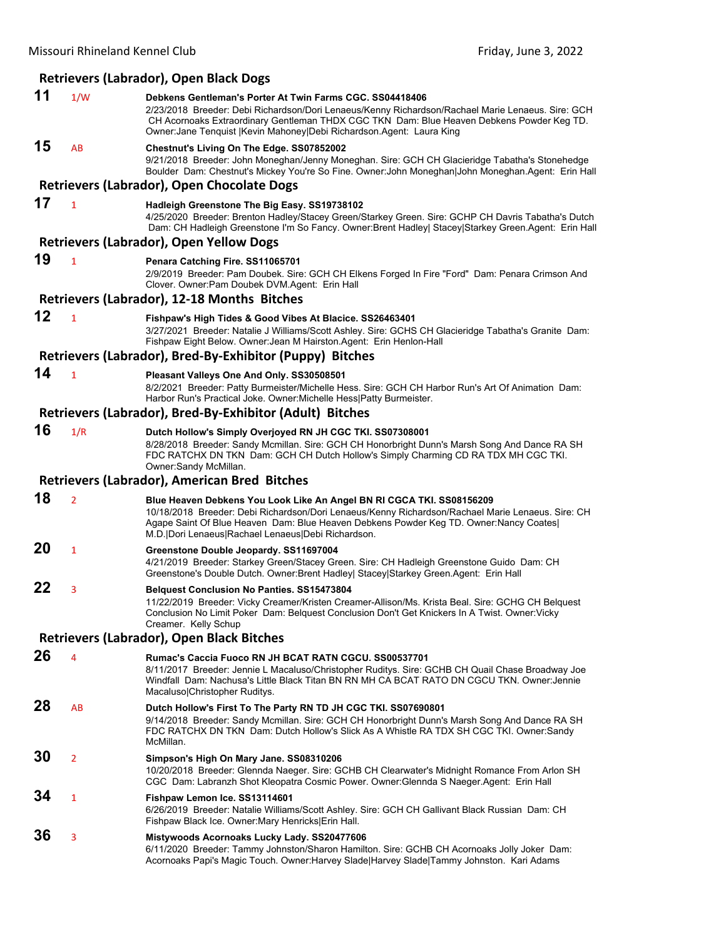## **Retrievers (Labrador), Open Black Dogs**

|    |                | Retrievers (Labrador), Open Black Dogs                                                                                                                                                                                                                                                                                                 |
|----|----------------|----------------------------------------------------------------------------------------------------------------------------------------------------------------------------------------------------------------------------------------------------------------------------------------------------------------------------------------|
| 11 | 1/W            | Debkens Gentleman's Porter At Twin Farms CGC. SS04418406<br>2/23/2018 Breeder: Debi Richardson/Dori Lenaeus/Kenny Richardson/Rachael Marie Lenaeus. Sire: GCH<br>CH Acornoaks Extraordinary Gentleman THDX CGC TKN Dam: Blue Heaven Debkens Powder Keg TD.<br>Owner: Jane Tenquist   Kevin Mahoney  Debi Richardson. Agent: Laura King |
| 15 | AB             | Chestnut's Living On The Edge. SS07852002<br>9/21/2018 Breeder: John Moneghan/Jenny Moneghan. Sire: GCH CH Glacieridge Tabatha's Stonehedge<br>Boulder Dam: Chestnut's Mickey You're So Fine. Owner: John Moneghan John Moneghan. Agent: Erin Hall                                                                                     |
|    |                | Retrievers (Labrador), Open Chocolate Dogs                                                                                                                                                                                                                                                                                             |
| 17 | $\mathbf{1}$   | Hadleigh Greenstone The Big Easy. SS19738102<br>4/25/2020 Breeder: Brenton Hadley/Stacey Green/Starkey Green. Sire: GCHP CH Davris Tabatha's Dutch<br>Dam: CH Hadleigh Greenstone I'm So Fancy. Owner:Brent Hadley  Stacey Starkey Green.Agent: Erin Hall                                                                              |
|    |                | <b>Retrievers (Labrador), Open Yellow Dogs</b>                                                                                                                                                                                                                                                                                         |
| 19 | $\mathbf{1}$   | Penara Catching Fire. SS11065701<br>2/9/2019 Breeder: Pam Doubek. Sire: GCH CH Elkens Forged In Fire "Ford" Dam: Penara Crimson And<br>Clover. Owner: Pam Doubek DVM. Agent: Erin Hall                                                                                                                                                 |
|    |                | <b>Retrievers (Labrador), 12-18 Months Bitches</b>                                                                                                                                                                                                                                                                                     |
| 12 | $\mathbf{1}$   | Fishpaw's High Tides & Good Vibes At Blacice. SS26463401<br>3/27/2021 Breeder: Natalie J Williams/Scott Ashley. Sire: GCHS CH Glacieridge Tabatha's Granite Dam:<br>Fishpaw Eight Below. Owner: Jean M Hairston. Agent: Erin Henlon-Hall<br>Retrievers (Labrador), Bred-By-Exhibitor (Puppy) Bitches                                   |
| 14 |                |                                                                                                                                                                                                                                                                                                                                        |
|    | $\mathbf{1}$   | Pleasant Valleys One And Only. SS30508501<br>8/2/2021 Breeder: Patty Burmeister/Michelle Hess. Sire: GCH CH Harbor Run's Art Of Animation Dam:<br>Harbor Run's Practical Joke. Owner: Michelle Hess   Patty Burmeister.                                                                                                                |
|    |                | Retrievers (Labrador), Bred-By-Exhibitor (Adult) Bitches                                                                                                                                                                                                                                                                               |
| 16 | 1/R            | Dutch Hollow's Simply Overjoyed RN JH CGC TKI. SS07308001<br>8/28/2018 Breeder: Sandy Mcmillan. Sire: GCH CH Honorbright Dunn's Marsh Song And Dance RA SH<br>FDC RATCHX DN TKN Dam: GCH CH Dutch Hollow's Simply Charming CD RA TDX MH CGC TKI.<br>Owner:Sandy McMillan.                                                              |
|    |                | Retrievers (Labrador), American Bred Bitches                                                                                                                                                                                                                                                                                           |
| 18 | $\overline{2}$ | Blue Heaven Debkens You Look Like An Angel BN RI CGCA TKI. SS08156209<br>10/18/2018 Breeder: Debi Richardson/Dori Lenaeus/Kenny Richardson/Rachael Marie Lenaeus. Sire: CH<br>Agape Saint Of Blue Heaven Dam: Blue Heaven Debkens Powder Keg TD. Owner:Nancy Coates <br>M.D.   Dori Lenaeus  Rachael Lenaeus  Debi Richardson.         |
| 20 | $\mathbf{1}$   | Greenstone Double Jeopardy. SS11697004<br>4/21/2019 Breeder: Starkey Green/Stacey Green. Sire: CH Hadleigh Greenstone Guido Dam: CH<br>Greenstone's Double Dutch. Owner:Brent Hadley  Stacey Starkey Green.Agent: Erin Hall                                                                                                            |
| 22 | 3              | <b>Belguest Conclusion No Panties. SS15473804</b><br>11/22/2019 Breeder: Vicky Creamer/Kristen Creamer-Allison/Ms. Krista Beal. Sire: GCHG CH Belquest<br>Conclusion No Limit Poker Dam: Belquest Conclusion Don't Get Knickers In A Twist. Owner: Vicky<br>Creamer. Kelly Schup                                                       |
|    |                | <b>Retrievers (Labrador), Open Black Bitches</b>                                                                                                                                                                                                                                                                                       |
| 26 | 4              | Rumac's Caccia Fuoco RN JH BCAT RATN CGCU. SS00537701<br>8/11/2017 Breeder: Jennie L Macaluso/Christopher Ruditys. Sire: GCHB CH Quail Chase Broadway Joe<br>Windfall Dam: Nachusa's Little Black Titan BN RN MH CA BCAT RATO DN CGCU TKN, Owner: Jennie<br>Macaluso Christopher Ruditys.                                              |
| 28 | AB             | Dutch Hollow's First To The Party RN TD JH CGC TKI. SS07690801<br>9/14/2018 Breeder: Sandy Mcmillan. Sire: GCH CH Honorbright Dunn's Marsh Song And Dance RA SH<br>FDC RATCHX DN TKN Dam: Dutch Hollow's Slick As A Whistle RA TDX SH CGC TKI. Owner:Sandy<br>McMillan.                                                                |
| 30 | $\overline{2}$ | Simpson's High On Mary Jane. SS08310206<br>10/20/2018 Breeder: Glennda Naeger. Sire: GCHB CH Clearwater's Midnight Romance From Arlon SH<br>CGC Dam: Labranzh Shot Kleopatra Cosmic Power. Owner: Glennda S Naeger. Agent: Erin Hall                                                                                                   |
| 34 | $\mathbf{1}$   | Fishpaw Lemon Ice. SS13114601<br>6/26/2019 Breeder: Natalie Williams/Scott Ashley. Sire: GCH CH Gallivant Black Russian Dam: CH<br>Fishpaw Black Ice. Owner: Mary Henricks Erin Hall.                                                                                                                                                  |
| 36 | 3              | Mistywoods Acornoaks Lucky Lady. SS20477606<br>6/11/2020 Breeder: Tammy Johnston/Sharon Hamilton. Sire: GCHB CH Acornoaks Jolly Joker Dam:                                                                                                                                                                                             |

Acornoaks Papi's Magic Touch. Owner:Harvey Slade|Harvey Slade|Tammy Johnston. Kari Adams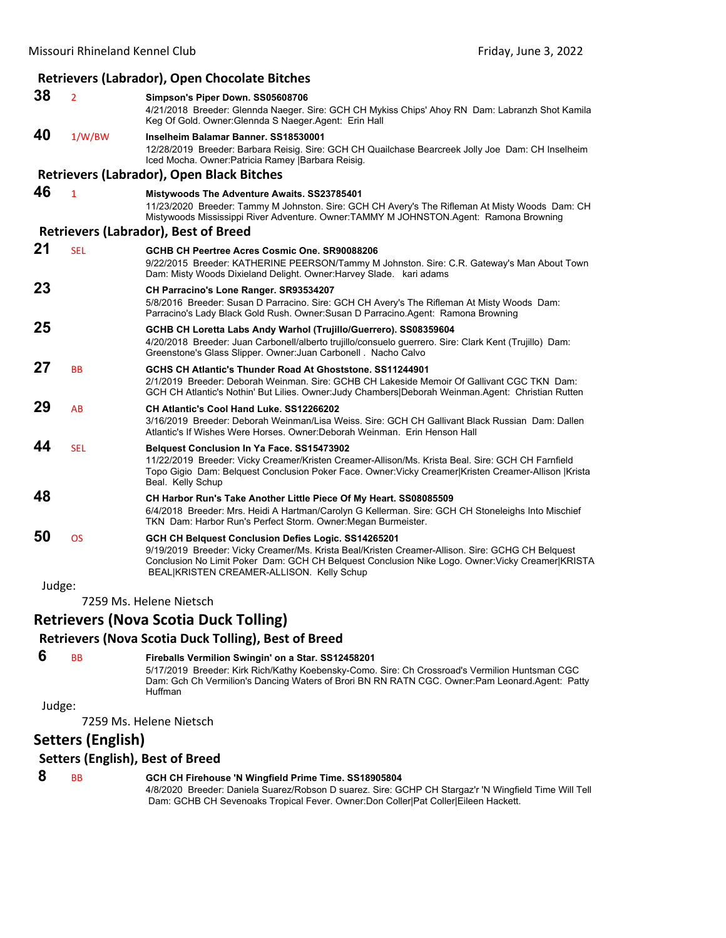|        |                | <b>Retrievers (Labrador), Open Chocolate Bitches</b>                                                                                                                                                                                                                                                     |
|--------|----------------|----------------------------------------------------------------------------------------------------------------------------------------------------------------------------------------------------------------------------------------------------------------------------------------------------------|
| 38     | $\overline{2}$ | Simpson's Piper Down. SS05608706<br>4/21/2018 Breeder: Glennda Naeger. Sire: GCH CH Mykiss Chips' Ahoy RN Dam: Labranzh Shot Kamila<br>Keg Of Gold. Owner: Glennda S Naeger Agent: Erin Hall                                                                                                             |
| 40     | 1/W/BW         | Inselheim Balamar Banner, SS18530001<br>12/28/2019 Breeder: Barbara Reisig. Sire: GCH CH Quailchase Bearcreek Jolly Joe Dam: CH Inselheim<br>Iced Mocha. Owner: Patricia Ramey   Barbara Reisig.                                                                                                         |
|        |                | <b>Retrievers (Labrador), Open Black Bitches</b>                                                                                                                                                                                                                                                         |
| 46     | $\mathbf{1}$   | <b>Mistywoods The Adventure Awaits. SS23785401</b><br>11/23/2020 Breeder: Tammy M Johnston. Sire: GCH CH Avery's The Rifleman At Misty Woods Dam: CH<br>Mistywoods Mississippi River Adventure. Owner:TAMMY M JOHNSTON.Agent: Ramona Browning                                                            |
|        |                | <b>Retrievers (Labrador), Best of Breed</b>                                                                                                                                                                                                                                                              |
| 21     | <b>SEL</b>     | GCHB CH Peertree Acres Cosmic One, SR90088206<br>9/22/2015 Breeder: KATHERINE PEERSON/Tammy M Johnston. Sire: C.R. Gateway's Man About Town<br>Dam: Misty Woods Dixieland Delight. Owner: Harvey Slade. kari adams                                                                                       |
| 23     |                | CH Parracino's Lone Ranger. SR93534207<br>5/8/2016 Breeder: Susan D Parracino. Sire: GCH CH Avery's The Rifleman At Misty Woods Dam:<br>Parracino's Lady Black Gold Rush. Owner: Susan D Parracino. Agent: Ramona Browning                                                                               |
| 25     |                | GCHB CH Loretta Labs Andy Warhol (Trujillo/Guerrero). SS08359604<br>4/20/2018 Breeder: Juan Carbonell/alberto trujillo/consuelo guerrero. Sire: Clark Kent (Trujillo) Dam:<br>Greenstone's Glass Slipper. Owner: Juan Carbonell. Nacho Calvo                                                             |
| 27     | BB             | GCHS CH Atlantic's Thunder Road At Ghoststone. SS11244901<br>2/1/2019 Breeder: Deborah Weinman. Sire: GCHB CH Lakeside Memoir Of Gallivant CGC TKN Dam:<br>GCH CH Atlantic's Nothin' But Lilies. Owner: Judy Chambers Deborah Weinman.Agent: Christian Rutten                                            |
| 29     | AB             | CH Atlantic's Cool Hand Luke, SS12266202<br>3/16/2019 Breeder: Deborah Weinman/Lisa Weiss. Sire: GCH CH Gallivant Black Russian Dam: Dallen<br>Atlantic's If Wishes Were Horses. Owner:Deborah Weinman. Erin Henson Hall                                                                                 |
| 44     | <b>SEL</b>     | <b>Belquest Conclusion In Ya Face. SS15473902</b><br>11/22/2019 Breeder: Vicky Creamer/Kristen Creamer-Allison/Ms. Krista Beal. Sire: GCH CH Farnfield<br>Topo Gigio Dam: Belquest Conclusion Poker Face. Owner: Vicky Creamer Kristen Creamer-Allison  Krista<br>Beal. Kelly Schup                      |
| 48     |                | CH Harbor Run's Take Another Little Piece Of My Heart. SS08085509<br>6/4/2018 Breeder: Mrs. Heidi A Hartman/Carolyn G Kellerman. Sire: GCH CH Stoneleighs Into Mischief<br>TKN Dam: Harbor Run's Perfect Storm. Owner: Megan Burmeister.                                                                 |
| 50     | <b>OS</b>      | GCH CH Belquest Conclusion Defies Logic. SS14265201<br>9/19/2019 Breeder: Vicky Creamer/Ms. Krista Beal/Kristen Creamer-Allison. Sire: GCHG CH Belguest<br>Conclusion No Limit Poker Dam: GCH CH Belquest Conclusion Nike Logo. Owner: Vicky Creamer KRISTA<br>BEAL KRISTEN CREAMER-ALLISON. Kelly Schup |
| Judge: |                |                                                                                                                                                                                                                                                                                                          |
|        |                | 7259 Ms. Helene Nietsch                                                                                                                                                                                                                                                                                  |
|        |                | <b>Retrievers (Nova Scotia Duck Tolling)</b>                                                                                                                                                                                                                                                             |
|        |                | <b>Retrievers (Nova Scotia Duck Tolling), Best of Breed</b>                                                                                                                                                                                                                                              |
| 6      | <b>BB</b>      | Fireballs Vermilion Swingin' on a Star. SS12458201<br>5/17/2019 Breeder: Kirk Rich/Kathy Koebensky-Como. Sire: Ch Crossroad's Vermilion Huntsman CGC                                                                                                                                                     |

7259 Ms. Helene Nietsch

Huffman

**Setters (English)**

#### **Setters (English), Best of Breed**

 **8** BB **GCH CH Firehouse 'N Wingfield Prime Time. SS18905804**

4/8/2020 Breeder: Daniela Suarez/Robson D suarez. Sire: GCHP CH Stargaz'r 'N Wingfield Time Will Tell Dam: GCHB CH Sevenoaks Tropical Fever. Owner:Don Coller|Pat Coller|Eileen Hackett.

Dam: Gch Ch Vermilion's Dancing Waters of Brori BN RN RATN CGC. Owner:Pam Leonard.Agent: Patty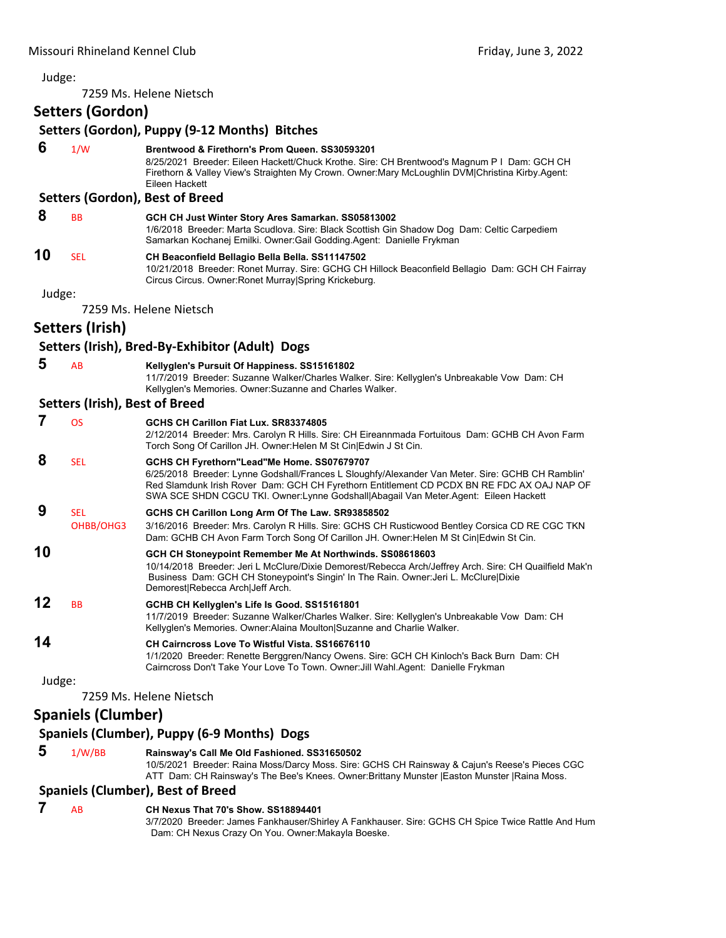7259 Ms. Helene Nietsch

**Setters (Gordon)**

|        | JELIEIJ (YVIUVII <i>)</i>             |                                                                                                                                                                                                                                                                                                                                     |
|--------|---------------------------------------|-------------------------------------------------------------------------------------------------------------------------------------------------------------------------------------------------------------------------------------------------------------------------------------------------------------------------------------|
|        |                                       | Setters (Gordon), Puppy (9-12 Months) Bitches                                                                                                                                                                                                                                                                                       |
| 6      | 1/W                                   | Brentwood & Firethorn's Prom Queen. SS30593201<br>8/25/2021 Breeder: Eileen Hackett/Chuck Krothe. Sire: CH Brentwood's Magnum P I Dam: GCH CH<br>Firethorn & Valley View's Straighten My Crown. Owner: Mary McLoughlin DVM Christina Kirby. Agent:<br>Eileen Hackett                                                                |
|        |                                       | Setters (Gordon), Best of Breed                                                                                                                                                                                                                                                                                                     |
| 8      | <b>BB</b>                             | GCH CH Just Winter Story Ares Samarkan. SS05813002<br>1/6/2018 Breeder: Marta Scudlova. Sire: Black Scottish Gin Shadow Dog Dam: Celtic Carpediem<br>Samarkan Kochanej Emilki. Owner: Gail Godding. Agent: Danielle Frykman                                                                                                         |
| 10     | <b>SEL</b>                            | CH Beaconfield Bellagio Bella Bella. SS11147502<br>10/21/2018 Breeder: Ronet Murray, Sire: GCHG CH Hillock Beaconfield Bellagio Dam: GCH CH Fairray<br>Circus Circus. Owner: Ronet Murray Spring Krickeburg.                                                                                                                        |
| Judge: |                                       |                                                                                                                                                                                                                                                                                                                                     |
|        |                                       | 7259 Ms. Helene Nietsch                                                                                                                                                                                                                                                                                                             |
|        | Setters (Irish)                       |                                                                                                                                                                                                                                                                                                                                     |
|        |                                       | Setters (Irish), Bred-By-Exhibitor (Adult) Dogs                                                                                                                                                                                                                                                                                     |
| 5      | AB                                    | Kellyglen's Pursuit Of Happiness. SS15161802<br>11/7/2019 Breeder: Suzanne Walker/Charles Walker. Sire: Kellyglen's Unbreakable Vow Dam: CH<br>Kellyglen's Memories. Owner: Suzanne and Charles Walker.                                                                                                                             |
|        | <b>Setters (Irish), Best of Breed</b> |                                                                                                                                                                                                                                                                                                                                     |
| 7      | <b>OS</b>                             | GCHS CH Carillon Fiat Lux. SR83374805<br>2/12/2014 Breeder: Mrs. Carolyn R Hills. Sire: CH Eireannmada Fortuitous Dam: GCHB CH Avon Farm<br>Torch Song Of Carillon JH. Owner: Helen M St Cin Edwin J St Cin.                                                                                                                        |
| 8      | <b>SEL</b>                            | GCHS CH Fyrethorn"Lead"Me Home. SS07679707<br>6/25/2018 Breeder: Lynne Godshall/Frances L Sloughfy/Alexander Van Meter. Sire: GCHB CH Ramblin'<br>Red Slamdunk Irish Rover Dam: GCH CH Fyrethorn Entitlement CD PCDX BN RE FDC AX OAJ NAP OF<br>SWA SCE SHDN CGCU TKI. Owner:Lynne Godshall Abagail Van Meter.Agent: Eileen Hackett |
| 9      | SEL                                   | GCHS CH Carillon Long Arm Of The Law. SR93858502                                                                                                                                                                                                                                                                                    |
|        | OHBB/OHG3                             | 3/16/2016 Breeder: Mrs. Carolyn R Hills. Sire: GCHS CH Rusticwood Bentley Corsica CD RE CGC TKN<br>Dam: GCHB CH Avon Farm Torch Song Of Carillon JH. Owner: Helen M St Cin Edwin St Cin.                                                                                                                                            |
| 10     |                                       | GCH CH Stoneypoint Remember Me At Northwinds. SS08618603<br>10/14/2018 Breeder: Jeri L McClure/Dixie Demorest/Rebecca Arch/Jeffrey Arch. Sire: CH Quailfield Mak'n<br>Business Dam: GCH CH Stoneypoint's Singin' In The Rain. Owner: Jeri L. McClure Dixie<br>Demorest Rebecca Arch Jeff Arch.                                      |
| 12     | <b>BB</b>                             | GCHB CH Kellyglen's Life Is Good. SS15161801<br>11/7/2019 Breeder: Suzanne Walker/Charles Walker. Sire: Kellyglen's Unbreakable Vow Dam: CH<br>Kellyglen's Memories. Owner: Alaina Moulton Suzanne and Charlie Walker.                                                                                                              |
| 14     |                                       | <b>CH Cairncross Love To Wistful Vista, SS16676110</b><br>1/1/2020 Breeder: Renette Berggren/Nancy Owens. Sire: GCH CH Kinloch's Back Burn Dam: CH<br>Cairncross Don't Take Your Love To Town. Owner: Jill Wahl.Agent: Danielle Frykman                                                                                             |
| Judge: |                                       |                                                                                                                                                                                                                                                                                                                                     |
|        |                                       | 7259 Ms. Helene Nietsch                                                                                                                                                                                                                                                                                                             |
|        | <b>Spaniels (Clumber)</b>             |                                                                                                                                                                                                                                                                                                                                     |
|        |                                       | Spaniels (Clumber), Puppy (6-9 Months) Dogs                                                                                                                                                                                                                                                                                         |
| 5      | 1/W/BB                                | Rainsway's Call Me Old Fashioned. SS31650502<br>10/5/2021 Breeder: Raina Moss/Darcy Moss. Sire: GCHS CH Rainsway & Cajun's Reese's Pieces CGC<br>ATT Dam: CH Rainsway's The Bee's Knees. Owner: Brittany Munster   Easton Munster   Raina Moss.                                                                                     |
|        |                                       | <b>Spaniels (Clumber), Best of Breed</b>                                                                                                                                                                                                                                                                                            |
|        | AB                                    | CH Nexus That 70's Show. SS18894401                                                                                                                                                                                                                                                                                                 |
|        |                                       | 3/7/2020 Breeder: James Fankhauser/Shirley A Fankhauser. Sire: GCHS CH Spice Twice Rattle And Hum<br>Dam: CH Nexus Crazy On You. Owner: Makayla Boeske.                                                                                                                                                                             |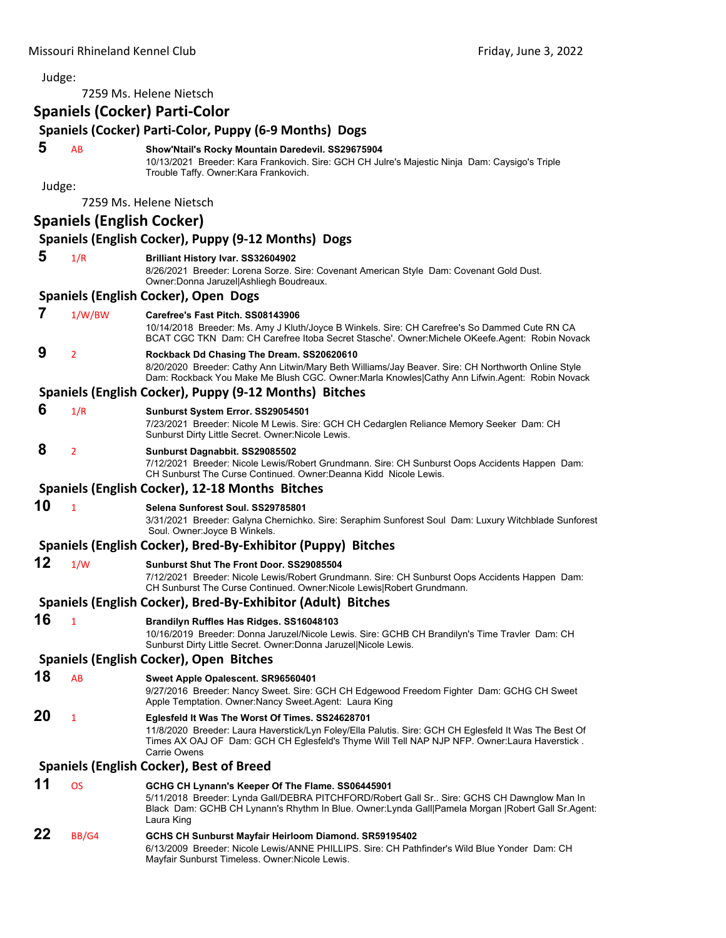7259 Ms. Helene Nietsch

## **Spaniels (Cocker) Parti‐Color**

|        |                                  | Spaniels (Cocker) Parti-Color<br>Spaniels (Cocker) Parti-Color, Puppy (6-9 Months) Dogs                                                                                                                                                                                  |
|--------|----------------------------------|--------------------------------------------------------------------------------------------------------------------------------------------------------------------------------------------------------------------------------------------------------------------------|
|        |                                  |                                                                                                                                                                                                                                                                          |
| 5      | AB                               | Show'Ntail's Rocky Mountain Daredevil. SS29675904<br>10/13/2021 Breeder: Kara Frankovich. Sire: GCH CH Julre's Majestic Ninja Dam: Caysigo's Triple<br>Trouble Taffy. Owner: Kara Frankovich.                                                                            |
| Judge: |                                  |                                                                                                                                                                                                                                                                          |
|        |                                  | 7259 Ms. Helene Nietsch                                                                                                                                                                                                                                                  |
|        | <b>Spaniels (English Cocker)</b> |                                                                                                                                                                                                                                                                          |
|        |                                  | Spaniels (English Cocker), Puppy (9-12 Months) Dogs                                                                                                                                                                                                                      |
| 5      | 1/R                              | <b>Brilliant History Ivar. SS32604902</b><br>8/26/2021 Breeder: Lorena Sorze. Sire: Covenant American Style Dam: Covenant Gold Dust.<br>Owner: Donna Jaruzel Ashliegh Boudreaux.                                                                                         |
|        |                                  | Spaniels (English Cocker), Open Dogs                                                                                                                                                                                                                                     |
| 7      | 1/W/BW                           | Carefree's Fast Pitch, SS08143906<br>10/14/2018 Breeder: Ms. Amy J Kluth/Joyce B Winkels. Sire: CH Carefree's So Dammed Cute RN CA<br>BCAT CGC TKN Dam: CH Carefree Itoba Secret Stasche'. Owner:Michele OKeefe.Agent: Robin Novack                                      |
| 9      | $\overline{2}$                   | Rockback Dd Chasing The Dream. SS20620610<br>8/20/2020 Breeder: Cathy Ann Litwin/Mary Beth Williams/Jay Beaver. Sire: CH Northworth Online Style<br>Dam: Rockback You Make Me Blush CGC. Owner:Marla Knowles Cathy Ann Lifwin.Agent: Robin Novack                        |
|        |                                  | Spaniels (English Cocker), Puppy (9-12 Months) Bitches                                                                                                                                                                                                                   |
| 6      | 1/R                              | Sunburst System Error. SS29054501<br>7/23/2021 Breeder: Nicole M Lewis. Sire: GCH CH Cedarglen Reliance Memory Seeker Dam: CH<br>Sunburst Dirty Little Secret. Owner: Nicole Lewis.                                                                                      |
| 8      | $\overline{2}$                   | Sunburst Dagnabbit. SS29085502<br>7/12/2021 Breeder: Nicole Lewis/Robert Grundmann. Sire: CH Sunburst Oops Accidents Happen Dam:<br>CH Sunburst The Curse Continued. Owner:Deanna Kidd Nicole Lewis.                                                                     |
|        |                                  | Spaniels (English Cocker), 12-18 Months Bitches                                                                                                                                                                                                                          |
| 10     | $\mathbf{1}$                     | Selena Sunforest Soul, SS29785801<br>3/31/2021 Breeder: Galyna Chernichko. Sire: Seraphim Sunforest Soul Dam: Luxury Witchblade Sunforest<br>Soul. Owner: Joyce B Winkels.                                                                                               |
|        |                                  | Spaniels (English Cocker), Bred-By-Exhibitor (Puppy) Bitches                                                                                                                                                                                                             |
| 12     | 1/W                              | Sunburst Shut The Front Door. SS29085504<br>7/12/2021 Breeder: Nicole Lewis/Robert Grundmann. Sire: CH Sunburst Oops Accidents Happen Dam:<br>CH Sunburst The Curse Continued. Owner: Nicole Lewis Robert Grundmann.                                                     |
|        |                                  | Spaniels (English Cocker), Bred-By-Exhibitor (Adult) Bitches                                                                                                                                                                                                             |
| 16     | $\mathbf{1}$                     | Brandilyn Ruffles Has Ridges. SS16048103<br>10/16/2019 Breeder: Donna Jaruzel/Nicole Lewis. Sire: GCHB CH Brandilyn's Time Travler Dam: CH<br>Sunburst Dirty Little Secret. Owner:Donna Jaruzel Nicole Lewis.                                                            |
|        |                                  | Spaniels (English Cocker), Open Bitches                                                                                                                                                                                                                                  |
| 18     | AB                               | Sweet Apple Opalescent. SR96560401<br>9/27/2016 Breeder: Nancy Sweet. Sire: GCH CH Edgewood Freedom Fighter Dam: GCHG CH Sweet<br>Apple Temptation. Owner: Nancy Sweet. Agent: Laura King                                                                                |
| 20     | 1                                | Eglesfeld It Was The Worst Of Times. SS24628701<br>11/8/2020 Breeder: Laura Haverstick/Lyn Foley/Ella Palutis. Sire: GCH CH Eglesfeld It Was The Best Of<br>Times AX OAJ OF Dam: GCH CH Eglesfeld's Thyme Will Tell NAP NJP NFP. Owner:Laura Haverstick.<br>Carrie Owens |
|        |                                  | <b>Spaniels (English Cocker), Best of Breed</b>                                                                                                                                                                                                                          |
| 11     | <b>OS</b>                        | GCHG CH Lynann's Keeper Of The Flame. SS06445901<br>5/11/2018 Breeder: Lynda Gall/DEBRA PITCHFORD/Robert Gall Sr Sire: GCHS CH Dawnglow Man In<br>Black Dam: GCHB CH Lynann's Rhythm In Blue. Owner: Lynda Gall Pamela Morgan   Robert Gall Sr. Agent:<br>Laura King     |
| 22     | BB/G4                            | GCHS CH Sunburst Mayfair Heirloom Diamond. SR59195402<br>6/13/2009 Breeder: Nicole Lewis/ANNE PHILLIPS. Sire: CH Pathfinder's Wild Blue Yonder Dam: CH<br>Mayfair Sunburst Timeless. Owner: Nicole Lewis.                                                                |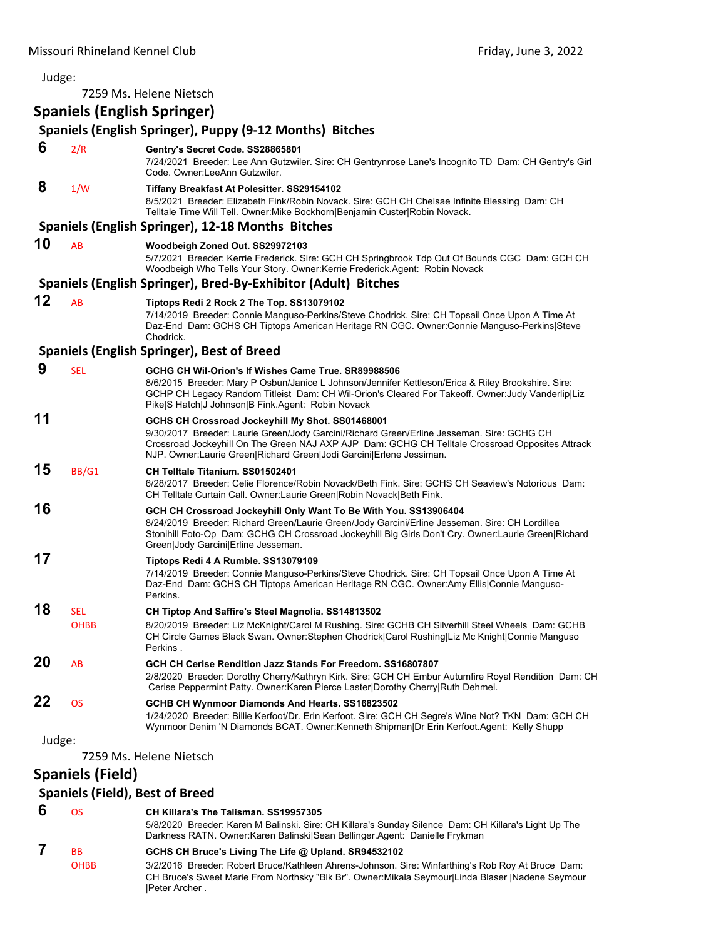| Judge: |                                                                   |                                                                                                                                                                                                                                                                                                                          |
|--------|-------------------------------------------------------------------|--------------------------------------------------------------------------------------------------------------------------------------------------------------------------------------------------------------------------------------------------------------------------------------------------------------------------|
|        |                                                                   | 7259 Ms. Helene Nietsch                                                                                                                                                                                                                                                                                                  |
|        | <b>Spaniels (English Springer)</b>                                |                                                                                                                                                                                                                                                                                                                          |
|        |                                                                   | Spaniels (English Springer), Puppy (9-12 Months) Bitches                                                                                                                                                                                                                                                                 |
| 6      | 2/R                                                               | Gentry's Secret Code. SS28865801<br>7/24/2021 Breeder: Lee Ann Gutzwiler. Sire: CH Gentrynrose Lane's Incognito TD Dam: CH Gentry's Girl<br>Code. Owner:LeeAnn Gutzwiler.                                                                                                                                                |
| 8      | 1/W                                                               | Tiffany Breakfast At Polesitter. SS29154102<br>8/5/2021 Breeder: Elizabeth Fink/Robin Novack. Sire: GCH CH Chelsae Infinite Blessing Dam: CH<br>Telltale Time Will Tell. Owner: Mike Bockhorn   Benjamin Custer   Robin Novack.                                                                                          |
|        |                                                                   | Spaniels (English Springer), 12-18 Months Bitches                                                                                                                                                                                                                                                                        |
| 10     | AB                                                                | Woodbeigh Zoned Out. SS29972103<br>5/7/2021 Breeder: Kerrie Frederick. Sire: GCH CH Springbrook Tdp Out Of Bounds CGC Dam: GCH CH<br>Woodbeigh Who Tells Your Story. Owner:Kerrie Frederick.Agent: Robin Novack                                                                                                          |
|        |                                                                   | Spaniels (English Springer), Bred-By-Exhibitor (Adult) Bitches                                                                                                                                                                                                                                                           |
| 12     | AB                                                                | Tiptops Redi 2 Rock 2 The Top. SS13079102<br>7/14/2019 Breeder: Connie Manguso-Perkins/Steve Chodrick. Sire: CH Topsail Once Upon A Time At<br>Daz-End Dam: GCHS CH Tiptops American Heritage RN CGC. Owner:Connie Manguso-Perkins Steve<br>Chodrick.                                                                    |
|        |                                                                   | <b>Spaniels (English Springer), Best of Breed</b>                                                                                                                                                                                                                                                                        |
| 9      | <b>SEL</b>                                                        | GCHG CH Wil-Orion's If Wishes Came True, SR89988506<br>8/6/2015 Breeder: Mary P Osbun/Janice L Johnson/Jennifer Kettleson/Erica & Riley Brookshire. Sire:<br>GCHP CH Legacy Random Titleist Dam: CH Wil-Orion's Cleared For Takeoff. Owner:Judy Vanderlip Liz<br>Pike S Hatch J Johnson B Fink.Agent: Robin Novack       |
| 11     |                                                                   | GCHS CH Crossroad Jockeyhill My Shot. SS01468001<br>9/30/2017 Breeder: Laurie Green/Jody Garcini/Richard Green/Erline Jesseman. Sire: GCHG CH<br>Crossroad Jockeyhill On The Green NAJ AXP AJP Dam: GCHG CH Telltale Crossroad Opposites Attrack<br>NJP. Owner: Laurie Green Richard Green Jodi Garcini Erlene Jessiman. |
| 15     | BB/G1                                                             | CH Telltale Titanium, SS01502401<br>6/28/2017 Breeder: Celie Florence/Robin Novack/Beth Fink. Sire: GCHS CH Seaview's Notorious Dam:<br>CH Telltale Curtain Call. Owner:Laurie Green Robin Novack Beth Fink.                                                                                                             |
| 16     |                                                                   | GCH CH Crossroad Jockeyhill Only Want To Be With You. SS13906404<br>8/24/2019 Breeder: Richard Green/Laurie Green/Jody Garcini/Erline Jesseman. Sire: CH Lordillea<br>Stonihill Foto-Op Dam: GCHG CH Crossroad Jockeyhill Big Girls Don't Cry. Owner:Laurie Green Richard<br>Green Jody Garcini Erline Jesseman.         |
| 17     |                                                                   | Tiptops Redi 4 A Rumble. SS13079109<br>7/14/2019 Breeder: Connie Manguso-Perkins/Steve Chodrick. Sire: CH Topsail Once Upon A Time At<br>Daz-End Dam: GCHS CH Tiptops American Heritage RN CGC. Owner:Amy Ellis Connie Manguso-<br>Perkins.                                                                              |
| 18     | SEL<br><b>OHBB</b>                                                | CH Tiptop And Saffire's Steel Magnolia. SS14813502<br>8/20/2019 Breeder: Liz McKnight/Carol M Rushing. Sire: GCHB CH Silverhill Steel Wheels Dam: GCHB<br>CH Circle Games Black Swan. Owner:Stephen Chodrick Carol Rushing Liz Mc Knight Connie Manguso<br>Perkins .                                                     |
| 20     | AB                                                                | GCH CH Cerise Rendition Jazz Stands For Freedom, SS16807807<br>2/8/2020 Breeder: Dorothy Cherry/Kathryn Kirk. Sire: GCH CH Embur Autumfire Royal Rendition Dam: CH<br>Cerise Peppermint Patty. Owner: Karen Pierce Laster   Dorothy Cherry   Ruth Dehmel.                                                                |
| 22     | <b>OS</b>                                                         | GCHB CH Wynmoor Diamonds And Hearts. SS16823502<br>1/24/2020 Breeder: Billie Kerfoot/Dr. Erin Kerfoot. Sire: GCH CH Segre's Wine Not? TKN Dam: GCH CH<br>Wynmoor Denim 'N Diamonds BCAT. Owner:Kenneth Shipman Dr Erin Kerfoot.Agent: Kelly Shupp                                                                        |
| Judge: |                                                                   | 7259 Ms. Helene Nietsch                                                                                                                                                                                                                                                                                                  |
|        | <b>Spaniels (Field)</b><br><b>Spaniels (Field), Best of Breed</b> |                                                                                                                                                                                                                                                                                                                          |
| 6      | OS                                                                | CH Killara's The Talisman. SS19957305                                                                                                                                                                                                                                                                                    |

5/8/2020 Breeder: Karen M Balinski. Sire: CH Killara's Sunday Silence Dam: CH Killara's Light Up The Darkness RATN. Owner:Karen Balinski|Sean Bellinger.Agent: Danielle Frykman  **7** BB **GCHS CH Bruce's Living The Life @ Upland. SR94532102** OHBB 3/2/2016 Breeder: Robert Bruce/Kathleen Ahrens-Johnson. Sire: Winfarthing's Rob Roy At Bruce Dam: CH Bruce's Sweet Marie From Northsky "Blk Br". Owner:Mikala Seymour|Linda Blaser |Nadene Seymour |Peter Archer .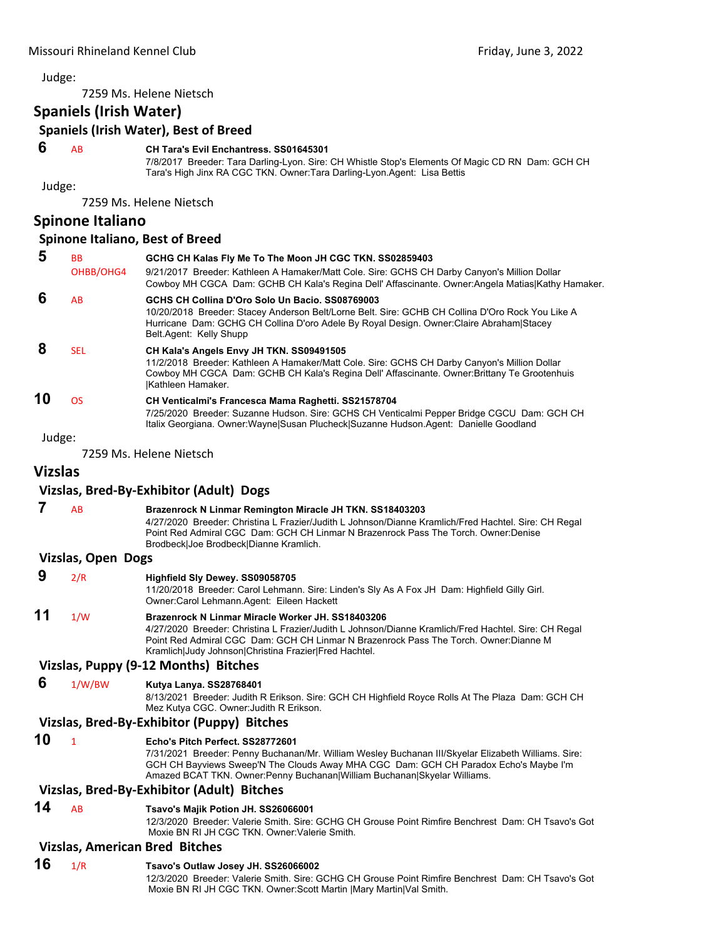7259 Ms. Helene Nietsch

**Spaniels (Irish Water)**

**Spaniels (Irish Water), Best of Breed**

#### **6** AB **CH Tara's Evil Enchantress. SS01645301**

7/8/2017 Breeder: Tara Darling-Lyon. Sire: CH Whistle Stop's Elements Of Magic CD RN Dam: GCH CH Tara's High Jinx RA CGC TKN. Owner:Tara Darling-Lyon.Agent: Lisa Bettis

Judge:

7259 Ms. Helene Nietsch

#### **Spinone Italiano**

#### **Spinone Italiano, Best of Breed**

| 5  | <b>BB</b><br>OHBB/OHG4 | GCHG CH Kalas Fly Me To The Moon JH CGC TKN. SS02859403<br>9/21/2017 Breeder: Kathleen A Hamaker/Matt Cole. Sire: GCHS CH Darby Canyon's Million Dollar<br>Cowboy MH CGCA Dam: GCHB CH Kala's Regina Dell' Affascinante. Owner: Angela Matias Kathy Hamaker.              |
|----|------------------------|---------------------------------------------------------------------------------------------------------------------------------------------------------------------------------------------------------------------------------------------------------------------------|
| 6  | AB                     | GCHS CH Collina D'Oro Solo Un Bacio, SS08769003<br>10/20/2018 Breeder: Stacey Anderson Belt/Lorne Belt. Sire: GCHB CH Collina D'Oro Rock You Like A<br>Hurricane Dam: GCHG CH Collina D'oro Adele By Royal Design. Owner:Claire Abraham Stacey<br>Belt.Agent: Kelly Shupp |
| 8  | <b>SEL</b>             | CH Kala's Angels Envy JH TKN. SS09491505<br>11/2/2018 Breeder: Kathleen A Hamaker/Matt Cole. Sire: GCHS CH Darby Canyon's Million Dollar<br>Cowboy MH CGCA Dam: GCHB CH Kala's Regina Dell' Affascinante. Owner: Brittany Te Grootenhuis<br>Kathleen Hamaker.             |
| 10 | <b>OS</b>              | CH Venticalmi's Francesca Mama Raghetti. SS21578704<br>7/25/2020 Breeder: Suzanne Hudson. Sire: GCHS CH Venticalmi Pepper Bridge CGCU Dam: GCH CH<br>Italix Georgiana. Owner:Wayne Susan Plucheck Suzanne Hudson.Agent: Danielle Goodland                                 |

Judge:

7259 Ms. Helene Nietsch

#### **Vizslas**

#### **Vizslas, Bred‐By‐Exhibitor (Adult) Dogs**

 **7** AB **Brazenrock N Linmar Remington Miracle JH TKN. SS18403203** 4/27/2020 Breeder: Christina L Frazier/Judith L Johnson/Dianne Kramlich/Fred Hachtel. Sire: CH Regal Point Red Admiral CGC Dam: GCH CH Linmar N Brazenrock Pass The Torch. Owner:Denise Brodbeck|Joe Brodbeck|Dianne Kramlich.

#### **Vizslas, Open Dogs**

| 9  | 2/R | Highfield Sly Dewey. SS09058705<br>11/20/2018 Breeder: Carol Lehmann. Sire: Linden's Sly As A Fox JH Dam: Highfield Gilly Girl. |
|----|-----|---------------------------------------------------------------------------------------------------------------------------------|
|    |     | Owner: Carol Lehmann. Agent: Eileen Hackett                                                                                     |
| 11 | 1/N | Brazenrock N Linmar Miracle Worker JH, SS18403206                                                                               |
|    |     | 4/27/2020 Breeder: Christina L Frazier/Judith L Johnson/Dianne Kramlich/Fred Hachtel. Sire: CH Regal                            |
|    |     | Point Red Admiral CGC Dam: GCH CH Linmar N Brazenrock Pass The Torch. Owner:Dianne M                                            |
|    |     | Kramlich Judy Johnson Christina Frazier Fred Hachtel.                                                                           |
|    |     | Vizelas Dunny (0.12 Menthe) Ditches                                                                                             |

#### **Vizslas, Puppy (9‐12 Months) Bitches**

#### **6** 1/W/BW **Kutya Lanya. SS28768401**

8/13/2021 Breeder: Judith R Erikson. Sire: GCH CH Highfield Royce Rolls At The Plaza Dam: GCH CH Mez Kutya CGC. Owner:Judith R Erikson.

#### **Vizslas, Bred‐By‐Exhibitor (Puppy) Bitches**

#### **10** <sup>1</sup> **Echo's Pitch Perfect. SS28772601**

7/31/2021 Breeder: Penny Buchanan/Mr. William Wesley Buchanan III/Skyelar Elizabeth Williams. Sire: GCH CH Bayviews Sweep'N The Clouds Away MHA CGC Dam: GCH CH Paradox Echo's Maybe I'm Amazed BCAT TKN. Owner:Penny Buchanan|William Buchanan|Skyelar Williams.

#### **Vizslas, Bred‐By‐Exhibitor (Adult) Bitches**

**14** AB **Tsavo's Majik Potion JH. SS26066001**

12/3/2020 Breeder: Valerie Smith. Sire: GCHG CH Grouse Point Rimfire Benchrest Dam: CH Tsavo's Got Moxie BN RI JH CGC TKN. Owner:Valerie Smith.

#### **Vizslas, American Bred Bitches**

#### **16** 1/R **Tsavo's Outlaw Josey JH. SS26066002**

12/3/2020 Breeder: Valerie Smith. Sire: GCHG CH Grouse Point Rimfire Benchrest Dam: CH Tsavo's Got Moxie BN RI JH CGC TKN. Owner:Scott Martin |Mary Martin|Val Smith.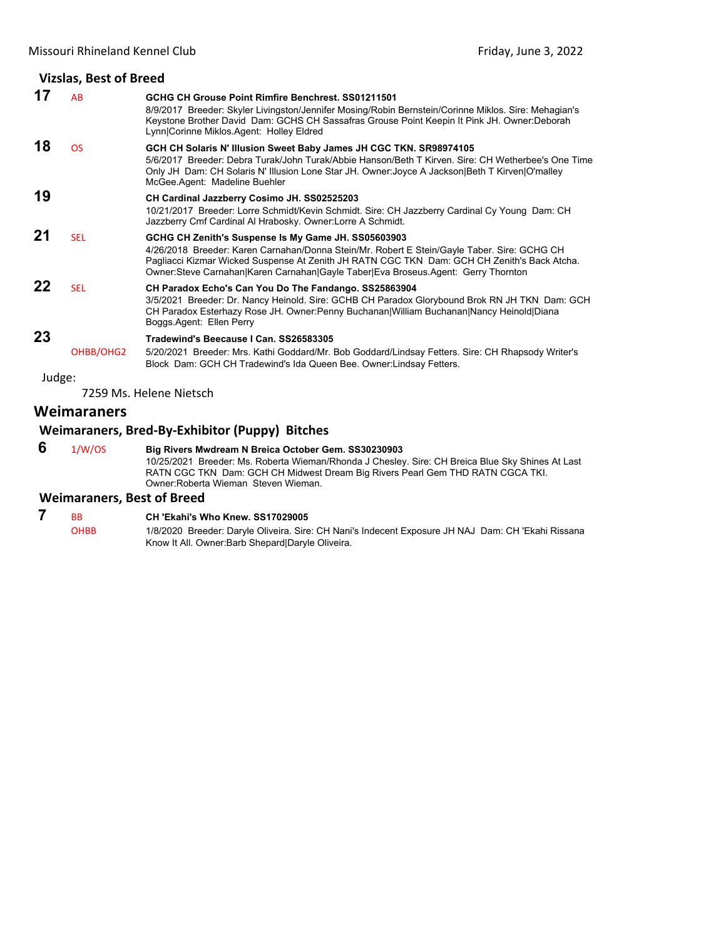#### **Vizslas, Best of Breed 17** AB **GCHG CH Grouse Point Rimfire Benchrest. SS01211501** 8/9/2017 Breeder: Skyler Livingston/Jennifer Mosing/Robin Bernstein/Corinne Miklos. Sire: Mehagian's Keystone Brother David Dam: GCHS CH Sassafras Grouse Point Keepin It Pink JH. Owner:Deborah Lynn|Corinne Miklos.Agent: Holley Eldred **18** OS **GCH CH Solaris N' Illusion Sweet Baby James JH CGC TKN. SR98974105** 5/6/2017 Breeder: Debra Turak/John Turak/Abbie Hanson/Beth T Kirven. Sire: CH Wetherbee's One Time Only JH Dam: CH Solaris N' Illusion Lone Star JH. Owner:Joyce A Jackson|Beth T Kirven|O'malley McGee.Agent: Madeline Buehler **19 CH Cardinal Jazzberry Cosimo JH. SS02525203** 10/21/2017 Breeder: Lorre Schmidt/Kevin Schmidt. Sire: CH Jazzberry Cardinal Cy Young Dam: CH Jazzberry Cmf Cardinal Al Hrabosky. Owner:Lorre A Schmidt. **21** SEL **GCHG CH Zenith's Suspense Is My Game JH. SS05603903** 4/26/2018 Breeder: Karen Carnahan/Donna Stein/Mr. Robert E Stein/Gayle Taber. Sire: GCHG CH Pagliacci Kizmar Wicked Suspense At Zenith JH RATN CGC TKN Dam: GCH CH Zenith's Back Atcha. Owner:Steve Carnahan|Karen Carnahan|Gayle Taber|Eva Broseus.Agent: Gerry Thornton **22** SEL **CH Paradox Echo's Can You Do The Fandango. SS25863904** 3/5/2021 Breeder: Dr. Nancy Heinold. Sire: GCHB CH Paradox Glorybound Brok RN JH TKN Dam: GCH CH Paradox Esterhazy Rose JH. Owner:Penny Buchanan|William Buchanan|Nancy Heinold|Diana Boggs.Agent: Ellen Perry **23 Tradewind's Beecause I Can. SS26583305**

Judge:

7259 Ms. Helene Nietsch

#### **Weimaraners**

#### **Weimaraners, Bred‐By‐Exhibitor (Puppy) Bitches**

 **6** 1/W/OS **Big Rivers Mwdream N Breica October Gem. SS30230903** 10/25/2021 Breeder: Ms. Roberta Wieman/Rhonda J Chesley. Sire: CH Breica Blue Sky Shines At Last RATN CGC TKN Dam: GCH CH Midwest Dream Big Rivers Pearl Gem THD RATN CGCA TKI. Owner:Roberta Wieman Steven Wieman.

Block Dam: GCH CH Tradewind's Ida Queen Bee. Owner:Lindsay Fetters.

5/20/2021 Breeder: Mrs. Kathi Goddard/Mr. Bob Goddard/Lindsay Fetters. Sire: CH Rhapsody Writer's

#### **Weimaraners, Best of Breed**

#### **7** BB **CH 'Ekahi's Who Knew. SS17029005**

OHBB 1/8/2020 Breeder: Daryle Oliveira. Sire: CH Nani's Indecent Exposure JH NAJ Dam: CH 'Ekahi Rissana Know It All. Owner:Barb Shepard|Daryle Oliveira.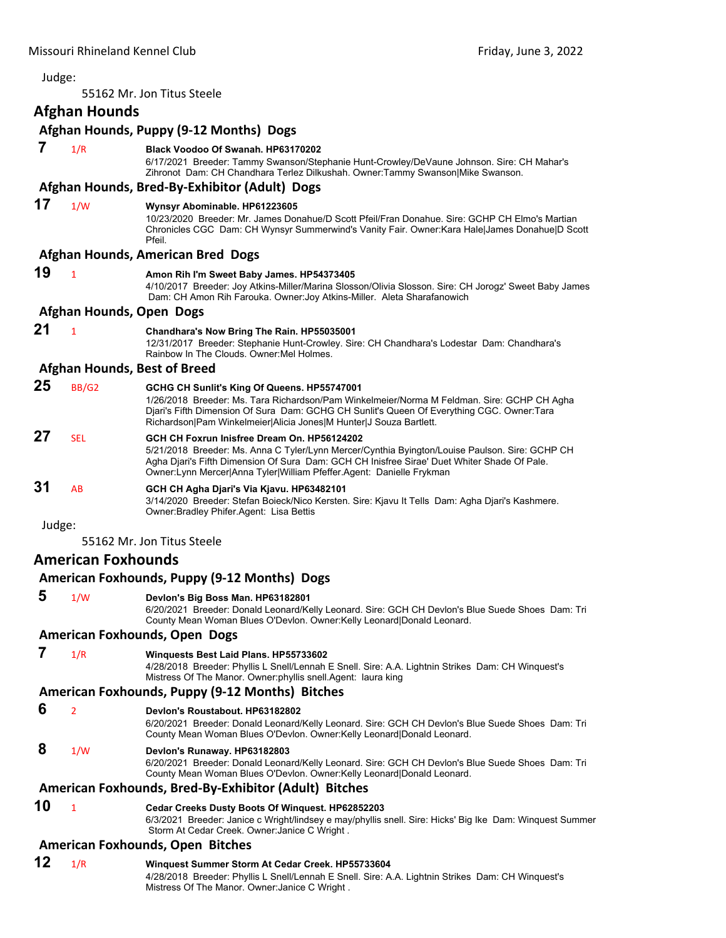<span id="page-12-0"></span>

| Judge: |                           |                                                                                                                                                                                                                                                                                                                        |
|--------|---------------------------|------------------------------------------------------------------------------------------------------------------------------------------------------------------------------------------------------------------------------------------------------------------------------------------------------------------------|
|        |                           | 55162 Mr. Jon Titus Steele                                                                                                                                                                                                                                                                                             |
|        | Afghan Hounds             |                                                                                                                                                                                                                                                                                                                        |
|        |                           | Afghan Hounds, Puppy (9-12 Months) Dogs                                                                                                                                                                                                                                                                                |
| 7      | 1/R                       | Black Voodoo Of Swanah. HP63170202<br>6/17/2021 Breeder: Tammy Swanson/Stephanie Hunt-Crowley/DeVaune Johnson. Sire: CH Mahar's<br>Zihronot Dam: CH Chandhara Terlez Dilkushah. Owner:Tammy Swanson Mike Swanson.                                                                                                      |
|        |                           | Afghan Hounds, Bred-By-Exhibitor (Adult) Dogs                                                                                                                                                                                                                                                                          |
| 17     | 1/W                       | Wynsyr Abominable. HP61223605<br>10/23/2020 Breeder: Mr. James Donahue/D Scott Pfeil/Fran Donahue. Sire: GCHP CH Elmo's Martian<br>Chronicles CGC Dam: CH Wynsyr Summerwind's Vanity Fair. Owner: Kara Hale James Donahue D Scott<br>Pfeil.                                                                            |
|        |                           | <b>Afghan Hounds, American Bred Dogs</b>                                                                                                                                                                                                                                                                               |
| 19     | $\mathbf{1}$              | Amon Rih I'm Sweet Baby James. HP54373405<br>4/10/2017 Breeder: Joy Atkins-Miller/Marina Slosson/Olivia Slosson. Sire: CH Jorogz' Sweet Baby James<br>Dam: CH Amon Rih Farouka. Owner: Joy Atkins-Miller. Aleta Sharafanowich                                                                                          |
|        |                           | Afghan Hounds, Open Dogs                                                                                                                                                                                                                                                                                               |
| 21     | $\mathbf{1}$              | Chandhara's Now Bring The Rain. HP55035001<br>12/31/2017 Breeder: Stephanie Hunt-Crowley. Sire: CH Chandhara's Lodestar Dam: Chandhara's<br>Rainbow In The Clouds, Owner: Mel Holmes,                                                                                                                                  |
|        |                           | <b>Afghan Hounds, Best of Breed</b>                                                                                                                                                                                                                                                                                    |
| 25     | <b>BB/G2</b>              | GCHG CH Sunlit's King Of Queens. HP55747001<br>1/26/2018 Breeder: Ms. Tara Richardson/Pam Winkelmeier/Norma M Feldman. Sire: GCHP CH Agha<br>Djari's Fifth Dimension Of Sura Dam: GCHG CH Sunlit's Queen Of Everything CGC. Owner: Tara<br>Richardson Pam Winkelmeier Alicia Jones M Hunter J Souza Bartlett.          |
| 27     | <b>SEL</b>                | GCH CH Foxrun Inisfree Dream On. HP56124202<br>5/21/2018 Breeder: Ms. Anna C Tyler/Lynn Mercer/Cynthia Byington/Louise Paulson. Sire: GCHP CH<br>Agha Djari's Fifth Dimension Of Sura Dam: GCH CH Inisfree Sirae' Duet Whiter Shade Of Pale.<br>Owner: Lynn Mercer Anna Tyler William Pfeffer. Agent: Danielle Frykman |
| 31     | AB                        | GCH CH Agha Djari's Via Kjavu. HP63482101<br>3/14/2020 Breeder: Stefan Boieck/Nico Kersten. Sire: Kjavu It Tells Dam: Agha Djari's Kashmere.<br>Owner: Bradley Phifer. Agent: Lisa Bettis                                                                                                                              |
| Judge: |                           |                                                                                                                                                                                                                                                                                                                        |
|        |                           | 55162 Mr. Jon Titus Steele                                                                                                                                                                                                                                                                                             |
|        | <b>American Foxhounds</b> |                                                                                                                                                                                                                                                                                                                        |
|        |                           | American Foxhounds, Puppy (9-12 Months) Dogs                                                                                                                                                                                                                                                                           |
| 5      | 1/W                       | Devlon's Big Boss Man. HP63182801<br>6/20/2021 Breeder: Donald Leonard/Kelly Leonard. Sire: GCH CH Devlon's Blue Suede Shoes Dam: Tri<br>County Mean Woman Blues O'Devlon. Owner: Kelly Leonard   Donald Leonard.                                                                                                      |
|        |                           | <b>American Foxhounds, Open Dogs</b>                                                                                                                                                                                                                                                                                   |
| 7      | 1/R                       | Winquests Best Laid Plans. HP55733602<br>4/28/2018 Breeder: Phyllis L Snell/Lennah E Snell. Sire: A.A. Lightnin Strikes Dam: CH Winquest's<br>Mistress Of The Manor. Owner: phyllis snell. Agent: laura king                                                                                                           |
|        |                           | American Foxhounds, Puppy (9-12 Months) Bitches                                                                                                                                                                                                                                                                        |
| 6      | $\overline{2}$            | Devlon's Roustabout. HP63182802<br>6/20/2021 Breeder: Donald Leonard/Kelly Leonard. Sire: GCH CH Devlon's Blue Suede Shoes Dam: Tri<br>County Mean Woman Blues O'Devlon. Owner:Kelly Leonard Donald Leonard.                                                                                                           |
| 8      | 1/W                       | Devlon's Runaway. HP63182803<br>6/20/2021 Breeder: Donald Leonard/Kelly Leonard. Sire: GCH CH Devlon's Blue Suede Shoes Dam: Tri<br>County Mean Woman Blues O'Devlon. Owner: Kelly Leonard   Donald Leonard.                                                                                                           |
|        |                           | American Foxhounds, Bred-By-Exhibitor (Adult) Bitches                                                                                                                                                                                                                                                                  |
| 10     | 1                         | Cedar Creeks Dusty Boots Of Winquest. HP62852203<br>6/3/2021 Breeder: Janice c Wright/lindsey e may/phyllis snell. Sire: Hicks' Big Ike Dam: Winquest Summer<br>Storm At Cedar Creek. Owner: Janice C Wright.                                                                                                          |
|        |                           | American Foxhounds, Open Bitches                                                                                                                                                                                                                                                                                       |
| 12     |                           | Minguest Summer Storm At Cedar Creek HD55733604                                                                                                                                                                                                                                                                        |

**12** 1/R **Winquest Summer Storm At Cedar Creek. HP55733604** 4/28/2018 Breeder: Phyllis L Snell/Lennah E Snell. Sire: A.A. Lightnin Strikes Dam: CH Winquest's Mistress Of The Manor. Owner:Janice C Wright .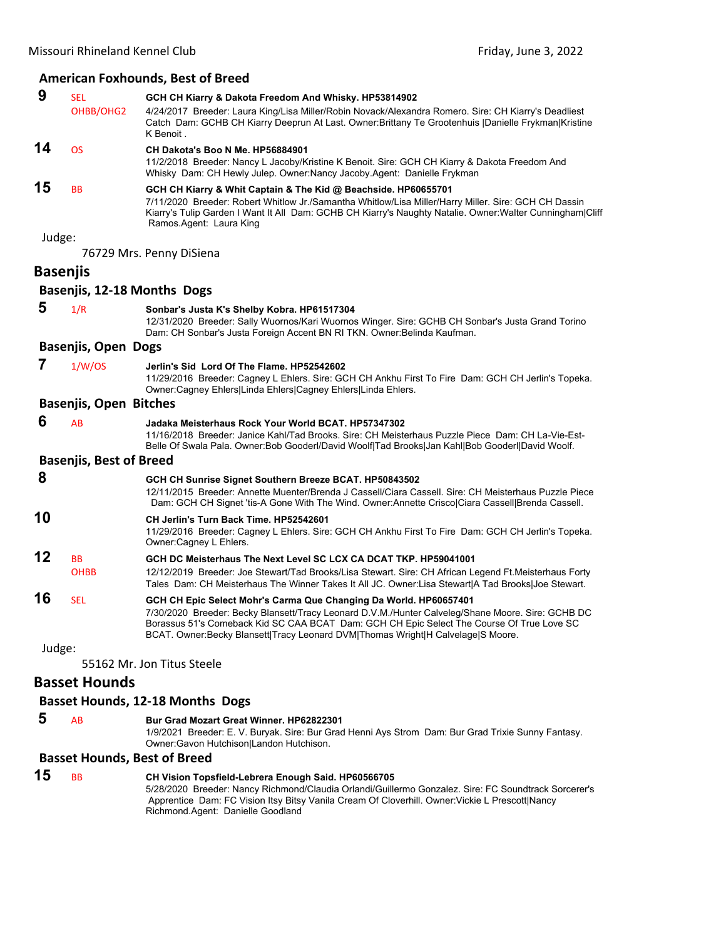#### **American Foxhounds, Best of Breed**

| 9      | <b>SEL</b>                     | GCH CH Kiarry & Dakota Freedom And Whisky. HP53814902                                                                                                                                                                                                                                                                                                  |
|--------|--------------------------------|--------------------------------------------------------------------------------------------------------------------------------------------------------------------------------------------------------------------------------------------------------------------------------------------------------------------------------------------------------|
|        | OHBB/OHG2                      | 4/24/2017 Breeder: Laura King/Lisa Miller/Robin Novack/Alexandra Romero. Sire: CH Kiarry's Deadliest<br>Catch Dam: GCHB CH Kiarry Deeprun At Last. Owner: Brittany Te Grootenhuis  Danielle Frykman Kristine<br>K Benoit.                                                                                                                              |
| 14     | <b>OS</b>                      | CH Dakota's Boo N Me. HP56884901<br>11/2/2018 Breeder: Nancy L Jacoby/Kristine K Benoit. Sire: GCH CH Kiarry & Dakota Freedom And<br>Whisky Dam: CH Hewly Julep. Owner:Nancy Jacoby.Agent: Danielle Frykman                                                                                                                                            |
| 15     | BB                             | GCH CH Kiarry & Whit Captain & The Kid @ Beachside. HP60655701<br>7/11/2020 Breeder: Robert Whitlow Jr./Samantha Whitlow/Lisa Miller/Harry Miller. Sire: GCH CH Dassin<br>Kiarry's Tulip Garden I Want It All Dam: GCHB CH Kiarry's Naughty Natalie. Owner:Walter Cunningham Cliff<br>Ramos.Agent: Laura King                                          |
| Judge: |                                |                                                                                                                                                                                                                                                                                                                                                        |
|        |                                | 76729 Mrs. Penny DiSiena                                                                                                                                                                                                                                                                                                                               |
|        | <b>Basenjis</b>                |                                                                                                                                                                                                                                                                                                                                                        |
|        |                                | Basenjis, 12-18 Months Dogs                                                                                                                                                                                                                                                                                                                            |
| 5      | 1/R                            | Sonbar's Justa K's Shelby Kobra. HP61517304                                                                                                                                                                                                                                                                                                            |
|        |                                | 12/31/2020 Breeder: Sally Wuornos/Kari Wuornos Winger. Sire: GCHB CH Sonbar's Justa Grand Torino<br>Dam: CH Sonbar's Justa Foreign Accent BN RI TKN. Owner: Belinda Kaufman.                                                                                                                                                                           |
|        | <b>Basenjis, Open Dogs</b>     |                                                                                                                                                                                                                                                                                                                                                        |
| 7      | 1/W/OS                         | Jerlin's Sid Lord Of The Flame, HP52542602<br>11/29/2016 Breeder: Cagney L Ehlers. Sire: GCH CH Ankhu First To Fire Dam: GCH CH Jerlin's Topeka.<br>Owner:Cagney Ehlers Linda Ehlers Cagney Ehlers Linda Ehlers.                                                                                                                                       |
|        | <b>Basenjis, Open Bitches</b>  |                                                                                                                                                                                                                                                                                                                                                        |
| 6      | AB                             | Jadaka Meisterhaus Rock Your World BCAT. HP57347302<br>11/16/2018 Breeder: Janice Kahl/Tad Brooks. Sire: CH Meisterhaus Puzzle Piece Dam: CH La-Vie-Est-<br>Belle Of Swala Pala. Owner:Bob Gooderl/David Woolf Tad Brooks Jan Kahl Bob Gooderl David Woolf.                                                                                            |
|        | <b>Basenjis, Best of Breed</b> |                                                                                                                                                                                                                                                                                                                                                        |
| 8      |                                | GCH CH Sunrise Signet Southern Breeze BCAT. HP50843502                                                                                                                                                                                                                                                                                                 |
|        |                                | 12/11/2015 Breeder: Annette Muenter/Brenda J Cassell/Ciara Cassell. Sire: CH Meisterhaus Puzzle Piece<br>Dam: GCH CH Signet 'tis-A Gone With The Wind. Owner:Annette Crisco Ciara Cassel  Brenda Cassell.                                                                                                                                              |
| 10     |                                | CH Jerlin's Turn Back Time. HP52542601<br>11/29/2016 Breeder: Cagney L Ehlers. Sire: GCH CH Ankhu First To Fire Dam: GCH CH Jerlin's Topeka.<br>Owner:Cagney L Ehlers.                                                                                                                                                                                 |
| 12     | BB<br><b>OHBB</b>              | GCH DC Meisterhaus The Next Level SC LCX CA DCAT TKP. HP59041001<br>12/12/2019 Breeder: Joe Stewart/Tad Brooks/Lisa Stewart. Sire: CH African Legend Ft.Meisterhaus Forty<br>Tales Dam: CH Meisterhaus The Winner Takes It All JC. Owner: Lisa Stewart   A Tad Brooks  Joe Stewart.                                                                    |
| 16     | <b>SEL</b>                     | GCH CH Epic Select Mohr's Carma Que Changing Da World. HP60657401<br>7/30/2020 Breeder: Becky Blansett/Tracy Leonard D.V.M./Hunter Calveleg/Shane Moore, Sire: GCHB DC<br>Borassus 51's Comeback Kid SC CAA BCAT Dam: GCH CH Epic Select The Course Of True Love SC<br>BCAT. Owner:Becky Blansett Tracy Leonard DVM Thomas Wright H Calvelage S Moore. |
| Judge: |                                |                                                                                                                                                                                                                                                                                                                                                        |
|        |                                | 55162 Mr. Jon Titus Steele                                                                                                                                                                                                                                                                                                                             |
|        | <b>Basset Hounds</b>           |                                                                                                                                                                                                                                                                                                                                                        |
|        |                                | <b>Basset Hounds, 12-18 Months Dogs</b>                                                                                                                                                                                                                                                                                                                |
|        |                                |                                                                                                                                                                                                                                                                                                                                                        |

#### **5** AB **Bur Grad Mozart Great Winner. HP62822301**

1/9/2021 Breeder: E. V. Buryak. Sire: Bur Grad Henni Ays Strom Dam: Bur Grad Trixie Sunny Fantasy. Owner:Gavon Hutchison|Landon Hutchison.

# **Basset Hounds, Best of Breed**

| 15 | <b>BB</b> | CH Vision Topsfield-Lebrera Enough Said. HP60566705                                                  |
|----|-----------|------------------------------------------------------------------------------------------------------|
|    |           | 5/28/2020 Breeder: Nancy Richmond/Claudia Orlandi/Guillermo Gonzalez. Sire: FC Soundtrack Sorcerer's |
|    |           | Apprentice Dam: FC Vision Itsy Bitsy Vanila Cream Of Cloverhill. Owner: Vickie L Prescott Nancy      |
|    |           | Richmond.Agent: Danielle Goodland                                                                    |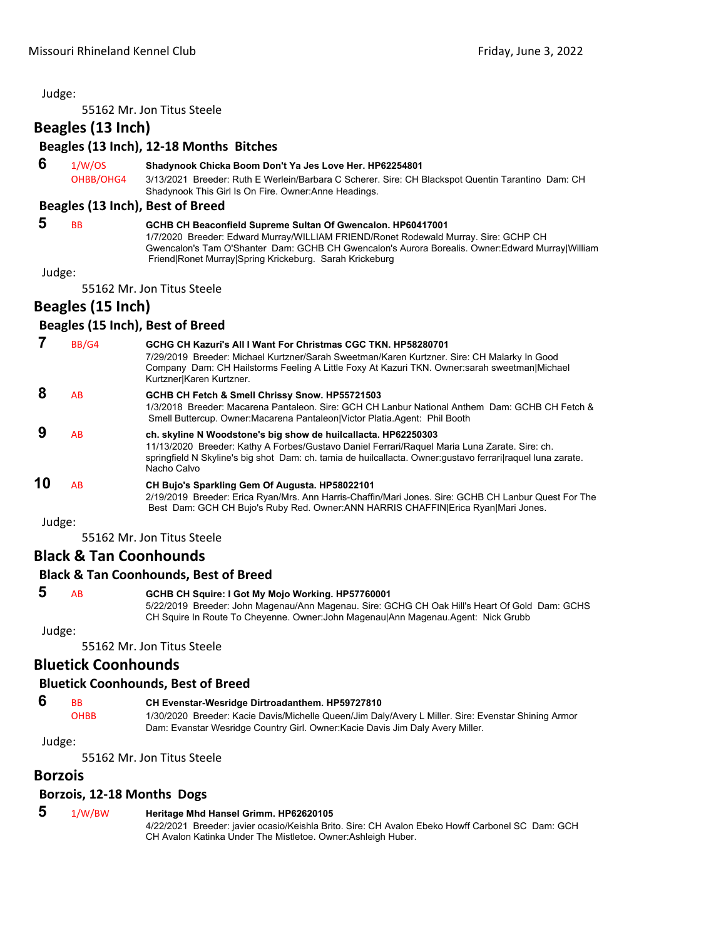55162 Mr. Jon Titus Steele

**Beagles (13 Inch)**

|  |  | Beagles (13 Inch), 12-18 Months Bitches |  |
|--|--|-----------------------------------------|--|
|--|--|-----------------------------------------|--|

 **6** 1/W/OS **Shadynook Chicka Boom Don't Ya Jes Love Her. HP62254801**

OHBB/OHG4 3/13/2021 Breeder: Ruth E Werlein/Barbara C Scherer. Sire: CH Blackspot Quentin Tarantino Dam: CH Shadynook This Girl Is On Fire. Owner:Anne Headings.

#### **Beagles (13 Inch), Best of Breed**

 **5** BB **GCHB CH Beaconfield Supreme Sultan Of Gwencalon. HP60417001** 1/7/2020 Breeder: Edward Murray/WILLIAM FRIEND/Ronet Rodewald Murray. Sire: GCHP CH Gwencalon's Tam O'Shanter Dam: GCHB CH Gwencalon's Aurora Borealis. Owner:Edward Murray|William Friend|Ronet Murray|Spring Krickeburg. Sarah Krickeburg

Judge:

55162 Mr. Jon Titus Steele

#### **Beagles (15 Inch)**

#### **Beagles (15 Inch), Best of Breed**

|        | BB/G4 | GCHG CH Kazuri's All I Want For Christmas CGC TKN, HP58280701<br>7/29/2019 Breeder: Michael Kurtzner/Sarah Sweetman/Karen Kurtzner. Sire: CH Malarky In Good<br>Company Dam: CH Hailstorms Feeling A Little Foxy At Kazuri TKN. Owner:sarah sweetman Michael<br>Kurtzner Karen Kurtzner.      |
|--------|-------|-----------------------------------------------------------------------------------------------------------------------------------------------------------------------------------------------------------------------------------------------------------------------------------------------|
| 8      | AB    | GCHB CH Fetch & Smell Chrissy Snow. HP55721503<br>1/3/2018 Breeder: Macarena Pantaleon, Sire: GCH CH Lanbur National Anthem Dam: GCHB CH Fetch &<br>Smell Buttercup. Owner: Macarena Pantaleon   Victor Platia. Agent: Phil Booth                                                             |
| 9      | AB    | ch. skyline N Woodstone's big show de huilcallacta. HP62250303<br>11/13/2020 Breeder: Kathy A Forbes/Gustavo Daniel Ferrari/Raquel Maria Luna Zarate. Sire: ch.<br>springfield N Skyline's big shot Dam: ch. tamia de huilcallacta. Owner: gustavo ferrarilraguel luna zarate.<br>Nacho Calvo |
| 10     | AB    | CH Bujo's Sparkling Gem Of Augusta. HP58022101<br>2/19/2019 Breeder: Erica Ryan/Mrs. Ann Harris-Chaffin/Mari Jones. Sire: GCHB CH Lanbur Quest For The<br>Best Dam: GCH CH Bujo's Ruby Red. Owner: ANN HARRIS CHAFFIN Erica Ryan Mari Jones.                                                  |
| Judge: |       |                                                                                                                                                                                                                                                                                               |

55162 Mr. Jon Titus Steele

#### **Black & Tan Coonhounds**

#### **Black & Tan Coonhounds, Best of Breed**

 **5** AB **GCHB CH Squire: I Got My Mojo Working. HP57760001** 5/22/2019 Breeder: John Magenau/Ann Magenau. Sire: GCHG CH Oak Hill's Heart Of Gold Dam: GCHS CH Squire In Route To Cheyenne. Owner:John Magenau|Ann Magenau.Agent: Nick Grubb

Judge:

55162 Mr. Jon Titus Steele

#### **Bluetick Coonhounds**

#### **Bluetick Coonhounds, Best of Breed**

#### **6** BB **CH Evenstar-Wesridge Dirtroadanthem. HP59727810**

OHBB 1/30/2020 Breeder: Kacie Davis/Michelle Queen/Jim Daly/Avery L Miller. Sire: Evenstar Shining Armor Dam: Evanstar Wesridge Country Girl. Owner:Kacie Davis Jim Daly Avery Miller.

Judge:

55162 Mr. Jon Titus Steele

#### **Borzois**

#### **Borzois, 12‐18 Months Dogs**

| -5 | 1/W/BW | Heritage Mhd Hansel Grimm. HP62620105 |
|----|--------|---------------------------------------|
|----|--------|---------------------------------------|

4/22/2021 Breeder: javier ocasio/Keishla Brito. Sire: CH Avalon Ebeko Howff Carbonel SC Dam: GCH CH Avalon Katinka Under The Mistletoe. Owner:Ashleigh Huber.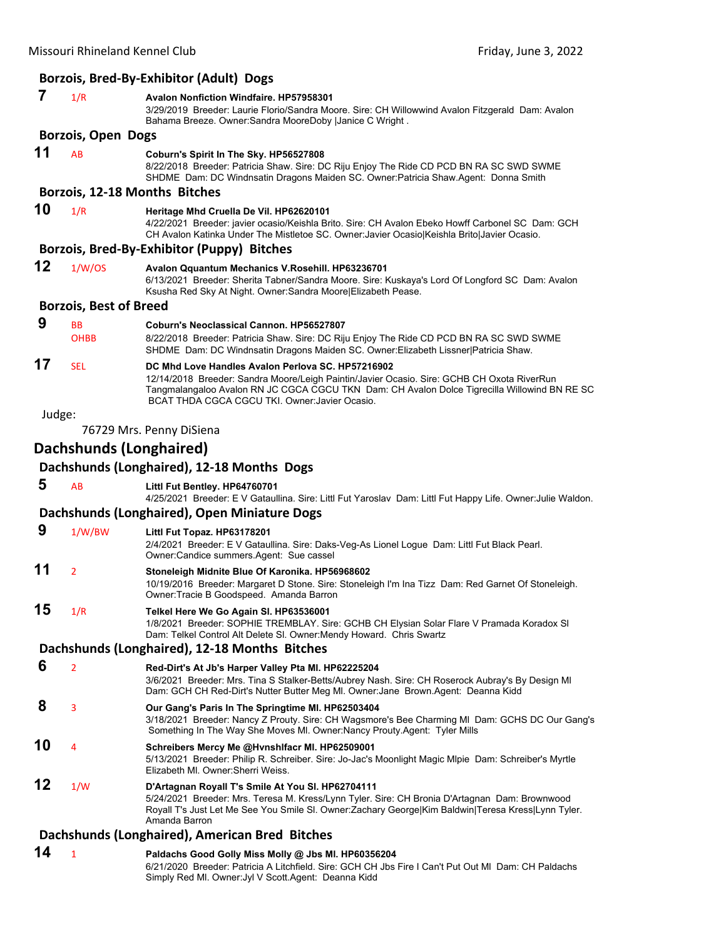|        |                               | Borzois, Bred-By-Exhibitor (Adult) Dogs                                                                                                                                                                                                                                                           |
|--------|-------------------------------|---------------------------------------------------------------------------------------------------------------------------------------------------------------------------------------------------------------------------------------------------------------------------------------------------|
| 7      | 1/R                           | <b>Avalon Nonfiction Windfaire. HP57958301</b><br>3/29/2019 Breeder: Laurie Florio/Sandra Moore. Sire: CH Willowwind Avalon Fitzgerald Dam: Avalon<br>Bahama Breeze. Owner: Sandra MooreDoby   Janice C Wright.                                                                                   |
|        | <b>Borzois, Open Dogs</b>     |                                                                                                                                                                                                                                                                                                   |
| 11     | <b>AB</b>                     | Coburn's Spirit In The Sky. HP56527808<br>8/22/2018 Breeder: Patricia Shaw. Sire: DC Riju Enjoy The Ride CD PCD BN RA SC SWD SWME<br>SHDME Dam: DC Windnsatin Dragons Maiden SC. Owner:Patricia Shaw.Agent: Donna Smith                                                                           |
|        |                               | Borzois, 12-18 Months Bitches                                                                                                                                                                                                                                                                     |
| 10     | 1/R                           | Heritage Mhd Cruella De Vil. HP62620101<br>4/22/2021 Breeder: javier ocasio/Keishla Brito. Sire: CH Avalon Ebeko Howff Carbonel SC Dam: GCH<br>CH Avalon Katinka Under The Mistletoe SC. Owner: Javier Ocasio Keishla Brito Javier Ocasio.                                                        |
|        |                               | Borzois, Bred-By-Exhibitor (Puppy) Bitches                                                                                                                                                                                                                                                        |
| 12     | 1/W/OS                        | Avalon Qquantum Mechanics V.Rosehill. HP63236701<br>6/13/2021 Breeder: Sherita Tabner/Sandra Moore. Sire: Kuskaya's Lord Of Longford SC Dam: Avalon<br>Ksusha Red Sky At Night. Owner: Sandra Moore Elizabeth Pease.                                                                              |
|        | <b>Borzois, Best of Breed</b> |                                                                                                                                                                                                                                                                                                   |
| 9      | <b>BB</b>                     | Coburn's Neoclassical Cannon, HP56527807                                                                                                                                                                                                                                                          |
|        | <b>OHBB</b>                   | 8/22/2018 Breeder: Patricia Shaw. Sire: DC Riju Enjoy The Ride CD PCD BN RA SC SWD SWME<br>SHDME Dam: DC Windnsatin Dragons Maiden SC. Owner: Elizabeth Lissner   Patricia Shaw.                                                                                                                  |
| 17     | <b>SEL</b>                    | DC Mhd Love Handles Avalon Perlova SC. HP57216902<br>12/14/2018 Breeder: Sandra Moore/Leigh Paintin/Javier Ocasio. Sire: GCHB CH Oxota RiverRun<br>Tangmalangaloo Avalon RN JC CGCA CGCU TKN Dam: CH Avalon Dolce Tigrecilla Willowind BN RE SC<br>BCAT THDA CGCA CGCU TKI. Owner: Javier Ocasio. |
| Judge: |                               |                                                                                                                                                                                                                                                                                                   |
|        |                               | 76729 Mrs. Penny DiSiena                                                                                                                                                                                                                                                                          |
|        | Dachshunds (Longhaired)       |                                                                                                                                                                                                                                                                                                   |
|        |                               | Dachshunds (Longhaired), 12-18 Months Dogs                                                                                                                                                                                                                                                        |
| 5      | <b>AB</b>                     | Littl Fut Bentley. HP64760701<br>4/25/2021 Breeder: E V Gataullina. Sire: Littl Fut Yaroslav Dam: Littl Fut Happy Life. Owner: Julie Waldon.                                                                                                                                                      |
|        |                               | Dachshunds (Longhaired), Open Miniature Dogs                                                                                                                                                                                                                                                      |
| 9      | 1/W/BW                        | Littl Fut Topaz. HP63178201<br>2/4/2021 Breeder: E V Gataullina. Sire: Daks-Veg-As Lionel Logue Dam: Littl Fut Black Pearl.<br>Owner:Candice summers.Agent: Sue cassel                                                                                                                            |
| 11     | $\overline{2}$                | Stoneleigh Midnite Blue Of Karonika. HP56968602<br>10/19/2016 Breeder: Margaret D Stone. Sire: Stoneleigh I'm Ina Tizz Dam: Red Garnet Of Stoneleigh.<br>Owner: Tracie B Goodspeed. Amanda Barron                                                                                                 |
| 15     | 1/R                           | Telkel Here We Go Again SI. HP63536001<br>1/8/2021 Breeder: SOPHIE TREMBLAY. Sire: GCHB CH Elysian Solar Flare V Pramada Koradox SI<br>Dam: Telkel Control Alt Delete SI. Owner:Mendy Howard. Chris Swartz                                                                                        |
|        |                               | Dachshunds (Longhaired), 12-18 Months Bitches                                                                                                                                                                                                                                                     |
| 6      | $\overline{2}$                | Red-Dirt's At Jb's Harper Valley Pta MI. HP62225204<br>3/6/2021 Breeder: Mrs. Tina S Stalker-Betts/Aubrey Nash. Sire: CH Roserock Aubray's By Design MI<br>Dam: GCH CH Red-Dirt's Nutter Butter Meg MI. Owner: Jane Brown Agent: Deanna Kidd                                                      |
| 8      | 3                             | Our Gang's Paris In The Springtime MI. HP62503404<br>3/18/2021 Breeder: Nancy Z Prouty. Sire: CH Wagsmore's Bee Charming MI Dam: GCHS DC Our Gang's<br>Something In The Way She Moves MI. Owner: Nancy Prouty. Agent: Tyler Mills                                                                 |
| 10     | 4                             | Schreibers Mercy Me @Hvnshlfacr Ml. HP62509001<br>5/13/2021 Breeder: Philip R. Schreiber. Sire: Jo-Jac's Moonlight Magic Mlpie Dam: Schreiber's Myrtle<br>Elizabeth MI. Owner: Sherri Weiss.                                                                                                      |
| 12     | 1/W                           | D'Artagnan Royall T's Smile At You SI. HP62704111<br>5/24/2021 Breeder: Mrs. Teresa M. Kress/Lynn Tyler. Sire: CH Bronia D'Artagnan Dam: Brownwood<br>Royall T's Just Let Me See You Smile SI. Owner:Zachary George Kim Baldwin Teresa Kress Lynn Tyler.<br>Amanda Barron                         |
|        |                               | Dachshunds (Longhaired), American Bred Bitches                                                                                                                                                                                                                                                    |
| 14     | $\mathbf{1}$                  | Paldachs Good Golly Miss Molly @ Jbs MI. HP60356204<br>6/21/2020 Breeder: Patricia A Litchfield. Sire: GCH CH Jbs Fire I Can't Put Out MI Dam: CH Paldachs<br>Simply Red MI. Owner: Jyl V Scott. Agent: Deanna Kidd                                                                               |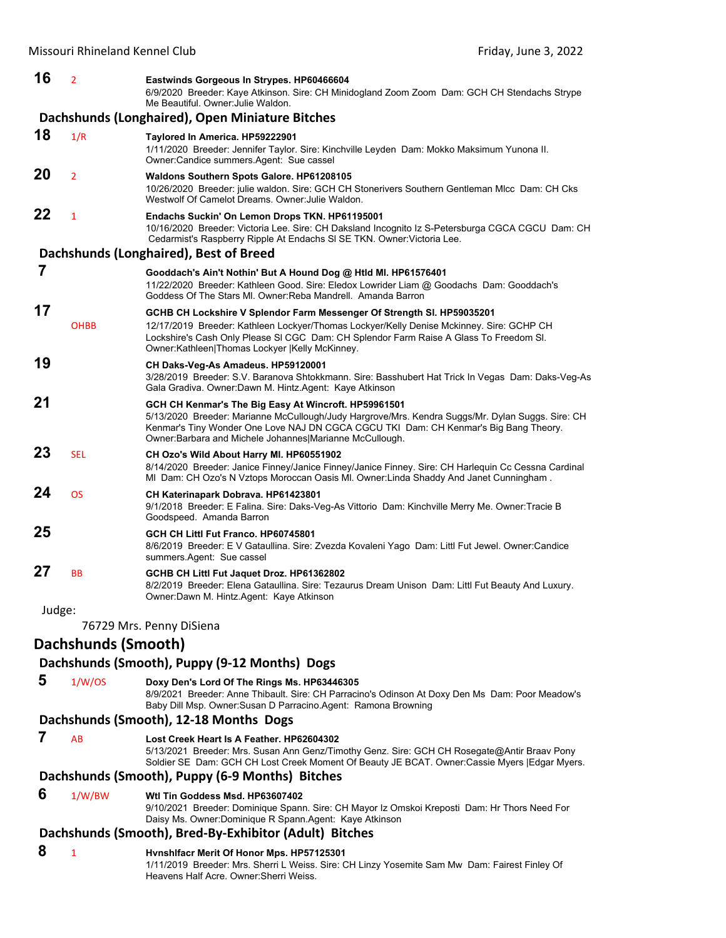| 16     | $\overline{2}$      | Eastwinds Gorgeous In Strypes. HP60466604<br>6/9/2020 Breeder: Kaye Atkinson, Sire: CH Minidogland Zoom Zoom Dam: GCH CH Stendachs Strype<br>Me Beautiful. Owner: Julie Waldon.                                                                                                                                |
|--------|---------------------|----------------------------------------------------------------------------------------------------------------------------------------------------------------------------------------------------------------------------------------------------------------------------------------------------------------|
|        |                     | Dachshunds (Longhaired), Open Miniature Bitches                                                                                                                                                                                                                                                                |
| 18     | 1/R                 | Taylored In America. HP59222901<br>1/11/2020 Breeder: Jennifer Taylor. Sire: Kinchville Leyden Dam: Mokko Maksimum Yunona II.<br>Owner:Candice summers.Agent: Sue cassel                                                                                                                                       |
| 20     | $\overline{2}$      | Waldons Southern Spots Galore. HP61208105<br>10/26/2020 Breeder: julie waldon. Sire: GCH CH Stonerivers Southern Gentleman MIcc Dam: CH Cks<br>Westwolf Of Camelot Dreams, Owner: Julie Waldon,                                                                                                                |
| 22     | 1                   | Endachs Suckin' On Lemon Drops TKN. HP61195001<br>10/16/2020 Breeder: Victoria Lee. Sire: CH Daksland Incognito Iz S-Petersburga CGCA CGCU Dam: CH<br>Cedarmist's Raspberry Ripple At Endachs SI SE TKN. Owner: Victoria Lee.                                                                                  |
|        |                     | Dachshunds (Longhaired), Best of Breed                                                                                                                                                                                                                                                                         |
| 7      |                     | Gooddach's Ain't Nothin' But A Hound Dog @ Htld MI. HP61576401<br>11/22/2020 Breeder: Kathleen Good. Sire: Eledox Lowrider Liam @ Goodachs Dam: Gooddach's<br>Goddess Of The Stars MI. Owner: Reba Mandrell. Amanda Barron                                                                                     |
| 17     |                     | GCHB CH Lockshire V Splendor Farm Messenger Of Strength SI. HP59035201                                                                                                                                                                                                                                         |
|        | <b>OHBB</b>         | 12/17/2019 Breeder: Kathleen Lockyer/Thomas Lockyer/Kelly Denise Mckinney. Sire: GCHP CH<br>Lockshire's Cash Only Please SI CGC Dam: CH Splendor Farm Raise A Glass To Freedom SI.<br>Owner:Kathleen Thomas Lockyer  Kelly McKinney.                                                                           |
| 19     |                     | CH Daks-Veg-As Amadeus. HP59120001<br>3/28/2019 Breeder: S.V. Baranova Shtokkmann. Sire: Basshubert Hat Trick In Vegas Dam: Daks-Veg-As<br>Gala Gradiva. Owner:Dawn M. Hintz.Agent: Kaye Atkinson                                                                                                              |
| 21     |                     | GCH CH Kenmar's The Big Easy At Wincroft. HP59961501<br>5/13/2020 Breeder: Marianne McCullough/Judy Hargrove/Mrs. Kendra Suggs/Mr. Dylan Suggs. Sire: CH<br>Kenmar's Tiny Wonder One Love NAJ DN CGCA CGCU TKI Dam: CH Kenmar's Big Bang Theory.<br>Owner: Barbara and Michele Johannes   Marianne McCullough. |
| 23     | <b>SEL</b>          | CH Ozo's Wild About Harry MI. HP60551902<br>8/14/2020 Breeder: Janice Finney/Janice Finney/Janice Finney. Sire: CH Harlequin Cc Cessna Cardinal<br>MI Dam: CH Ozo's N Vztops Moroccan Oasis MI. Owner:Linda Shaddy And Janet Cunningham.                                                                       |
| 24     | <b>OS</b>           | CH Katerinapark Dobrava. HP61423801<br>9/1/2018 Breeder: E Falina. Sire: Daks-Veg-As Vittorio Dam: Kinchville Merry Me. Owner: Tracie B<br>Goodspeed. Amanda Barron                                                                                                                                            |
| 25     |                     | GCH CH Littl Fut Franco, HP60745801<br>8/6/2019 Breeder: E V Gataullina. Sire: Zvezda Kovaleni Yago Dam: Littl Fut Jewel. Owner:Candice<br>summers.Agent: Sue cassel                                                                                                                                           |
| 27     | BB                  | GCHB CH Littl Fut Jaquet Droz. HP61362802<br>8/2/2019 Breeder: Elena Gataullina. Sire: Tezaurus Dream Unison Dam: Littl Fut Beauty And Luxury.<br>Owner:Dawn M. Hintz.Agent: Kaye Atkinson                                                                                                                     |
| Judge: |                     |                                                                                                                                                                                                                                                                                                                |
|        |                     | 76729 Mrs. Penny DiSiena                                                                                                                                                                                                                                                                                       |
|        | Dachshunds (Smooth) |                                                                                                                                                                                                                                                                                                                |
|        |                     | Dachshunds (Smooth), Puppy (9-12 Months) Dogs                                                                                                                                                                                                                                                                  |
| 5      | 1/W/OS              | Doxy Den's Lord Of The Rings Ms. HP63446305<br>8/9/2021 Breeder: Anne Thibault. Sire: CH Parracino's Odinson At Doxy Den Ms Dam: Poor Meadow's<br>Baby Dill Msp. Owner: Susan D Parracino. Agent: Ramona Browning                                                                                              |
|        |                     | Dachshunds (Smooth), 12-18 Months Dogs                                                                                                                                                                                                                                                                         |
| 7      | AB                  | Lost Creek Heart Is A Feather. HP62604302                                                                                                                                                                                                                                                                      |

5/13/2021 Breeder: Mrs. Susan Ann Genz/Timothy Genz. Sire: GCH CH Rosegate@Antir Braav Pony Soldier SE Dam: GCH CH Lost Creek Moment Of Beauty JE BCAT. Owner:Cassie Myers |Edgar Myers.

#### **Dachshunds (Smooth), Puppy (6‐9 Months) Bitches**

#### **6** 1/W/BW **Wtl Tin Goddess Msd. HP63607402**

9/10/2021 Breeder: Dominique Spann. Sire: CH Mayor Iz Omskoi Kreposti Dam: Hr Thors Need For Daisy Ms. Owner:Dominique R Spann.Agent: Kaye Atkinson

#### **Dachshunds (Smooth), Bred‐By‐Exhibitor (Adult) Bitches**

#### **8** <sup>1</sup> **Hvnshlfacr Merit Of Honor Mps. HP57125301**

1/11/2019 Breeder: Mrs. Sherri L Weiss. Sire: CH Linzy Yosemite Sam Mw Dam: Fairest Finley Of Heavens Half Acre. Owner:Sherri Weiss.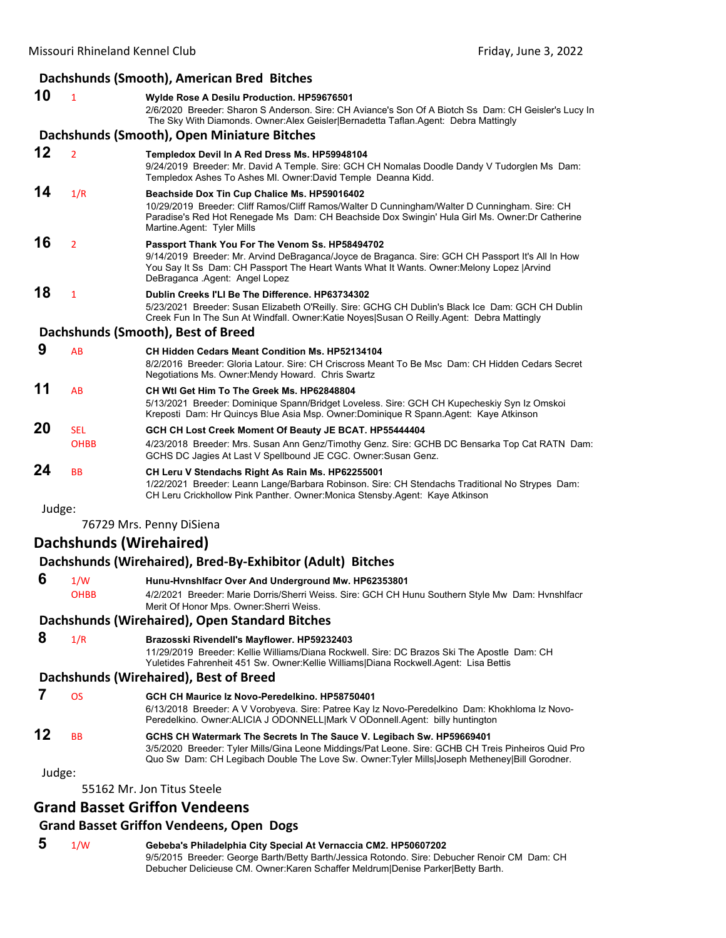|        |                           | Dachshunds (Smooth), American Bred Bitches                                                                                                                                                                                                                                           |
|--------|---------------------------|--------------------------------------------------------------------------------------------------------------------------------------------------------------------------------------------------------------------------------------------------------------------------------------|
| 10     | $\mathbf{1}$              | Wylde Rose A Desilu Production. HP59676501<br>2/6/2020 Breeder: Sharon S Anderson. Sire: CH Aviance's Son Of A Biotch Ss Dam: CH Geisler's Lucy In<br>The Sky With Diamonds. Owner: Alex Geisler Bernadetta Taflan. Agent: Debra Mattingly                                           |
|        |                           | Dachshunds (Smooth), Open Miniature Bitches                                                                                                                                                                                                                                          |
| 12     | $\overline{2}$            | Templedox Devil In A Red Dress Ms. HP59948104<br>9/24/2019 Breeder: Mr. David A Temple. Sire: GCH CH Nomalas Doodle Dandy V Tudorglen Ms Dam:<br>Templedox Ashes To Ashes MI. Owner:David Temple Deanna Kidd.                                                                        |
| 14     | 1/R                       | Beachside Dox Tin Cup Chalice Ms. HP59016402<br>10/29/2019 Breeder: Cliff Ramos/Cliff Ramos/Walter D Cunningham/Walter D Cunningham. Sire: CH<br>Paradise's Red Hot Renegade Ms Dam: CH Beachside Dox Swingin' Hula Girl Ms. Owner: Dr Catherine<br>Martine Agent: Tyler Mills       |
| 16     | $\overline{2}$            | Passport Thank You For The Venom Ss. HP58494702<br>9/14/2019 Breeder: Mr. Arvind DeBraganca/Joyce de Braganca. Sire: GCH CH Passport It's All In How<br>You Say It Ss Dam: CH Passport The Heart Wants What It Wants. Owner: Melony Lopez   Arvind<br>DeBraganca .Agent: Angel Lopez |
| 18     | $\mathbf{1}$              | Dublin Creeks I'LI Be The Difference, HP63734302<br>5/23/2021 Breeder: Susan Elizabeth O'Reilly. Sire: GCHG CH Dublin's Black Ice Dam: GCH CH Dublin<br>Creek Fun In The Sun At Windfall. Owner: Katie Noyes Susan O Reilly Agent: Debra Mattingly                                   |
|        |                           | Dachshunds (Smooth), Best of Breed                                                                                                                                                                                                                                                   |
| 9      | AB                        | <b>CH Hidden Cedars Meant Condition Ms. HP52134104</b><br>8/2/2016 Breeder: Gloria Latour. Sire: CH Criscross Meant To Be Msc Dam: CH Hidden Cedars Secret<br>Negotiations Ms. Owner: Mendy Howard. Chris Swartz                                                                     |
| 11     | AB                        | CH Wtl Get Him To The Greek Ms. HP62848804<br>5/13/2021 Breeder: Dominique Spann/Bridget Loveless. Sire: GCH CH Kupecheskiy Syn Iz Omskoi<br>Kreposti Dam: Hr Quincys Blue Asia Msp. Owner:Dominique R Spann.Agent: Kaye Atkinson                                                    |
| 20     | <b>SEL</b><br><b>OHBB</b> | GCH CH Lost Creek Moment Of Beauty JE BCAT. HP55444404<br>4/23/2018 Breeder: Mrs. Susan Ann Genz/Timothy Genz. Sire: GCHB DC Bensarka Top Cat RATN Dam:<br>GCHS DC Jagies At Last V Spellbound JE CGC. Owner: Susan Genz.                                                            |
| 24     | <b>BB</b>                 | CH Leru V Stendachs Right As Rain Ms. HP62255001<br>1/22/2021 Breeder: Leann Lange/Barbara Robinson. Sire: CH Stendachs Traditional No Strypes Dam:<br>CH Leru Crickhollow Pink Panther. Owner: Monica Stensby. Agent: Kaye Atkinson                                                 |
| Judge: |                           |                                                                                                                                                                                                                                                                                      |
|        |                           | 76729 Mrs. Penny DiSiena                                                                                                                                                                                                                                                             |
|        |                           | <b>Dachshunds (Wirehaired)</b>                                                                                                                                                                                                                                                       |
|        |                           | Dachshunds (Wirehaired), Bred-By-Exhibitor (Adult) Bitches                                                                                                                                                                                                                           |
| C.     |                           | 4 http://www.ithornelife.co.Organization.com/community.com/index.com/index.com/                                                                                                                                                                                                      |

 **6** 1/W **Hunu-Hvnshlfacr Over And Underground Mw. HP62353801** OHBB 4/2/2021 Breeder: Marie Dorris/Sherri Weiss. Sire: GCH CH Hunu Southern Style Mw Dam: Hvnshlfacr Merit Of Honor Mps. Owner:Sherri Weiss.

#### **Dachshunds (Wirehaired), Open Standard Bitches**

#### **8** 1/R **Brazosski Rivendell's Mayflower. HP59232403**

11/29/2019 Breeder: Kellie Williams/Diana Rockwell. Sire: DC Brazos Ski The Apostle Dam: CH Yuletides Fahrenheit 451 Sw. Owner:Kellie Williams|Diana Rockwell.Agent: Lisa Bettis

#### **Dachshunds (Wirehaired), Best of Breed**

|    | ΩS        | GCH CH Maurice Iz Novo-Peredelkino. HP58750401                                                                                                                                                                                                                                                                                                                                                                                                                                                                                      |
|----|-----------|-------------------------------------------------------------------------------------------------------------------------------------------------------------------------------------------------------------------------------------------------------------------------------------------------------------------------------------------------------------------------------------------------------------------------------------------------------------------------------------------------------------------------------------|
|    |           | 6/13/2018 Breeder: A V Vorobyeva. Sire: Patree Kay Iz Novo-Peredelkino Dam: Khokhloma Iz Novo-                                                                                                                                                                                                                                                                                                                                                                                                                                      |
|    |           | Peredelkino. Owner: ALICIA J ODONNELL Mark V ODonnell. Agent: billy huntington                                                                                                                                                                                                                                                                                                                                                                                                                                                      |
| 12 | <b>RR</b> | GCHS CH Watermark The Secrets In The Sauce V. Legibach Sw. HP59669401<br>$\mathsf{A} \cup \mathsf{B} \cup \mathsf{B} \cup \mathsf{B} \cup \mathsf{B} \cup \mathsf{B} \cup \mathsf{B} \cup \mathsf{B} \cup \mathsf{B} \cup \mathsf{B} \cup \mathsf{B} \cup \mathsf{B} \cup \mathsf{B} \cup \mathsf{B} \cup \mathsf{B} \cup \mathsf{B} \cup \mathsf{B} \cup \mathsf{B} \cup \mathsf{B} \cup \mathsf{B} \cup \mathsf{B} \cup \mathsf{B} \cup \mathsf{B} \cup \mathsf{B} \cup \mathsf{B} \cup \mathsf{B} \cup \mathsf{B} \cup \mathsf{$ |

3/5/2020 Breeder: Tyler Mills/Gina Leone Middings/Pat Leone. Sire: GCHB CH Treis Pinheiros Quid Pro Quo Sw Dam: CH Legibach Double The Love Sw. Owner:Tyler Mills|Joseph Metheney|Bill Gorodner.

Judge:

55162 Mr. Jon Titus Steele

#### **Grand Basset Griffon Vendeens**

#### **Grand Basset Griffon Vendeens, Open Dogs**

 **5** 1/W **Gebeba's Philadelphia City Special At Vernaccia CM2. HP50607202** 9/5/2015 Breeder: George Barth/Betty Barth/Jessica Rotondo. Sire: Debucher Renoir CM Dam: CH Debucher Delicieuse CM. Owner:Karen Schaffer Meldrum|Denise Parker|Betty Barth.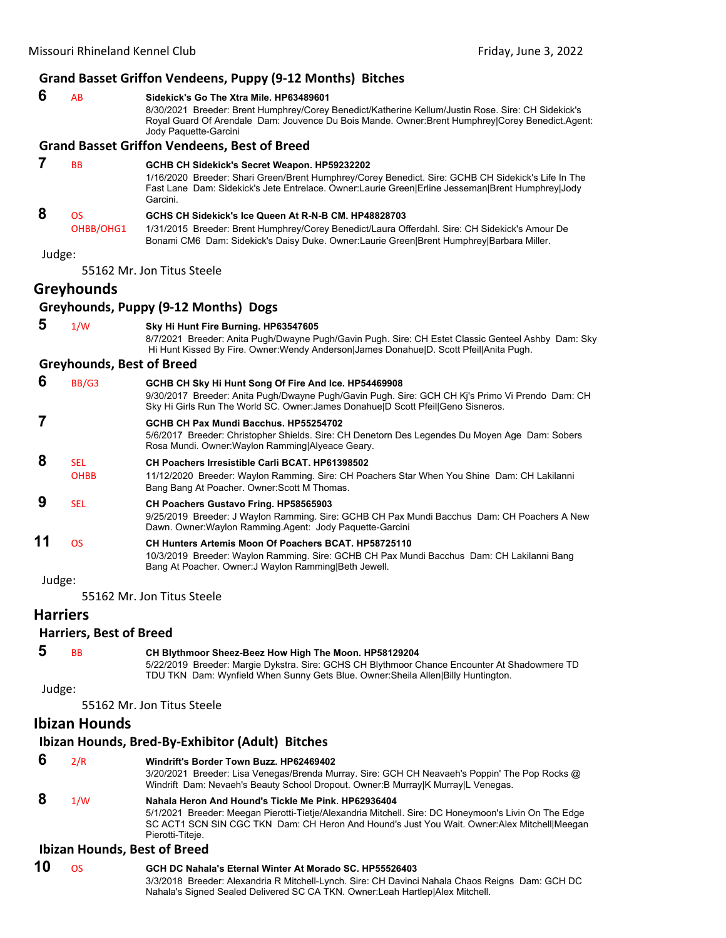#### **Grand Basset Griffon Vendeens, Puppy (9‐12 Months) Bitches**

 **6** AB **Sidekick's Go The Xtra Mile. HP63489601** 8/30/2021 Breeder: Brent Humphrey/Corey Benedict/Katherine Kellum/Justin Rose. Sire: CH Sidekick's Royal Guard Of Arendale Dam: Jouvence Du Bois Mande. Owner:Brent Humphrey|Corey Benedict.Agent: Jody Paquette-Garcini

#### **Grand Basset Griffon Vendeens, Best of Breed**

#### **7** BB **GCHB CH Sidekick's Secret Weapon. HP59232202** 1/16/2020 Breeder: Shari Green/Brent Humphrey/Corey Benedict. Sire: GCHB CH Sidekick's Life In The Fast Lane Dam: Sidekick's Jete Entrelace. Owner:Laurie Green|Erline Jesseman|Brent Humphrey|Jody Garcini.  **8** OS **GCHS CH Sidekick's Ice Queen At R-N-B CM. HP48828703** OHBB/OHG1 1/31/2015 Breeder: Brent Humphrey/Corey Benedict/Laura Offerdahl. Sire: CH Sidekick's Amour De Bonami CM6 Dam: Sidekick's Daisy Duke. Owner:Laurie Green|Brent Humphrey|Barbara Miller. Judge:

55162 Mr. Jon Titus Steele

#### **Greyhounds**

#### **Greyhounds, Puppy (9‐12 Months) Dogs**

 **5** 1/W **Sky Hi Hunt Fire Burning. HP63547605** 8/7/2021 Breeder: Anita Pugh/Dwayne Pugh/Gavin Pugh. Sire: CH Estet Classic Genteel Ashby Dam: Sky Hi Hunt Kissed By Fire. Owner:Wendy Anderson|James Donahue|D. Scott Pfeil|Anita Pugh.

#### **Greyhounds, Best of Breed**

| 6  | BB/G3       | GCHB CH Sky Hi Hunt Song Of Fire And Ice. HP54469908<br>9/30/2017 Breeder: Anita Pugh/Dwayne Pugh/Gavin Pugh. Sire: GCH CH Kj's Primo Vi Prendo Dam: CH<br>Sky Hi Girls Run The World SC. Owner: James Donahue D Scott Pfeil Geno Sisneros. |
|----|-------------|---------------------------------------------------------------------------------------------------------------------------------------------------------------------------------------------------------------------------------------------|
|    |             | GCHB CH Pax Mundi Bacchus, HP55254702<br>5/6/2017 Breeder: Christopher Shields. Sire: CH Denetorn Des Legendes Du Moyen Age Dam: Sobers<br>Rosa Mundi. Owner: Waylon Ramming Alyeace Geary.                                                 |
| 8  | <b>SEL</b>  | CH Poachers Irresistible Carli BCAT. HP61398502                                                                                                                                                                                             |
|    | <b>OHBB</b> | 11/12/2020 Breeder: Waylon Ramming. Sire: CH Poachers Star When You Shine Dam: CH Lakilanni<br>Bang Bang At Poacher. Owner: Scott M Thomas.                                                                                                 |
| 9  | <b>SEL</b>  | <b>CH Poachers Gustavo Fring. HP58565903</b><br>9/25/2019 Breeder: J Waylon Ramming. Sire: GCHB CH Pax Mundi Bacchus Dam: CH Poachers A New<br>Dawn. Owner: Waylon Ramming. Agent: Jody Paquette-Garcini                                    |
| 11 | <b>OS</b>   | CH Hunters Artemis Moon Of Poachers BCAT, HP58725110<br>10/3/2019 Breeder: Waylon Ramming. Sire: GCHB CH Pax Mundi Bacchus Dam: CH Lakilanni Bang<br>Bang At Poacher. Owner: J Waylon Ramming Beth Jewell.                                  |

Judge:

55162 Mr. Jon Titus Steele

#### **Harriers**

#### **Harriers, Best of Breed**

 **5** BB **CH Blythmoor Sheez-Beez How High The Moon. HP58129204** 5/22/2019 Breeder: Margie Dykstra. Sire: GCHS CH Blythmoor Chance Encounter At Shadowmere TD TDU TKN Dam: Wynfield When Sunny Gets Blue. Owner:Sheila Allen|Billy Huntington.

Judge:

55162 Mr. Jon Titus Steele

#### **Ibizan Hounds**

#### **Ibizan Hounds, Bred‐By‐Exhibitor (Adult) Bitches**

- **6** 2/R **Windrift's Border Town Buzz. HP62469402**
	- 3/20/2021 Breeder: Lisa Venegas/Brenda Murray. Sire: GCH CH Neavaeh's Poppin' The Pop Rocks @ Windrift Dam: Nevaeh's Beauty School Dropout. Owner:B Murray|K Murray|L Venegas.

#### **8** 1/W **Nahala Heron And Hound's Tickle Me Pink. HP62936404**

5/1/2021 Breeder: Meegan Pierotti-Tietje/Alexandria Mitchell. Sire: DC Honeymoon's Livin On The Edge SC ACT1 SCN SIN CGC TKN Dam: CH Heron And Hound's Just You Wait. Owner:Alex Mitchell|Meegan Pierotti-Titeje.

#### **Ibizan Hounds, Best of Breed**

| 10 | GCH DC Nahala's Eternal Winter At Morado SC, HP55526403                                         |
|----|-------------------------------------------------------------------------------------------------|
|    | 3/3/2018 Breeder: Alexandria R Mitchell-Lynch. Sire: CH Davinci Nahala Chaos Reigns Dam: GCH DC |
|    | Nahala's Signed Sealed Delivered SC CA TKN. Owner: Leah Hartlep Alex Mitchell.                  |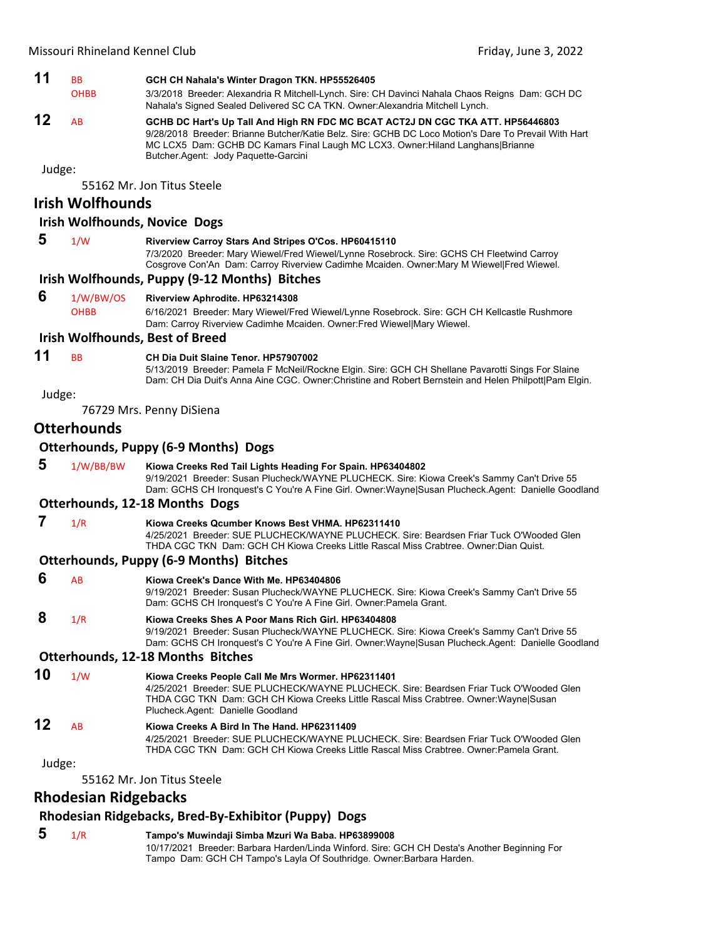

**12** AB **GCHB DC Hart's Up Tall And High RN FDC MC BCAT ACT2J DN CGC TKA ATT. HP56446803** 9/28/2018 Breeder: Brianne Butcher/Katie Belz. Sire: GCHB DC Loco Motion's Dare To Prevail With Hart MC LCX5 Dam: GCHB DC Kamars Final Laugh MC LCX3. Owner:Hiland Langhans|Brianne Butcher.Agent: Jody Paquette-Garcini

Judge:

55162 Mr. Jon Titus Steele

#### **Irish Wolfhounds**

#### **Irish Wolfhounds, Novice Dogs**

 **5** 1/W **Riverview Carroy Stars And Stripes O'Cos. HP60415110** 7/3/2020 Breeder: Mary Wiewel/Fred Wiewel/Lynne Rosebrock. Sire: GCHS CH Fleetwind Carroy Cosgrove Con'An Dam: Carroy Riverview Cadimhe Mcaiden. Owner:Mary M Wiewel|Fred Wiewel.

#### **Irish Wolfhounds, Puppy (9‐12 Months) Bitches**

 **6** 1/W/BW/OS **Riverview Aphrodite. HP63214308** OHBB 6/16/2021 Breeder: Mary Wiewel/Fred Wiewel/Lynne Rosebrock. Sire: GCH CH Kellcastle Rushmore Dam: Carroy Riverview Cadimhe Mcaiden. Owner:Fred Wiewel|Mary Wiewel.

#### **Irish Wolfhounds, Best of Breed**

#### **11** BB **CH Dia Duit Slaine Tenor. HP57907002**

5/13/2019 Breeder: Pamela F McNeil/Rockne Elgin. Sire: GCH CH Shellane Pavarotti Sings For Slaine Dam: CH Dia Duit's Anna Aine CGC. Owner:Christine and Robert Bernstein and Helen Philpott|Pam Elgin.

Judge:

76729 Mrs. Penny DiSiena

#### **Otterhounds**

#### **Otterhounds, Puppy (6‐9 Months) Dogs**

 **5** 1/W/BB/BW **Kiowa Creeks Red Tail Lights Heading For Spain. HP63404802** 9/19/2021 Breeder: Susan Plucheck/WAYNE PLUCHECK. Sire: Kiowa Creek's Sammy Can't Drive 55 Dam: GCHS CH Ironquest's C You're A Fine Girl. Owner:Wayne|Susan Plucheck.Agent: Danielle Goodland

#### **Otterhounds, 12‐18 Months Dogs**

 **7** 1/R **Kiowa Creeks Qcumber Knows Best VHMA. HP62311410** 4/25/2021 Breeder: SUE PLUCHECK/WAYNE PLUCHECK. Sire: Beardsen Friar Tuck O'Wooded Glen

THDA CGC TKN Dam: GCH CH Kiowa Creeks Little Rascal Miss Crabtree. Owner:Dian Quist.

#### **Otterhounds, Puppy (6‐9 Months) Bitches**

 **6** AB **Kiowa Creek's Dance With Me. HP63404806** 9/19/2021 Breeder: Susan Plucheck/WAYNE PLUCHECK. Sire: Kiowa Creek's Sammy Can't Drive 55 Dam: GCHS CH Ironquest's C You're A Fine Girl. Owner:Pamela Grant.  **8** 1/R **Kiowa Creeks Shes A Poor Mans Rich Girl. HP63404808**

9/19/2021 Breeder: Susan Plucheck/WAYNE PLUCHECK. Sire: Kiowa Creek's Sammy Can't Drive 55 Dam: GCHS CH Ironquest's C You're A Fine Girl. Owner:Wayne|Susan Plucheck.Agent: Danielle Goodland

#### **Otterhounds, 12‐18 Months Bitches**

**10** 1/W **Kiowa Creeks People Call Me Mrs Wormer. HP62311401** 4/25/2021 Breeder: SUE PLUCHECK/WAYNE PLUCHECK. Sire: Beardsen Friar Tuck O'Wooded Glen THDA CGC TKN Dam: GCH CH Kiowa Creeks Little Rascal Miss Crabtree. Owner:Wayne|Susan Plucheck.Agent: Danielle Goodland

#### **12** AB **Kiowa Creeks A Bird In The Hand. HP62311409**

4/25/2021 Breeder: SUE PLUCHECK/WAYNE PLUCHECK. Sire: Beardsen Friar Tuck O'Wooded Glen THDA CGC TKN Dam: GCH CH Kiowa Creeks Little Rascal Miss Crabtree. Owner:Pamela Grant.

#### Judge:

55162 Mr. Jon Titus Steele

#### **Rhodesian Ridgebacks**

#### **Rhodesian Ridgebacks, Bred‐By‐Exhibitor (Puppy) Dogs**

 **5** 1/R **Tampo's Muwindaji Simba Mzuri Wa Baba. HP63899008** 10/17/2021 Breeder: Barbara Harden/Linda Winford. Sire: GCH CH Desta's Another Beginning For Tampo Dam: GCH CH Tampo's Layla Of Southridge. Owner:Barbara Harden.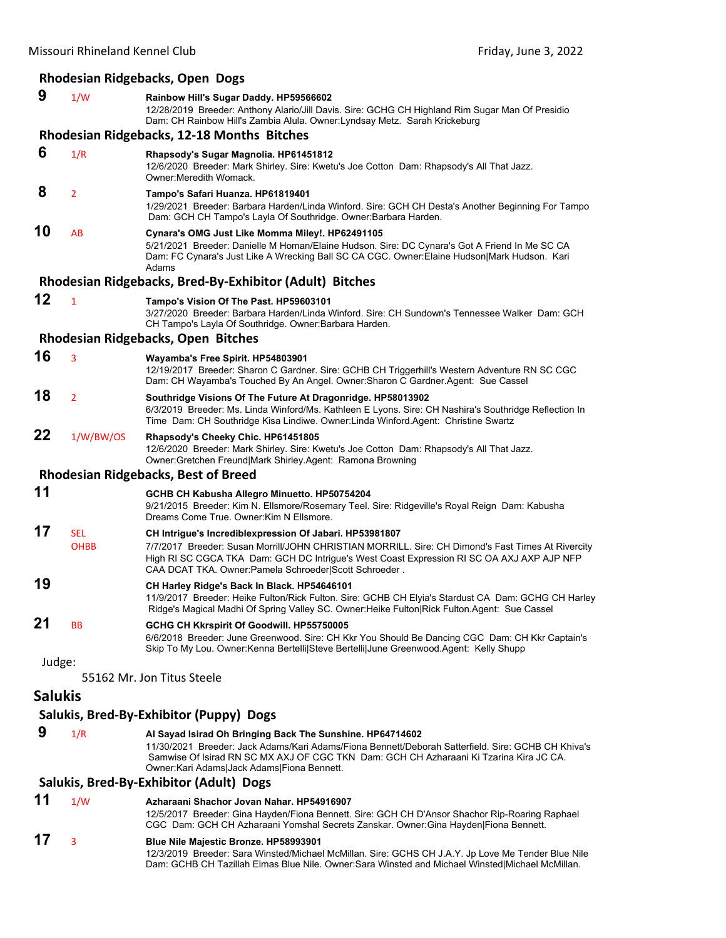#### **Rhodesian Ridgebacks, Open Dogs**

| 9       | 1/W                | Rainbow Hill's Sugar Daddy. HP59566602<br>12/28/2019 Breeder: Anthony Alario/Jill Davis. Sire: GCHG CH Highland Rim Sugar Man Of Presidio<br>Dam: CH Rainbow Hill's Zambia Alula. Owner: Lyndsay Metz. Sarah Krickeburg                                                                                             |
|---------|--------------------|---------------------------------------------------------------------------------------------------------------------------------------------------------------------------------------------------------------------------------------------------------------------------------------------------------------------|
|         |                    | Rhodesian Ridgebacks, 12-18 Months Bitches                                                                                                                                                                                                                                                                          |
| 6       | 1/R                | Rhapsody's Sugar Magnolia. HP61451812<br>12/6/2020 Breeder: Mark Shirley. Sire: Kwetu's Joe Cotton Dam: Rhapsody's All That Jazz.<br>Owner: Meredith Womack.                                                                                                                                                        |
| 8       | 2                  | Tampo's Safari Huanza. HP61819401<br>1/29/2021 Breeder: Barbara Harden/Linda Winford. Sire: GCH CH Desta's Another Beginning For Tampo<br>Dam: GCH CH Tampo's Layla Of Southridge. Owner: Barbara Harden.                                                                                                           |
| 10      | AB                 | Cynara's OMG Just Like Momma Miley!. HP62491105<br>5/21/2021 Breeder: Danielle M Homan/Elaine Hudson. Sire: DC Cynara's Got A Friend In Me SC CA<br>Dam: FC Cynara's Just Like A Wrecking Ball SC CA CGC. Owner:Elaine Hudson Mark Hudson. Kari<br>Adams                                                            |
|         |                    | Rhodesian Ridgebacks, Bred-By-Exhibitor (Adult) Bitches                                                                                                                                                                                                                                                             |
| 12      | 1                  | Tampo's Vision Of The Past. HP59603101<br>3/27/2020 Breeder: Barbara Harden/Linda Winford. Sire: CH Sundown's Tennessee Walker Dam: GCH<br>CH Tampo's Layla Of Southridge. Owner: Barbara Harden.                                                                                                                   |
|         |                    | Rhodesian Ridgebacks, Open Bitches                                                                                                                                                                                                                                                                                  |
| 16      | 3                  | Wayamba's Free Spirit. HP54803901<br>12/19/2017 Breeder: Sharon C Gardner. Sire: GCHB CH Triggerhill's Western Adventure RN SC CGC<br>Dam: CH Wayamba's Touched By An Angel. Owner: Sharon C Gardner Agent: Sue Cassel                                                                                              |
| 18      | 2                  | Southridge Visions Of The Future At Dragonridge. HP58013902<br>6/3/2019 Breeder: Ms. Linda Winford/Ms. Kathleen E Lyons. Sire: CH Nashira's Southridge Reflection In<br>Time Dam: CH Southridge Kisa Lindiwe. Owner: Linda Winford. Agent: Christine Swartz                                                         |
| 22      | 1/W/BW/OS          | Rhapsody's Cheeky Chic. HP61451805<br>12/6/2020 Breeder: Mark Shirley. Sire: Kwetu's Joe Cotton Dam: Rhapsody's All That Jazz.<br>Owner: Gretchen Freund Mark Shirley.Agent: Ramona Browning                                                                                                                        |
|         |                    | <b>Rhodesian Ridgebacks, Best of Breed</b>                                                                                                                                                                                                                                                                          |
| 11      |                    | GCHB CH Kabusha Allegro Minuetto. HP50754204<br>9/21/2015 Breeder: Kim N. Ellsmore/Rosemary Teel. Sire: Ridgeville's Royal Reign Dam: Kabusha<br>Dreams Come True. Owner: Kim N Ellsmore.                                                                                                                           |
| 17      | SEL<br><b>OHBB</b> | CH Intrigue's Incrediblexpression Of Jabari. HP53981807<br>7/7/2017 Breeder: Susan Morrill/JOHN CHRISTIAN MORRILL. Sire: CH Dimond's Fast Times At Rivercity<br>High RI SC CGCA TKA Dam: GCH DC Intrigue's West Coast Expression RI SC OA AXJ AXP AJP NFP<br>CAA DCAT TKA. Owner: Pamela Schroeder Scott Schroeder. |
| 19      |                    | CH Harley Ridge's Back In Black. HP54646101<br>11/9/2017 Breeder: Heike Fulton/Rick Fulton. Sire: GCHB CH Elyia's Stardust CA Dam: GCHG CH Harley<br>Ridge's Magical Madhi Of Spring Valley SC. Owner: Heike Fulton   Rick Fulton. Agent: Sue Cassel                                                                |
| 21      | ВB                 | GCHG CH Kkrspirit Of Goodwill. HP55750005<br>6/6/2018 Breeder: June Greenwood. Sire: CH Kkr You Should Be Dancing CGC Dam: CH Kkr Captain's<br>Skip To My Lou. Owner: Kenna Bertelli Steve Bertelli June Greenwood. Agent: Kelly Shupp                                                                              |
| Judge:  |                    |                                                                                                                                                                                                                                                                                                                     |
|         |                    | 55162 Mr. Jon Titus Steele                                                                                                                                                                                                                                                                                          |
| Salukis |                    |                                                                                                                                                                                                                                                                                                                     |
|         |                    | Salukis, Bred-By-Exhibitor (Puppy) Dogs                                                                                                                                                                                                                                                                             |
| 9       | 1/R                | Al Sayad Isirad Oh Bringing Back The Sunshine. HP64714602<br>11/30/2021 Breeder: Jack Adams/Kari Adams/Fiona Bennett/Deborah Satterfield. Sire: GCHB CH Khiva's<br>Samwise Of Isirad RN SC MX AXJ OF CGC TKN Dam: GCH CH Azharaani Ki Tzarina Kira JC CA.<br>Owner: Kari Adams Jack Adams Fiona Bennett.            |
|         |                    | Salukis, Bred-By-Exhibitor (Adult) Dogs                                                                                                                                                                                                                                                                             |
| 11      | 1/W                | Azharaani Shachor Jovan Nahar, HP54916907<br>12/5/2017 Breeder: Gina Hayden/Fiona Bennett. Sire: GCH CH D'Ansor Shachor Rip-Roaring Raphael                                                                                                                                                                         |

CGC Dam: GCH CH Azharaani Yomshal Secrets Zanskar. Owner:Gina Hayden|Fiona Bennett.

#### **17** <sup>3</sup> **Blue Nile Majestic Bronze. HP58993901**

12/3/2019 Breeder: Sara Winsted/Michael McMillan. Sire: GCHS CH J.A.Y. Jp Love Me Tender Blue Nile Dam: GCHB CH Tazillah Elmas Blue Nile. Owner:Sara Winsted and Michael Winsted|Michael McMillan.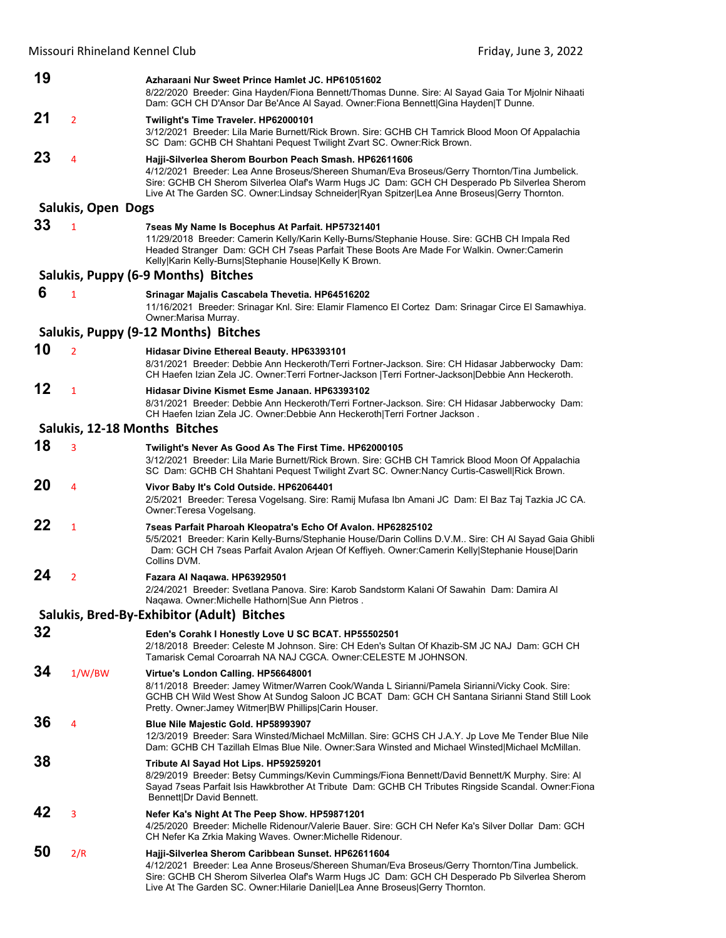| 19 |                           | Azharaani Nur Sweet Prince Hamlet JC. HP61051602<br>8/22/2020 Breeder: Gina Hayden/Fiona Bennett/Thomas Dunne. Sire: Al Sayad Gaia Tor Mjolnir Nihaati<br>Dam: GCH CH D'Ansor Dar Be'Ance Al Sayad. Owner: Fiona Bennett Gina Hayden T Dunne.                                                                                                           |
|----|---------------------------|---------------------------------------------------------------------------------------------------------------------------------------------------------------------------------------------------------------------------------------------------------------------------------------------------------------------------------------------------------|
| 21 | $\overline{2}$            | Twilight's Time Traveler. HP62000101<br>3/12/2021 Breeder: Lila Marie Burnett/Rick Brown. Sire: GCHB CH Tamrick Blood Moon Of Appalachia<br>SC Dam: GCHB CH Shahtani Pequest Twilight Zvart SC. Owner: Rick Brown.                                                                                                                                      |
| 23 | 4                         | Hajji-Silverlea Sherom Bourbon Peach Smash. HP62611606<br>4/12/2021 Breeder: Lea Anne Broseus/Shereen Shuman/Eva Broseus/Gerry Thornton/Tina Jumbelick.<br>Sire: GCHB CH Sherom Silverlea Olaf's Warm Hugs JC Dam: GCH CH Desperado Pb Silverlea Sherom<br>Live At The Garden SC. Owner:Lindsay Schneider Ryan Spitzer Lea Anne Broseus Gerry Thornton. |
|    | <b>Salukis, Open Dogs</b> |                                                                                                                                                                                                                                                                                                                                                         |
| 33 | $\mathbf{1}$              | 7seas My Name Is Bocephus At Parfait. HP57321401<br>11/29/2018 Breeder: Camerin Kelly/Karin Kelly-Burns/Stephanie House. Sire: GCHB CH Impala Red<br>Headed Stranger Dam: GCH CH 7seas Parfait These Boots Are Made For Walkin. Owner:Camerin<br>Kelly Karin Kelly-Burns Stephanie House Kelly K Brown.                                                 |
|    |                           | Salukis, Puppy (6-9 Months) Bitches                                                                                                                                                                                                                                                                                                                     |
| 6  | $\mathbf{1}$              | Srinagar Majalis Cascabela Thevetia. HP64516202<br>11/16/2021 Breeder: Srinagar Knl. Sire: Elamir Flamenco El Cortez Dam: Srinagar Circe El Samawhiya.<br>Owner: Marisa Murray.                                                                                                                                                                         |
|    |                           | Salukis, Puppy (9-12 Months) Bitches                                                                                                                                                                                                                                                                                                                    |
| 10 | $\overline{2}$            | Hidasar Divine Ethereal Beauty. HP63393101<br>8/31/2021 Breeder: Debbie Ann Heckeroth/Terri Fortner-Jackson. Sire: CH Hidasar Jabberwocky Dam:<br>CH Haefen Izian Zela JC. Owner:Terri Fortner-Jackson  Terri Fortner-Jackson Debbie Ann Heckeroth.                                                                                                     |
| 12 | $\mathbf{1}$              | Hidasar Divine Kismet Esme Janaan. HP63393102<br>8/31/2021 Breeder: Debbie Ann Heckeroth/Terri Fortner-Jackson. Sire: CH Hidasar Jabberwocky Dam:<br>CH Haefen Izian Zela JC. Owner:Debbie Ann Heckeroth Terri Fortner Jackson.                                                                                                                         |
|    |                           | Salukis, 12-18 Months Bitches                                                                                                                                                                                                                                                                                                                           |
| 18 | 3                         | Twilight's Never As Good As The First Time. HP62000105<br>3/12/2021 Breeder: Lila Marie Burnett/Rick Brown. Sire: GCHB CH Tamrick Blood Moon Of Appalachia<br>SC Dam: GCHB CH Shahtani Pequest Twilight Zvart SC. Owner:Nancy Curtis-Caswell Rick Brown.                                                                                                |
| 20 | 4                         | Vivor Baby It's Cold Outside. HP62064401<br>2/5/2021 Breeder: Teresa Vogelsang. Sire: Ramij Mufasa Ibn Amani JC Dam: El Baz Taj Tazkia JC CA.<br>Owner: Teresa Vogelsang.                                                                                                                                                                               |
| 22 | $\mathbf{1}$              | 7seas Parfait Pharoah Kleopatra's Echo Of Avalon. HP62825102<br>5/5/2021 Breeder: Karin Kelly-Burns/Stephanie House/Darin Collins D.V.M Sire: CH AI Sayad Gaia Ghibli<br>Dam: GCH CH 7seas Parfait Avalon Arjean Of Keffiyeh. Owner:Camerin Kelly Stephanie House Darin<br>Collins DVM.                                                                 |
| 24 | $\overline{2}$            | Fazara Al Naqawa. HP63929501<br>2/24/2021 Breeder: Svetlana Panova. Sire: Karob Sandstorm Kalani Of Sawahin Dam: Damira Al<br>Nagawa, Owner: Michelle Hathorn Sue Ann Pietros,                                                                                                                                                                          |
|    |                           | Salukis, Bred-By-Exhibitor (Adult) Bitches                                                                                                                                                                                                                                                                                                              |
| 32 |                           | Eden's Corahk I Honestly Love U SC BCAT. HP55502501<br>2/18/2018 Breeder: Celeste M Johnson. Sire: CH Eden's Sultan Of Khazib-SM JC NAJ Dam: GCH CH<br>Tamarisk Cemal Coroarrah NA NAJ CGCA. Owner: CELESTE M JOHNSON.                                                                                                                                  |
| 34 | 1/W/BW                    | Virtue's London Calling. HP56648001<br>8/11/2018 Breeder: Jamey Witmer/Warren Cook/Wanda L Sirianni/Pamela Sirianni/Vicky Cook. Sire:<br>GCHB CH Wild West Show At Sundog Saloon JC BCAT Dam: GCH CH Santana Sirianni Stand Still Look<br>Pretty. Owner: Jamey Witmer BW Phillips Carin Houser.                                                         |
| 36 | 4                         | Blue Nile Majestic Gold. HP58993907<br>12/3/2019 Breeder: Sara Winsted/Michael McMillan. Sire: GCHS CH J.A.Y. Jp Love Me Tender Blue Nile<br>Dam: GCHB CH Tazillah Elmas Blue Nile. Owner:Sara Winsted and Michael Winsted Michael McMillan.                                                                                                            |
| 38 |                           | Tribute Al Sayad Hot Lips. HP59259201<br>8/29/2019 Breeder: Betsy Cummings/Kevin Cummings/Fiona Bennett/David Bennett/K Murphy. Sire: Al<br>Sayad 7seas Parfait Isis Hawkbrother At Tribute Dam: GCHB CH Tributes Ringside Scandal. Owner: Fiona<br>Bennett Dr David Bennett.                                                                           |
| 42 | 3                         | Nefer Ka's Night At The Peep Show. HP59871201<br>4/25/2020 Breeder: Michelle Ridenour/Valerie Bauer. Sire: GCH CH Nefer Ka's Silver Dollar Dam: GCH<br>CH Nefer Ka Zrkia Making Waves. Owner:Michelle Ridenour.                                                                                                                                         |
| 50 | 2/R                       | Hajji-Silverlea Sherom Caribbean Sunset. HP62611604<br>4/12/2021 Breeder: Lea Anne Broseus/Shereen Shuman/Eva Broseus/Gerry Thornton/Tina Jumbelick.<br>Sire: GCHB CH Sherom Silverlea Olaf's Warm Hugs JC Dam: GCH CH Desperado Pb Silverlea Sherom<br>Live At The Garden SC. Owner: Hilarie Daniel Lea Anne Broseus Gerry Thornton.                   |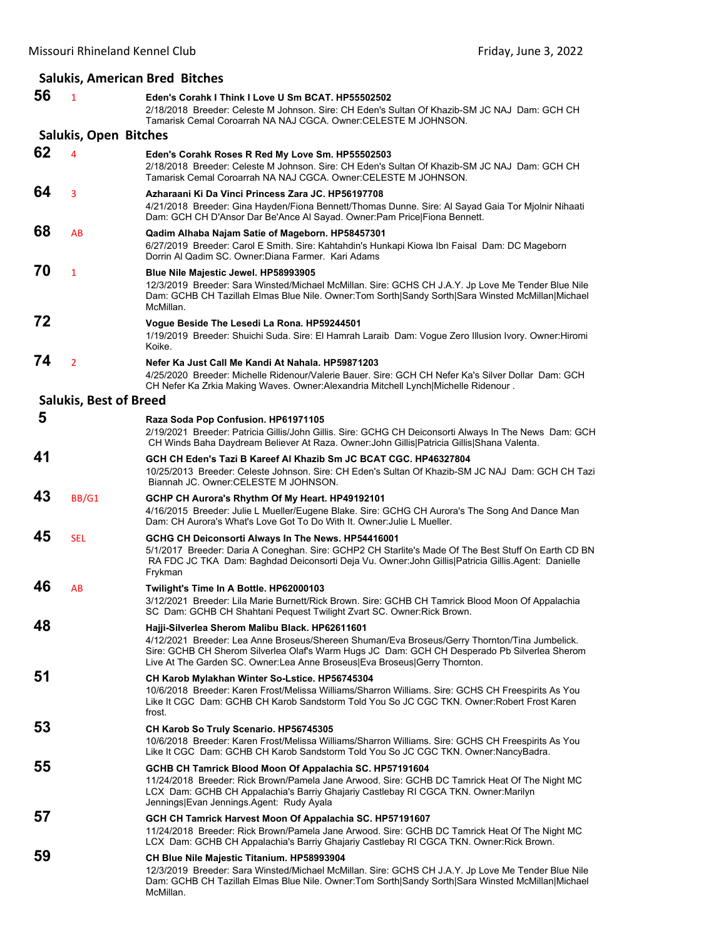#### **Salukis, American Bred Bitches**

| 56 | $\mathbf{1}$                  | Eden's Corahk I Think I Love U Sm BCAT. HP55502502<br>2/18/2018 Breeder: Celeste M Johnson. Sire: CH Eden's Sultan Of Khazib-SM JC NAJ Dam: GCH CH<br>Tamarisk Cemal Coroarrah NA NAJ CGCA. Owner: CELESTE M JOHNSON.                                                                                                         |
|----|-------------------------------|-------------------------------------------------------------------------------------------------------------------------------------------------------------------------------------------------------------------------------------------------------------------------------------------------------------------------------|
|    | Salukis, Open Bitches         |                                                                                                                                                                                                                                                                                                                               |
| 62 | 4                             | Eden's Corahk Roses R Red My Love Sm. HP55502503<br>2/18/2018 Breeder: Celeste M Johnson. Sire: CH Eden's Sultan Of Khazib-SM JC NAJ Dam: GCH CH<br>Tamarisk Cemal Coroarrah NA NAJ CGCA, Owner: CELESTE M JOHNSON,                                                                                                           |
| 64 | 3                             | Azharaani Ki Da Vinci Princess Zara JC. HP56197708<br>4/21/2018 Breeder: Gina Hayden/Fiona Bennett/Thomas Dunne. Sire: Al Sayad Gaia Tor Mjolnir Nihaati<br>Dam: GCH CH D'Ansor Dar Be'Ance Al Sayad. Owner: Pam Price Fiona Bennett.                                                                                         |
| 68 | AB                            | Qadim Alhaba Najam Satie of Mageborn. HP58457301<br>6/27/2019 Breeder: Carol E Smith. Sire: Kahtahdin's Hunkapi Kiowa Ibn Faisal Dam: DC Mageborn<br>Dorrin Al Qadim SC. Owner:Diana Farmer. Kari Adams                                                                                                                       |
| 70 | $\mathbf{1}$                  | Blue Nile Majestic Jewel. HP58993905<br>12/3/2019 Breeder: Sara Winsted/Michael McMillan. Sire: GCHS CH J.A.Y. Jp Love Me Tender Blue Nile<br>Dam: GCHB CH Tazillah Elmas Blue Nile. Owner:Tom Sorth Sandy Sorth Sara Winsted McMillan Michael<br>McMillan.                                                                   |
| 72 |                               | Voque Beside The Lesedi La Rona. HP59244501<br>1/19/2019 Breeder: Shuichi Suda. Sire: El Hamrah Laraib Dam: Vogue Zero Illusion Ivory. Owner: Hiromi<br>Koike.                                                                                                                                                                |
| 74 | $\overline{2}$                | Nefer Ka Just Call Me Kandi At Nahala, HP59871203<br>4/25/2020 Breeder: Michelle Ridenour/Valerie Bauer. Sire: GCH CH Nefer Ka's Silver Dollar Dam: GCH<br>CH Nefer Ka Zrkia Making Waves. Owner: Alexandria Mitchell Lynch Michelle Ridenour.                                                                                |
|    | <b>Salukis, Best of Breed</b> |                                                                                                                                                                                                                                                                                                                               |
| 5  |                               | Raza Soda Pop Confusion. HP61971105<br>2/19/2021 Breeder: Patricia Gillis/John Gillis. Sire: GCHG CH Deiconsorti Always In The News Dam: GCH<br>CH Winds Baha Daydream Believer At Raza. Owner: John Gillis Patricia Gillis Shana Valenta.                                                                                    |
| 41 |                               | GCH CH Eden's Tazi B Kareef Al Khazib Sm JC BCAT CGC, HP46327804<br>10/25/2013 Breeder: Celeste Johnson. Sire: CH Eden's Sultan Of Khazib-SM JC NAJ Dam: GCH CH Tazi<br>Biannah JC. Owner: CELESTE M JOHNSON.                                                                                                                 |
| 43 | <b>BB/G1</b>                  | GCHP CH Aurora's Rhythm Of My Heart. HP49192101<br>4/16/2015 Breeder: Julie L Mueller/Eugene Blake. Sire: GCHG CH Aurora's The Song And Dance Man<br>Dam: CH Aurora's What's Love Got To Do With It. Owner: Julie L Mueller.                                                                                                  |
| 45 | <b>SEL</b>                    | GCHG CH Deiconsorti Always In The News. HP54416001<br>5/1/2017 Breeder: Daria A Coneghan. Sire: GCHP2 CH Starlite's Made Of The Best Stuff On Earth CD BN<br>RA FDC JC TKA Dam: Baghdad Deiconsorti Deja Vu. Owner: John Gillis Patricia Gillis.Agent: Danielle<br>Frykman                                                    |
| 46 | AB                            | Twilight's Time In A Bottle. HP62000103<br>3/12/2021 Breeder: Lila Marie Burnett/Rick Brown. Sire: GCHB CH Tamrick Blood Moon Of Appalachia<br>SC Dam: GCHB CH Shahtani Pequest Twilight Zvart SC. Owner: Rick Brown.                                                                                                         |
| 48 |                               | Hajji-Silverlea Sherom Malibu Black. HP62611601<br>4/12/2021 Breeder: Lea Anne Broseus/Shereen Shuman/Eva Broseus/Gerry Thornton/Tina Jumbelick.<br>Sire: GCHB CH Sherom Silverlea Olaf's Warm Hugs JC Dam: GCH CH Desperado Pb Silverlea Sherom<br>Live At The Garden SC. Owner:Lea Anne Broseus Eva Broseus Gerry Thornton. |
| 51 |                               | CH Karob Mylakhan Winter So-Lstice. HP56745304<br>10/6/2018 Breeder: Karen Frost/Melissa Williams/Sharron Williams. Sire: GCHS CH Freespirits As You<br>Like It CGC Dam: GCHB CH Karob Sandstorm Told You So JC CGC TKN. Owner:Robert Frost Karen<br>frost.                                                                   |
| 53 |                               | CH Karob So Truly Scenario. HP56745305<br>10/6/2018 Breeder: Karen Frost/Melissa Williams/Sharron Williams. Sire: GCHS CH Freespirits As You<br>Like It CGC Dam: GCHB CH Karob Sandstorm Told You So JC CGC TKN. Owner:NancyBadra.                                                                                            |
| 55 |                               | GCHB CH Tamrick Blood Moon Of Appalachia SC. HP57191604<br>11/24/2018 Breeder: Rick Brown/Pamela Jane Arwood. Sire: GCHB DC Tamrick Heat Of The Night MC<br>LCX Dam: GCHB CH Appalachia's Barriy Ghajariy Castlebay RI CGCA TKN. Owner: Marilyn<br>Jennings Evan Jennings.Agent: Rudy Ayala                                   |
| 57 |                               | GCH CH Tamrick Harvest Moon Of Appalachia SC. HP57191607<br>11/24/2018 Breeder: Rick Brown/Pamela Jane Arwood. Sire: GCHB DC Tamrick Heat Of The Night MC<br>LCX Dam: GCHB CH Appalachia's Barriy Ghajariy Castlebay RI CGCA TKN. Owner: Rick Brown.                                                                          |
| 59 |                               | CH Blue Nile Majestic Titanium. HP58993904<br>12/3/2019 Breeder: Sara Winsted/Michael McMillan. Sire: GCHS CH J.A.Y. Jp Love Me Tender Blue Nile<br>Dam: GCHB CH Tazillah Elmas Blue Nile. Owner: Tom Sorth Sandy Sorth Sara Winsted McMillan Michael<br>McMillan.                                                            |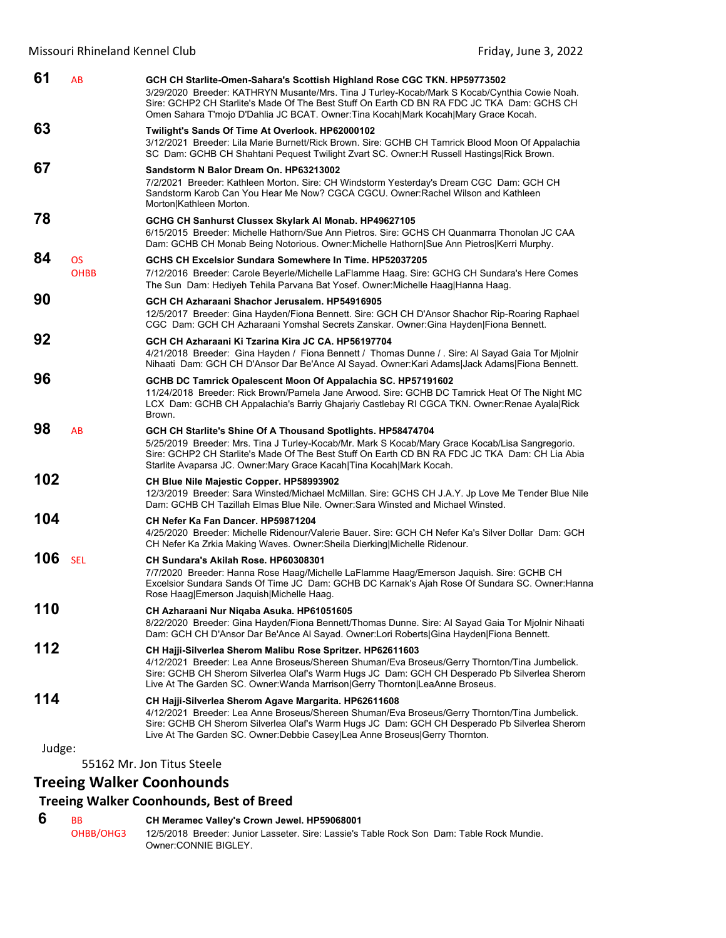| 61            | AB                       | GCH CH Starlite-Omen-Sahara's Scottish Highland Rose CGC TKN. HP59773502<br>3/29/2020 Breeder: KATHRYN Musante/Mrs. Tina J Turley-Kocab/Mark S Kocab/Cynthia Cowie Noah.<br>Sire: GCHP2 CH Starlite's Made Of The Best Stuff On Earth CD BN RA FDC JC TKA Dam: GCHS CH<br>Omen Sahara T'mojo D'Dahlia JC BCAT. Owner: Tina Kocah Mark Kocah Mary Grace Kocah. |
|---------------|--------------------------|---------------------------------------------------------------------------------------------------------------------------------------------------------------------------------------------------------------------------------------------------------------------------------------------------------------------------------------------------------------|
| 63            |                          | Twilight's Sands Of Time At Overlook. HP62000102<br>3/12/2021 Breeder: Lila Marie Burnett/Rick Brown. Sire: GCHB CH Tamrick Blood Moon Of Appalachia<br>SC Dam: GCHB CH Shahtani Pequest Twilight Zvart SC. Owner: H Russell Hastings Rick Brown.                                                                                                             |
| 67            |                          | Sandstorm N Balor Dream On. HP63213002<br>7/2/2021 Breeder: Kathleen Morton. Sire: CH Windstorm Yesterday's Dream CGC Dam: GCH CH<br>Sandstorm Karob Can You Hear Me Now? CGCA CGCU. Owner: Rachel Wilson and Kathleen<br>Morton Kathleen Morton.                                                                                                             |
| 78            |                          | GCHG CH Sanhurst Clussex Skylark Al Monab. HP49627105<br>6/15/2015 Breeder: Michelle Hathorn/Sue Ann Pietros. Sire: GCHS CH Quanmarra Thonolan JC CAA<br>Dam: GCHB CH Monab Being Notorious. Owner: Michelle Hathorn Sue Ann Pietros Kerri Murphy.                                                                                                            |
| 84            | <b>OS</b><br><b>OHBB</b> | GCHS CH Excelsior Sundara Somewhere In Time. HP52037205<br>7/12/2016 Breeder: Carole Beyerle/Michelle LaFlamme Haag. Sire: GCHG CH Sundara's Here Comes<br>The Sun Dam: Hediyeh Tehila Parvana Bat Yosef. Owner: Michelle Haag Hanna Haag.                                                                                                                    |
| 90            |                          | GCH CH Azharaani Shachor Jerusalem, HP54916905<br>12/5/2017 Breeder: Gina Hayden/Fiona Bennett. Sire: GCH CH D'Ansor Shachor Rip-Roaring Raphael<br>CGC Dam: GCH CH Azharaani Yomshal Secrets Zanskar. Owner:Gina Hayden Fiona Bennett.                                                                                                                       |
| 92            |                          | GCH CH Azharaani Ki Tzarina Kira JC CA, HP56197704<br>4/21/2018 Breeder: Gina Hayden / Fiona Bennett / Thomas Dunne / Sire: Al Sayad Gaia Tor Mjolnir<br>Nihaati Dam: GCH CH D'Ansor Dar Be'Ance Al Sayad. Owner:Kari Adams Jack Adams Fiona Bennett.                                                                                                         |
| 96            |                          | GCHB DC Tamrick Opalescent Moon Of Appalachia SC. HP57191602<br>11/24/2018 Breeder: Rick Brown/Pamela Jane Arwood. Sire: GCHB DC Tamrick Heat Of The Night MC<br>LCX Dam: GCHB CH Appalachia's Barriy Ghajariy Castlebay RI CGCA TKN. Owner: Renae Ayala Rick<br>Brown.                                                                                       |
| 98            | AB                       | GCH CH Starlite's Shine Of A Thousand Spotlights. HP58474704<br>5/25/2019 Breeder: Mrs. Tina J Turley-Kocab/Mr. Mark S Kocab/Mary Grace Kocab/Lisa Sangregorio.<br>Sire: GCHP2 CH Starlite's Made Of The Best Stuff On Earth CD BN RA FDC JC TKA Dam: CH Lia Abia<br>Starlite Avaparsa JC. Owner: Mary Grace Kacah   Tina Kocah   Mark Kocah.                 |
| 102           |                          | <b>CH Blue Nile Majestic Copper. HP58993902</b><br>12/3/2019 Breeder: Sara Winsted/Michael McMillan. Sire: GCHS CH J.A.Y. Jp Love Me Tender Blue Nile<br>Dam: GCHB CH Tazillah Elmas Blue Nile. Owner:Sara Winsted and Michael Winsted.                                                                                                                       |
| 104           |                          | CH Nefer Ka Fan Dancer, HP59871204<br>4/25/2020 Breeder: Michelle Ridenour/Valerie Bauer. Sire: GCH CH Nefer Ka's Silver Dollar Dam: GCH<br>CH Nefer Ka Zrkia Making Waves. Owner: Sheila Dierking Michelle Ridenour.                                                                                                                                         |
| 106           | <b>SEL</b>               | CH Sundara's Akilah Rose. HP60308301<br>7/7/2020 Breeder: Hanna Rose Haag/Michelle LaFlamme Haag/Emerson Jaguish. Sire: GCHB CH<br>Excelsior Sundara Sands Of Time JC Dam: GCHB DC Karnak's Ajah Rose Of Sundara SC. Owner: Hanna<br>Rose Haag Emerson Jaquish Michelle Haag.                                                                                 |
| 110           |                          | CH Azharaani Nur Niqaba Asuka. HP61051605<br>8/22/2020 Breeder: Gina Hayden/Fiona Bennett/Thomas Dunne. Sire: Al Sayad Gaia Tor Mjolnir Nihaati<br>Dam: GCH CH D'Ansor Dar Be'Ance Al Sayad. Owner:Lori Roberts Gina Hayden Fiona Bennett.                                                                                                                    |
| 112           |                          | CH Hajji-Silverlea Sherom Malibu Rose Spritzer. HP62611603<br>4/12/2021 Breeder: Lea Anne Broseus/Shereen Shuman/Eva Broseus/Gerry Thornton/Tina Jumbelick.<br>Sire: GCHB CH Sherom Silverlea Olaf's Warm Hugs JC Dam: GCH CH Desperado Pb Silverlea Sherom<br>Live At The Garden SC. Owner: Wanda Marrison Gerry Thornton LeaAnne Broseus.                   |
| 114<br>Judge: |                          | CH Hajji-Silverlea Sherom Agave Margarita. HP62611608<br>4/12/2021 Breeder: Lea Anne Broseus/Shereen Shuman/Eva Broseus/Gerry Thornton/Tina Jumbelick.<br>Sire: GCHB CH Sherom Silverlea Olaf's Warm Hugs JC Dam: GCH CH Desperado Pb Silverlea Sherom<br>Live At The Garden SC. Owner:Debbie Casey Lea Anne Broseus Gerry Thornton.                          |
|               |                          |                                                                                                                                                                                                                                                                                                                                                               |

55162 Mr. Jon Titus Steele

### **Treeing Walker Coonhounds**

#### **Treeing Walker Coonhounds, Best of Breed**

#### **6** BB **CH Meramec Valley's Crown Jewel. HP59068001**

OHBB/OHG3 12/5/2018 Breeder: Junior Lasseter. Sire: Lassie's Table Rock Son Dam: Table Rock Mundie. Owner:CONNIE BIGLEY.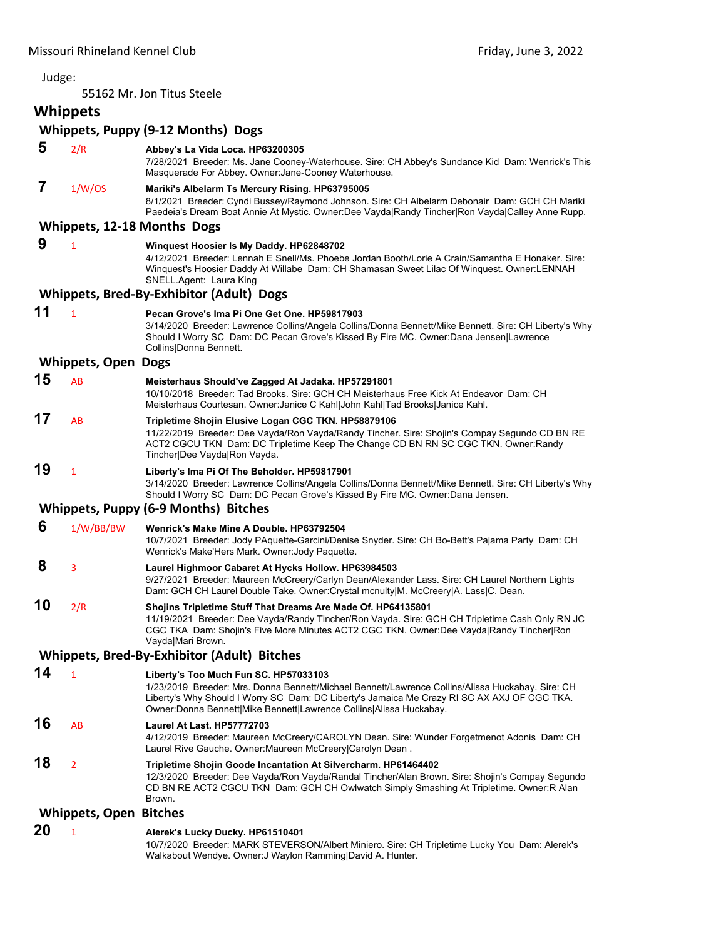#### Judge: 55162 Mr. Jon Titus Steele **Whippets Whippets, Puppy (9‐12 Months) Dogs 5** 2/R **Abbey's La Vida Loca. HP63200305** 7/28/2021 Breeder: Ms. Jane Cooney-Waterhouse. Sire: CH Abbey's Sundance Kid Dam: Wenrick's This Masquerade For Abbey. Owner:Jane-Cooney Waterhouse.  **7** 1/W/OS **Mariki's Albelarm Ts Mercury Rising. HP63795005** 8/1/2021 Breeder: Cyndi Bussey/Raymond Johnson. Sire: CH Albelarm Debonair Dam: GCH CH Mariki Paedeia's Dream Boat Annie At Mystic. Owner:Dee Vayda|Randy Tincher|Ron Vayda|Calley Anne Rupp. **Whippets, 12‐18 Months Dogs 9** <sup>1</sup> **Winquest Hoosier Is My Daddy. HP62848702** 4/12/2021 Breeder: Lennah E Snell/Ms. Phoebe Jordan Booth/Lorie A Crain/Samantha E Honaker. Sire: Winquest's Hoosier Daddy At Willabe Dam: CH Shamasan Sweet Lilac Of Winquest. Owner:LENNAH SNELL.Agent: Laura King **Whippets, Bred‐By‐Exhibitor (Adult) Dogs 11** <sup>1</sup> **Pecan Grove's Ima Pi One Get One. HP59817903** 3/14/2020 Breeder: Lawrence Collins/Angela Collins/Donna Bennett/Mike Bennett. Sire: CH Liberty's Why Should I Worry SC Dam: DC Pecan Grove's Kissed By Fire MC. Owner:Dana Jensen|Lawrence Collins|Donna Bennett. **Whippets, Open Dogs 15** AB **Meisterhaus Should've Zagged At Jadaka. HP57291801** 10/10/2018 Breeder: Tad Brooks. Sire: GCH CH Meisterhaus Free Kick At Endeavor Dam: CH Meisterhaus Courtesan. Owner:Janice C Kahl|John Kahl|Tad Brooks|Janice Kahl. **17** AB **Tripletime Shojin Elusive Logan CGC TKN. HP58879106** 11/22/2019 Breeder: Dee Vayda/Ron Vayda/Randy Tincher. Sire: Shojin's Compay Segundo CD BN RE ACT2 CGCU TKN Dam: DC Tripletime Keep The Change CD BN RN SC CGC TKN. Owner:Randy Tincher|Dee Vayda|Ron Vayda. **19** <sup>1</sup> **Liberty's Ima Pi Of The Beholder. HP59817901** 3/14/2020 Breeder: Lawrence Collins/Angela Collins/Donna Bennett/Mike Bennett. Sire: CH Liberty's Why Should I Worry SC Dam: DC Pecan Grove's Kissed By Fire MC. Owner:Dana Jensen. **Whippets, Puppy (6‐9 Months) Bitches 6** 1/W/BB/BW **Wenrick's Make Mine A Double. HP63792504** 10/7/2021 Breeder: Jody PAquette-Garcini/Denise Snyder. Sire: CH Bo-Bett's Pajama Party Dam: CH Wenrick's Make'Hers Mark. Owner:Jody Paquette.  **8** <sup>3</sup> **Laurel Highmoor Cabaret At Hycks Hollow. HP63984503** 9/27/2021 Breeder: Maureen McCreery/Carlyn Dean/Alexander Lass. Sire: CH Laurel Northern Lights Dam: GCH CH Laurel Double Take. Owner:Crystal mcnulty|M. McCreery|A. Lass|C. Dean. **10** 2/R **Shojins Tripletime Stuff That Dreams Are Made Of. HP64135801** 11/19/2021 Breeder: Dee Vayda/Randy Tincher/Ron Vayda. Sire: GCH CH Tripletime Cash Only RN JC CGC TKA Dam: Shojin's Five More Minutes ACT2 CGC TKN. Owner:Dee Vayda|Randy Tincher|Ron Vayda|Mari Brown. **Whippets, Bred‐By‐Exhibitor (Adult) Bitches 14** <sup>1</sup> **Liberty's Too Much Fun SC. HP57033103** 1/23/2019 Breeder: Mrs. Donna Bennett/Michael Bennett/Lawrence Collins/Alissa Huckabay. Sire: CH Liberty's Why Should I Worry SC Dam: DC Liberty's Jamaica Me Crazy RI SC AX AXJ OF CGC TKA. Owner:Donna Bennett|Mike Bennett|Lawrence Collins|Alissa Huckabay. **16** AB **Laurel At Last. HP57772703** 4/12/2019 Breeder: Maureen McCreery/CAROLYN Dean. Sire: Wunder Forgetmenot Adonis Dam: CH Laurel Rive Gauche. Owner:Maureen McCreery|Carolyn Dean . **18** <sup>2</sup> **Tripletime Shojin Goode Incantation At Silvercharm. HP61464402** 12/3/2020 Breeder: Dee Vayda/Ron Vayda/Randal Tincher/Alan Brown. Sire: Shojin's Compay Segundo CD BN RE ACT2 CGCU TKN Dam: GCH CH Owlwatch Simply Smashing At Tripletime. Owner:R Alan Brown.

#### **Whippets, Open Bitches**

#### **20** <sup>1</sup> **Alerek's Lucky Ducky. HP61510401**

10/7/2020 Breeder: MARK STEVERSON/Albert Miniero. Sire: CH Tripletime Lucky You Dam: Alerek's Walkabout Wendye. Owner:J Waylon Ramming|David A. Hunter.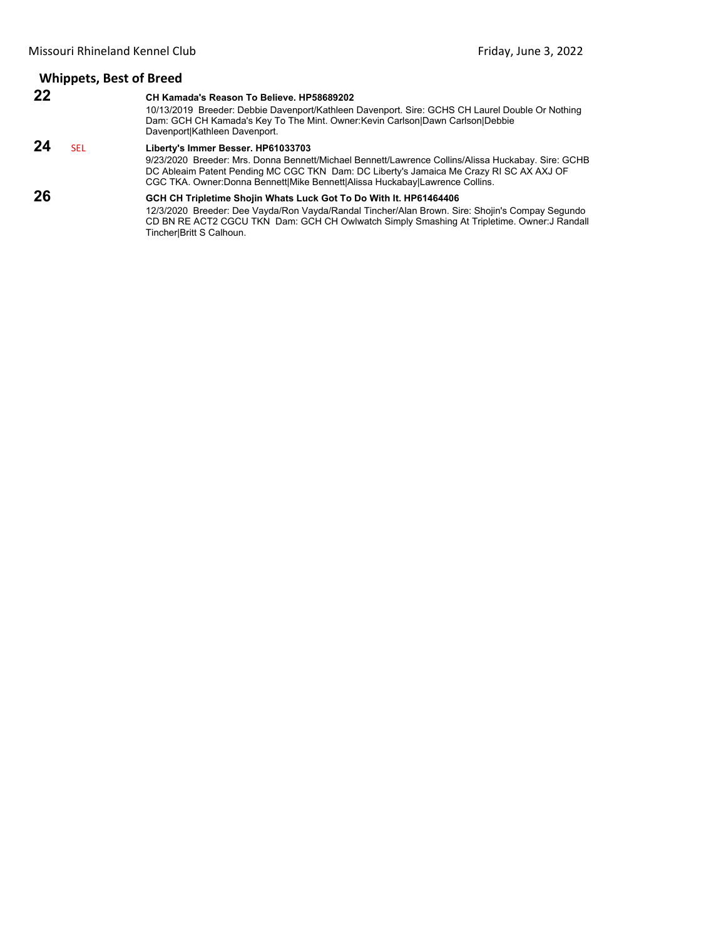#### **Whippets, Best of Breed 22 CH Kamada's Reason To Believe. HP58689202** 10/13/2019 Breeder: Debbie Davenport/Kathleen Davenport. Sire: GCHS CH Laurel Double Or Nothing Dam: GCH CH Kamada's Key To The Mint. Owner:Kevin Carlson|Dawn Carlson|Debbie Davenport|Kathleen Davenport.

#### **24** SEL **Liberty's Immer Besser. HP61033703**

9/23/2020 Breeder: Mrs. Donna Bennett/Michael Bennett/Lawrence Collins/Alissa Huckabay. Sire: GCHB DC Ableaim Patent Pending MC CGC TKN Dam: DC Liberty's Jamaica Me Crazy RI SC AX AXJ OF CGC TKA. Owner:Donna Bennett|Mike Bennett|Alissa Huckabay|Lawrence Collins.

#### **26 GCH CH Tripletime Shojin Whats Luck Got To Do With It. HP61464406**

12/3/2020 Breeder: Dee Vayda/Ron Vayda/Randal Tincher/Alan Brown. Sire: Shojin's Compay Segundo CD BN RE ACT2 CGCU TKN Dam: GCH CH Owlwatch Simply Smashing At Tripletime. Owner:J Randall Tincher|Britt S Calhoun.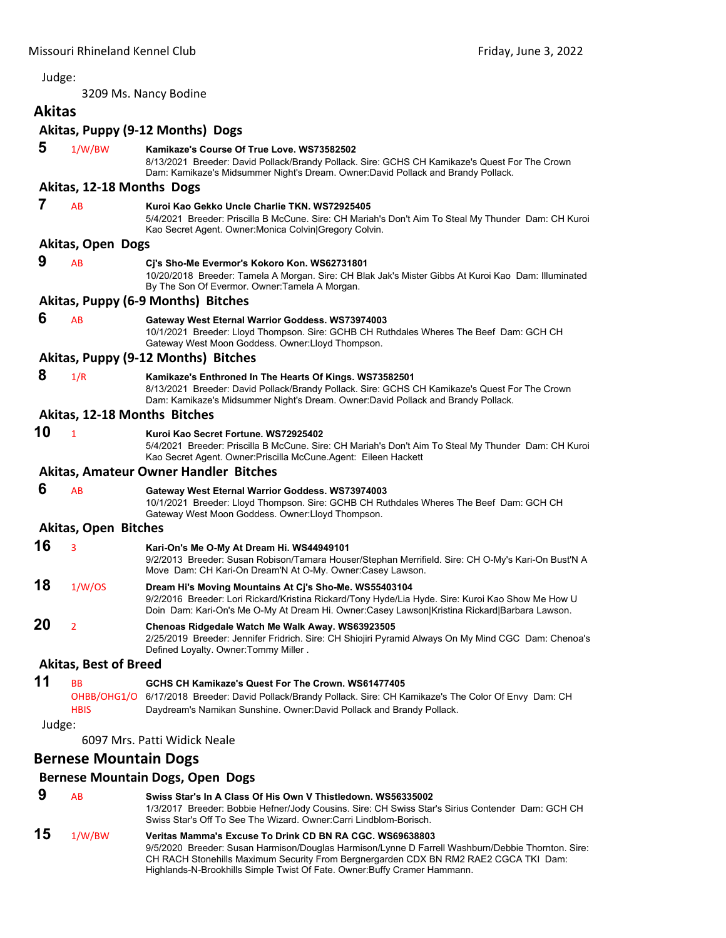<span id="page-26-0"></span>3209 Ms. Nancy Bodine

## **Akitas**

#### **Akitas, Puppy (9‐12 Months) Dogs**

| 5      | 1/W/BW                       | Kamikaze's Course Of True Love. WS73582502<br>8/13/2021 Breeder: David Pollack/Brandy Pollack. Sire: GCHS CH Kamikaze's Quest For The Crown<br>Dam: Kamikaze's Midsummer Night's Dream. Owner:David Pollack and Brandy Pollack.                             |
|--------|------------------------------|-------------------------------------------------------------------------------------------------------------------------------------------------------------------------------------------------------------------------------------------------------------|
|        | Akitas, 12-18 Months Dogs    |                                                                                                                                                                                                                                                             |
| 7      | AB                           | Kuroi Kao Gekko Uncle Charlie TKN. WS72925405<br>5/4/2021 Breeder: Priscilla B McCune. Sire: CH Mariah's Don't Aim To Steal My Thunder Dam: CH Kuroi<br>Kao Secret Agent. Owner: Monica Colvin Gregory Colvin.                                              |
|        | <b>Akitas, Open Dogs</b>     |                                                                                                                                                                                                                                                             |
| 9      | AB                           | Cj's Sho-Me Evermor's Kokoro Kon. WS62731801<br>10/20/2018 Breeder: Tamela A Morgan. Sire: CH Blak Jak's Mister Gibbs At Kuroi Kao Dam: Illuminated<br>By The Son Of Evermor. Owner: Tamela A Morgan.                                                       |
|        |                              | Akitas, Puppy (6-9 Months) Bitches                                                                                                                                                                                                                          |
| 6      | AB                           | Gateway West Eternal Warrior Goddess. WS73974003<br>10/1/2021 Breeder: Lloyd Thompson. Sire: GCHB CH Ruthdales Wheres The Beef Dam: GCH CH<br>Gateway West Moon Goddess. Owner: Lloyd Thompson.                                                             |
|        |                              | Akitas, Puppy (9-12 Months) Bitches                                                                                                                                                                                                                         |
| 8      | 1/R                          | Kamikaze's Enthroned In The Hearts Of Kings. WS73582501<br>8/13/2021 Breeder: David Pollack/Brandy Pollack. Sire: GCHS CH Kamikaze's Quest For The Crown<br>Dam: Kamikaze's Midsummer Night's Dream. Owner:David Pollack and Brandy Pollack.                |
|        | Akitas, 12-18 Months Bitches |                                                                                                                                                                                                                                                             |
| 10     | $\mathbf{1}$                 | Kuroi Kao Secret Fortune, WS72925402<br>5/4/2021 Breeder: Priscilla B McCune. Sire: CH Mariah's Don't Aim To Steal My Thunder Dam: CH Kuroi<br>Kao Secret Agent. Owner: Priscilla McCune. Agent: Eileen Hackett                                             |
|        |                              | <b>Akitas, Amateur Owner Handler Bitches</b>                                                                                                                                                                                                                |
| 6      | AB                           | Gateway West Eternal Warrior Goddess. WS73974003<br>10/1/2021 Breeder: Lloyd Thompson. Sire: GCHB CH Ruthdales Wheres The Beef Dam: GCH CH<br>Gateway West Moon Goddess. Owner: Lloyd Thompson.                                                             |
|        | <b>Akitas, Open Bitches</b>  |                                                                                                                                                                                                                                                             |
| 16     | 3                            | Kari-On's Me O-My At Dream Hi. WS44949101<br>9/2/2013 Breeder: Susan Robison/Tamara Houser/Stephan Merrifield. Sire: CH O-My's Kari-On Bust'N A<br>Move Dam: CH Kari-On Dream'N At O-My. Owner:Casey Lawson.                                                |
| 18     | 1/W/OS                       | Dream Hi's Moving Mountains At Cj's Sho-Me. WS55403104<br>9/2/2016 Breeder: Lori Rickard/Kristina Rickard/Tony Hyde/Lia Hyde. Sire: Kuroi Kao Show Me How U<br>Doin Dam: Kari-On's Me O-My At Dream Hi. Owner:Casey Lawson Kristina Rickard Barbara Lawson. |
| 20     | $\overline{2}$               | Chenoas Ridgedale Watch Me Walk Away. WS63923505<br>2/25/2019 Breeder: Jennifer Fridrich. Sire: CH Shiojiri Pyramid Always On My Mind CGC Dam: Chenoa's<br>Defined Loyalty. Owner: Tommy Miller.                                                            |
|        | <b>Akitas, Best of Breed</b> |                                                                                                                                                                                                                                                             |
| 11     | BВ                           | GCHS CH Kamikaze's Quest For The Crown. WS61477405                                                                                                                                                                                                          |
|        | <b>HBIS</b>                  | OHBB/OHG1/O 6/17/2018 Breeder: David Pollack/Brandy Pollack. Sire: CH Kamikaze's The Color Of Envy Dam: CH<br>Daydream's Namikan Sunshine. Owner: David Pollack and Brandy Pollack.                                                                         |
| Judge: |                              | 6097 Mrs. Patti Widick Neale                                                                                                                                                                                                                                |
|        | <b>Bernese Mountain Dogs</b> |                                                                                                                                                                                                                                                             |
|        |                              | <b>Bernese Mountain Dogs, Open Dogs</b>                                                                                                                                                                                                                     |
| 9      | <b>AB</b>                    | Swiss Star's In A Class Of His Own V Thistledown. WS56335002                                                                                                                                                                                                |

1/3/2017 Breeder: Bobbie Hefner/Jody Cousins. Sire: CH Swiss Star's Sirius Contender Dam: GCH CH Swiss Star's Off To See The Wizard. Owner:Carri Lindblom-Borisch. **15** 1/W/BW **Veritas Mamma's Excuse To Drink CD BN RA CGC. WS69638803** 9/5/2020 Breeder: Susan Harmison/Douglas Harmison/Lynne D Farrell Washburn/Debbie Thornton. Sire:

CH RACH Stonehills Maximum Security From Bergnergarden CDX BN RM2 RAE2 CGCA TKI Dam: Highlands-N-Brookhills Simple Twist Of Fate. Owner:Buffy Cramer Hammann.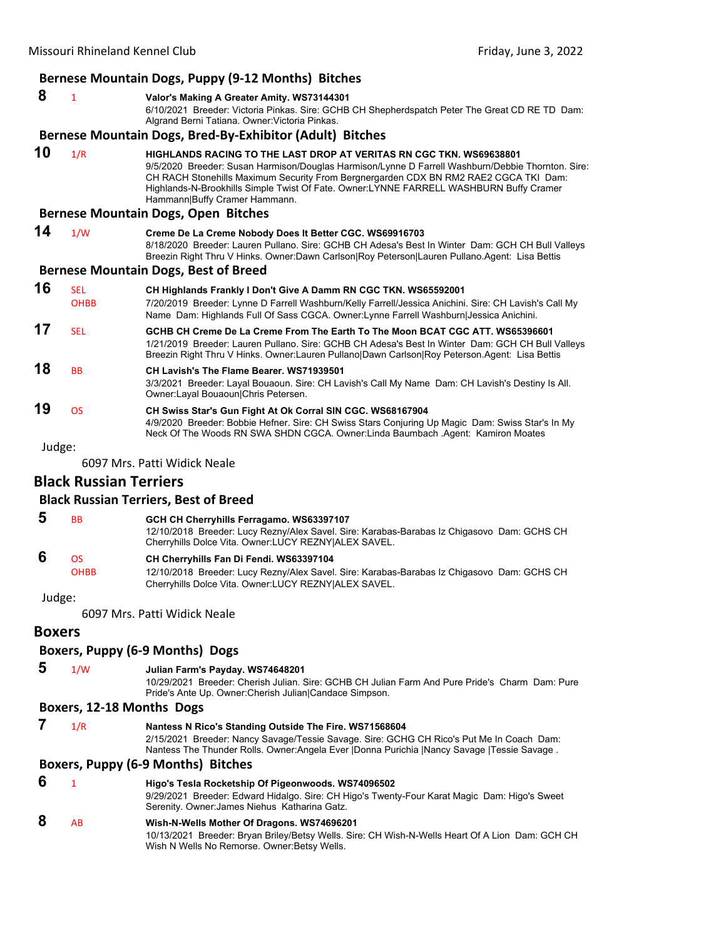| Bernese Mountain Dogs, Puppy (9-12 Months) Bitches |              |                                                                                                                                                                                                                                                                                                                                                                                             |  |  |
|----------------------------------------------------|--------------|---------------------------------------------------------------------------------------------------------------------------------------------------------------------------------------------------------------------------------------------------------------------------------------------------------------------------------------------------------------------------------------------|--|--|
| 8                                                  | $\mathbf{1}$ | Valor's Making A Greater Amity. WS73144301<br>6/10/2021 Breeder: Victoria Pinkas. Sire: GCHB CH Shepherdspatch Peter The Great CD RE TD Dam:<br>Algrand Berni Tatiana. Owner: Victoria Pinkas.                                                                                                                                                                                              |  |  |
|                                                    |              | Bernese Mountain Dogs, Bred-By-Exhibitor (Adult) Bitches                                                                                                                                                                                                                                                                                                                                    |  |  |
| 10                                                 | 1/R          | HIGHLANDS RACING TO THE LAST DROP AT VERITAS RN CGC TKN. WS69638801<br>9/5/2020 Breeder: Susan Harmison/Douglas Harmison/Lynne D Farrell Washburn/Debbie Thornton. Sire:<br>CH RACH Stonehills Maximum Security From Bergnergarden CDX BN RM2 RAE2 CGCA TKI Dam:<br>Highlands-N-Brookhills Simple Twist Of Fate. Owner:LYNNE FARRELL WASHBURN Buffy Cramer<br>Hammann Buffy Cramer Hammann. |  |  |
|                                                    |              | <b>Bernese Mountain Dogs, Open Bitches</b>                                                                                                                                                                                                                                                                                                                                                  |  |  |
| 14                                                 | 1/W          | Creme De La Creme Nobody Does It Better CGC. WS69916703<br>8/18/2020 Breeder: Lauren Pullano. Sire: GCHB CH Adesa's Best In Winter Dam: GCH CH Bull Valleys<br>Breezin Right Thru V Hinks. Owner:Dawn Carlson Roy Peterson Lauren Pullano.Agent: Lisa Bettis                                                                                                                                |  |  |
|                                                    |              | <b>Bernese Mountain Dogs, Best of Breed</b>                                                                                                                                                                                                                                                                                                                                                 |  |  |
| 16                                                 | <b>SEL</b>   | CH Highlands Frankly I Don't Give A Damm RN CGC TKN. WS65592001                                                                                                                                                                                                                                                                                                                             |  |  |
|                                                    | <b>OHBB</b>  | 7/20/2019 Breeder: Lynne D Farrell Washburn/Kelly Farrell/Jessica Anichini. Sire: CH Lavish's Call My<br>Name Dam: Highlands Full Of Sass CGCA. Owner:Lynne Farrell Washburn Jessica Anichini.                                                                                                                                                                                              |  |  |
| 17                                                 | <b>SEL</b>   | GCHB CH Creme De La Creme From The Earth To The Moon BCAT CGC ATT, WS65396601<br>1/21/2019 Breeder: Lauren Pullano. Sire: GCHB CH Adesa's Best In Winter Dam: GCH CH Bull Valleys<br>Breezin Right Thru V Hinks. Owner:Lauren Pullano Dawn Carlson Roy Peterson.Agent: Lisa Bettis                                                                                                          |  |  |
| 18                                                 | <b>BB</b>    | CH Lavish's The Flame Bearer, WS71939501<br>3/3/2021 Breeder: Layal Bouaoun. Sire: CH Lavish's Call My Name Dam: CH Lavish's Destiny Is All.<br>Owner: Layal Bouaoun Chris Petersen.                                                                                                                                                                                                        |  |  |
| 19                                                 | <b>OS</b>    | CH Swiss Star's Gun Fight At Ok Corral SIN CGC. WS68167904<br>4/9/2020 Breeder: Bobbie Hefner. Sire: CH Swiss Stars Conjuring Up Magic Dam: Swiss Star's In My<br>Neck Of The Woods RN SWA SHDN CGCA. Owner:Linda Baumbach Agent: Kamiron Moates                                                                                                                                            |  |  |
| Judge:                                             |              |                                                                                                                                                                                                                                                                                                                                                                                             |  |  |
|                                                    |              | 6097 Mrs. Patti Widick Neale                                                                                                                                                                                                                                                                                                                                                                |  |  |

#### **Black Russian Terriers**

#### **Black Russian Terriers, Best of Breed**

| Ð | BB.         | GCH CH Cherryhills Ferragamo. WS63397107                                                                                                            |
|---|-------------|-----------------------------------------------------------------------------------------------------------------------------------------------------|
|   |             | 12/10/2018 Breeder: Lucy Rezny/Alex Savel. Sire: Karabas-Barabas Iz Chigasovo Dam: GCHS CH<br>Cherryhills Dolce Vita. Owner: LUCY REZNY ALEX SAVEL. |
| 6 | OS.         | CH Cherryhills Fan Di Fendi. WS63397104                                                                                                             |
|   | <b>OHBB</b> | 12/10/2018 Breeder: Lucy Rezny/Alex Savel. Sire: Karabas-Barabas Iz Chigasovo Dam: GCHS CH                                                          |
|   |             | Cherryhills Dolce Vita, Owner: LUCY REZNYIALEX SAVEL.                                                                                               |

#### Judge:

6097 Mrs. Patti Widick Neale

#### **Boxers**

#### **Boxers, Puppy (6‐9 Months) Dogs**

 **5** 1/W **Julian Farm's Payday. WS74648201**

10/29/2021 Breeder: Cherish Julian. Sire: GCHB CH Julian Farm And Pure Pride's Charm Dam: Pure Pride's Ante Up. Owner:Cherish Julian|Candace Simpson.

#### **Boxers, 12‐18 Months Dogs**

 **7** 1/R **Nantess N Rico's Standing Outside The Fire. WS71568604** 2/15/2021 Breeder: Nancy Savage/Tessie Savage. Sire: GCHG CH Rico's Put Me In Coach Dam: Nantess The Thunder Rolls. Owner:Angela Ever |Donna Purichia |Nancy Savage |Tessie Savage .

#### **Boxers, Puppy (6‐9 Months) Bitches**

- **6** <sup>1</sup> **Higo's Tesla Rocketship Of Pigeonwoods. WS74096502** 9/29/2021 Breeder: Edward Hidalgo. Sire: CH Higo's Twenty-Four Karat Magic Dam: Higo's Sweet Serenity. Owner:James Niehus Katharina Gatz.
- **8** AB **Wish-N-Wells Mother Of Dragons. WS74696201** 10/13/2021 Breeder: Bryan Briley/Betsy Wells. Sire: CH Wish-N-Wells Heart Of A Lion Dam: GCH CH Wish N Wells No Remorse. Owner:Betsy Wells.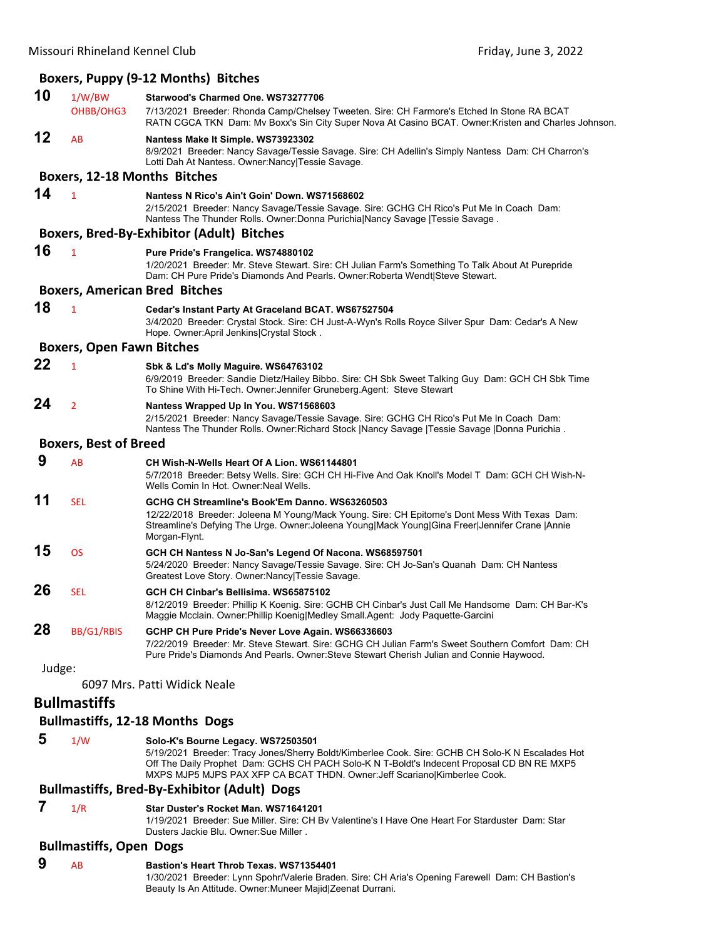|        |                                  | Boxers, Puppy (9-12 Months) Bitches                                                                                                                                                                                                                                                                               |
|--------|----------------------------------|-------------------------------------------------------------------------------------------------------------------------------------------------------------------------------------------------------------------------------------------------------------------------------------------------------------------|
| 10     | 1/W/BW                           | Starwood's Charmed One. WS73277706                                                                                                                                                                                                                                                                                |
|        | OHBB/OHG3                        | 7/13/2021 Breeder: Rhonda Camp/Chelsey Tweeten. Sire: CH Farmore's Etched In Stone RA BCAT<br>RATN CGCA TKN Dam: Mv Boxx's Sin City Super Nova At Casino BCAT. Owner: Kristen and Charles Johnson.                                                                                                                |
| 12     | AB                               | Nantess Make It Simple. WS73923302<br>8/9/2021 Breeder: Nancy Savage/Tessie Savage. Sire: CH Adellin's Simply Nantess Dam: CH Charron's<br>Lotti Dah At Nantess. Owner: Nancy Tessie Savage.                                                                                                                      |
|        |                                  | <b>Boxers, 12-18 Months Bitches</b>                                                                                                                                                                                                                                                                               |
| 14     | $\mathbf{1}$                     | Nantess N Rico's Ain't Goin' Down. WS71568602<br>2/15/2021 Breeder: Nancy Savage/Tessie Savage. Sire: GCHG CH Rico's Put Me In Coach Dam:<br>Nantess The Thunder Rolls. Owner: Donna Purichia Nancy Savage   Tessie Savage.                                                                                       |
|        |                                  | <b>Boxers, Bred-By-Exhibitor (Adult) Bitches</b>                                                                                                                                                                                                                                                                  |
| 16     | $\mathbf{1}$                     | Pure Pride's Frangelica. WS74880102<br>1/20/2021 Breeder: Mr. Steve Stewart. Sire: CH Julian Farm's Something To Talk About At Purepride<br>Dam: CH Pure Pride's Diamonds And Pearls. Owner: Roberta Wendt Steve Stewart.                                                                                         |
|        |                                  | <b>Boxers, American Bred Bitches</b>                                                                                                                                                                                                                                                                              |
| 18     | $\mathbf{1}$                     | Cedar's Instant Party At Graceland BCAT. WS67527504<br>3/4/2020 Breeder: Crystal Stock. Sire: CH Just-A-Wyn's Rolls Royce Silver Spur Dam: Cedar's A New<br>Hope. Owner: April Jenkins Crystal Stock.                                                                                                             |
|        | <b>Boxers, Open Fawn Bitches</b> |                                                                                                                                                                                                                                                                                                                   |
| 22     | $\mathbf{1}$                     | Sbk & Ld's Molly Maguire. WS64763102<br>6/9/2019 Breeder: Sandie Dietz/Hailey Bibbo. Sire: CH Sbk Sweet Talking Guy Dam: GCH CH Sbk Time<br>To Shine With Hi-Tech. Owner: Jennifer Gruneberg. Agent: Steve Stewart                                                                                                |
| 24     | $\overline{2}$                   | Nantess Wrapped Up In You. WS71568603<br>2/15/2021 Breeder: Nancy Savage/Tessie Savage. Sire: GCHG CH Rico's Put Me In Coach Dam:<br>Nantess The Thunder Rolls. Owner: Richard Stock   Nancy Savage   Tessie Savage   Donna Purichia.                                                                             |
|        | <b>Boxers, Best of Breed</b>     |                                                                                                                                                                                                                                                                                                                   |
| 9      | AB                               | CH Wish-N-Wells Heart Of A Lion. WS61144801<br>5/7/2018 Breeder: Betsy Wells. Sire: GCH CH Hi-Five And Oak Knoll's Model T Dam: GCH CH Wish-N-<br>Wells Comin In Hot. Owner: Neal Wells.                                                                                                                          |
| 11     | <b>SEL</b>                       | GCHG CH Streamline's Book'Em Danno. WS63260503<br>12/22/2018 Breeder: Joleena M Young/Mack Young. Sire: CH Epitome's Dont Mess With Texas Dam:<br>Streamline's Defying The Urge. Owner: Joleena Young Mack Young Gina Freer Jennifer Crane  Annie<br>Morgan-Flynt.                                                |
| 15     | <b>OS</b>                        | GCH CH Nantess N Jo-San's Legend Of Nacona. WS68597501<br>5/24/2020 Breeder: Nancy Savage/Tessie Savage. Sire: CH Jo-San's Quanah Dam: CH Nantess<br>Greatest Love Story. Owner: Nancy   Tessie Savage.                                                                                                           |
| 26     | <b>SEL</b>                       | GCH CH Cinbar's Bellisima. WS65875102<br>8/12/2019 Breeder: Phillip K Koenig. Sire: GCHB CH Cinbar's Just Call Me Handsome Dam: CH Bar-K's<br>Maggie Mcclain. Owner: Phillip Koenig Medley Small.Agent: Jody Paquette-Garcini                                                                                     |
| 28     | BB/G1/RBIS                       | GCHP CH Pure Pride's Never Love Again. WS66336603<br>7/22/2019 Breeder: Mr. Steve Stewart. Sire: GCHG CH Julian Farm's Sweet Southern Comfort Dam: CH<br>Pure Pride's Diamonds And Pearls. Owner: Steve Stewart Cherish Julian and Connie Haywood.                                                                |
| Judge: |                                  |                                                                                                                                                                                                                                                                                                                   |
|        |                                  | 6097 Mrs. Patti Widick Neale                                                                                                                                                                                                                                                                                      |
|        | <b>Bullmastiffs</b>              |                                                                                                                                                                                                                                                                                                                   |
|        |                                  | <b>Bullmastiffs, 12-18 Months Dogs</b>                                                                                                                                                                                                                                                                            |
| 5      | 1/W                              | Solo-K's Bourne Legacy. WS72503501<br>5/19/2021 Breeder: Tracy Jones/Sherry Boldt/Kimberlee Cook. Sire: GCHB CH Solo-K N Escalades Hot<br>Off The Daily Prophet Dam: GCHS CH PACH Solo-K N T-Boldt's Indecent Proposal CD BN RE MXP5<br>MXPS MJP5 MJPS PAX XFP CA BCAT THDN. Owner: Jeff Scariano Kimberlee Cook. |
|        |                                  | <b>Bullmastiffs, Bred-By-Exhibitor (Adult) Dogs</b>                                                                                                                                                                                                                                                               |

 **7** 1/R **Star Duster's Rocket Man. WS71641201**

1/19/2021 Breeder: Sue Miller. Sire: CH Bv Valentine's I Have One Heart For Starduster Dam: Star Dusters Jackie Blu. Owner:Sue Miller .

#### **Bullmastiffs, Open Dogs**

#### **9** AB **Bastion's Heart Throb Texas. WS71354401**

1/30/2021 Breeder: Lynn Spohr/Valerie Braden. Sire: CH Aria's Opening Farewell Dam: CH Bastion's Beauty Is An Attitude. Owner:Muneer Majid|Zeenat Durrani.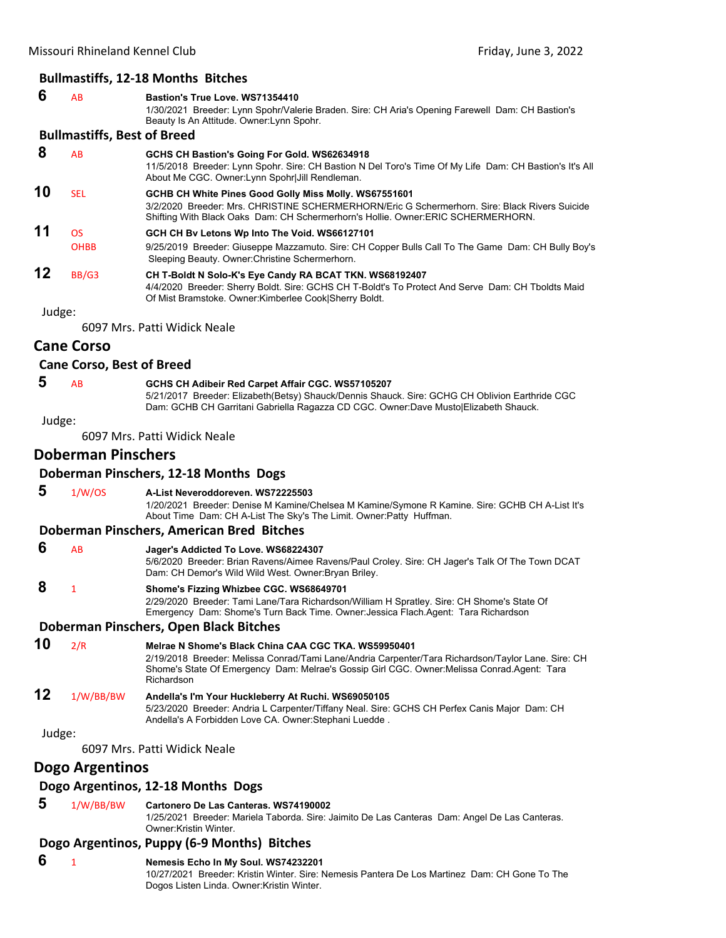#### **Bullmastiffs, 12‐18 Months Bitches**

#### **6** AB **Bastion's True Love. WS71354410**

1/30/2021 Breeder: Lynn Spohr/Valerie Braden. Sire: CH Aria's Opening Farewell Dam: CH Bastion's Beauty Is An Attitude. Owner:Lynn Spohr.

#### **Bullmastiffs, Best of Breed**

 **8** AB **GCHS CH Bastion's Going For Gold. WS62634918** 11/5/2018 Breeder: Lynn Spohr. Sire: CH Bastion N Del Toro's Time Of My Life Dam: CH Bastion's It's All About Me CGC. Owner:Lynn Spohr|Jill Rendleman. **10** SEL **GCHB CH White Pines Good Golly Miss Molly. WS67551601** 3/2/2020 Breeder: Mrs. CHRISTINE SCHERMERHORN/Eric G Schermerhorn. Sire: Black Rivers Suicide Shifting With Black Oaks Dam: CH Schermerhorn's Hollie. Owner:ERIC SCHERMERHORN. **11** OS **GCH CH Bv Letons Wp Into The Void. WS66127101** OHBB 9/25/2019 Breeder: Giuseppe Mazzamuto. Sire: CH Copper Bulls Call To The Game Dam: CH Bully Boy's Sleeping Beauty. Owner:Christine Schermerhorn. **12** BB/G3 **CH T-Boldt N Solo-K's Eye Candy RA BCAT TKN. WS68192407** 4/4/2020 Breeder: Sherry Boldt. Sire: GCHS CH T-Boldt's To Protect And Serve Dam: CH Tboldts Maid Of Mist Bramstoke. Owner:Kimberlee Cook|Sherry Boldt.

Judge:

6097 Mrs. Patti Widick Neale

#### **Cane Corso**

#### **Cane Corso, Best of Breed**

#### **5** AB **GCHS CH Adibeir Red Carpet Affair CGC. WS57105207**

5/21/2017 Breeder: Elizabeth(Betsy) Shauck/Dennis Shauck. Sire: GCHG CH Oblivion Earthride CGC Dam: GCHB CH Garritani Gabriella Ragazza CD CGC. Owner:Dave Musto|Elizabeth Shauck.

Judge:

6097 Mrs. Patti Widick Neale

#### **Doberman Pinschers**

#### **Doberman Pinschers, 12‐18 Months Dogs**

 **5** 1/W/OS **A-List Neveroddoreven. WS72225503**

1/20/2021 Breeder: Denise M Kamine/Chelsea M Kamine/Symone R Kamine. Sire: GCHB CH A-List It's About Time Dam: CH A-List The Sky's The Limit. Owner:Patty Huffman.

#### **Doberman Pinschers, American Bred Bitches**

 **6** AB **Jager's Addicted To Love. WS68224307**

5/6/2020 Breeder: Brian Ravens/Aimee Ravens/Paul Croley. Sire: CH Jager's Talk Of The Town DCAT Dam: CH Demor's Wild Wild West. Owner:Bryan Briley.

 **8** <sup>1</sup> **Shome's Fizzing Whizbee CGC. WS68649701**

2/29/2020 Breeder: Tami Lane/Tara Richardson/William H Spratley. Sire: CH Shome's State Of Emergency Dam: Shome's Turn Back Time. Owner:Jessica Flach.Agent: Tara Richardson

#### **Doberman Pinschers, Open Black Bitches**

## **10** 2/R **Melrae N Shome's Black China CAA CGC TKA. WS59950401**

2/19/2018 Breeder: Melissa Conrad/Tami Lane/Andria Carpenter/Tara Richardson/Taylor Lane. Sire: CH Shome's State Of Emergency Dam: Melrae's Gossip Girl CGC. Owner:Melissa Conrad.Agent: Tara Richardson

## **12** 1/W/BB/BW **Andella's I'm Your Huckleberry At Ruchi. WS69050105**

5/23/2020 Breeder: Andria L Carpenter/Tiffany Neal. Sire: GCHS CH Perfex Canis Major Dam: CH Andella's A Forbidden Love CA. Owner:Stephani Luedde .

Judge:

6097 Mrs. Patti Widick Neale

#### **Dogo Argentinos**

#### **Dogo Argentinos, 12‐18 Months Dogs**

 **5** 1/W/BB/BW **Cartonero De Las Canteras. WS74190002**

1/25/2021 Breeder: Mariela Taborda. Sire: Jaimito De Las Canteras Dam: Angel De Las Canteras. Owner:Kristin Winter.

#### **Dogo Argentinos, Puppy (6‐9 Months) Bitches**

#### **6** <sup>1</sup> **Nemesis Echo In My Soul. WS74232201**

10/27/2021 Breeder: Kristin Winter. Sire: Nemesis Pantera De Los Martinez Dam: CH Gone To The Dogos Listen Linda. Owner:Kristin Winter.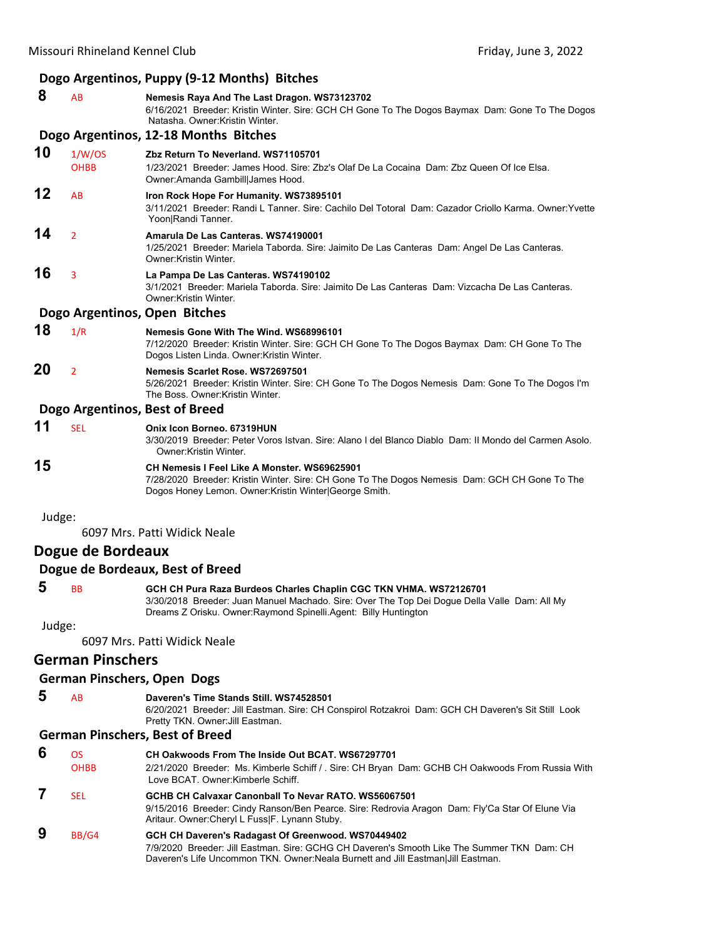|        |                          | Dogo Argentinos, Puppy (9-12 Months) Bitches                                                                                                                                                                                           |
|--------|--------------------------|----------------------------------------------------------------------------------------------------------------------------------------------------------------------------------------------------------------------------------------|
| 8      | AB                       | Nemesis Raya And The Last Dragon. WS73123702<br>6/16/2021 Breeder: Kristin Winter. Sire: GCH CH Gone To The Dogos Baymax Dam: Gone To The Dogos<br>Natasha, Owner: Kristin Winter.                                                     |
|        |                          | Dogo Argentinos, 12-18 Months Bitches                                                                                                                                                                                                  |
| 10     | 1/W/OS<br><b>OHBB</b>    | Zbz Return To Neverland. WS71105701<br>1/23/2021 Breeder: James Hood. Sire: Zbz's Olaf De La Cocaina Dam: Zbz Queen Of Ice Elsa.<br>Owner: Amanda Gambill James Hood.                                                                  |
| 12     | AB                       | <b>Iron Rock Hope For Humanity. WS73895101</b><br>3/11/2021 Breeder: Randi L Tanner. Sire: Cachilo Del Totoral Dam: Cazador Criollo Karma. Owner: Yvette<br>Yoon Randi Tanner.                                                         |
| 14     | $\overline{2}$           | Amarula De Las Canteras. WS74190001<br>1/25/2021 Breeder: Mariela Taborda. Sire: Jaimito De Las Canteras Dam: Angel De Las Canteras.<br>Owner: Kristin Winter.                                                                         |
| 16     | 3                        | La Pampa De Las Canteras. WS74190102<br>3/1/2021 Breeder: Mariela Taborda, Sire: Jaimito De Las Canteras Dam: Vizcacha De Las Canteras,<br>Owner: Kristin Winter.                                                                      |
|        |                          | Dogo Argentinos, Open Bitches                                                                                                                                                                                                          |
| 18     | 1/R                      | Nemesis Gone With The Wind. WS68996101<br>7/12/2020 Breeder: Kristin Winter. Sire: GCH CH Gone To The Dogos Baymax Dam: CH Gone To The<br>Dogos Listen Linda. Owner: Kristin Winter.                                                   |
| 20     | $\overline{2}$           | Nemesis Scarlet Rose, WS72697501<br>5/26/2021 Breeder: Kristin Winter. Sire: CH Gone To The Dogos Nemesis Dam: Gone To The Dogos I'm<br>The Boss, Owner Kristin Winter.                                                                |
|        |                          | Dogo Argentinos, Best of Breed                                                                                                                                                                                                         |
| 11     | <b>SEL</b>               | Onix Icon Borneo, 67319HUN<br>3/30/2019 Breeder: Peter Voros Istvan. Sire: Alano I del Blanco Diablo Dam: Il Mondo del Carmen Asolo.<br>Owner: Kristin Winter.                                                                         |
| 15     |                          | CH Nemesis I Feel Like A Monster. WS69625901<br>7/28/2020 Breeder: Kristin Winter. Sire: CH Gone To The Dogos Nemesis Dam: GCH CH Gone To The<br>Dogos Honey Lemon. Owner: Kristin Winter George Smith.                                |
| Judge: |                          |                                                                                                                                                                                                                                        |
|        |                          | 6097 Mrs. Patti Widick Neale                                                                                                                                                                                                           |
|        | Dogue de Bordeaux        |                                                                                                                                                                                                                                        |
|        |                          | Dogue de Bordeaux, Best of Breed                                                                                                                                                                                                       |
| 5      | BB                       | GCH CH Pura Raza Burdeos Charles Chaplin CGC TKN VHMA, WS72126701<br>3/30/2018 Breeder: Juan Manuel Machado. Sire: Over The Top Dei Dogue Della Valle Dam: All My<br>Dreams Z Orisku. Owner: Raymond Spinelli. Agent: Billy Huntington |
| Judge: |                          |                                                                                                                                                                                                                                        |
|        |                          | 6097 Mrs. Patti Widick Neale                                                                                                                                                                                                           |
|        | <b>German Pinschers</b>  |                                                                                                                                                                                                                                        |
|        |                          | <b>German Pinschers, Open Dogs</b>                                                                                                                                                                                                     |
| 5      | AB                       | Daveren's Time Stands Still. WS74528501<br>6/20/2021 Breeder: Jill Eastman. Sire: CH Conspirol Rotzakroi Dam: GCH CH Daveren's Sit Still Look<br>Pretty TKN. Owner: Jill Eastman.                                                      |
|        |                          | <b>German Pinschers, Best of Breed</b>                                                                                                                                                                                                 |
| 6      | <b>OS</b><br><b>OHBB</b> | CH Oakwoods From The Inside Out BCAT. WS67297701<br>2/21/2020 Breeder: Ms. Kimberle Schiff / . Sire: CH Bryan Dam: GCHB CH Oakwoods From Russia With<br>Love BCAT. Owner: Kimberle Schiff.                                             |

 **7** SEL **GCHB CH Calvaxar Canonball To Nevar RATO. WS56067501** 9/15/2016 Breeder: Cindy Ranson/Ben Pearce. Sire: Redrovia Aragon Dam: Fly'Ca Star Of Elune Via Aritaur. Owner:Cheryl L Fuss|F. Lynann Stuby.

#### **9** BB/G4 **GCH CH Daveren's Radagast Of Greenwood. WS70449402** 7/9/2020 Breeder: Jill Eastman. Sire: GCHG CH Daveren's Smooth Like The Summer TKN Dam: CH Daveren's Life Uncommon TKN. Owner:Neala Burnett and Jill Eastman|Jill Eastman.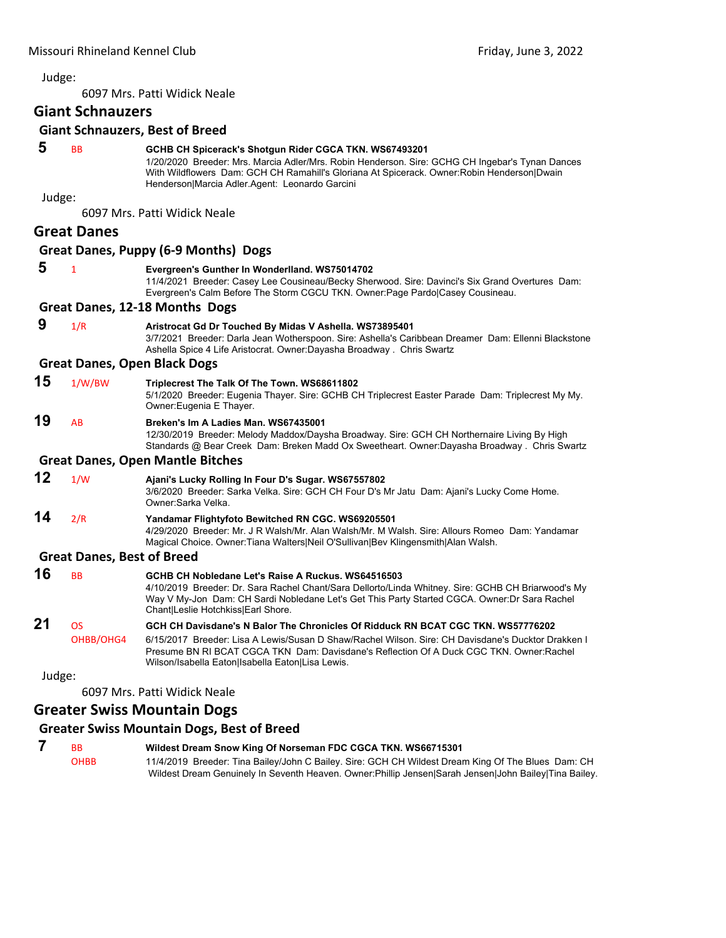6097 Mrs. Patti Widick Neale

## **Giant Schnauzers**

#### **Giant Schnauzers, Best of Breed**

| 5      | <b>BB</b>                         | GCHB CH Spicerack's Shotgun Rider CGCA TKN. WS67493201<br>1/20/2020 Breeder: Mrs. Marcia Adler/Mrs. Robin Henderson. Sire: GCHG CH Ingebar's Tynan Dances<br>With Wildflowers Dam: GCH CH Ramahill's Gloriana At Spicerack. Owner: Robin Henderson Dwain<br>Henderson Marcia Adler.Agent: Leonardo Garcini                             |
|--------|-----------------------------------|----------------------------------------------------------------------------------------------------------------------------------------------------------------------------------------------------------------------------------------------------------------------------------------------------------------------------------------|
| Judge: |                                   |                                                                                                                                                                                                                                                                                                                                        |
|        |                                   | 6097 Mrs. Patti Widick Neale                                                                                                                                                                                                                                                                                                           |
|        | <b>Great Danes</b>                |                                                                                                                                                                                                                                                                                                                                        |
|        |                                   | Great Danes, Puppy (6-9 Months) Dogs                                                                                                                                                                                                                                                                                                   |
| 5      | $\mathbf{1}$                      | Evergreen's Gunther In Wonderlland. WS75014702<br>11/4/2021 Breeder: Casey Lee Cousineau/Becky Sherwood. Sire: Davinci's Six Grand Overtures Dam:<br>Evergreen's Calm Before The Storm CGCU TKN. Owner:Page Pardo Casey Cousineau.                                                                                                     |
|        |                                   | Great Danes, 12-18 Months Dogs                                                                                                                                                                                                                                                                                                         |
| 9      | 1/R                               | Aristrocat Gd Dr Touched By Midas V Ashella. WS73895401<br>3/7/2021 Breeder: Darla Jean Wotherspoon. Sire: Ashella's Caribbean Dreamer Dam: Ellenni Blackstone<br>Ashella Spice 4 Life Aristocrat. Owner: Dayasha Broadway. Chris Swartz                                                                                               |
|        |                                   | <b>Great Danes, Open Black Dogs</b>                                                                                                                                                                                                                                                                                                    |
| 15     | 1/W/BW                            | Triplecrest The Talk Of The Town. WS68611802<br>5/1/2020 Breeder: Eugenia Thayer. Sire: GCHB CH Triplecrest Easter Parade Dam: Triplecrest My My.<br>Owner: Eugenia E Thayer.                                                                                                                                                          |
| 19     | AB                                | Breken's Im A Ladies Man. WS67435001<br>12/30/2019 Breeder: Melody Maddox/Daysha Broadway. Sire: GCH CH Northernaire Living By High<br>Standards @ Bear Creek Dam: Breken Madd Ox Sweetheart. Owner:Dayasha Broadway . Chris Swartz                                                                                                    |
|        |                                   | <b>Great Danes, Open Mantle Bitches</b>                                                                                                                                                                                                                                                                                                |
| 12     | 1/W                               | Ajani's Lucky Rolling In Four D's Sugar. WS67557802<br>3/6/2020 Breeder: Sarka Velka. Sire: GCH CH Four D's Mr Jatu Dam: Ajani's Lucky Come Home.<br>Owner:Sarka Velka.                                                                                                                                                                |
| 14     | 2/R                               | Yandamar Flightyfoto Bewitched RN CGC. WS69205501<br>4/29/2020 Breeder: Mr. J R Walsh/Mr. Alan Walsh/Mr. M Walsh. Sire: Allours Romeo Dam: Yandamar<br>Magical Choice. Owner: Tiana Walters Neil O'Sullivan Bev Klingensmith Alan Walsh.                                                                                               |
|        | <b>Great Danes, Best of Breed</b> |                                                                                                                                                                                                                                                                                                                                        |
| 16     | <b>BB</b>                         | GCHB CH Nobledane Let's Raise A Ruckus, WS64516503<br>4/10/2019 Breeder: Dr. Sara Rachel Chant/Sara Dellorto/Linda Whitney. Sire: GCHB CH Briarwood's My<br>Way V My-Jon Dam: CH Sardi Nobledane Let's Get This Party Started CGCA. Owner:Dr Sara Rachel<br>Chant Leslie Hotchkiss Earl Shore.                                         |
| 21     | OS<br>OHBB/OHG4                   | GCH CH Davisdane's N Balor The Chronicles Of Ridduck RN BCAT CGC TKN, WS57776202<br>6/15/2017 Breeder: Lisa A Lewis/Susan D Shaw/Rachel Wilson, Sire: CH Davisdane's Ducktor Drakken I<br>Presume BN RI BCAT CGCA TKN Dam: Davisdane's Reflection Of A Duck CGC TKN. Owner: Rachel<br>Wilson/Isabella Eaton Isabella Eaton Lisa Lewis. |
| Judge: |                                   |                                                                                                                                                                                                                                                                                                                                        |

6097 Mrs. Patti Widick Neale

#### **Greater Swiss Mountain Dogs**

#### **Greater Swiss Mountain Dogs, Best of Breed**

**7** BB **Wildest Dream Snow King Of Norseman FDC CGCA TKN. WS66715301**<br>OHBB 11/4/2019 Breeder: Tina Bailey/John C Bailey. Sire: GCH CH Wildest Drean 11/4/2019 Breeder: Tina Bailey/John C Bailey. Sire: GCH CH Wildest Dream King Of The Blues Dam: CH Wildest Dream Genuinely In Seventh Heaven. Owner:Phillip Jensen|Sarah Jensen|John Bailey|Tina Bailey.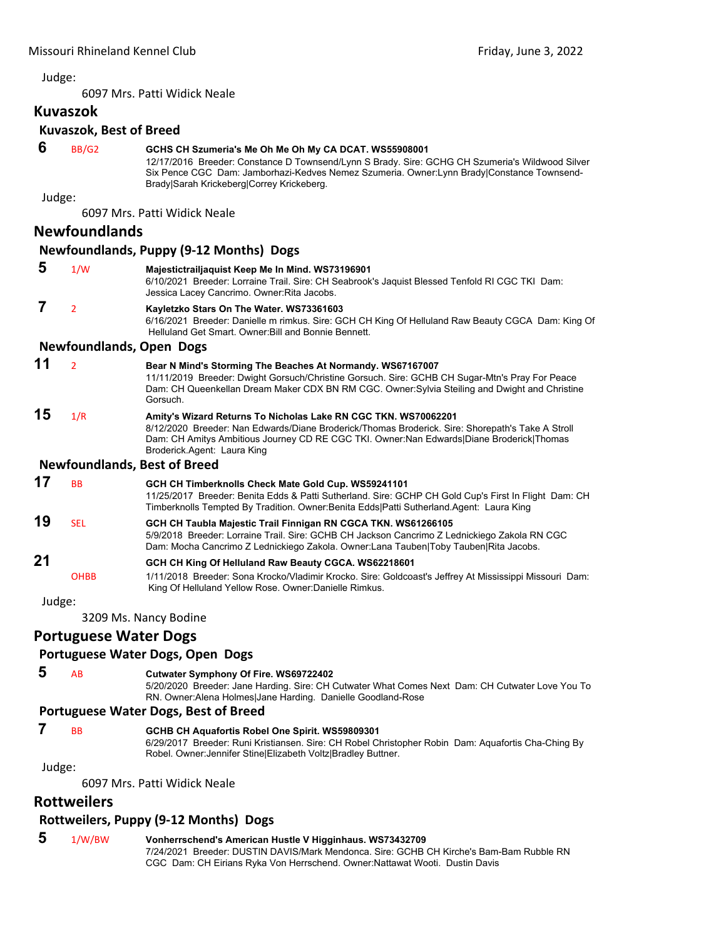6097 Mrs. Patti Widick Neale

#### **Kuvaszok**

#### **Kuvaszok, Best of Breed**

| 6         | BB/G2                | GCHS CH Szumeria's Me Oh Me Oh My CA DCAT. WS55908001<br>12/17/2016 Breeder: Constance D Townsend/Lynn S Brady. Sire: GCHG CH Szumeria's Wildwood Silver<br>Six Pence CGC Dam: Jamborhazi-Kedves Nemez Szumeria. Owner:Lynn Brady Constance Townsend-<br>Brady Sarah Krickeberg Correy Krickeberg. |
|-----------|----------------------|----------------------------------------------------------------------------------------------------------------------------------------------------------------------------------------------------------------------------------------------------------------------------------------------------|
| Judge:    |                      |                                                                                                                                                                                                                                                                                                    |
|           |                      | 6097 Mrs. Patti Widick Neale                                                                                                                                                                                                                                                                       |
|           | <b>Newfoundlands</b> |                                                                                                                                                                                                                                                                                                    |
|           |                      | <b>Newfoundlands, Puppy (9-12 Months) Dogs</b>                                                                                                                                                                                                                                                     |
| 5         | 1/W                  | Majestictrailjaquist Keep Me In Mind. WS73196901<br>6/10/2021 Breeder: Lorraine Trail. Sire: CH Seabrook's Jaquist Blessed Tenfold RI CGC TKI Dam:<br>Jessica Lacey Cancrimo. Owner: Rita Jacobs.                                                                                                  |
| 7         | $\overline{2}$       | Kayletzko Stars On The Water. WS73361603<br>6/16/2021 Breeder: Danielle m rimkus. Sire: GCH CH King Of Helluland Raw Beauty CGCA Dam: King Of<br>Helluland Get Smart, Owner: Bill and Bonnie Bennett,                                                                                              |
|           |                      | <b>Newfoundlands, Open Dogs</b>                                                                                                                                                                                                                                                                    |
| 11        | $\overline{2}$       | Bear N Mind's Storming The Beaches At Normandy. WS67167007<br>11/11/2019 Breeder: Dwight Gorsuch/Christine Gorsuch. Sire: GCHB CH Sugar-Mtn's Pray For Peace<br>Dam: CH Queenkellan Dream Maker CDX BN RM CGC. Owner: Sylvia Steiling and Dwight and Christine<br>Gorsuch.                         |
| 15        | 1/R                  | Amity's Wizard Returns To Nicholas Lake RN CGC TKN. WS70062201<br>8/12/2020 Breeder: Nan Edwards/Diane Broderick/Thomas Broderick. Sire: Shorepath's Take A Stroll<br>Dam: CH Amitys Ambitious Journey CD RE CGC TKI. Owner: Nan Edwards Diane Broderick Thomas<br>Broderick.Agent: Laura King     |
|           |                      | <b>Newfoundlands, Best of Breed</b>                                                                                                                                                                                                                                                                |
| 17        | <b>BB</b>            | GCH CH Timberknolls Check Mate Gold Cup. WS59241101<br>11/25/2017 Breeder: Benita Edds & Patti Sutherland. Sire: GCHP CH Gold Cup's First In Flight Dam: CH<br>Timberknolls Tempted By Tradition. Owner: Benita Edds Patti Sutherland. Agent: Laura King                                           |
| 19        | <b>SEL</b>           | GCH CH Taubla Majestic Trail Finnigan RN CGCA TKN. WS61266105<br>5/9/2018 Breeder: Lorraine Trail. Sire: GCHB CH Jackson Cancrimo Z Lednickiego Zakola RN CGC<br>Dam: Mocha Cancrimo Z Lednickiego Zakola. Owner:Lana Tauben Toby Tauben Rita Jacobs.                                              |
| 21        |                      | GCH CH King Of Helluland Raw Beauty CGCA. WS62218601                                                                                                                                                                                                                                               |
|           | <b>OHBB</b>          | 1/11/2018 Breeder: Sona Krocko/Vladimir Krocko. Sire: Goldcoast's Jeffrey At Mississippi Missouri Dam:<br>King Of Helluland Yellow Rose. Owner: Danielle Rimkus.                                                                                                                                   |
| المسامينا |                      |                                                                                                                                                                                                                                                                                                    |

Judge:

3209 Ms. Nancy Bodine

#### **Portuguese Water Dogs**

#### **Portuguese Water Dogs, Open Dogs**

 **5** AB **Cutwater Symphony Of Fire. WS69722402**

5/20/2020 Breeder: Jane Harding. Sire: CH Cutwater What Comes Next Dam: CH Cutwater Love You To RN. Owner:Alena Holmes|Jane Harding. Danielle Goodland-Rose

#### **Portuguese Water Dogs, Best of Breed**

- 
- **7** BB **GCHB CH Aquafortis Robel One Spirit. WS59809301**

6/29/2017 Breeder: Runi Kristiansen. Sire: CH Robel Christopher Robin Dam: Aquafortis Cha-Ching By Robel. Owner:Jennifer Stine|Elizabeth Voltz|Bradley Buttner.

Judge:

6097 Mrs. Patti Widick Neale

#### **Rottweilers**

#### **Rottweilers, Puppy (9‐12 Months) Dogs**

 **5** 1/W/BW **Vonherrschend's American Hustle V Higginhaus. WS73432709** 7/24/2021 Breeder: DUSTIN DAVIS/Mark Mendonca. Sire: GCHB CH Kirche's Bam-Bam Rubble RN CGC Dam: CH Eirians Ryka Von Herrschend. Owner:Nattawat Wooti. Dustin Davis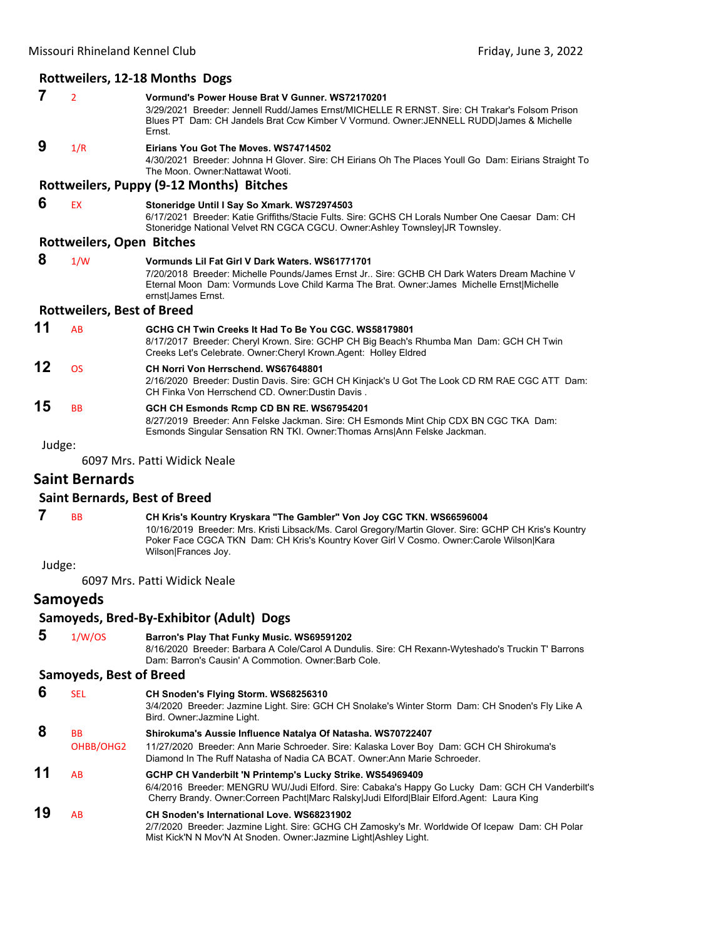#### **Rottweilers, 12‐18 Months Dogs**

 **7** <sup>2</sup> **Vormund's Power House Brat V Gunner. WS72170201** 3/29/2021 Breeder: Jennell Rudd/James Ernst/MICHELLE R ERNST. Sire: CH Trakar's Folsom Prison Blues PT Dam: CH Jandels Brat Ccw Kimber V Vormund. Owner:JENNELL RUDD|James & Michelle Ernst.  **9** 1/R **Eirians You Got The Moves. WS74714502** 4/30/2021 Breeder: Johnna H Glover. Sire: CH Eirians Oh The Places Youll Go Dam: Eirians Straight To The Moon. Owner:Nattawat Wooti. **Rottweilers, Puppy (9‐12 Months) Bitches 6** EX **Stoneridge Until I Say So Xmark. WS72974503** 6/17/2021 Breeder: Katie Griffiths/Stacie Fults. Sire: GCHS CH Lorals Number One Caesar Dam: CH Stoneridge National Velvet RN CGCA CGCU. Owner:Ashley Townsley|JR Townsley. **Rottweilers, Open Bitches 8** 1/W **Vormunds Lil Fat Girl V Dark Waters. WS61771701** 7/20/2018 Breeder: Michelle Pounds/James Ernst Jr.. Sire: GCHB CH Dark Waters Dream Machine V Eternal Moon Dam: Vormunds Love Child Karma The Brat. Owner:James Michelle Ernst|Michelle ernst|James Ernst. **Rottweilers, Best of Breed 11** AB **GCHG CH Twin Creeks It Had To Be You CGC. WS58179801** 8/17/2017 Breeder: Cheryl Krown. Sire: GCHP CH Big Beach's Rhumba Man Dam: GCH CH Twin Creeks Let's Celebrate. Owner:Cheryl Krown.Agent: Holley Eldred **12** OS **CH Norri Von Herrschend. WS67648801** 2/16/2020 Breeder: Dustin Davis. Sire: GCH CH Kinjack's U Got The Look CD RM RAE CGC ATT Dam: CH Finka Von Herrschend CD. Owner:Dustin Davis . **15** BB **GCH CH Esmonds Rcmp CD BN RE. WS67954201** 8/27/2019 Breeder: Ann Felske Jackman. Sire: CH Esmonds Mint Chip CDX BN CGC TKA Dam: Esmonds Singular Sensation RN TKI. Owner:Thomas Arns|Ann Felske Jackman. Judge: 6097 Mrs. Patti Widick Neale

#### **Saint Bernards**

#### **Saint Bernards, Best of Breed**

 **7** BB **CH Kris's Kountry Kryskara "The Gambler" Von Joy CGC TKN. WS66596004** 10/16/2019 Breeder: Mrs. Kristi Libsack/Ms. Carol Gregory/Martin Glover. Sire: GCHP CH Kris's Kountry Poker Face CGCA TKN Dam: CH Kris's Kountry Kover Girl V Cosmo. Owner:Carole Wilson|Kara Wilson|Frances Joy.

Judge:

6097 Mrs. Patti Widick Neale

#### **Samoyeds**

#### **Samoyeds, Bred‐By‐Exhibitor (Adult) Dogs**

 **5** 1/W/OS **Barron's Play That Funky Music. WS69591202** 8/16/2020 Breeder: Barbara A Cole/Carol A Dundulis. Sire: CH Rexann-Wyteshado's Truckin T' Barrons Dam: Barron's Causin' A Commotion. Owner:Barb Cole.

#### **Samoyeds, Best of Breed**

| 6  | <b>SEL</b>             | CH Snoden's Flying Storm. WS68256310<br>3/4/2020 Breeder: Jazmine Light. Sire: GCH CH Snolake's Winter Storm Dam: CH Snoden's Fly Like A<br>Bird. Owner: Jazmine Light.                                                                                   |
|----|------------------------|-----------------------------------------------------------------------------------------------------------------------------------------------------------------------------------------------------------------------------------------------------------|
| 8  | <b>BB</b><br>OHBB/OHG2 | Shirokuma's Aussie Influence Natalya Of Natasha. WS70722407<br>11/27/2020 Breeder: Ann Marie Schroeder. Sire: Kalaska Lover Boy Dam: GCH CH Shirokuma's<br>Diamond In The Ruff Natasha of Nadia CA BCAT, Owner:Ann Marie Schroeder,                       |
| 11 | AB                     | GCHP CH Vanderbilt 'N Printemp's Lucky Strike. WS54969409<br>6/4/2016 Breeder: MENGRU WU/Judi Elford. Sire: Cabaka's Happy Go Lucky Dam: GCH CH Vanderbilt's<br>Cherry Brandy. Owner:Correen Pacht Marc Ralsky Judi Elford Blair Elford.Agent: Laura King |
| 19 | AB.                    | <b>CH Snoden's International Love. WS68231902</b><br>2/7/2020 Breeder: Jazmine Light. Sire: GCHG CH Zamosky's Mr. Worldwide Of Icepaw Dam: CH Polar<br>Mist Kick'N N Mov'N At Snoden. Owner: Jazmine Light Ashley Light.                                  |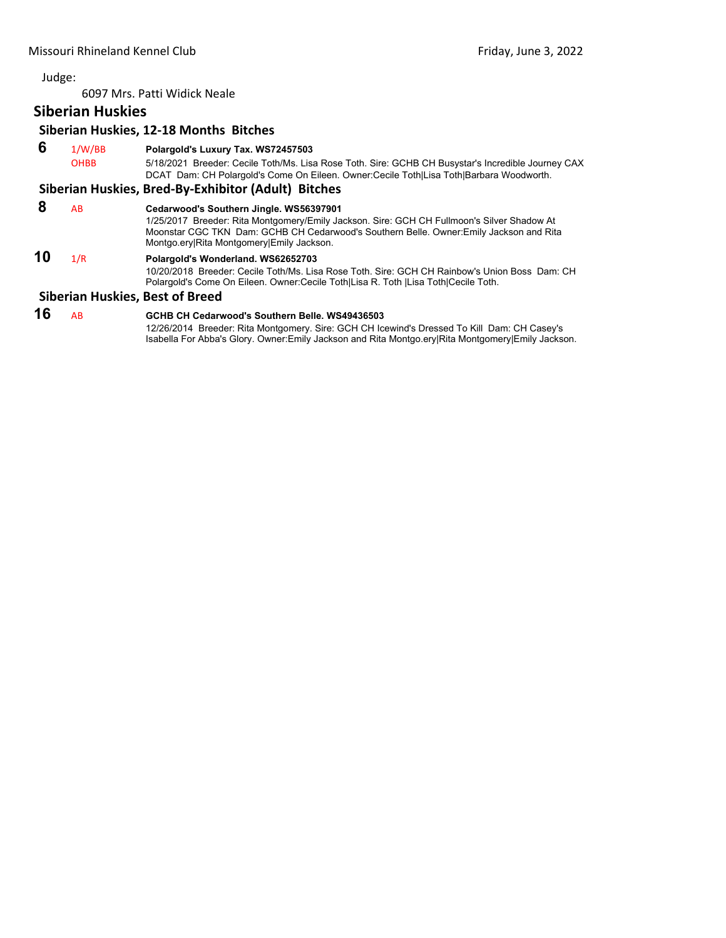6097 Mrs. Patti Widick Neale

#### **Siberian Huskies**

#### **Siberian Huskies, 12‐18 Months Bitches**

 **6** 1/W/BB **Polargold's Luxury Tax. WS72457503** OHBB 5/18/2021 Breeder: Cecile Toth/Ms. Lisa Rose Toth. Sire: GCHB CH Busystar's Incredible Journey CAX DCAT Dam: CH Polargold's Come On Eileen. Owner:Cecile Toth|Lisa Toth|Barbara Woodworth.

#### **Siberian Huskies, Bred‐By‐Exhibitor (Adult) Bitches**

#### **8** AB **Cedarwood's Southern Jingle. WS56397901**

1/25/2017 Breeder: Rita Montgomery/Emily Jackson. Sire: GCH CH Fullmoon's Silver Shadow At Moonstar CGC TKN Dam: GCHB CH Cedarwood's Southern Belle. Owner:Emily Jackson and Rita Montgo.ery|Rita Montgomery|Emily Jackson.

#### **10** 1/R **Polargold's Wonderland. WS62652703**

10/20/2018 Breeder: Cecile Toth/Ms. Lisa Rose Toth. Sire: GCH CH Rainbow's Union Boss Dam: CH Polargold's Come On Eileen. Owner:Cecile Toth|Lisa R. Toth |Lisa Toth|Cecile Toth.

#### **Siberian Huskies, Best of Breed**

## **16** AB **GCHB CH Cedarwood's Southern Belle. WS49436503**

12/26/2014 Breeder: Rita Montgomery. Sire: GCH CH Icewind's Dressed To Kill Dam: CH Casey's Isabella For Abba's Glory. Owner:Emily Jackson and Rita Montgo.ery|Rita Montgomery|Emily Jackson.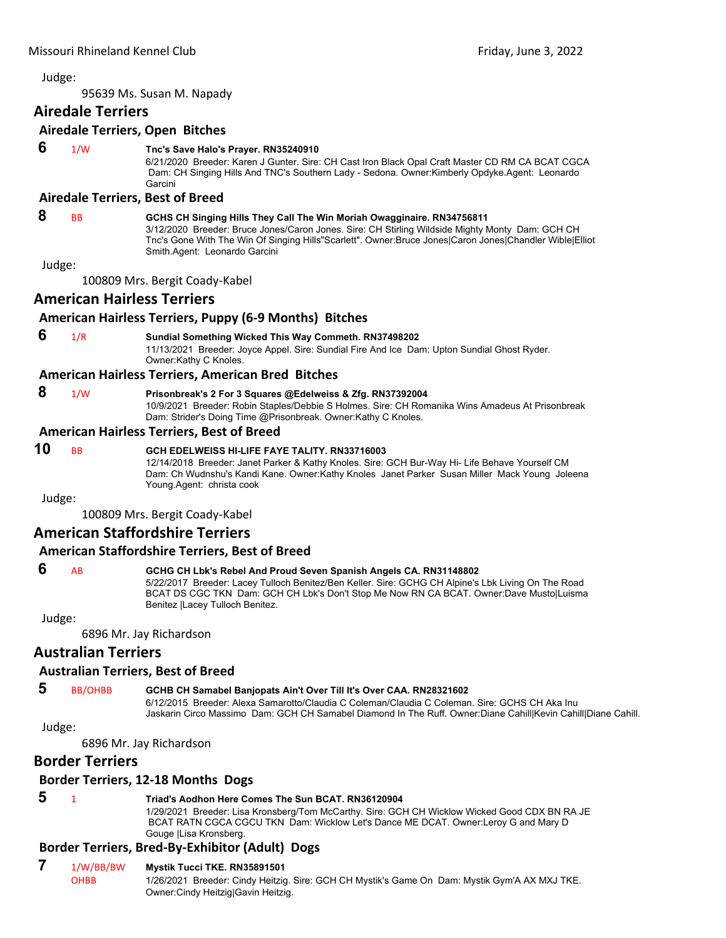<span id="page-35-0"></span>95639 Ms. Susan M. Napady

#### **Airedale Terriers**

#### **Airedale Terriers, Open Bitches**

#### **6** 1/W **Tnc's Save Halo's Prayer. RN35240910**

6/21/2020 Breeder: Karen J Gunter. Sire: CH Cast Iron Black Opal Craft Master CD RM CA BCAT CGCA Dam: CH Singing Hills And TNC's Southern Lady - Sedona. Owner:Kimberly Opdyke.Agent: Leonardo Garcini

#### **Airedale Terriers, Best of Breed**

#### **8** BB **GCHS CH Singing Hills They Call The Win Moriah Owagginaire. RN34756811**

3/12/2020 Breeder: Bruce Jones/Caron Jones. Sire: CH Stirling Wildside Mighty Monty Dam: GCH CH Tnc's Gone With The Win Of Singing Hills"Scarlett". Owner:Bruce Jones|Caron Jones|Chandler Wible|Elliot Smith.Agent: Leonardo Garcini

Judge:

100809 Mrs. Bergit Coady‐Kabel

#### **American Hairless Terriers**

#### **American Hairless Terriers, Puppy (6‐9 Months) Bitches**

#### **6** 1/R **Sundial Something Wicked This Way Commeth. RN37498202** 11/13/2021 Breeder: Joyce Appel. Sire: Sundial Fire And Ice Dam: Upton Sundial Ghost Ryder. Owner:Kathy C Knoles.

#### **American Hairless Terriers, American Bred Bitches**

#### **8** 1/W **Prisonbreak's 2 For 3 Squares @Edelweiss & Zfg. RN37392004**

10/9/2021 Breeder: Robin Staples/Debbie S Holmes. Sire: CH Romanika Wins Amadeus At Prisonbreak Dam: Strider's Doing Time @Prisonbreak. Owner:Kathy C Knoles.

#### **American Hairless Terriers, Best of Breed**

#### **10** BB **GCH EDELWEISS HI-LIFE FAYE TALITY. RN33716003**

12/14/2018 Breeder: Janet Parker & Kathy Knoles. Sire: GCH Bur-Way Hi- Life Behave Yourself CM Dam: Ch Wudnshu's Kandi Kane. Owner:Kathy Knoles Janet Parker Susan Miller Mack Young Joleena Young.Agent: christa cook

Judge:

100809 Mrs. Bergit Coady‐Kabel

#### **American Staffordshire Terriers**

#### **American Staffordshire Terriers, Best of Breed**

#### **6** AB **GCHG CH Lbk's Rebel And Proud Seven Spanish Angels CA. RN31148802**

5/22/2017 Breeder: Lacey Tulloch Benitez/Ben Keller. Sire: GCHG CH Alpine's Lbk Living On The Road BCAT DS CGC TKN Dam: GCH CH Lbk's Don't Stop Me Now RN CA BCAT. Owner:Dave Musto|Luisma Benitez |Lacey Tulloch Benitez.

Judge:

6896 Mr. Jay Richardson

#### **Australian Terriers**

#### **Australian Terriers, Best of Breed**

#### **5** BB/OHBB **GCHB CH Samabel Banjopats Ain't Over Till It's Over CAA. RN28321602**

6/12/2015 Breeder: Alexa Samarotto/Claudia C Coleman/Claudia C Coleman. Sire: GCHS CH Aka Inu Jaskarin Circo Massimo Dam: GCH CH Samabel Diamond In The Ruff. Owner:Diane Cahill|Kevin Cahill|Diane Cahill.

Judge:

6896 Mr. Jay Richardson

#### **Border Terriers**

#### **Border Terriers, 12‐18 Months Dogs**

#### **5** <sup>1</sup> **Triad's Aodhon Here Comes The Sun BCAT. RN36120904**

1/29/2021 Breeder: Lisa Kronsberg/Tom McCarthy. Sire: GCH CH Wicklow Wicked Good CDX BN RA JE BCAT RATN CGCA CGCU TKN Dam: Wicklow Let's Dance ME DCAT. Owner:Leroy G and Mary D Gouge |Lisa Kronsberg.

#### **Border Terriers, Bred‐By‐Exhibitor (Adult) Dogs**

#### **7** 1/W/BB/BW **Mystik Tucci TKE. RN35891501**

OHBB 1/26/2021 Breeder: Cindy Heitzig. Sire: GCH CH Mystik's Game On Dam: Mystik Gym'A AX MXJ TKE. Owner:Cindy Heitzig|Gavin Heitzig.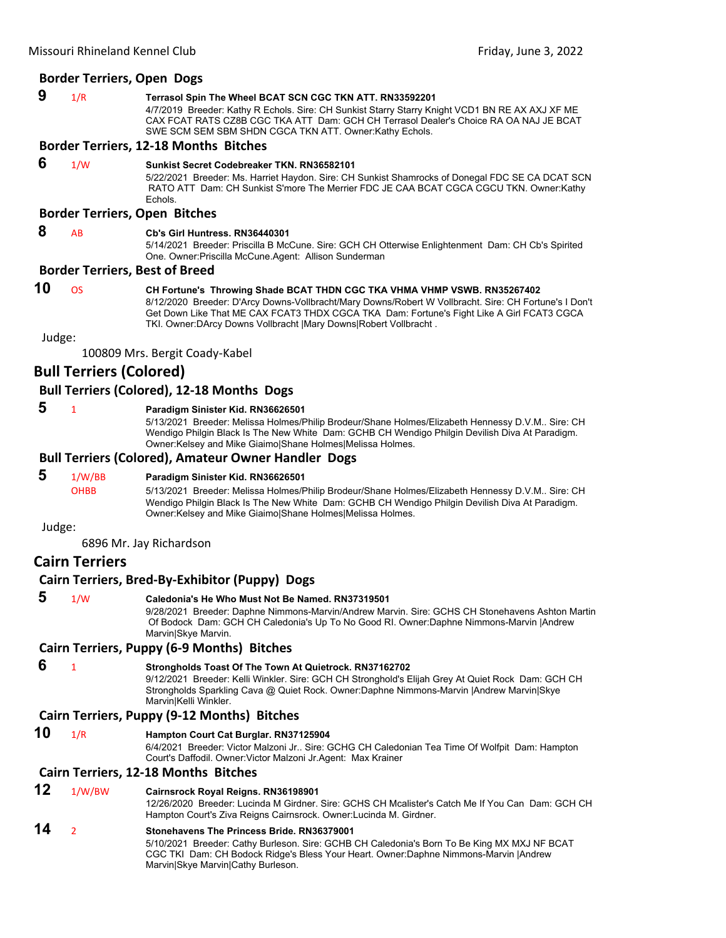#### **Border Terriers, Open Dogs**

| 9 | 1/R | Terrasol Spin The Wheel BCAT SCN CGC TKN ATT. RN33592201                                        |
|---|-----|-------------------------------------------------------------------------------------------------|
|   |     | 4/7/2019 Breeder: Kathy R Echols. Sire: CH Sunkist Starry Starry Knight VCD1 BN RE AX AXJ XF ME |
|   |     | CAX FCAT RATS CZ8B CGC TKA ATT Dam: GCH CH Terrasol Dealer's Choice RA OA NAJ JE BCAT           |
|   |     | SWE SCM SEM SBM SHDN CGCA TKN ATT. Owner:Kathy Echols.                                          |

#### **Border Terriers, 12‐18 Months Bitches**

# **6** 1/W **Sunkist Secret Codebreaker TKN. RN36582101**

5/22/2021 Breeder: Ms. Harriet Haydon. Sire: CH Sunkist Shamrocks of Donegal FDC SE CA DCAT SCN RATO ATT Dam: CH Sunkist S'more The Merrier FDC JE CAA BCAT CGCA CGCU TKN. Owner:Kathy **Echols** 

# **Border Terriers, Open Bitches**

# **8** AB **Cb's Girl Huntress. RN36440301**

5/14/2021 Breeder: Priscilla B McCune. Sire: GCH CH Otterwise Enlightenment Dam: CH Cb's Spirited One. Owner:Priscilla McCune.Agent: Allison Sunderman

#### **Border Terriers, Best of Breed**

# **10** OS **CH Fortune's Throwing Shade BCAT THDN CGC TKA VHMA VHMP VSWB. RN35267402**

8/12/2020 Breeder: D'Arcy Downs-Vollbracht/Mary Downs/Robert W Vollbracht. Sire: CH Fortune's I Don't Get Down Like That ME CAX FCAT3 THDX CGCA TKA Dam: Fortune's Fight Like A Girl FCAT3 CGCA TKI. Owner:DArcy Downs Vollbracht |Mary Downs|Robert Vollbracht .

Judge:

100809 Mrs. Bergit Coady‐Kabel

# **Bull Terriers (Colored)**

# **Bull Terriers (Colored), 12‐18 Months Dogs**

#### **5** <sup>1</sup> **Paradigm Sinister Kid. RN36626501**

5/13/2021 Breeder: Melissa Holmes/Philip Brodeur/Shane Holmes/Elizabeth Hennessy D.V.M.. Sire: CH Wendigo Philgin Black Is The New White Dam: GCHB CH Wendigo Philgin Devilish Diva At Paradigm. Owner:Kelsey and Mike Giaimo|Shane Holmes|Melissa Holmes.

# **Bull Terriers (Colored), Amateur Owner Handler Dogs**

# **5** 1/W/BB **Paradigm Sinister Kid. RN36626501**

OHBB 5/13/2021 Breeder: Melissa Holmes/Philip Brodeur/Shane Holmes/Elizabeth Hennessy D.V.M.. Sire: CH Wendigo Philgin Black Is The New White Dam: GCHB CH Wendigo Philgin Devilish Diva At Paradigm. Owner:Kelsey and Mike Giaimo|Shane Holmes|Melissa Holmes.

#### Judge:

6896 Mr. Jay Richardson

# **Cairn Terriers**

# **Cairn Terriers, Bred‐By‐Exhibitor (Puppy) Dogs**

 **5** 1/W **Caledonia's He Who Must Not Be Named. RN37319501**

9/28/2021 Breeder: Daphne Nimmons-Marvin/Andrew Marvin. Sire: GCHS CH Stonehavens Ashton Martin Of Bodock Dam: GCH CH Caledonia's Up To No Good RI. Owner:Daphne Nimmons-Marvin |Andrew Marvin|Skye Marvin.

# **Cairn Terriers, Puppy (6‐9 Months) Bitches**

 **6** <sup>1</sup> **Strongholds Toast Of The Town At Quietrock. RN37162702** 9/12/2021 Breeder: Kelli Winkler. Sire: GCH CH Stronghold's Elijah Grey At Quiet Rock Dam: GCH CH Strongholds Sparkling Cava @ Quiet Rock. Owner:Daphne Nimmons-Marvin |Andrew Marvin|Skye Marvin|Kelli Winkler.

# **Cairn Terriers, Puppy (9‐12 Months) Bitches**

**10** 1/R **Hampton Court Cat Burglar. RN37125904**

6/4/2021 Breeder: Victor Malzoni Jr.. Sire: GCHG CH Caledonian Tea Time Of Wolfpit Dam: Hampton Court's Daffodil. Owner:Victor Malzoni Jr.Agent: Max Krainer

#### **Cairn Terriers, 12‐18 Months Bitches**

# **12** 1/W/BW **Cairnsrock Royal Reigns. RN36198901**

12/26/2020 Breeder: Lucinda M Girdner. Sire: GCHS CH Mcalister's Catch Me If You Can Dam: GCH CH Hampton Court's Ziva Reigns Cairnsrock. Owner:Lucinda M. Girdner.

# **14** <sup>2</sup> **Stonehavens The Princess Bride. RN36379001**

5/10/2021 Breeder: Cathy Burleson. Sire: GCHB CH Caledonia's Born To Be King MX MXJ NF BCAT CGC TKI Dam: CH Bodock Ridge's Bless Your Heart. Owner:Daphne Nimmons-Marvin |Andrew Marvin|Skye Marvin|Cathy Burleson.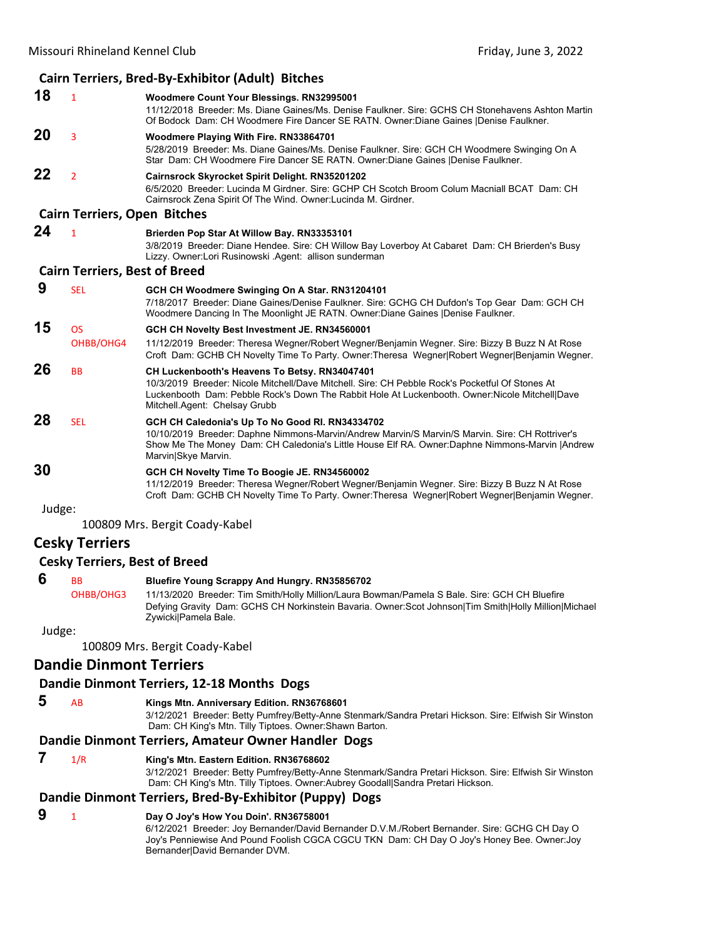|        | Cairn Terriers, Bred-By-Exhibitor (Adult) Bitches |                                                                                                                                                                                                                                                                                      |  |  |
|--------|---------------------------------------------------|--------------------------------------------------------------------------------------------------------------------------------------------------------------------------------------------------------------------------------------------------------------------------------------|--|--|
| 18     | $\mathbf{1}$                                      | Woodmere Count Your Blessings. RN32995001<br>11/12/2018 Breeder: Ms. Diane Gaines/Ms. Denise Faulkner. Sire: GCHS CH Stonehavens Ashton Martin<br>Of Bodock Dam: CH Woodmere Fire Dancer SE RATN. Owner: Diane Gaines   Denise Faulkner.                                             |  |  |
| 20     | 3                                                 | Woodmere Playing With Fire. RN33864701<br>5/28/2019 Breeder: Ms. Diane Gaines/Ms. Denise Faulkner. Sire: GCH CH Woodmere Swinging On A<br>Star Dam: CH Woodmere Fire Dancer SE RATN. Owner:Diane Gaines  Denise Faulkner.                                                            |  |  |
| 22     | $\overline{2}$                                    | Cairnsrock Skyrocket Spirit Delight. RN35201202<br>6/5/2020 Breeder: Lucinda M Girdner, Sire: GCHP CH Scotch Broom Colum Macniall BCAT Dam: CH<br>Cairnsrock Zena Spirit Of The Wind. Owner: Lucinda M. Girdner.                                                                     |  |  |
|        | <b>Cairn Terriers, Open Bitches</b>               |                                                                                                                                                                                                                                                                                      |  |  |
| 24     | $\mathbf{1}$                                      | Brierden Pop Star At Willow Bay. RN33353101<br>3/8/2019 Breeder: Diane Hendee. Sire: CH Willow Bay Loverboy At Cabaret Dam: CH Brierden's Busy<br>Lizzy. Owner:Lori Rusinowski .Agent: allison sunderman                                                                             |  |  |
|        | <b>Cairn Terriers, Best of Breed</b>              |                                                                                                                                                                                                                                                                                      |  |  |
| 9      | <b>SEL</b>                                        | GCH CH Woodmere Swinging On A Star. RN31204101<br>7/18/2017 Breeder: Diane Gaines/Denise Faulkner. Sire: GCHG CH Dufdon's Top Gear Dam: GCH CH<br>Woodmere Dancing In The Moonlight JE RATN. Owner: Diane Gaines   Denise Faulkner.                                                  |  |  |
| 15     | <b>OS</b><br>OHBB/OHG4                            | GCH CH Novelty Best Investment JE. RN34560001<br>11/12/2019 Breeder: Theresa Wegner/Robert Wegner/Benjamin Wegner. Sire: Bizzy B Buzz N At Rose<br>Croft Dam: GCHB CH Novelty Time To Party. Owner: Theresa Wegner Robert Wegner Benjamin Wegner.                                    |  |  |
| 26     | <b>BB</b>                                         | CH Luckenbooth's Heavens To Betsy. RN34047401<br>10/3/2019 Breeder: Nicole Mitchell/Dave Mitchell, Sire: CH Pebble Rock's Pocketful Of Stones At<br>Luckenbooth Dam: Pebble Rock's Down The Rabbit Hole At Luckenbooth. Owner: Nicole Mitchell Dave<br>Mitchell.Agent: Chelsay Grubb |  |  |
| 28     | <b>SEL</b>                                        | GCH CH Caledonia's Up To No Good RI. RN34334702<br>10/10/2019 Breeder: Daphne Nimmons-Marvin/Andrew Marvin/S Marvin/S Marvin. Sire: CH Rottriver's<br>Show Me The Money Dam: CH Caledonia's Little House Elf RA. Owner:Daphne Nimmons-Marvin   Andrew<br>Marvin Skye Marvin.         |  |  |
| 30     |                                                   | GCH CH Novelty Time To Boogie JE. RN34560002<br>11/12/2019 Breeder: Theresa Wegner/Robert Wegner/Benjamin Wegner. Sire: Bizzy B Buzz N At Rose<br>Croft Dam: GCHB CH Novelty Time To Party. Owner: Theresa Wegner Robert Wegner Benjamin Wegner.                                     |  |  |
| Judge: |                                                   |                                                                                                                                                                                                                                                                                      |  |  |
|        |                                                   |                                                                                                                                                                                                                                                                                      |  |  |

100809 Mrs. Bergit Coady‐Kabel

# **Cesky Terriers**

# **Cesky Terriers, Best of Breed**

 **6** BB **Bluefire Young Scrappy And Hungry. RN35856702** OHBB/OHG3 11/13/2020 Breeder: Tim Smith/Holly Million/Laura Bowman/Pamela S Bale. Sire: GCH CH Bluefire Defying Gravity Dam: GCHS CH Norkinstein Bavaria. Owner:Scot Johnson|Tim Smith|Holly Million|Michael Zywicki|Pamela Bale.

Judge:

100809 Mrs. Bergit Coady‐Kabel

# **Dandie Dinmont Terriers**

# **Dandie Dinmont Terriers, 12‐18 Months Dogs**

# **5** AB **Kings Mtn. Anniversary Edition. RN36768601**

3/12/2021 Breeder: Betty Pumfrey/Betty-Anne Stenmark/Sandra Pretari Hickson. Sire: Elfwish Sir Winston Dam: CH King's Mtn. Tilly Tiptoes. Owner:Shawn Barton.

# **Dandie Dinmont Terriers, Amateur Owner Handler Dogs**

# **7** 1/R **King's Mtn. Eastern Edition. RN36768602**

3/12/2021 Breeder: Betty Pumfrey/Betty-Anne Stenmark/Sandra Pretari Hickson. Sire: Elfwish Sir Winston Dam: CH King's Mtn. Tilly Tiptoes. Owner:Aubrey Goodall|Sandra Pretari Hickson.

# **Dandie Dinmont Terriers, Bred‐By‐Exhibitor (Puppy) Dogs**

# **9** <sup>1</sup> **Day O Joy's How You Doin'. RN36758001**

6/12/2021 Breeder: Joy Bernander/David Bernander D.V.M./Robert Bernander. Sire: GCHG CH Day O Joy's Penniewise And Pound Foolish CGCA CGCU TKN Dam: CH Day O Joy's Honey Bee. Owner:Joy Bernander|David Bernander DVM.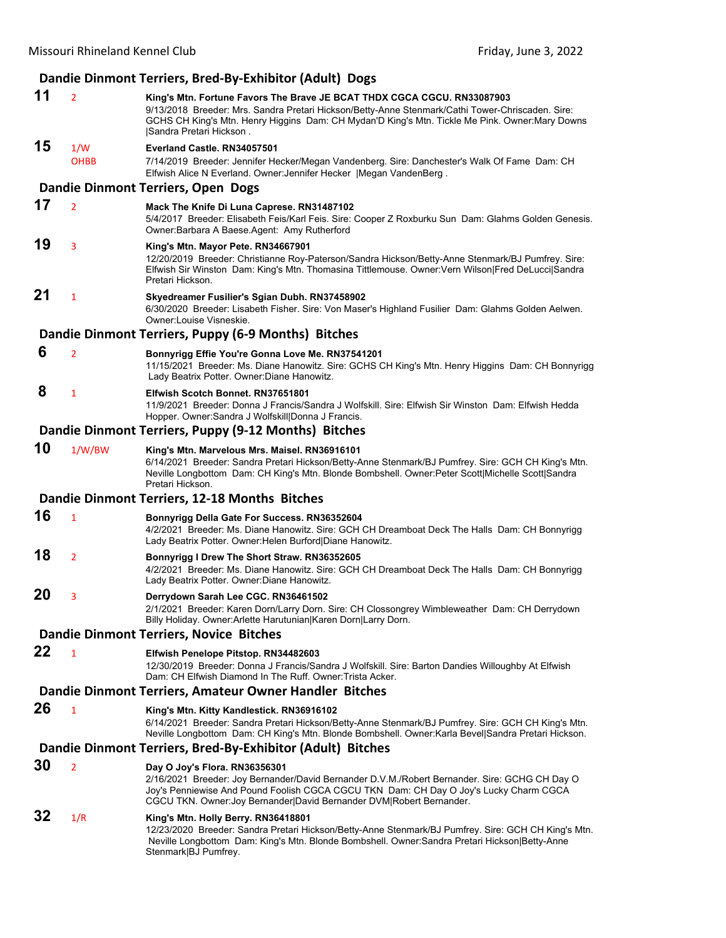|    |                | Dandie Dinmont Terriers, Bred-By-Exhibitor (Adult) Dogs                                                                                                                                                                                                                                                  |
|----|----------------|----------------------------------------------------------------------------------------------------------------------------------------------------------------------------------------------------------------------------------------------------------------------------------------------------------|
| 11 | $\overline{2}$ | King's Mtn. Fortune Favors The Brave JE BCAT THDX CGCA CGCU. RN33087903<br>9/13/2018 Breeder: Mrs. Sandra Pretari Hickson/Betty-Anne Stenmark/Cathi Tower-Chriscaden. Sire:<br>GCHS CH King's Mtn. Henry Higgins Dam: CH Mydan'D King's Mtn. Tickle Me Pink. Owner:Mary Downs<br>Sandra Pretari Hickson. |
| 15 | 1/W            | Everland Castle, RN34057501                                                                                                                                                                                                                                                                              |
|    | <b>OHBB</b>    | 7/14/2019 Breeder: Jennifer Hecker/Megan Vandenberg. Sire: Danchester's Walk Of Fame Dam: CH<br>Elfwish Alice N Everland. Owner: Jennifer Hecker   Megan VandenBerg.                                                                                                                                     |
|    |                | Dandie Dinmont Terriers, Open Dogs                                                                                                                                                                                                                                                                       |
| 17 | $\overline{2}$ | Mack The Knife Di Luna Caprese. RN31487102<br>5/4/2017 Breeder: Elisabeth Feis/Karl Feis. Sire: Cooper Z Roxburku Sun Dam: Glahms Golden Genesis.<br>Owner: Barbara A Baese Agent: Amy Rutherford                                                                                                        |
| 19 | 3              | King's Mtn. Mayor Pete. RN34667901<br>12/20/2019 Breeder: Christianne Roy-Paterson/Sandra Hickson/Betty-Anne Stenmark/BJ Pumfrey. Sire:<br>Elfwish Sir Winston Dam: King's Mtn. Thomasina Tittlemouse. Owner: Vern Wilson Fred DeLucci Sandra<br>Pretari Hickson.                                        |
| 21 | $\mathbf{1}$   | Skyedreamer Fusilier's Sgian Dubh. RN37458902<br>6/30/2020 Breeder: Lisabeth Fisher. Sire: Von Maser's Highland Fusilier Dam: Glahms Golden Aelwen.<br>Owner: Louise Visneskie.                                                                                                                          |
|    |                | Dandie Dinmont Terriers, Puppy (6-9 Months) Bitches                                                                                                                                                                                                                                                      |
| 6  | $\overline{2}$ | Bonnyrigg Effie You're Gonna Love Me. RN37541201<br>11/15/2021 Breeder: Ms. Diane Hanowitz. Sire: GCHS CH King's Mtn. Henry Higgins Dam: CH Bonnyrigg<br>Lady Beatrix Potter. Owner: Diane Hanowitz.                                                                                                     |
| 8  | $\mathbf{1}$   | Elfwish Scotch Bonnet, RN37651801<br>11/9/2021 Breeder: Donna J Francis/Sandra J Wolfskill. Sire: Elfwish Sir Winston Dam: Elfwish Hedda<br>Hopper. Owner: Sandra J Wolfskill Donna J Francis.                                                                                                           |
|    |                | Dandie Dinmont Terriers, Puppy (9-12 Months) Bitches                                                                                                                                                                                                                                                     |
| 10 | 1/W/BW         | King's Mtn. Marvelous Mrs. Maisel. RN36916101<br>6/14/2021 Breeder: Sandra Pretari Hickson/Betty-Anne Stenmark/BJ Pumfrey. Sire: GCH CH King's Mtn.<br>Neville Longbottom Dam: CH King's Mtn. Blonde Bombshell. Owner:Peter Scott Michelle Scott Sandra<br>Pretari Hickson.                              |
|    |                | Dandie Dinmont Terriers, 12-18 Months Bitches                                                                                                                                                                                                                                                            |
| 16 | $\mathbf{1}$   | Bonnyrigg Della Gate For Success. RN36352604<br>4/2/2021 Breeder: Ms. Diane Hanowitz. Sire: GCH CH Dreamboat Deck The Halls Dam: CH Bonnyrigg<br>Lady Beatrix Potter. Owner: Helen Burford Diane Hanowitz.                                                                                               |
| 18 | $\overline{2}$ | Bonnyrigg I Drew The Short Straw. RN36352605<br>4/2/2021 Breeder: Ms. Diane Hanowitz. Sire: GCH CH Dreamboat Deck The Halls Dam: CH Bonnyrigg<br>Lady Beatrix Potter. Owner: Diane Hanowitz.                                                                                                             |
| 20 | 3              | Derrydown Sarah Lee CGC. RN36461502<br>2/1/2021 Breeder: Karen Dorn/Larry Dorn. Sire: CH Clossongrey Wimbleweather Dam: CH Derrydown<br>Billy Holiday. Owner: Arlette Harutunian Karen Dorn Larry Dorn.                                                                                                  |
|    |                | <b>Dandie Dinmont Terriers, Novice Bitches</b>                                                                                                                                                                                                                                                           |
| 22 | $\mathbf{1}$   | Elfwish Penelope Pitstop. RN34482603<br>12/30/2019 Breeder: Donna J Francis/Sandra J Wolfskill. Sire: Barton Dandies Willoughby At Elfwish<br>Dam: CH Elfwish Diamond In The Ruff. Owner: Trista Acker.                                                                                                  |
|    |                | Dandie Dinmont Terriers, Amateur Owner Handler Bitches                                                                                                                                                                                                                                                   |
| 26 | $\mathbf{1}$   | King's Mtn. Kitty Kandlestick. RN36916102                                                                                                                                                                                                                                                                |
|    |                | 6/14/2021 Breeder: Sandra Pretari Hickson/Betty-Anne Stenmark/BJ Pumfrey. Sire: GCH CH King's Mtn.<br>Neville Longbottom Dam: CH King's Mtn. Blonde Bombshell. Owner: Karla Bevel Sandra Pretari Hickson.                                                                                                |
|    |                | Dandie Dinmont Terriers, Bred-By-Exhibitor (Adult) Bitches                                                                                                                                                                                                                                               |
| 30 | $\overline{2}$ | Day O Joy's Flora. RN36356301<br>2/16/2021 Breeder: Joy Bernander/David Bernander D.V.M./Robert Bernander. Sire: GCHG CH Day O<br>Joy's Penniewise And Pound Foolish CGCA CGCU TKN Dam: CH Day O Joy's Lucky Charm CGCA<br>CGCU TKN. Owner: Joy Bernander David Bernander DVM Robert Bernander.          |
| 32 | 1/R            | King's Mtn. Holly Berry. RN36418801<br>12/23/2020 Breeder: Sandra Pretari Hickson/Betty-Anne Stenmark/BJ Pumfrey. Sire: GCH CH King's Mtn.<br>Neville Longbottom Dam: King's Mtn. Blonde Bombshell. Owner: Sandra Pretari Hickson Betty-Anne<br>Stenmark BJ Pumfrey.                                     |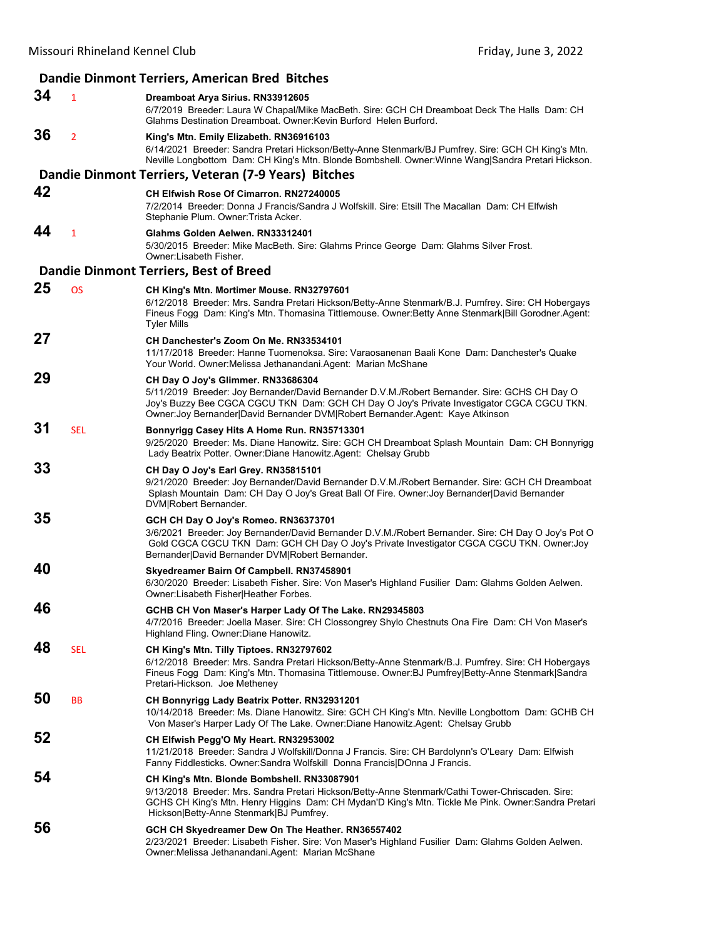#### **Dandie Dinmont Terriers, American Bred Bitches 34** <sup>1</sup> **Dreamboat Arya Sirius. RN33912605** 6/7/2019 Breeder: Laura W Chapal/Mike MacBeth. Sire: GCH CH Dreamboat Deck The Halls Dam: CH Glahms Destination Dreamboat. Owner:Kevin Burford Helen Burford. **36** <sup>2</sup> **King's Mtn. Emily Elizabeth. RN36916103** 6/14/2021 Breeder: Sandra Pretari Hickson/Betty-Anne Stenmark/BJ Pumfrey. Sire: GCH CH King's Mtn. Neville Longbottom Dam: CH King's Mtn. Blonde Bombshell. Owner:Winne Wang|Sandra Pretari Hickson. **Dandie Dinmont Terriers, Veteran (7‐9 Years) Bitches 42 CH Elfwish Rose Of Cimarron. RN27240005** 7/2/2014 Breeder: Donna J Francis/Sandra J Wolfskill. Sire: Etsill The Macallan Dam: CH Elfwish Stephanie Plum. Owner:Trista Acker. **44** <sup>1</sup> **Glahms Golden Aelwen. RN33312401** 5/30/2015 Breeder: Mike MacBeth. Sire: Glahms Prince George Dam: Glahms Silver Frost. Owner:Lisabeth Fisher. **Dandie Dinmont Terriers, Best of Breed 25** OS **CH King's Mtn. Mortimer Mouse. RN32797601** 6/12/2018 Breeder: Mrs. Sandra Pretari Hickson/Betty-Anne Stenmark/B.J. Pumfrey. Sire: CH Hobergays Fineus Fogg Dam: King's Mtn. Thomasina Tittlemouse. Owner:Betty Anne Stenmark|Bill Gorodner.Agent: Tyler Mills **27 CH Danchester's Zoom On Me. RN33534101** 11/17/2018 Breeder: Hanne Tuomenoksa. Sire: Varaosanenan Baali Kone Dam: Danchester's Quake Your World. Owner:Melissa Jethanandani.Agent: Marian McShane **29 CH Day O Joy's Glimmer. RN33686304** 5/11/2019 Breeder: Joy Bernander/David Bernander D.V.M./Robert Bernander. Sire: GCHS CH Day O Joy's Buzzy Bee CGCA CGCU TKN Dam: GCH CH Day O Joy's Private Investigator CGCA CGCU TKN. Owner:Joy Bernander|David Bernander DVM|Robert Bernander.Agent: Kaye Atkinson **31** SEL **Bonnyrigg Casey Hits A Home Run. RN35713301** 9/25/2020 Breeder: Ms. Diane Hanowitz. Sire: GCH CH Dreamboat Splash Mountain Dam: CH Bonnyrigg Lady Beatrix Potter. Owner:Diane Hanowitz.Agent: Chelsay Grubb **33 CH Day O Joy's Earl Grey. RN35815101** 9/21/2020 Breeder: Joy Bernander/David Bernander D.V.M./Robert Bernander. Sire: GCH CH Dreamboat Splash Mountain Dam: CH Day O Joy's Great Ball Of Fire. Owner:Joy Bernander|David Bernander DVM|Robert Bernander. **35 GCH CH Day O Joy's Romeo. RN36373701** 3/6/2021 Breeder: Joy Bernander/David Bernander D.V.M./Robert Bernander. Sire: CH Day O Joy's Pot O Gold CGCA CGCU TKN Dam: GCH CH Day O Joy's Private Investigator CGCA CGCU TKN. Owner:Joy Bernander|David Bernander DVM|Robert Bernander. **40 Skyedreamer Bairn Of Campbell. RN37458901** 6/30/2020 Breeder: Lisabeth Fisher. Sire: Von Maser's Highland Fusilier Dam: Glahms Golden Aelwen. Owner:Lisabeth Fisher|Heather Forbes. **46 GCHB CH Von Maser's Harper Lady Of The Lake. RN29345803** 4/7/2016 Breeder: Joella Maser. Sire: CH Clossongrey Shylo Chestnuts Ona Fire Dam: CH Von Maser's Highland Fling. Owner:Diane Hanowitz. **48** SEL **CH King's Mtn. Tilly Tiptoes. RN32797602** 6/12/2018 Breeder: Mrs. Sandra Pretari Hickson/Betty-Anne Stenmark/B.J. Pumfrey. Sire: CH Hobergays Fineus Fogg Dam: King's Mtn. Thomasina Tittlemouse. Owner:BJ Pumfrey|Betty-Anne Stenmark|Sandra Pretari-Hickson. Joe Metheney **50** BB **CH Bonnyrigg Lady Beatrix Potter. RN32931201** 10/14/2018 Breeder: Ms. Diane Hanowitz. Sire: GCH CH King's Mtn. Neville Longbottom Dam: GCHB CH Von Maser's Harper Lady Of The Lake. Owner:Diane Hanowitz.Agent: Chelsay Grubb **52 CH Elfwish Pegg'O My Heart. RN32953002** 11/21/2018 Breeder: Sandra J Wolfskill/Donna J Francis. Sire: CH Bardolynn's O'Leary Dam: Elfwish Fanny Fiddlesticks. Owner:Sandra Wolfskill Donna Francis|DOnna J Francis. **54 CH King's Mtn. Blonde Bombshell. RN33087901** 9/13/2018 Breeder: Mrs. Sandra Pretari Hickson/Betty-Anne Stenmark/Cathi Tower-Chriscaden. Sire: GCHS CH King's Mtn. Henry Higgins Dam: CH Mydan'D King's Mtn. Tickle Me Pink. Owner:Sandra Pretari Hickson|Betty-Anne Stenmark|BJ Pumfrey. **56 GCH CH Skyedreamer Dew On The Heather. RN36557402** 2/23/2021 Breeder: Lisabeth Fisher. Sire: Von Maser's Highland Fusilier Dam: Glahms Golden Aelwen. Owner:Melissa Jethanandani.Agent: Marian McShane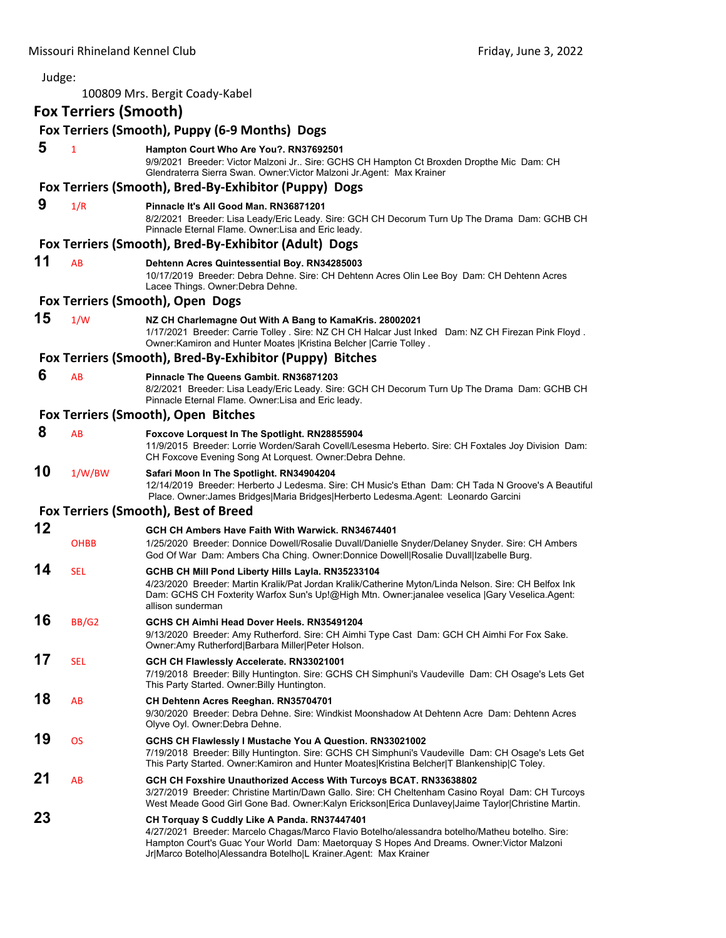| Judge: |                              |                                                                                                                                                                                                                                                                                                                  |
|--------|------------------------------|------------------------------------------------------------------------------------------------------------------------------------------------------------------------------------------------------------------------------------------------------------------------------------------------------------------|
|        |                              | 100809 Mrs. Bergit Coady-Kabel                                                                                                                                                                                                                                                                                   |
|        | <b>Fox Terriers (Smooth)</b> |                                                                                                                                                                                                                                                                                                                  |
|        |                              | Fox Terriers (Smooth), Puppy (6-9 Months) Dogs                                                                                                                                                                                                                                                                   |
| 5      | $\mathbf{1}$                 | Hampton Court Who Are You?. RN37692501<br>9/9/2021 Breeder: Victor Malzoni Jr Sire: GCHS CH Hampton Ct Broxden Dropthe Mic Dam: CH<br>Glendraterra Sierra Swan. Owner: Victor Malzoni Jr. Agent: Max Krainer                                                                                                     |
|        |                              | Fox Terriers (Smooth), Bred-By-Exhibitor (Puppy) Dogs                                                                                                                                                                                                                                                            |
| 9      | 1/R                          | Pinnacle It's All Good Man. RN36871201<br>8/2/2021 Breeder: Lisa Leady/Eric Leady. Sire: GCH CH Decorum Turn Up The Drama Dam: GCHB CH<br>Pinnacle Eternal Flame. Owner: Lisa and Eric leady.                                                                                                                    |
|        |                              | Fox Terriers (Smooth), Bred-By-Exhibitor (Adult) Dogs                                                                                                                                                                                                                                                            |
| 11     | AB                           | Dehtenn Acres Quintessential Boy. RN34285003<br>10/17/2019 Breeder: Debra Dehne. Sire: CH Dehtenn Acres Olin Lee Boy Dam: CH Dehtenn Acres<br>Lacee Things. Owner: Debra Dehne.                                                                                                                                  |
|        |                              | Fox Terriers (Smooth), Open Dogs                                                                                                                                                                                                                                                                                 |
| 15     | 1/W                          | NZ CH Charlemagne Out With A Bang to KamaKris. 28002021<br>1/17/2021 Breeder: Carrie Tolley . Sire: NZ CH CH Halcar Just Inked Dam: NZ CH Firezan Pink Floyd.<br>Owner: Kamiron and Hunter Moates   Kristina Belcher   Carrie Tolley.                                                                            |
|        |                              | Fox Terriers (Smooth), Bred-By-Exhibitor (Puppy) Bitches                                                                                                                                                                                                                                                         |
| 6      | AB                           | Pinnacle The Queens Gambit, RN36871203<br>8/2/2021 Breeder: Lisa Leady/Eric Leady. Sire: GCH CH Decorum Turn Up The Drama Dam: GCHB CH<br>Pinnacle Eternal Flame. Owner:Lisa and Eric leady.                                                                                                                     |
|        |                              | Fox Terriers (Smooth), Open Bitches                                                                                                                                                                                                                                                                              |
| 8      | AB                           | Foxcove Lorquest In The Spotlight. RN28855904<br>11/9/2015 Breeder: Lorrie Worden/Sarah Covell/Lesesma Heberto. Sire: CH Foxtales Joy Division Dam:<br>CH Foxcove Evening Song At Lorquest. Owner: Debra Dehne.                                                                                                  |
| 10     | 1/W/BW                       | Safari Moon In The Spotlight. RN34904204<br>12/14/2019 Breeder: Herberto J Ledesma. Sire: CH Music's Ethan Dam: CH Tada N Groove's A Beautiful<br>Place. Owner: James Bridges Maria Bridges Herberto Ledesma.Agent: Leonardo Garcini                                                                             |
|        |                              | Fox Terriers (Smooth), Best of Breed                                                                                                                                                                                                                                                                             |
| 12     |                              | GCH CH Ambers Have Faith With Warwick, RN34674401                                                                                                                                                                                                                                                                |
|        | <b>OHBB</b>                  | 1/25/2020 Breeder: Donnice Dowell/Rosalie Duvall/Danielle Snyder/Delaney Snyder. Sire: CH Ambers<br>God Of War Dam: Ambers Cha Ching. Owner:Donnice Dowell Rosalie Duvall Izabelle Burg.                                                                                                                         |
| 14     | <b>SEL</b>                   | GCHB CH Mill Pond Liberty Hills Layla. RN35233104<br>4/23/2020 Breeder: Martin Kralik/Pat Jordan Kralik/Catherine Myton/Linda Nelson. Sire: CH Belfox Ink<br>Dam: GCHS CH Foxterity Warfox Sun's Up!@High Mtn. Owner:janalee veselica  Gary Veselica.Agent:<br>allison sunderman                                 |
| 16     | <b>BB/G2</b>                 | GCHS CH Aimhi Head Dover Heels, RN35491204<br>9/13/2020 Breeder: Amy Rutherford. Sire: CH Aimhi Type Cast Dam: GCH CH Aimhi For Fox Sake.<br>Owner:Amy Rutherford Barbara Miller Peter Holson.                                                                                                                   |
| 17     | <b>SEL</b>                   | GCH CH Flawlessly Accelerate. RN33021001<br>7/19/2018 Breeder: Billy Huntington. Sire: GCHS CH Simphuni's Vaudeville Dam: CH Osage's Lets Get<br>This Party Started. Owner: Billy Huntington.                                                                                                                    |
| 18     | AB                           | CH Dehtenn Acres Reeghan. RN35704701<br>9/30/2020 Breeder: Debra Dehne. Sire: Windkist Moonshadow At Dehtenn Acre Dam: Dehtenn Acres<br>Olyve Oyl. Owner: Debra Dehne.                                                                                                                                           |
| 19     | OS                           | GCHS CH Flawlessly I Mustache You A Question. RN33021002<br>7/19/2018 Breeder: Billy Huntington. Sire: GCHS CH Simphuni's Vaudeville Dam: CH Osage's Lets Get<br>This Party Started. Owner: Kamiron and Hunter Moates   Kristina Belcher   T Blankenship   C Toley.                                              |
| 21     | AB                           | GCH CH Foxshire Unauthorized Access With Turcoys BCAT. RN33638802<br>3/27/2019 Breeder: Christine Martin/Dawn Gallo. Sire: CH Cheltenham Casino Royal Dam: CH Turcoys<br>West Meade Good Girl Gone Bad. Owner:Kalyn Erickson Erica Dunlavey Jaime Taylor Christine Martin.                                       |
| 23     |                              | CH Torquay S Cuddly Like A Panda. RN37447401<br>4/27/2021 Breeder: Marcelo Chagas/Marco Flavio Botelho/alessandra botelho/Matheu botelho. Sire:<br>Hampton Court's Guac Your World Dam: Maetorquay S Hopes And Dreams. Owner: Victor Malzoni<br>Jr Marco Botelho Alessandra Botelho L Krainer.Agent: Max Krainer |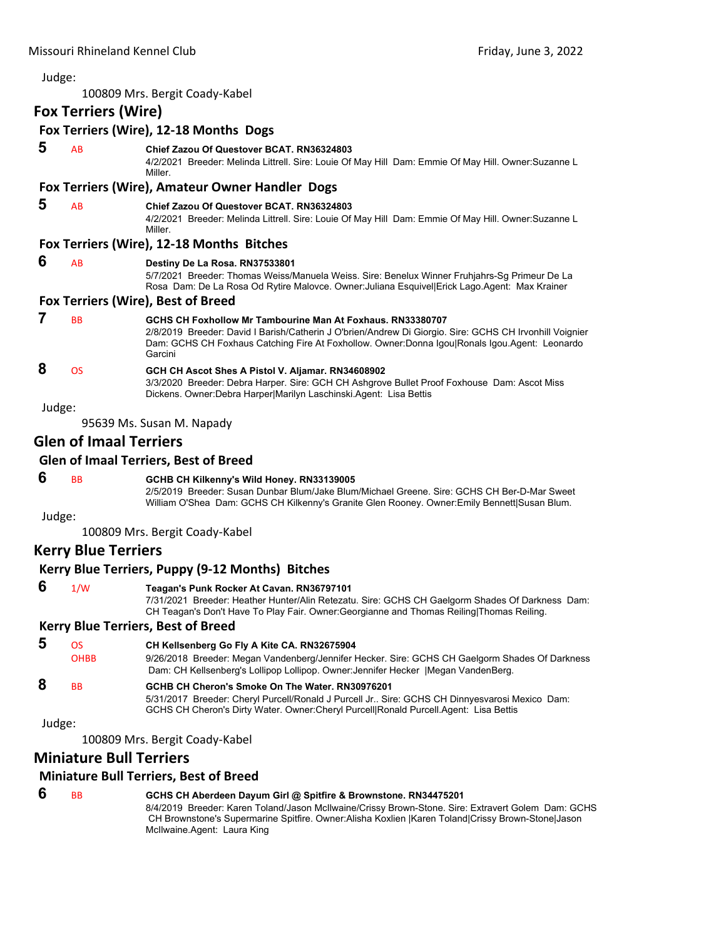# Judge: 100809 Mrs. Bergit Coady‐Kabel **Fox Terriers (Wire) Fox Terriers (Wire), 12‐18 Months Dogs 5** AB **Chief Zazou Of Questover BCAT. RN36324803** 4/2/2021 Breeder: Melinda Littrell. Sire: Louie Of May Hill Dam: Emmie Of May Hill. Owner:Suzanne L Miller. **Fox Terriers (Wire), Amateur Owner Handler Dogs 5** AB **Chief Zazou Of Questover BCAT. RN36324803** 4/2/2021 Breeder: Melinda Littrell. Sire: Louie Of May Hill Dam: Emmie Of May Hill. Owner:Suzanne L Miller. **Fox Terriers (Wire), 12‐18 Months Bitches 6** AB **Destiny De La Rosa. RN37533801** 5/7/2021 Breeder: Thomas Weiss/Manuela Weiss. Sire: Benelux Winner Fruhjahrs-Sg Primeur De La Rosa Dam: De La Rosa Od Rytire Malovce. Owner:Juliana Esquivel|Erick Lago.Agent: Max Krainer **Fox Terriers (Wire), Best of Breed 7** BB **GCHS CH Foxhollow Mr Tambourine Man At Foxhaus. RN33380707** 2/8/2019 Breeder: David I Barish/Catherin J O'brien/Andrew Di Giorgio. Sire: GCHS CH Irvonhill Voignier Dam: GCHS CH Foxhaus Catching Fire At Foxhollow. Owner:Donna Igou|Ronals Igou.Agent: Leonardo Garcini  **8** OS **GCH CH Ascot Shes A Pistol V. Aljamar. RN34608902** 3/3/2020 Breeder: Debra Harper. Sire: GCH CH Ashgrove Bullet Proof Foxhouse Dam: Ascot Miss Dickens. Owner:Debra Harper|Marilyn Laschinski.Agent: Lisa Bettis Judge: 95639 Ms. Susan M. Napady **Glen of Imaal Terriers Glen of Imaal Terriers, Best of Breed 6** BB **GCHB CH Kilkenny's Wild Honey. RN33139005** 2/5/2019 Breeder: Susan Dunbar Blum/Jake Blum/Michael Greene. Sire: GCHS CH Ber-D-Mar Sweet William O'Shea Dam: GCHS CH Kilkenny's Granite Glen Rooney. Owner:Emily Bennett|Susan Blum. Judge: 100809 Mrs. Bergit Coady‐Kabel **Kerry Blue Terriers Kerry Blue Terriers, Puppy (9‐12 Months) Bitches 6** 1/W **Teagan's Punk Rocker At Cavan. RN36797101** 7/31/2021 Breeder: Heather Hunter/Alin Retezatu. Sire: GCHS CH Gaelgorm Shades Of Darkness Dam: CH Teagan's Don't Have To Play Fair. Owner:Georgianne and Thomas Reiling|Thomas Reiling. **Kerry Blue Terriers, Best of Breed 5** OS **CH Kellsenberg Go Fly A Kite CA. RN32675904** OHBB 9/26/2018 Breeder: Megan Vandenberg/Jennifer Hecker. Sire: GCHS CH Gaelgorm Shades Of Darkness Dam: CH Kellsenberg's Lollipop Lollipop. Owner:Jennifer Hecker |Megan VandenBerg.  **8** BB **GCHB CH Cheron's Smoke On The Water. RN30976201** 5/31/2017 Breeder: Cheryl Purcell/Ronald J Purcell Jr.. Sire: GCHS CH Dinnyesvarosi Mexico Dam: GCHS CH Cheron's Dirty Water. Owner:Cheryl Purcell|Ronald Purcell.Agent: Lisa Bettis Judge:

100809 Mrs. Bergit Coady‐Kabel

# **Miniature Bull Terriers**

# **Miniature Bull Terriers, Best of Breed**

# **6** BB **GCHS CH Aberdeen Dayum Girl @ Spitfire & Brownstone. RN34475201**

8/4/2019 Breeder: Karen Toland/Jason McIlwaine/Crissy Brown-Stone. Sire: Extravert Golem Dam: GCHS CH Brownstone's Supermarine Spitfire. Owner:Alisha Koxlien |Karen Toland|Crissy Brown-Stone|Jason McIlwaine.Agent: Laura King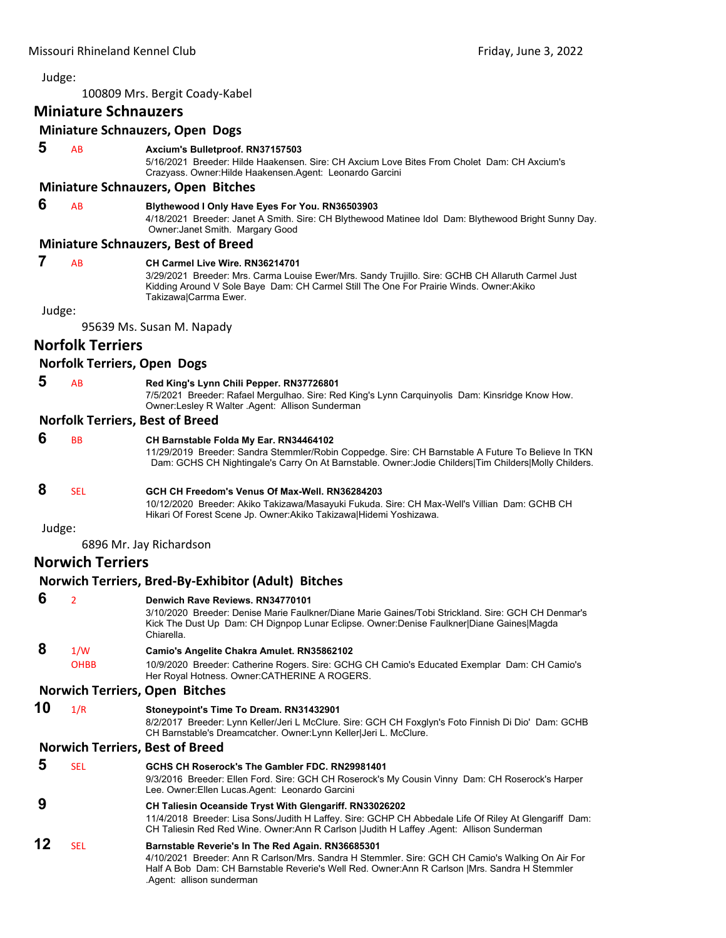100809 Mrs. Bergit Coady‐Kabel

# **Miniature Schnauzers**

# **Miniature Schnauzers, Open Dogs**

 **5** AB **Axcium's Bulletproof. RN37157503**

5/16/2021 Breeder: Hilde Haakensen. Sire: CH Axcium Love Bites From Cholet Dam: CH Axcium's Crazyass. Owner:Hilde Haakensen.Agent: Leonardo Garcini

#### **Miniature Schnauzers, Open Bitches**

#### **6** AB **Blythewood I Only Have Eyes For You. RN36503903**

4/18/2021 Breeder: Janet A Smith. Sire: CH Blythewood Matinee Idol Dam: Blythewood Bright Sunny Day. Owner:Janet Smith. Margary Good

#### **Miniature Schnauzers, Best of Breed**

|  |  | $\overline{\phantom{a}}$ |
|--|--|--------------------------|
|  |  |                          |

#### **7** AB **CH Carmel Live Wire. RN36214701**

3/29/2021 Breeder: Mrs. Carma Louise Ewer/Mrs. Sandy Trujillo. Sire: GCHB CH Allaruth Carmel Just Kidding Around V Sole Baye Dam: CH Carmel Still The One For Prairie Winds. Owner:Akiko Takizawa|Carrma Ewer.

Judge:

95639 Ms. Susan M. Napady

# **Norfolk Terriers**

# **Norfolk Terriers, Open Dogs**

 **5** AB **Red King's Lynn Chili Pepper. RN37726801**

7/5/2021 Breeder: Rafael Mergulhao. Sire: Red King's Lynn Carquinyolis Dam: Kinsridge Know How. Owner:Lesley R Walter .Agent: Allison Sunderman

# **Norfolk Terriers, Best of Breed**

 **6** BB **CH Barnstable Folda My Ear. RN34464102** 11/29/2019 Breeder: Sandra Stemmler/Robin Coppedge. Sire: CH Barnstable A Future To Believe In TKN Dam: GCHS CH Nightingale's Carry On At Barnstable. Owner:Jodie Childers|Tim Childers|Molly Childers.

# **8** SEL **GCH CH Freedom's Venus Of Max-Well. RN36284203**

**Norwich Terriers, Bred‐By‐Exhibitor (Adult) Bitches**

10/12/2020 Breeder: Akiko Takizawa/Masayuki Fukuda. Sire: CH Max-Well's Villian Dam: GCHB CH Hikari Of Forest Scene Jp. Owner:Akiko Takizawa|Hidemi Yoshizawa.

Judge:

6896 Mr. Jay Richardson

# **Norwich Terriers**

|    |                          | Norwich Terriers, Brea-By-Exhibitor (Adult) Bitches                                                                                                                                                                                                                                   |
|----|--------------------------|---------------------------------------------------------------------------------------------------------------------------------------------------------------------------------------------------------------------------------------------------------------------------------------|
| 6  | $\overline{\mathcal{L}}$ | Denwich Rave Reviews, RN34770101<br>3/10/2020 Breeder: Denise Marie Faulkner/Diane Marie Gaines/Tobi Strickland, Sire: GCH CH Denmar's<br>Kick The Dust Up Dam: CH Dignpop Lunar Eclipse. Owner:Denise Faulkner Diane Gaines Magda<br>Chiarella.                                      |
| 8  | 1/W<br><b>OHBB</b>       | Camio's Angelite Chakra Amulet. RN35862102<br>10/9/2020 Breeder: Catherine Rogers. Sire: GCHG CH Camio's Educated Exemplar Dam: CH Camio's<br>Her Royal Hotness. Owner: CATHERINE A ROGERS.                                                                                           |
|    |                          | <b>Norwich Terriers, Open Bitches</b>                                                                                                                                                                                                                                                 |
| 10 | 1/R                      | Stoneypoint's Time To Dream. RN31432901<br>8/2/2017 Breeder: Lynn Keller/Jeri L McClure. Sire: GCH CH Foxglyn's Foto Finnish Di Dio' Dam: GCHB<br>CH Barnstable's Dreamcatcher. Owner: Lynn Keller Jeri L. McClure.                                                                   |
|    |                          | <b>Norwich Terriers, Best of Breed</b>                                                                                                                                                                                                                                                |
| 5  | <b>SEL</b>               | GCHS CH Roserock's The Gambler FDC, RN29981401<br>9/3/2016 Breeder: Ellen Ford. Sire: GCH CH Roserock's My Cousin Vinny Dam: CH Roserock's Harper<br>Lee. Owner: Ellen Lucas. Agent: Leonardo Garcini                                                                                 |
| 9  |                          | <b>CH Taliesin Oceanside Tryst With Glengariff. RN33026202</b><br>11/4/2018 Breeder: Lisa Sons/Judith H Laffey. Sire: GCHP CH Abbedale Life Of Riley At Glengariff Dam:<br>CH Taliesin Red Red Wine. Owner:Ann R Carlson  Judith H Laffey .Agent: Allison Sunderman                   |
| 12 | <b>SEL</b>               | Barnstable Reverie's In The Red Again. RN36685301<br>4/10/2021 Breeder: Ann R Carlson/Mrs. Sandra H Stemmler. Sire: GCH CH Camio's Walking On Air For<br>Half A Bob Dam: CH Barnstable Reverie's Well Red. Owner: Ann R Carlson   Mrs. Sandra H Stemmler<br>.Agent: allison sunderman |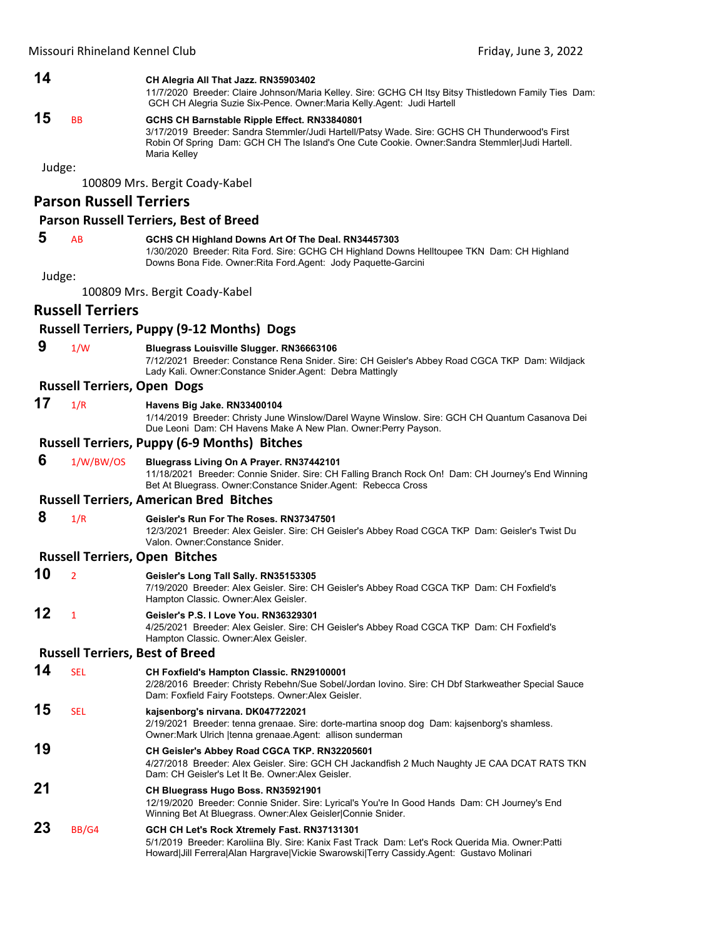# **14 CH Alegria All That Jazz. RN35903402**

11/7/2020 Breeder: Claire Johnson/Maria Kelley. Sire: GCHG CH Itsy Bitsy Thistledown Family Ties Dam: GCH CH Alegria Suzie Six-Pence. Owner:Maria Kelly.Agent: Judi Hartell

# **15** BB **GCHS CH Barnstable Ripple Effect. RN33840801**

3/17/2019 Breeder: Sandra Stemmler/Judi Hartell/Patsy Wade. Sire: GCHS CH Thunderwood's First Robin Of Spring Dam: GCH CH The Island's One Cute Cookie. Owner:Sandra Stemmler|Judi Hartell. Maria Kelley

Judge:

100809 Mrs. Bergit Coady‐Kabel

# **Parson Russell Terriers**

#### **Parson Russell Terriers, Best of Breed**

# **5** AB **GCHS CH Highland Downs Art Of The Deal. RN34457303**

1/30/2020 Breeder: Rita Ford. Sire: GCHG CH Highland Downs Helltoupee TKN Dam: CH Highland Downs Bona Fide. Owner:Rita Ford.Agent: Jody Paquette-Garcini

Judge:

100809 Mrs. Bergit Coady‐Kabel

# **Russell Terriers**

# **Russell Terriers, Puppy (9‐12 Months) Dogs**

# **9** 1/W **Bluegrass Louisville Slugger. RN36663106**

7/12/2021 Breeder: Constance Rena Snider. Sire: CH Geisler's Abbey Road CGCA TKP Dam: Wildjack Lady Kali. Owner:Constance Snider.Agent: Debra Mattingly

# **Russell Terriers, Open Dogs**

# **17** 1/R **Havens Big Jake. RN33400104**

1/14/2019 Breeder: Christy June Winslow/Darel Wayne Winslow. Sire: GCH CH Quantum Casanova Dei Due Leoni Dam: CH Havens Make A New Plan. Owner:Perry Payson.

#### **Russell Terriers, Puppy (6‐9 Months) Bitches**

 **6** 1/W/BW/OS **Bluegrass Living On A Prayer. RN37442101** 11/18/2021 Breeder: Connie Snider. Sire: CH Falling Branch Rock On! Dam: CH Journey's End Winning Bet At Bluegrass. Owner:Constance Snider.Agent: Rebecca Cross

#### **Russell Terriers, American Bred Bitches**

# **8** 1/R **Geisler's Run For The Roses. RN37347501**

12/3/2021 Breeder: Alex Geisler. Sire: CH Geisler's Abbey Road CGCA TKP Dam: Geisler's Twist Du Valon. Owner:Constance Snider.

#### **Russell Terriers, Open Bitches**

- **10** <sup>2</sup> **Geisler's Long Tall Sally. RN35153305** 7/19/2020 Breeder: Alex Geisler. Sire: CH Geisler's Abbey Road CGCA TKP Dam: CH Foxfield's Hampton Classic. Owner:Alex Geisler.
- **12** <sup>1</sup> **Geisler's P.S. I Love You. RN36329301** 4/25/2021 Breeder: Alex Geisler. Sire: CH Geisler's Abbey Road CGCA TKP Dam: CH Foxfield's Hampton Classic. Owner:Alex Geisler.

# **Russell Terriers, Best of Breed**

#### **14** SEL **CH Foxfield's Hampton Classic. RN29100001** 2/28/2016 Breeder: Christy Rebehn/Sue Sobel/Jordan Iovino. Sire: CH Dbf Starkweather Special Sauce Dam: Foxfield Fairy Footsteps. Owner:Alex Geisler. **15** SEL **kajsenborg's nirvana. DK047722021** 2/19/2021 Breeder: tenna grenaae. Sire: dorte-martina snoop dog Dam: kajsenborg's shamless. Owner:Mark Ulrich |tenna grenaae.Agent: allison sunderman

**19 CH Geisler's Abbey Road CGCA TKP. RN32205601** 4/27/2018 Breeder: Alex Geisler. Sire: GCH CH Jackandfish 2 Much Naughty JE CAA DCAT RATS TKN Dam: CH Geisler's Let It Be. Owner:Alex Geisler.

# **21 CH Bluegrass Hugo Boss. RN35921901**

12/19/2020 Breeder: Connie Snider. Sire: Lyrical's You're In Good Hands Dam: CH Journey's End Winning Bet At Bluegrass. Owner:Alex Geisler|Connie Snider.

# **23** BB/G4 **GCH CH Let's Rock Xtremely Fast. RN37131301**

5/1/2019 Breeder: Karoliina Bly. Sire: Kanix Fast Track Dam: Let's Rock Querida Mia. Owner:Patti Howard|Jill Ferrera|Alan Hargrave|Vickie Swarowski|Terry Cassidy.Agent: Gustavo Molinari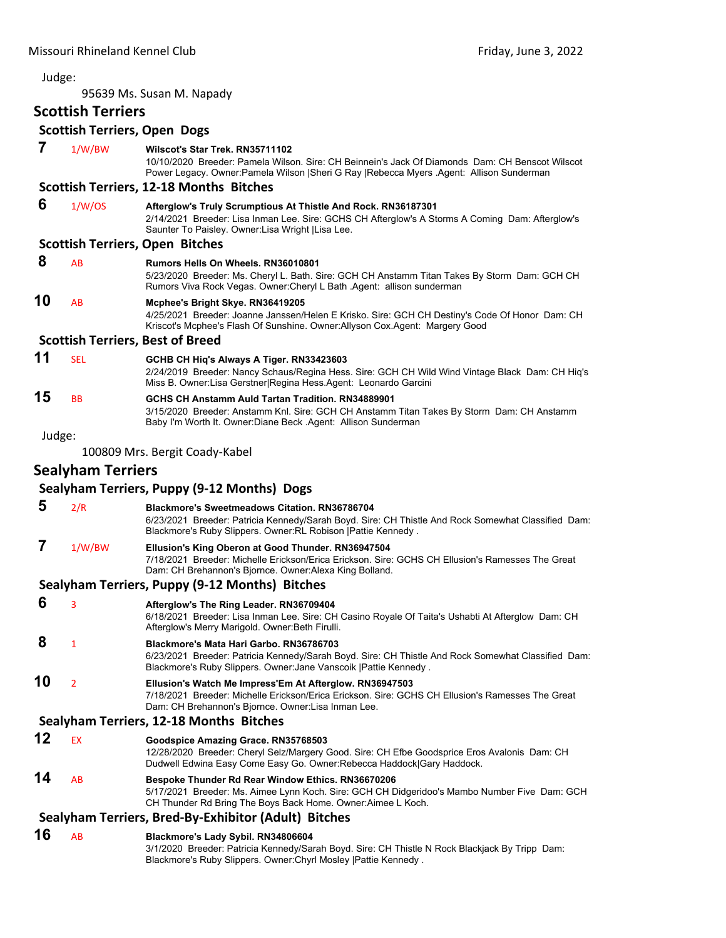95639 Ms. Susan M. Napady

# **Scottish Terriers**

# **Scottish Terriers, Open Dogs**

| 7      | 1/W/BW                   | Wilscot's Star Trek. RN35711102<br>10/10/2020 Breeder: Pamela Wilson. Sire: CH Beinnein's Jack Of Diamonds Dam: CH Benscot Wilscot<br>Power Legacy. Owner: Pamela Wilson   Sheri G Ray   Rebecca Myers Agent: Allison Sunderman |
|--------|--------------------------|---------------------------------------------------------------------------------------------------------------------------------------------------------------------------------------------------------------------------------|
|        |                          | <b>Scottish Terriers, 12-18 Months Bitches</b>                                                                                                                                                                                  |
| 6      | 1/W/OS                   | Afterglow's Truly Scrumptious At Thistle And Rock. RN36187301<br>2/14/2021 Breeder: Lisa Inman Lee. Sire: GCHS CH Afterglow's A Storms A Coming Dam: Afterglow's<br>Saunter To Paisley. Owner: Lisa Wright   Lisa Lee.          |
|        |                          | <b>Scottish Terriers, Open Bitches</b>                                                                                                                                                                                          |
| 8      | AB                       | <b>Rumors Hells On Wheels, RN36010801</b><br>5/23/2020 Breeder: Ms. Cheryl L. Bath. Sire: GCH CH Anstamm Titan Takes By Storm Dam: GCH CH<br>Rumors Viva Rock Vegas. Owner: Cheryl L Bath . Agent: allison sunderman            |
| 10     | AB                       | Mcphee's Bright Skye. RN36419205<br>4/25/2021 Breeder: Joanne Janssen/Helen E Krisko. Sire: GCH CH Destiny's Code Of Honor Dam: CH<br>Kriscot's Mcphee's Flash Of Sunshine. Owner:Allyson Cox.Agent: Margery Good               |
|        |                          | <b>Scottish Terriers, Best of Breed</b>                                                                                                                                                                                         |
| 11     | <b>SEL</b>               | GCHB CH Hiq's Always A Tiger. RN33423603<br>2/24/2019 Breeder: Nancy Schaus/Regina Hess. Sire: GCH CH Wild Wind Vintage Black Dam: CH Hiq's<br>Miss B. Owner: Lisa Gerstner Regina Hess Agent: Leonardo Garcini                 |
| 15     | <b>BB</b>                | GCHS CH Anstamm Auld Tartan Tradition. RN34889901<br>3/15/2020 Breeder: Anstamm Knl. Sire: GCH CH Anstamm Titan Takes By Storm Dam: CH Anstamm<br>Baby I'm Worth It. Owner: Diane Beck . Agent: Allison Sunderman               |
| Judge: |                          |                                                                                                                                                                                                                                 |
|        |                          | 100809 Mrs. Bergit Coady-Kabel                                                                                                                                                                                                  |
|        | <b>Sealyham Terriers</b> |                                                                                                                                                                                                                                 |
|        |                          | Sealyham Terriers, Puppy (9-12 Months) Dogs                                                                                                                                                                                     |
| 5      | 2/R                      | <b>Blackmore's Sweetmeadows Citation. RN36786704</b><br>6/23/2021 Breeder: Patricia Kennedy/Sarah Boyd. Sire: CH Thistle And Rock Somewhat Classified Dam:<br>Blackmore's Ruby Slippers. Owner: RL Robison   Pattie Kennedy.    |
| 7      | 1/W/BW                   | Ellusion's King Oberon at Good Thunder. RN36947504<br>7/18/2021 Breeder: Michelle Erickson/Erica Erickson. Sire: GCHS CH Ellusion's Ramesses The Great<br>Dam: CH Brehannon's Bjornce. Owner: Alexa King Bolland.               |
|        |                          | Sealyham Terriers, Puppy (9-12 Months) Bitches                                                                                                                                                                                  |
| 6      | 3                        | Afterglow's The Ring Leader. RN36709404<br>6/18/2021 Breeder: Lisa Inman Lee. Sire: CH Casino Royale Of Taita's Ushabti At Afterglow Dam: CH<br>Afterglow's Merry Marigold. Owner: Beth Firulli.                                |
| 8      | 1                        | Blackmore's Mata Hari Garbo. RN36786703<br>6/23/2021 Breeder: Patricia Kennedy/Sarah Boyd. Sire: CH Thistle And Rock Somewhat Classified Dam:<br>Blackmore's Ruby Slippers. Owner: Jane Vanscoik   Pattie Kennedy.              |
| 10     | 2                        | Ellusion's Watch Me Impress'Em At Afterglow. RN36947503<br>7/18/2021 Breeder: Michelle Erickson/Erica Erickson. Sire: GCHS CH Ellusion's Ramesses The Great<br>Dam: CH Brehannon's Bjornce. Owner: Lisa Inman Lee.              |
|        |                          | Sealyham Terriers, 12-18 Months Bitches                                                                                                                                                                                         |
| 12     | <b>EX</b>                | Goodspice Amazing Grace. RN35768503<br>12/28/2020 Breeder: Cheryl Selz/Margery Good. Sire: CH Efbe Goodsprice Eros Avalonis Dam: CH<br>Dudwell Edwina Easy Come Easy Go. Owner: Rebecca Haddock Gary Haddock.                   |
| 14     | AB                       | Bespoke Thunder Rd Rear Window Ethics. RN36670206<br>5/17/2021 Breeder: Ms. Aimee Lynn Koch. Sire: GCH CH Didgeridoo's Mambo Number Five Dam: GCH<br>CH Thunder Rd Bring The Boys Back Home. Owner: Aimee L Koch.               |
|        |                          | Sealyham Terriers, Bred-By-Exhibitor (Adult) Bitches                                                                                                                                                                            |
| 16     | AB                       | Blackmore's Lady Sybil. RN34806604<br>3/1/2020 Breeder: Patricia Kennedy/Sarah Boyd. Sire: CH Thistle N Rock Blackjack By Tripp Dam:<br>Blackmore's Ruby Slippers. Owner: Chyrl Mosley   Pattie Kennedy.                        |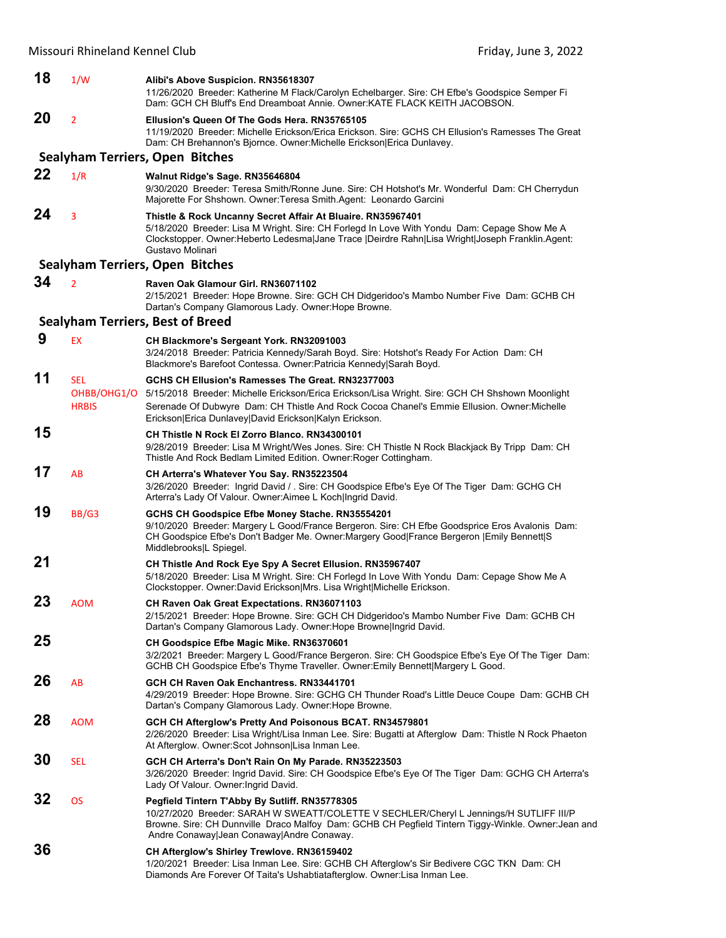# Missouri Rhineland Kennel Club **Missouri Rhineland Kennel Club Friday**, June 3, 2022 **18** 1/W **Alibi's Above Suspicion. RN35618307** 11/26/2020 Breeder: Katherine M Flack/Carolyn Echelbarger. Sire: CH Efbe's Goodspice Semper Fi Dam: GCH CH Bluff's End Dreamboat Annie. Owner:KATE FLACK KEITH JACOBSON. **20** <sup>2</sup> **Ellusion's Queen Of The Gods Hera. RN35765105** 11/19/2020 Breeder: Michelle Erickson/Erica Erickson. Sire: GCHS CH Ellusion's Ramesses The Great Dam: CH Brehannon's Bjornce. Owner:Michelle Erickson|Erica Dunlavey. **Sealyham Terriers, Open Bitches 22** 1/R **Walnut Ridge's Sage. RN35646804** 9/30/2020 Breeder: Teresa Smith/Ronne June. Sire: CH Hotshot's Mr. Wonderful Dam: CH Cherrydun Majorette For Shshown. Owner:Teresa Smith.Agent: Leonardo Garcini **24** <sup>3</sup> **Thistle & Rock Uncanny Secret Affair At Bluaire. RN35967401** 5/18/2020 Breeder: Lisa M Wright. Sire: CH Forlegd In Love With Yondu Dam: Cepage Show Me A Clockstopper. Owner:Heberto Ledesma|Jane Trace |Deirdre Rahn|Lisa Wright|Joseph Franklin.Agent: Gustavo Molinari **Sealyham Terriers, Open Bitches 34** <sup>2</sup> **Raven Oak Glamour Girl. RN36071102** 2/15/2021 Breeder: Hope Browne. Sire: GCH CH Didgeridoo's Mambo Number Five Dam: GCHB CH Dartan's Company Glamorous Lady. Owner:Hope Browne. **Sealyham Terriers, Best of Breed 9** EX **CH Blackmore's Sergeant York. RN32091003** 3/24/2018 Breeder: Patricia Kennedy/Sarah Boyd. Sire: Hotshot's Ready For Action Dam: CH Blackmore's Barefoot Contessa. Owner:Patricia Kennedy|Sarah Boyd. **11** SEL **GCHS CH Ellusion's Ramesses The Great. RN32377003** OHBB/OHG1/O 5/15/2018 Breeder: Michelle Erickson/Erica Erickson/Lisa Wright. Sire: GCH CH Shshown Moonlight HRBIS Serenade Of Dubwyre Dam: CH Thistle And Rock Cocoa Chanel's Emmie Ellusion. Owner:Michelle Erickson|Erica Dunlavey|David Erickson|Kalyn Erickson. **15 CH Thistle N Rock El Zorro Blanco. RN34300101** 9/28/2019 Breeder: Lisa M Wright/Wes Jones. Sire: CH Thistle N Rock Blackjack By Tripp Dam: CH Thistle And Rock Bedlam Limited Edition. Owner:Roger Cottingham. **17** AB **CH Arterra's Whatever You Say. RN35223504** 3/26/2020 Breeder: Ingrid David / . Sire: CH Goodspice Efbe's Eye Of The Tiger Dam: GCHG CH Arterra's Lady Of Valour. Owner:Aimee L Koch|Ingrid David. **19** BB/G3 **GCHS CH Goodspice Efbe Money Stache. RN35554201** 9/10/2020 Breeder: Margery L Good/France Bergeron. Sire: CH Efbe Goodsprice Eros Avalonis Dam: CH Goodspice Efbe's Don't Badger Me. Owner:Margery Good|France Bergeron |Emily Bennett|S Middlebrooks|L Spiegel. **21 CH Thistle And Rock Eye Spy A Secret Ellusion. RN35967407** 5/18/2020 Breeder: Lisa M Wright. Sire: CH Forlegd In Love With Yondu Dam: Cepage Show Me A Clockstopper. Owner:David Erickson|Mrs. Lisa Wright|Michelle Erickson. **23** AOM **CH Raven Oak Great Expectations. RN36071103** 2/15/2021 Breeder: Hope Browne. Sire: GCH CH Didgeridoo's Mambo Number Five Dam: GCHB CH Dartan's Company Glamorous Lady. Owner:Hope Browne|Ingrid David. **25 CH Goodspice Efbe Magic Mike. RN36370601** 3/2/2021 Breeder: Margery L Good/France Bergeron. Sire: CH Goodspice Efbe's Eye Of The Tiger Dam: GCHB CH Goodspice Efbe's Thyme Traveller. Owner:Emily Bennett|Margery L Good. **26** AB **GCH CH Raven Oak Enchantress. RN33441701** 4/29/2019 Breeder: Hope Browne. Sire: GCHG CH Thunder Road's Little Deuce Coupe Dam: GCHB CH Dartan's Company Glamorous Lady. Owner:Hope Browne. **28** AOM **GCH CH Afterglow's Pretty And Poisonous BCAT. RN34579801** 2/26/2020 Breeder: Lisa Wright/Lisa Inman Lee. Sire: Bugatti at Afterglow Dam: Thistle N Rock Phaeton

At Afterglow. Owner:Scot Johnson|Lisa Inman Lee. **30** SEL **GCH CH Arterra's Don't Rain On My Parade. RN35223503**

3/26/2020 Breeder: Ingrid David. Sire: CH Goodspice Efbe's Eye Of The Tiger Dam: GCHG CH Arterra's Lady Of Valour. Owner:Ingrid David.

**32** OS **Pegfield Tintern T'Abby By Sutliff. RN35778305** 10/27/2020 Breeder: SARAH W SWEATT/COLETTE V SECHLER/Cheryl L Jennings/H SUTLIFF III/P Browne. Sire: CH Dunnville Draco Malfoy Dam: GCHB CH Pegfield Tintern Tiggy-Winkle. Owner:Jean and Andre Conaway|Jean Conaway|Andre Conaway. **36 CH Afterglow's Shirley Trewlove. RN36159402**

1/20/2021 Breeder: Lisa Inman Lee. Sire: GCHB CH Afterglow's Sir Bedivere CGC TKN Dam: CH Diamonds Are Forever Of Taita's Ushabtiatafterglow. Owner:Lisa Inman Lee.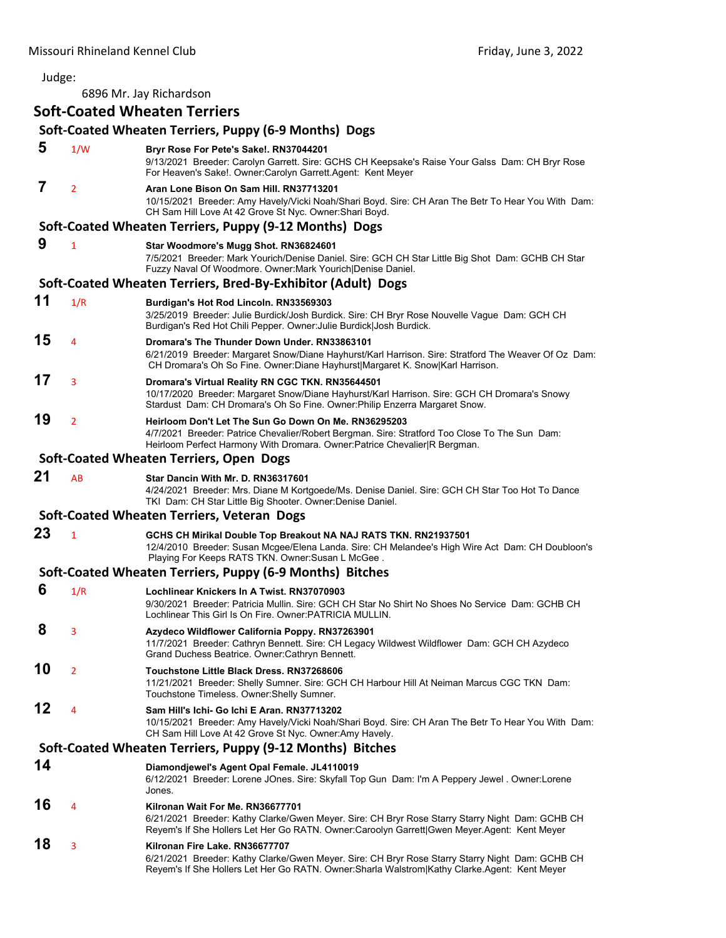6896 Mr. Jay Richardson

# **Soft‐Coated Wheaten Terriers**

# **Soft‐Coated Wheaten Terriers, Puppy (6‐9 Months) Dogs 5** 1/W **Bryr Rose For Pete's Sake!. RN37044201** 9/13/2021 Breeder: Carolyn Garrett. Sire: GCHS CH Keepsake's Raise Your Galss Dam: CH Bryr Rose For Heaven's Sake!. Owner:Carolyn Garrett.Agent: Kent Meyer  **7** <sup>2</sup> **Aran Lone Bison On Sam Hill. RN37713201** 10/15/2021 Breeder: Amy Havely/Vicki Noah/Shari Boyd. Sire: CH Aran The Betr To Hear You With Dam: CH Sam Hill Love At 42 Grove St Nyc. Owner:Shari Boyd. **Soft‐Coated Wheaten Terriers, Puppy (9‐12 Months) Dogs 9** <sup>1</sup> **Star Woodmore's Mugg Shot. RN36824601** 7/5/2021 Breeder: Mark Yourich/Denise Daniel. Sire: GCH CH Star Little Big Shot Dam: GCHB CH Star Fuzzy Naval Of Woodmore. Owner:Mark Yourich|Denise Daniel. **Soft‐Coated Wheaten Terriers, Bred‐By‐Exhibitor (Adult) Dogs 11** 1/R **Burdigan's Hot Rod Lincoln. RN33569303** 3/25/2019 Breeder: Julie Burdick/Josh Burdick. Sire: CH Bryr Rose Nouvelle Vague Dam: GCH CH Burdigan's Red Hot Chili Pepper. Owner:Julie Burdick|Josh Burdick. **15** <sup>4</sup> **Dromara's The Thunder Down Under. RN33863101** 6/21/2019 Breeder: Margaret Snow/Diane Hayhurst/Karl Harrison. Sire: Stratford The Weaver Of Oz Dam: CH Dromara's Oh So Fine. Owner:Diane Hayhurst|Margaret K. Snow|Karl Harrison. **17** <sup>3</sup> **Dromara's Virtual Reality RN CGC TKN. RN35644501** 10/17/2020 Breeder: Margaret Snow/Diane Hayhurst/Karl Harrison. Sire: GCH CH Dromara's Snowy Stardust Dam: CH Dromara's Oh So Fine. Owner:Philip Enzerra Margaret Snow. **19** <sup>2</sup> **Heirloom Don't Let The Sun Go Down On Me. RN36295203** 4/7/2021 Breeder: Patrice Chevalier/Robert Bergman. Sire: Stratford Too Close To The Sun Dam: Heirloom Perfect Harmony With Dromara. Owner: Patrice Chevalier R Bergman. **Soft‐Coated Wheaten Terriers, Open Dogs 21** AB **Star Dancin With Mr. D. RN36317601** 4/24/2021 Breeder: Mrs. Diane M Kortgoede/Ms. Denise Daniel. Sire: GCH CH Star Too Hot To Dance TKI Dam: CH Star Little Big Shooter. Owner:Denise Daniel. **Soft‐Coated Wheaten Terriers, Veteran Dogs 23** <sup>1</sup> **GCHS CH Mirikal Double Top Breakout NA NAJ RATS TKN. RN21937501** 12/4/2010 Breeder: Susan Mcgee/Elena Landa. Sire: CH Melandee's High Wire Act Dam: CH Doubloon's Playing For Keeps RATS TKN. Owner:Susan L McGee . **Soft‐Coated Wheaten Terriers, Puppy (6‐9 Months) Bitches 6** 1/R **Lochlinear Knickers In A Twist. RN37070903** 9/30/2021 Breeder: Patricia Mullin. Sire: GCH CH Star No Shirt No Shoes No Service Dam: GCHB CH Lochlinear This Girl Is On Fire. Owner:PATRICIA MULLIN.  **8** <sup>3</sup> **Azydeco Wildflower California Poppy. RN37263901** 11/7/2021 Breeder: Cathryn Bennett. Sire: CH Legacy Wildwest Wildflower Dam: GCH CH Azydeco Grand Duchess Beatrice. Owner:Cathryn Bennett. **10** <sup>2</sup> **Touchstone Little Black Dress. RN37268606** 11/21/2021 Breeder: Shelly Sumner. Sire: GCH CH Harbour Hill At Neiman Marcus CGC TKN Dam: Touchstone Timeless. Owner:Shelly Sumner. **12** <sup>4</sup> **Sam Hill's Ichi- Go Ichi E Aran. RN37713202** 10/15/2021 Breeder: Amy Havely/Vicki Noah/Shari Boyd. Sire: CH Aran The Betr To Hear You With Dam: CH Sam Hill Love At 42 Grove St Nyc. Owner:Amy Havely. **Soft‐Coated Wheaten Terriers, Puppy (9‐12 Months) Bitches 14 Diamondjewel's Agent Opal Female. JL4110019** 6/12/2021 Breeder: Lorene JOnes. Sire: Skyfall Top Gun Dam: I'm A Peppery Jewel . Owner:Lorene Jones. **16** <sup>4</sup> **Kilronan Wait For Me. RN36677701** 6/21/2021 Breeder: Kathy Clarke/Gwen Meyer. Sire: CH Bryr Rose Starry Starry Night Dam: GCHB CH Reyem's If She Hollers Let Her Go RATN. Owner:Caroolyn Garrett|Gwen Meyer.Agent: Kent Meyer **18** <sup>3</sup> **Kilronan Fire Lake. RN36677707** 6/21/2021 Breeder: Kathy Clarke/Gwen Meyer. Sire: CH Bryr Rose Starry Starry Night Dam: GCHB CH Reyem's If She Hollers Let Her Go RATN. Owner:Sharla Walstrom|Kathy Clarke.Agent: Kent Meyer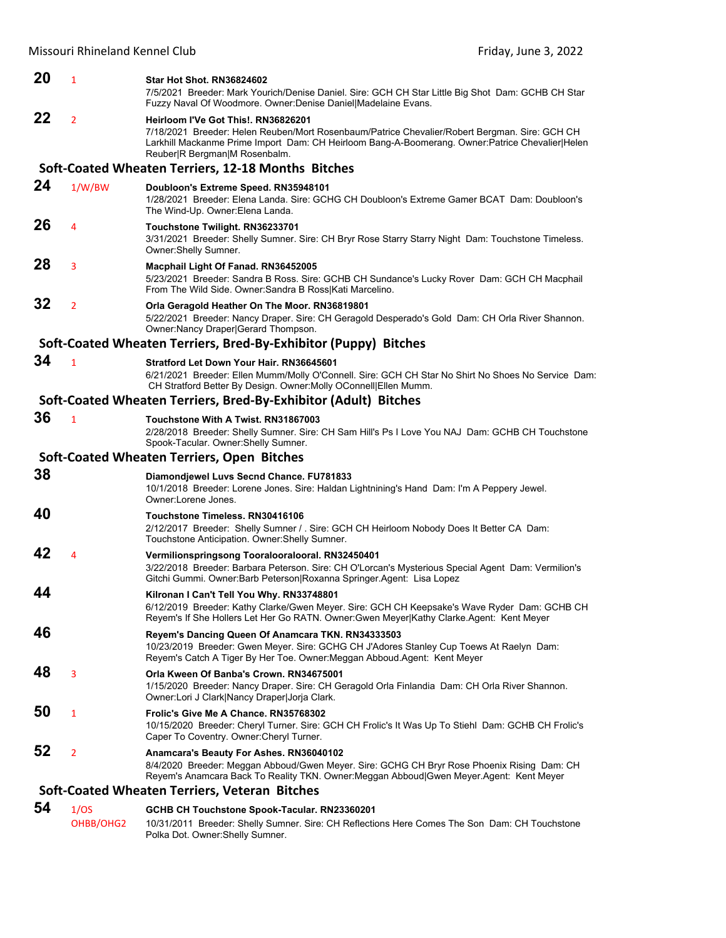| 20 | 1              | <b>Star Hot Shot. RN36824602</b><br>7/5/2021 Breeder: Mark Yourich/Denise Daniel. Sire: GCH CH Star Little Big Shot Dam: GCHB CH Star<br>Fuzzy Naval Of Woodmore. Owner: Denise Daniel Madelaine Evans.                                                                  |
|----|----------------|--------------------------------------------------------------------------------------------------------------------------------------------------------------------------------------------------------------------------------------------------------------------------|
| 22 | $\overline{2}$ | Heirloom I'Ve Got This!. RN36826201<br>7/18/2021 Breeder: Helen Reuben/Mort Rosenbaum/Patrice Chevalier/Robert Bergman. Sire: GCH CH<br>Larkhill Mackanme Prime Import Dam: CH Heirloom Bang-A-Boomerang. Owner:Patrice Chevalier Helen<br>Reuber R Bergman M Rosenbalm. |
|    |                | Soft-Coated Wheaten Terriers, 12-18 Months Bitches                                                                                                                                                                                                                       |
| 24 | 1/W/BW         | Doubloon's Extreme Speed. RN35948101<br>1/28/2021 Breeder: Elena Landa. Sire: GCHG CH Doubloon's Extreme Gamer BCAT Dam: Doubloon's<br>The Wind-Up. Owner: Elena Landa.                                                                                                  |
| 26 | 4              | Touchstone Twilight. RN36233701<br>3/31/2021 Breeder: Shelly Sumner. Sire: CH Bryr Rose Starry Starry Night Dam: Touchstone Timeless.<br>Owner: Shelly Sumner.                                                                                                           |
| 28 | 3              | Macphail Light Of Fanad. RN36452005<br>5/23/2021 Breeder: Sandra B Ross. Sire: GCHB CH Sundance's Lucky Rover Dam: GCH CH Macphail<br>From The Wild Side. Owner: Sandra B Ross Kati Marcelino.                                                                           |
| 32 | $\overline{2}$ | Orla Geragold Heather On The Moor. RN36819801<br>5/22/2021 Breeder: Nancy Draper. Sire: CH Geragold Desperado's Gold Dam: CH Orla River Shannon.<br>Owner: Nancy Draper Gerard Thompson.                                                                                 |
|    |                | Soft-Coated Wheaten Terriers, Bred-By-Exhibitor (Puppy) Bitches                                                                                                                                                                                                          |
| 34 | $\mathbf{1}$   | Stratford Let Down Your Hair, RN36645601<br>6/21/2021 Breeder: Ellen Mumm/Molly O'Connell. Sire: GCH CH Star No Shirt No Shoes No Service Dam:<br>CH Stratford Better By Design. Owner: Molly OConnell Ellen Mumm.                                                       |
|    |                | Soft-Coated Wheaten Terriers, Bred-By-Exhibitor (Adult) Bitches                                                                                                                                                                                                          |
| 36 | $\mathbf{1}$   | Touchstone With A Twist, RN31867003<br>2/28/2018 Breeder: Shelly Sumner. Sire: CH Sam Hill's Ps I Love You NAJ Dam: GCHB CH Touchstone<br>Spook-Tacular. Owner: Shelly Sumner.                                                                                           |
|    |                | Soft-Coated Wheaten Terriers, Open Bitches                                                                                                                                                                                                                               |
| 38 |                | Diamondjewel Luvs Secnd Chance. FU781833<br>10/1/2018 Breeder: Lorene Jones. Sire: Haldan Lightnining's Hand Dam: I'm A Peppery Jewel.<br>Owner:Lorene Jones.                                                                                                            |
| 40 |                | Touchstone Timeless, RN30416106<br>2/12/2017 Breeder: Shelly Sumner / . Sire: GCH CH Heirloom Nobody Does It Better CA Dam:<br>Touchstone Anticipation. Owner: Shelly Sumner.                                                                                            |
| 42 | 4              | Vermilionspringsong Tooralooralooral. RN32450401<br>3/22/2018 Breeder: Barbara Peterson. Sire: CH O'Lorcan's Mysterious Special Agent Dam: Vermilion's<br>Gitchi Gummi. Owner:Barb Peterson Roxanna Springer.Agent: Lisa Lopez                                           |
| 44 |                | Kilronan I Can't Tell You Why. RN33748801<br>6/12/2019 Breeder: Kathy Clarke/Gwen Meyer. Sire: GCH CH Keepsake's Wave Ryder Dam: GCHB CH<br>Reyem's If She Hollers Let Her Go RATN. Owner:Gwen Meyer Kathy Clarke.Agent: Kent Meyer                                      |
| 46 |                | Reyem's Dancing Queen Of Anamcara TKN. RN34333503<br>10/23/2019 Breeder: Gwen Meyer. Sire: GCHG CH J'Adores Stanley Cup Toews At Raelyn Dam:<br>Reyem's Catch A Tiger By Her Toe. Owner: Meggan Abboud. Agent: Kent Meyer                                                |
| 48 | 3              | Orla Kween Of Banba's Crown, RN34675001<br>1/15/2020 Breeder: Nancy Draper. Sire: CH Geragold Orla Finlandia Dam: CH Orla River Shannon.<br>Owner:Lori J Clark Nancy Draper Jorja Clark.                                                                                 |
| 50 | 1              | Frolic's Give Me A Chance, RN35768302<br>10/15/2020 Breeder: Cheryl Turner. Sire: GCH CH Frolic's It Was Up To Stiehl Dam: GCHB CH Frolic's<br>Caper To Coventry. Owner: Cheryl Turner.                                                                                  |
| 52 | $\overline{2}$ | Anamcara's Beauty For Ashes. RN36040102<br>8/4/2020 Breeder: Meggan Abboud/Gwen Meyer. Sire: GCHG CH Bryr Rose Phoenix Rising Dam: CH<br>Reyem's Anamcara Back To Reality TKN. Owner: Meggan Abboud Gwen Meyer. Agent: Kent Meyer                                        |
|    |                | Soft-Coated Wheaten Terriers, Veteran Bitches                                                                                                                                                                                                                            |
|    |                |                                                                                                                                                                                                                                                                          |

**54** 1/OS **GCHB CH Touchstone Spook-Tacular. RN23360201** OHBB/OHG2 10/31/2011 Breeder: Shelly Sumner. Sire: CH Reflections Here Comes The Son Dam: CH Touchstone Polka Dot. Owner:Shelly Sumner.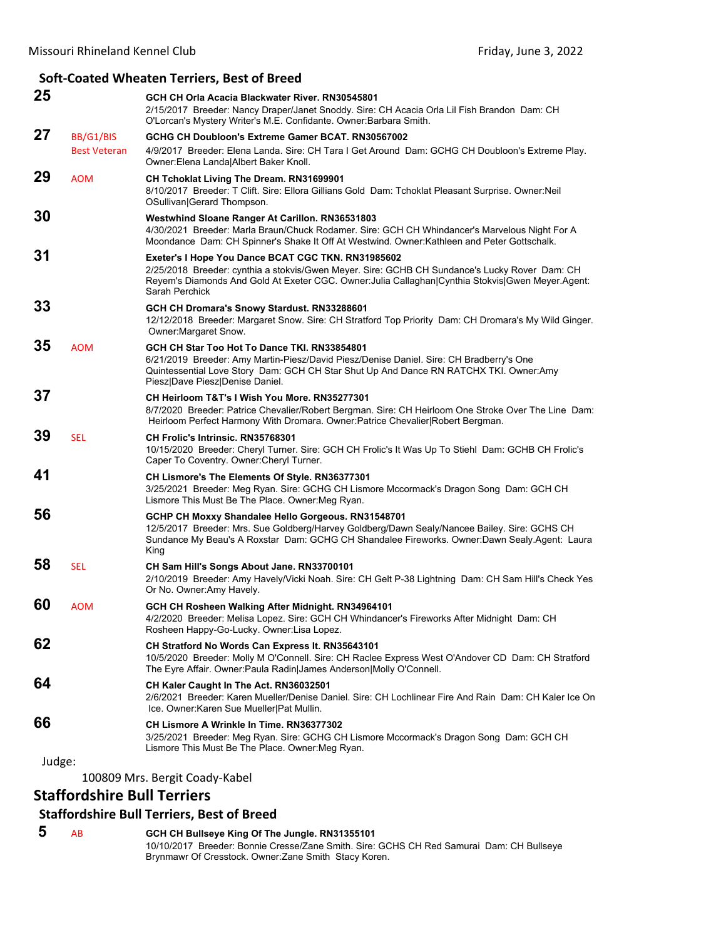|        |                     | Soft-Coated Wheaten Terriers, Best of Breed                                                                                                                                                                                                                                 |
|--------|---------------------|-----------------------------------------------------------------------------------------------------------------------------------------------------------------------------------------------------------------------------------------------------------------------------|
| 25     |                     | GCH CH Orla Acacia Blackwater River, RN30545801<br>2/15/2017 Breeder: Nancy Draper/Janet Snoddy. Sire: CH Acacia Orla Lil Fish Brandon Dam: CH<br>O'Lorcan's Mystery Writer's M.E. Confidante. Owner: Barbara Smith.                                                        |
| 27     | BB/G1/BIS           | GCHG CH Doubloon's Extreme Gamer BCAT, RN30567002                                                                                                                                                                                                                           |
|        | <b>Best Veteran</b> | 4/9/2017 Breeder: Elena Landa. Sire: CH Tara I Get Around Dam: GCHG CH Doubloon's Extreme Play.<br>Owner: Elena Landa  Albert Baker Knoll.                                                                                                                                  |
| 29     | <b>AOM</b>          | CH Tchoklat Living The Dream. RN31699901<br>8/10/2017 Breeder: T Clift. Sire: Ellora Gillians Gold Dam: Tchoklat Pleasant Surprise. Owner: Neil<br>OSullivan Gerard Thompson.                                                                                               |
| 30     |                     | Westwhind Sloane Ranger At Carillon. RN36531803<br>4/30/2021 Breeder: Marla Braun/Chuck Rodamer. Sire: GCH CH Whindancer's Marvelous Night For A<br>Moondance Dam: CH Spinner's Shake It Off At Westwind. Owner: Kathleen and Peter Gottschalk.                             |
| 31     |                     | Exeter's I Hope You Dance BCAT CGC TKN. RN31985602<br>2/25/2018 Breeder: cynthia a stokvis/Gwen Meyer. Sire: GCHB CH Sundance's Lucky Rover Dam: CH<br>Reyem's Diamonds And Gold At Exeter CGC. Owner: Julia Callaghan Cynthia Stokvis Gwen Meyer. Agent:<br>Sarah Perchick |
| 33     |                     | GCH CH Dromara's Snowy Stardust. RN33288601<br>12/12/2018 Breeder: Margaret Snow. Sire: CH Stratford Top Priority Dam: CH Dromara's My Wild Ginger.<br>Owner: Margaret Snow.                                                                                                |
| 35     | <b>AOM</b>          | GCH CH Star Too Hot To Dance TKI. RN33854801<br>6/21/2019 Breeder: Amy Martin-Piesz/David Piesz/Denise Daniel. Sire: CH Bradberry's One<br>Quintessential Love Story Dam: GCH CH Star Shut Up And Dance RN RATCHX TKI. Owner:Amy<br>Piesz Dave Piesz Denise Daniel.         |
| 37     |                     | CH Heirloom T&T's I Wish You More. RN35277301<br>8/7/2020 Breeder: Patrice Chevalier/Robert Bergman. Sire: CH Heirloom One Stroke Over The Line Dam:<br>Heirloom Perfect Harmony With Dromara. Owner: Patrice Chevalier Robert Bergman.                                     |
| 39     | <b>SEL</b>          | CH Frolic's Intrinsic. RN35768301<br>10/15/2020 Breeder: Cheryl Turner. Sire: GCH CH Frolic's It Was Up To Stiehl Dam: GCHB CH Frolic's<br>Caper To Coventry. Owner: Cheryl Turner.                                                                                         |
| 41     |                     | CH Lismore's The Elements Of Style. RN36377301<br>3/25/2021 Breeder: Meg Ryan. Sire: GCHG CH Lismore Mccormack's Dragon Song Dam: GCH CH<br>Lismore This Must Be The Place. Owner: Meg Ryan.                                                                                |
| 56     |                     | GCHP CH Moxxy Shandalee Hello Gorgeous. RN31548701<br>12/5/2017 Breeder: Mrs. Sue Goldberg/Harvey Goldberg/Dawn Sealy/Nancee Bailey. Sire: GCHS CH<br>Sundance My Beau's A Roxstar Dam: GCHG CH Shandalee Fireworks. Owner:Dawn Sealy.Agent: Laura<br>King                  |
| 58     | <b>SEL</b>          | CH Sam Hill's Songs About Jane. RN33700101<br>2/10/2019 Breeder: Amy Havely/Vicki Noah. Sire: CH Gelt P-38 Lightning Dam: CH Sam Hill's Check Yes<br>Or No. Owner: Amy Havely.                                                                                              |
| 60     | <b>AOM</b>          | GCH CH Rosheen Walking After Midnight. RN34964101<br>4/2/2020 Breeder: Melisa Lopez. Sire: GCH CH Whindancer's Fireworks After Midnight Dam: CH<br>Rosheen Happy-Go-Lucky. Owner: Lisa Lopez.                                                                               |
| 62     |                     | CH Stratford No Words Can Express It. RN35643101<br>10/5/2020 Breeder: Molly M O'Connell. Sire: CH Raclee Express West O'Andover CD Dam: CH Stratford<br>The Eyre Affair. Owner: Paula Radin James Anderson Molly O'Connell.                                                |
| 64     |                     | CH Kaler Caught In The Act. RN36032501<br>2/6/2021 Breeder: Karen Mueller/Denise Daniel. Sire: CH Lochlinear Fire And Rain Dam: CH Kaler Ice On<br>Ice. Owner: Karen Sue Mueller Pat Mullin.                                                                                |
| 66     |                     | CH Lismore A Wrinkle In Time, RN36377302<br>3/25/2021 Breeder: Meg Ryan. Sire: GCHG CH Lismore Mccormack's Dragon Song Dam: GCH CH<br>Lismore This Must Be The Place. Owner: Meg Ryan.                                                                                      |
| Judge: |                     |                                                                                                                                                                                                                                                                             |

100809 Mrs. Bergit Coady‐Kabel

# **Staffordshire Bull Terriers**

# **Staffordshire Bull Terriers, Best of Breed**

 **5** AB **GCH CH Bullseye King Of The Jungle. RN31355101** 10/10/2017 Breeder: Bonnie Cresse/Zane Smith. Sire: GCHS CH Red Samurai Dam: CH Bullseye Brynmawr Of Cresstock. Owner:Zane Smith Stacy Koren.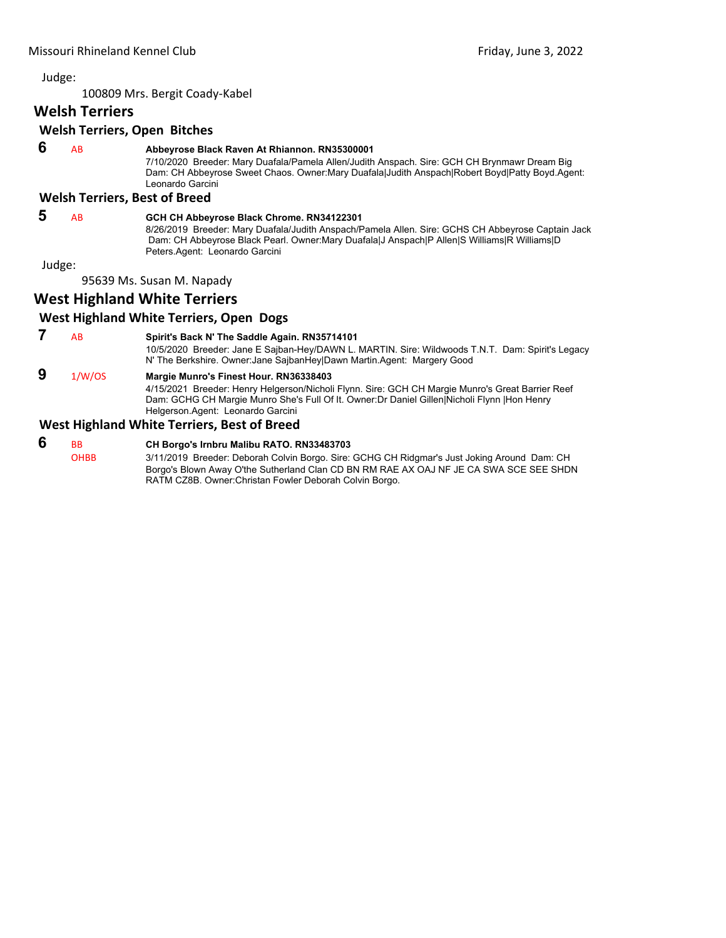100809 Mrs. Bergit Coady‐Kabel

# **Welsh Terriers**

# **Welsh Terriers, Open Bitches**

# **6** AB **Abbeyrose Black Raven At Rhiannon. RN35300001**

7/10/2020 Breeder: Mary Duafala/Pamela Allen/Judith Anspach. Sire: GCH CH Brynmawr Dream Big Dam: CH Abbeyrose Sweet Chaos. Owner:Mary Duafala|Judith Anspach|Robert Boyd|Patty Boyd.Agent: Leonardo Garcini

# **Welsh Terriers, Best of Breed**

# **5** AB **GCH CH Abbeyrose Black Chrome. RN34122301**

8/26/2019 Breeder: Mary Duafala/Judith Anspach/Pamela Allen. Sire: GCHS CH Abbeyrose Captain Jack Dam: CH Abbeyrose Black Pearl. Owner:Mary Duafala|J Anspach|P Allen|S Williams|R Williams|D Peters.Agent: Leonardo Garcini

Judge:

95639 Ms. Susan M. Napady

# **West Highland White Terriers**

# **West Highland White Terriers, Open Dogs**

 **7** AB **Spirit's Back N' The Saddle Again. RN35714101**

10/5/2020 Breeder: Jane E Sajban-Hey/DAWN L. MARTIN. Sire: Wildwoods T.N.T. Dam: Spirit's Legacy N' The Berkshire. Owner:Jane SajbanHey|Dawn Martin.Agent: Margery Good

# **9** 1/W/OS **Margie Munro's Finest Hour. RN36338403**

4/15/2021 Breeder: Henry Helgerson/Nicholi Flynn. Sire: GCH CH Margie Munro's Great Barrier Reef Dam: GCHG CH Margie Munro She's Full Of It. Owner:Dr Daniel Gillen|Nicholi Flynn |Hon Henry Helgerson.Agent: Leonardo Garcini

# **West Highland White Terriers, Best of Breed**

#### **6** BB **CH Borgo's Irnbru Malibu RATO. RN33483703** OHBB 3/11/2019 Breeder: Deborah Colvin Borgo. Sire: GCHG CH Ridgmar's Just Joking Around Dam: CH Borgo's Blown Away O'the Sutherland Clan CD BN RM RAE AX OAJ NF JE CA SWA SCE SEE SHDN RATM CZ8B. Owner:Christan Fowler Deborah Colvin Borgo.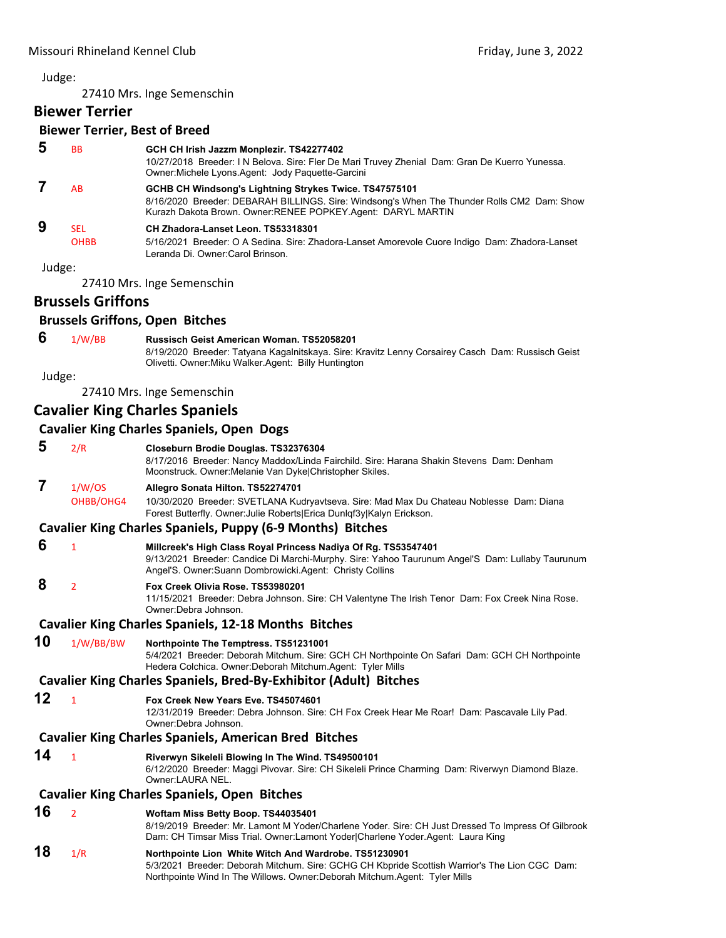27410 Mrs. Inge Semenschin

# **Biewer Terrier**

# **Biewer Terrier, Best of Breed**

| 5      | <b>BB</b>   | GCH CH Irish Jazzm Monplezir. TS42277402<br>10/27/2018 Breeder: I N Belova. Sire: Fler De Mari Truvey Zhenial Dam: Gran De Kuerro Yunessa.<br>Owner: Michele Lyons. Agent: Jody Paquette-Garcini                    |
|--------|-------------|---------------------------------------------------------------------------------------------------------------------------------------------------------------------------------------------------------------------|
|        | AB          | GCHB CH Windsong's Lightning Strykes Twice. TS47575101<br>8/16/2020 Breeder: DEBARAH BILLINGS. Sire: Windsong's When The Thunder Rolls CM2 Dam: Show<br>Kurazh Dakota Brown. Owner:RENEE POPKEY.Agent: DARYL MARTIN |
| 9      | <b>SEL</b>  | CH Zhadora-Lanset Leon. TS53318301                                                                                                                                                                                  |
|        | <b>OHBB</b> | 5/16/2021 Breeder: O A Sedina. Sire: Zhadora-Lanset Amorevole Cuore Indigo Dam: Zhadora-Lanset<br>Leranda Di. Owner: Carol Brinson.                                                                                 |
| Judge: |             |                                                                                                                                                                                                                     |

27410 Mrs. Inge Semenschin

# **Brussels Griffons**

# **Brussels Griffons, Open Bitches**

 **6** 1/W/BB **Russisch Geist American Woman. TS52058201**

8/19/2020 Breeder: Tatyana Kagalnitskaya. Sire: Kravitz Lenny Corsairey Casch Dam: Russisch Geist Olivetti. Owner:Miku Walker.Agent: Billy Huntington

Judge:

27410 Mrs. Inge Semenschin

# **Cavalier King Charles Spaniels**

# **Cavalier King Charles Spaniels, Open Dogs**

 **5** 2/R **Closeburn Brodie Douglas. TS32376304**

8/17/2016 Breeder: Nancy Maddox/Linda Fairchild. Sire: Harana Shakin Stevens Dam: Denham Moonstruck. Owner:Melanie Van Dyke|Christopher Skiles.

# **7** 1/W/OS **Allegro Sonata Hilton. TS52274701**

OHBB/OHG4 10/30/2020 Breeder: SVETLANA Kudryavtseva. Sire: Mad Max Du Chateau Noblesse Dam: Diana Forest Butterfly. Owner:Julie Roberts|Erica Dunlqf3y|Kalyn Erickson.

# **Cavalier King Charles Spaniels, Puppy (6‐9 Months) Bitches**

# **6** <sup>1</sup> **Millcreek's High Class Royal Princess Nadiya Of Rg. TS53547401**

9/13/2021 Breeder: Candice Di Marchi-Murphy. Sire: Yahoo Taurunum Angel'S Dam: Lullaby Taurunum Angel'S. Owner:Suann Dombrowicki.Agent: Christy Collins

# **8** <sup>2</sup> **Fox Creek Olivia Rose. TS53980201**

11/15/2021 Breeder: Debra Johnson. Sire: CH Valentyne The Irish Tenor Dam: Fox Creek Nina Rose. Owner:Debra Johnson.

# **Cavalier King Charles Spaniels, 12‐18 Months Bitches**

# **10** 1/W/BB/BW **Northpointe The Temptress. TS51231001**

5/4/2021 Breeder: Deborah Mitchum. Sire: GCH CH Northpointe On Safari Dam: GCH CH Northpointe Hedera Colchica. Owner:Deborah Mitchum.Agent: Tyler Mills

# **Cavalier King Charles Spaniels, Bred‐By‐Exhibitor (Adult) Bitches**

# **12** <sup>1</sup> **Fox Creek New Years Eve. TS45074601**

12/31/2019 Breeder: Debra Johnson. Sire: CH Fox Creek Hear Me Roar! Dam: Pascavale Lily Pad. Owner:Debra Johnson.

# **Cavalier King Charles Spaniels, American Bred Bitches**

**14** <sup>1</sup> **Riverwyn Sikeleli Blowing In The Wind. TS49500101** 6/12/2020 Breeder: Maggi Pivovar. Sire: CH Sikeleli Prince Charming Dam: Riverwyn Diamond Blaze. Owner:LAURA NEL.

# **Cavalier King Charles Spaniels, Open Bitches**

**16** <sup>2</sup> **Woftam Miss Betty Boop. TS44035401** 8/19/2019 Breeder: Mr. Lamont M Yoder/Charlene Yoder. Sire: CH Just Dressed To Impress Of Gilbrook Dam: CH Timsar Miss Trial. Owner:Lamont Yoder|Charlene Yoder.Agent: Laura King **18** 1/R **Northpointe Lion White Witch And Wardrobe. TS51230901** 5/3/2021 Breeder: Deborah Mitchum. Sire: GCHG CH Kbpride Scottish Warrior's The Lion CGC Dam: Northpointe Wind In The Willows. Owner:Deborah Mitchum.Agent: Tyler Mills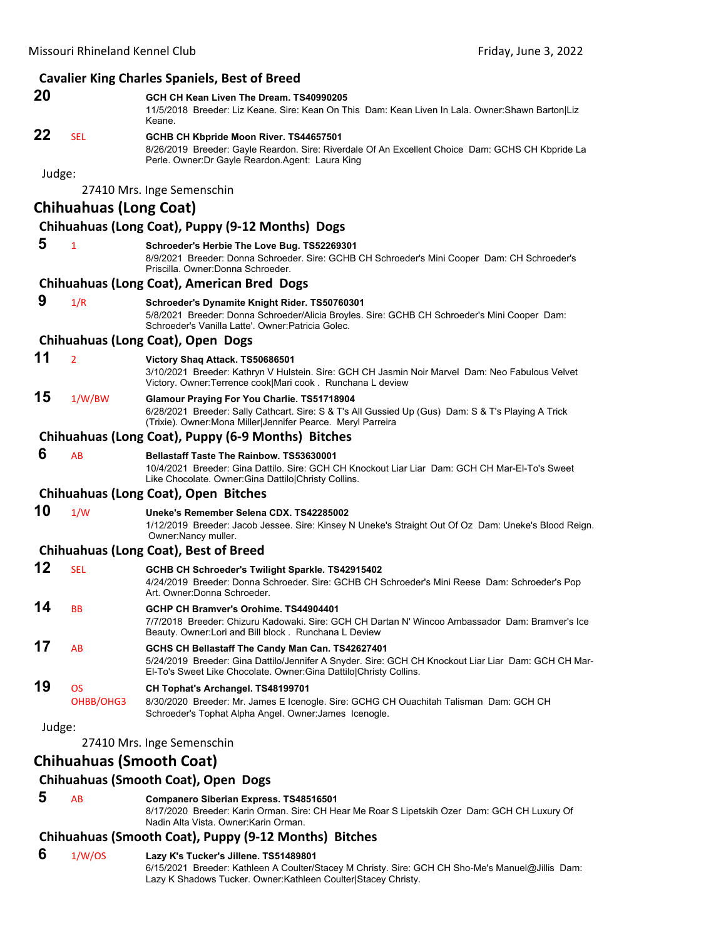|        |                               | <b>Cavalier King Charles Spaniels, Best of Breed</b>                                                                                                                                                                          |
|--------|-------------------------------|-------------------------------------------------------------------------------------------------------------------------------------------------------------------------------------------------------------------------------|
| 20     |                               | GCH CH Kean Liven The Dream. TS40990205<br>11/5/2018 Breeder: Liz Keane. Sire: Kean On This Dam: Kean Liven In Lala. Owner: Shawn Barton Liz<br>Keane.                                                                        |
| 22     | <b>SEL</b>                    | GCHB CH Kbpride Moon River. TS44657501<br>8/26/2019 Breeder: Gayle Reardon. Sire: Riverdale Of An Excellent Choice Dam: GCHS CH Kbpride La<br>Perle. Owner: Dr Gayle Reardon. Agent: Laura King                               |
| Judge: |                               |                                                                                                                                                                                                                               |
|        |                               | 27410 Mrs. Inge Semenschin                                                                                                                                                                                                    |
|        | <b>Chihuahuas (Long Coat)</b> |                                                                                                                                                                                                                               |
|        |                               | Chihuahuas (Long Coat), Puppy (9-12 Months) Dogs                                                                                                                                                                              |
| 5      | $\mathbf{1}$                  | Schroeder's Herbie The Love Bug. TS52269301<br>8/9/2021 Breeder: Donna Schroeder. Sire: GCHB CH Schroeder's Mini Cooper Dam: CH Schroeder's<br>Priscilla, Owner:Donna Schroeder,                                              |
|        |                               | <b>Chihuahuas (Long Coat), American Bred Dogs</b>                                                                                                                                                                             |
| 9      | 1/R                           | Schroeder's Dynamite Knight Rider. TS50760301<br>5/8/2021 Breeder: Donna Schroeder/Alicia Broyles. Sire: GCHB CH Schroeder's Mini Cooper Dam:<br>Schroeder's Vanilla Latte'. Owner:Patricia Golec.                            |
|        |                               | Chihuahuas (Long Coat), Open Dogs                                                                                                                                                                                             |
| 11     | $\overline{2}$                | Victory Shaq Attack. TS50686501<br>3/10/2021 Breeder: Kathryn V Hulstein. Sire: GCH CH Jasmin Noir Marvel Dam: Neo Fabulous Velvet<br>Victory. Owner: Terrence cook Mari cook. Runchana L deview                              |
| 15     | 1/W/BW                        | Glamour Praying For You Charlie. TS51718904<br>6/28/2021 Breeder: Sally Cathcart. Sire: S & T's All Gussied Up (Gus) Dam: S & T's Playing A Trick<br>(Trixie). Owner: Mona Miller Jennifer Pearce. Meryl Parreira             |
|        |                               | Chihuahuas (Long Coat), Puppy (6-9 Months) Bitches                                                                                                                                                                            |
| 6      | AB                            | <b>Bellastaff Taste The Rainbow, TS53630001</b><br>10/4/2021 Breeder: Gina Dattilo. Sire: GCH CH Knockout Liar Liar Dam: GCH CH Mar-El-To's Sweet<br>Like Chocolate. Owner: Gina Dattilo Christy Collins.                     |
|        |                               | Chihuahuas (Long Coat), Open Bitches                                                                                                                                                                                          |
| 10     | 1/W                           | Uneke's Remember Selena CDX, TS42285002<br>1/12/2019 Breeder: Jacob Jessee. Sire: Kinsey N Uneke's Straight Out Of Oz Dam: Uneke's Blood Reign.<br>Owner: Nancy muller.                                                       |
|        |                               | <b>Chihuahuas (Long Coat), Best of Breed</b>                                                                                                                                                                                  |
| 12     | <b>SEL</b>                    | GCHB CH Schroeder's Twilight Sparkle. TS42915402<br>4/24/2019 Breeder: Donna Schroeder. Sire: GCHB CH Schroeder's Mini Reese Dam: Schroeder's Pop<br>Art. Owner: Donna Schroeder.                                             |
| 14     | BВ                            | GCHP CH Bramver's Orohime. TS44904401                                                                                                                                                                                         |
|        |                               | 7/7/2018 Breeder: Chizuru Kadowaki, Sire: GCH CH Dartan N' Wincoo Ambassador Dam: Bramver's Ice<br>Beauty. Owner:Lori and Bill block. Runchana L Deview                                                                       |
| 17     | AB                            | GCHS CH Bellastaff The Candy Man Can. TS42627401<br>5/24/2019 Breeder: Gina Dattilo/Jennifer A Snyder. Sire: GCH CH Knockout Liar Liar Dam: GCH CH Mar-<br>El-To's Sweet Like Chocolate. Owner: Gina Dattilo Christy Collins. |
| 19     | <b>OS</b>                     | CH Tophat's Archangel. TS48199701                                                                                                                                                                                             |
|        | OHBB/OHG3                     | 8/30/2020 Breeder: Mr. James E Icenogle. Sire: GCHG CH Ouachitah Talisman Dam: GCH CH<br>Schroeder's Tophat Alpha Angel. Owner: James Icenogle.                                                                               |
| Judge: |                               |                                                                                                                                                                                                                               |
|        |                               | 27410 Mrs. Inge Semenschin                                                                                                                                                                                                    |
|        |                               | <b>Chihuahuas (Smooth Coat)</b>                                                                                                                                                                                               |
|        |                               | <b>Chihuahuas (Smooth Coat), Open Dogs</b>                                                                                                                                                                                    |
| 5      | AB                            | Companero Siberian Express. TS48516501<br>8/17/2020 Breeder: Karin Orman. Sire: CH Hear Me Roar S Lipetskih Ozer Dam: GCH CH Luxury Of<br>Nadin Alta Vista. Owner: Karin Orman.                                               |
|        |                               |                                                                                                                                                                                                                               |

# **Chihuahuas (Smooth Coat), Puppy (9‐12 Months) Bitches**

 **6** 1/W/OS **Lazy K's Tucker's Jillene. TS51489801** 6/15/2021 Breeder: Kathleen A Coulter/Stacey M Christy. Sire: GCH CH Sho-Me's Manuel@Jillis Dam: Lazy K Shadows Tucker. Owner:Kathleen Coulter|Stacey Christy.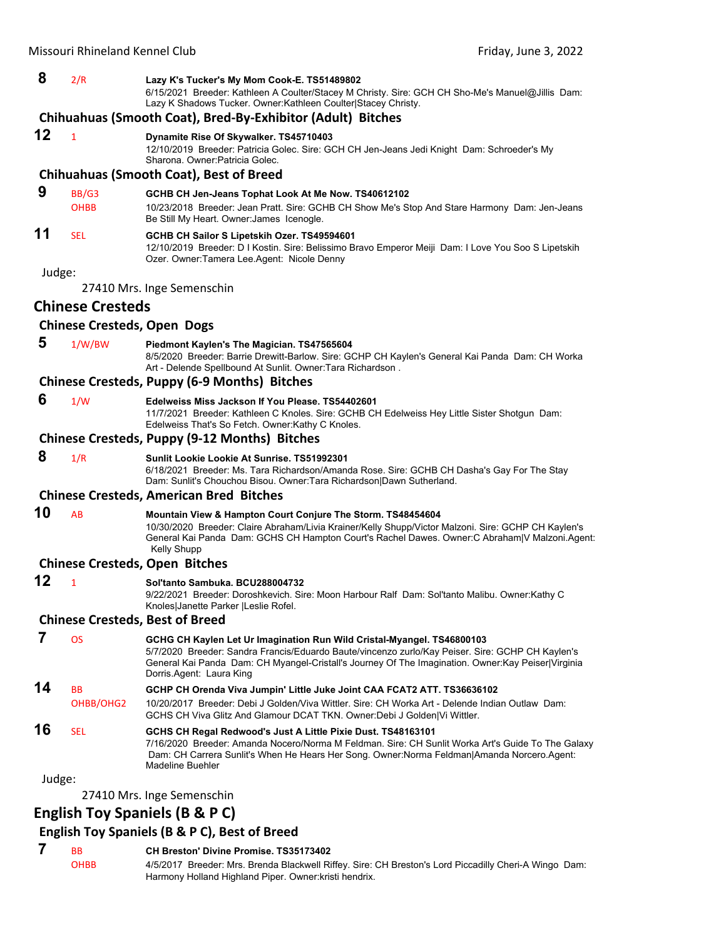# **8** 2/R **Lazy K's Tucker's My Mom Cook-E. TS51489802**

6/15/2021 Breeder: Kathleen A Coulter/Stacey M Christy. Sire: GCH CH Sho-Me's Manuel@Jillis Dam: Lazy K Shadows Tucker. Owner:Kathleen Coulter|Stacey Christy.

# **Chihuahuas (Smooth Coat), Bred‐By‐Exhibitor (Adult) Bitches**

# **12** <sup>1</sup> **Dynamite Rise Of Skywalker. TS45710403**

12/10/2019 Breeder: Patricia Golec. Sire: GCH CH Jen-Jeans Jedi Knight Dam: Schroeder's My Sharona. Owner:Patricia Golec.

#### **Chihuahuas (Smooth Coat), Best of Breed**

# **9** BB/G3 **GCHB CH Jen-Jeans Tophat Look At Me Now. TS40612102**

OHBB 10/23/2018 Breeder: Jean Pratt. Sire: GCHB CH Show Me's Stop And Stare Harmony Dam: Jen-Jeans Be Still My Heart. Owner:James Icenogle.

# **11** SEL **GCHB CH Sailor S Lipetskih Ozer. TS49594601**

12/10/2019 Breeder: D I Kostin. Sire: Belissimo Bravo Emperor Meiji Dam: I Love You Soo S Lipetskih Ozer. Owner:Tamera Lee.Agent: Nicole Denny

Judge:

27410 Mrs. Inge Semenschin

# **Chinese Cresteds**

# **Chinese Cresteds, Open Dogs**

 **5** 1/W/BW **Piedmont Kaylen's The Magician. TS47565604** 8/5/2020 Breeder: Barrie Drewitt-Barlow. Sire: GCHP CH Kaylen's General Kai Panda Dam: CH Worka Art - Delende Spellbound At Sunlit. Owner:Tara Richardson .

# **Chinese Cresteds, Puppy (6‐9 Months) Bitches**

 **6** 1/W **Edelweiss Miss Jackson If You Please. TS54402601** 11/7/2021 Breeder: Kathleen C Knoles. Sire: GCHB CH Edelweiss Hey Little Sister Shotgun Dam:

Edelweiss That's So Fetch. Owner:Kathy C Knoles.

# **Chinese Cresteds, Puppy (9‐12 Months) Bitches**

 **8** 1/R **Sunlit Lookie Lookie At Sunrise. TS51992301**

6/18/2021 Breeder: Ms. Tara Richardson/Amanda Rose. Sire: GCHB CH Dasha's Gay For The Stay Dam: Sunlit's Chouchou Bisou. Owner:Tara Richardson|Dawn Sutherland.

# **Chinese Cresteds, American Bred Bitches**

# **10** AB **Mountain View & Hampton Court Conjure The Storm. TS48454604**

10/30/2020 Breeder: Claire Abraham/Livia Krainer/Kelly Shupp/Victor Malzoni. Sire: GCHP CH Kaylen's General Kai Panda Dam: GCHS CH Hampton Court's Rachel Dawes. Owner:C Abraham|V Malzoni.Agent: Kelly Shupp

# **Chinese Cresteds, Open Bitches**

# **12** <sup>1</sup> **Sol'tanto Sambuka. BCU288004732**

9/22/2021 Breeder: Doroshkevich. Sire: Moon Harbour Ralf Dam: Sol'tanto Malibu. Owner:Kathy C Knoles|Janette Parker |Leslie Rofel.

#### **Chinese Cresteds, Best of Breed**

 **7** OS **GCHG CH Kaylen Let Ur Imagination Run Wild Cristal-Myangel. TS46800103** 5/7/2020 Breeder: Sandra Francis/Eduardo Baute/vincenzo zurlo/Kay Peiser. Sire: GCHP CH Kaylen's General Kai Panda Dam: CH Myangel-Cristall's Journey Of The Imagination. Owner:Kay Peiser|Virginia Dorris.Agent: Laura King **14** BB **GCHP CH Orenda Viva Jumpin' Little Juke Joint CAA FCAT2 ATT. TS36636102** OHBB/OHG2 10/20/2017 Breeder: Debi J Golden/Viva Wittler. Sire: CH Worka Art - Delende Indian Outlaw Dam: GCHS CH Viva Glitz And Glamour DCAT TKN. Owner:Debi J Golden|Vi Wittler. **16** SEL **GCHS CH Regal Redwood's Just A Little Pixie Dust. TS48163101** 7/16/2020 Breeder: Amanda Nocero/Norma M Feldman. Sire: CH Sunlit Worka Art's Guide To The Galaxy Dam: CH Carrera Sunlit's When He Hears Her Song. Owner:Norma Feldman|Amanda Norcero.Agent:

#### Judge:

27410 Mrs. Inge Semenschin

# **English Toy Spaniels (B & P C)**

# **English Toy Spaniels (B & P C), Best of Breed**

Madeline Buehler

 **7** BB **CH Breston' Divine Promise. TS35173402** OHBB 4/5/2017 Breeder: Mrs. Brenda Blackwell Riffey. Sire: CH Breston's Lord Piccadilly Cheri-A Wingo Dam: Harmony Holland Highland Piper. Owner:kristi hendrix.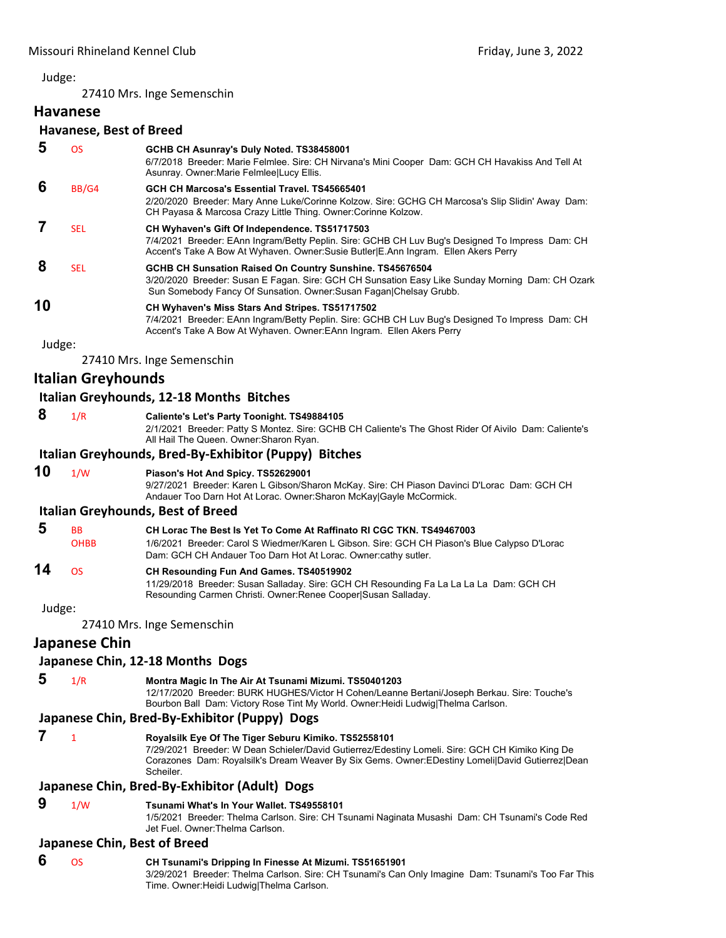27410 Mrs. Inge Semenschin

# **Havanese Havanese, Best of Breed**

| 5  | <b>OS</b>  | GCHB CH Asunray's Duly Noted. TS38458001<br>6/7/2018 Breeder: Marie Felmlee. Sire: CH Nirvana's Mini Cooper Dam: GCH CH Havakiss And Tell At<br>Asunray. Owner: Marie Felmlee Lucy Ellis.                                               |
|----|------------|-----------------------------------------------------------------------------------------------------------------------------------------------------------------------------------------------------------------------------------------|
| 6  | BB/G4      | GCH CH Marcosa's Essential Travel. TS45665401<br>2/20/2020 Breeder: Mary Anne Luke/Corinne Kolzow. Sire: GCHG CH Marcosa's Slip Slidin' Away Dam:<br>CH Payasa & Marcosa Crazy Little Thing. Owner: Corinne Kolzow.                     |
|    | <b>SEL</b> | CH Wyhaven's Gift Of Independence. TS51717503<br>7/4/2021 Breeder: EAnn Ingram/Betty Peplin. Sire: GCHB CH Luv Bug's Designed To Impress Dam: CH<br>Accent's Take A Bow At Wyhaven. Owner: Susie Butler E.Ann Ingram. Ellen Akers Perry |
| 8  | <b>SEL</b> | GCHB CH Sunsation Raised On Country Sunshine. TS45676504<br>3/20/2020 Breeder: Susan E Fagan. Sire: GCH CH Sunsation Easy Like Sunday Morning Dam: CH Ozark<br>Sun Somebody Fancy Of Sunsation. Owner: Susan Fagan Chelsay Grubb.       |
| 10 |            | CH Wyhaven's Miss Stars And Stripes. TS51717502<br>7/4/2021 Breeder: EAnn Ingram/Betty Peplin. Sire: GCHB CH Luv Bug's Designed To Impress Dam: CH<br>Accent's Take A Bow At Wyhaven. Owner: EAnn Ingram. Ellen Akers Perry             |
|    |            |                                                                                                                                                                                                                                         |

Judge:

27410 Mrs. Inge Semenschin

# **Italian Greyhounds**

# **Italian Greyhounds, 12‐18 Months Bitches**

 **8** 1/R **Caliente's Let's Party Toonight. TS49884105**

2/1/2021 Breeder: Patty S Montez. Sire: GCHB CH Caliente's The Ghost Rider Of Aivilo Dam: Caliente's All Hail The Queen. Owner:Sharon Ryan.

# **Italian Greyhounds, Bred‐By‐Exhibitor (Puppy) Bitches**

# **10** 1/W **Piason's Hot And Spicy. TS52629001**

9/27/2021 Breeder: Karen L Gibson/Sharon McKay. Sire: CH Piason Davinci D'Lorac Dam: GCH CH Andauer Too Darn Hot At Lorac. Owner:Sharon McKay|Gayle McCormick.

#### **Italian Greyhounds, Best of Breed**

| 5 | <b>BB</b>   | CH Lorac The Best Is Yet To Come At Raffinato RI CGC TKN, TS49467003                         |
|---|-------------|----------------------------------------------------------------------------------------------|
|   | <b>OHBB</b> | 1/6/2021 Breeder: Carol S Wiedmer/Karen L Gibson. Sire: GCH CH Piason's Blue Calypso D'Lorac |
|   |             | Dam: GCH CH Andauer Too Darn Hot At Lorac. Owner:cathy sutler.                               |
|   |             |                                                                                              |

# **14** OS **CH Resounding Fun And Games. TS40519902**

11/29/2018 Breeder: Susan Salladay. Sire: GCH CH Resounding Fa La La La La Dam: GCH CH Resounding Carmen Christi. Owner:Renee Cooper|Susan Salladay.

Judge:

27410 Mrs. Inge Semenschin

# **Japanese Chin**

# **Japanese Chin, 12‐18 Months Dogs**

# **5** 1/R **Montra Magic In The Air At Tsunami Mizumi. TS50401203**

12/17/2020 Breeder: BURK HUGHES/Victor H Cohen/Leanne Bertani/Joseph Berkau. Sire: Touche's Bourbon Ball Dam: Victory Rose Tint My World. Owner:Heidi Ludwig|Thelma Carlson.

# **Japanese Chin, Bred‐By‐Exhibitor (Puppy) Dogs**

# **7** <sup>1</sup> **Royalsilk Eye Of The Tiger Seburu Kimiko. TS52558101**

7/29/2021 Breeder: W Dean Schieler/David Gutierrez/Edestiny Lomeli. Sire: GCH CH Kimiko King De Corazones Dam: Royalsilk's Dream Weaver By Six Gems. Owner:EDestiny Lomeli|David Gutierrez|Dean Scheiler.

# **Japanese Chin, Bred‐By‐Exhibitor (Adult) Dogs**

# **9** 1/W **Tsunami What's In Your Wallet. TS49558101**

1/5/2021 Breeder: Thelma Carlson. Sire: CH Tsunami Naginata Musashi Dam: CH Tsunami's Code Red Jet Fuel. Owner:Thelma Carlson.

# **Japanese Chin, Best of Breed**

# **6** OS **CH Tsunami's Dripping In Finesse At Mizumi. TS51651901**

3/29/2021 Breeder: Thelma Carlson. Sire: CH Tsunami's Can Only Imagine Dam: Tsunami's Too Far This Time. Owner:Heidi Ludwig|Thelma Carlson.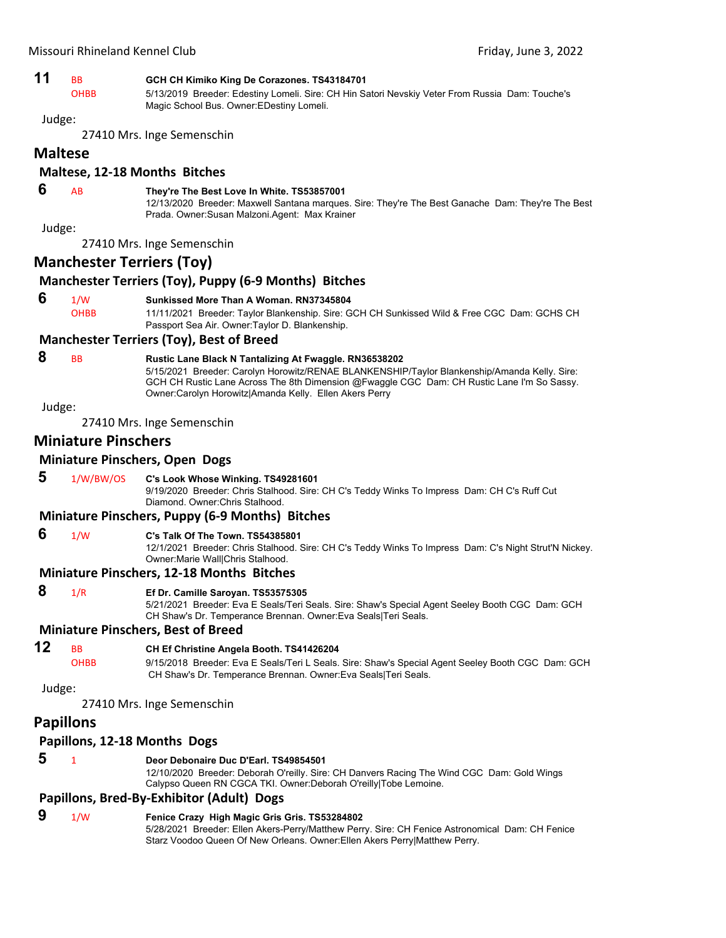| 11 |  | GCH CH Kimiko King De Corazones. TS43184701 |
|----|--|---------------------------------------------|
|----|--|---------------------------------------------|

OHBB 5/13/2019 Breeder: Edestiny Lomeli. Sire: CH Hin Satori Nevskiy Veter From Russia Dam: Touche's Magic School Bus. Owner:EDestiny Lomeli.

Judge:

27410 Mrs. Inge Semenschin

# **Maltese**

# **Maltese, 12‐18 Months Bitches**

# **6** AB **They're The Best Love In White. TS53857001**

12/13/2020 Breeder: Maxwell Santana marques. Sire: They're The Best Ganache Dam: They're The Best Prada. Owner:Susan Malzoni.Agent: Max Krainer

Judge:

27410 Mrs. Inge Semenschin

# **Manchester Terriers (Toy)**

# **Manchester Terriers (Toy), Puppy (6‐9 Months) Bitches**

 **6** 1/W **Sunkissed More Than A Woman. RN37345804** OHBB 11/11/2021 Breeder: Taylor Blankenship. Sire: GCH CH Sunkissed Wild & Free CGC Dam: GCHS CH Passport Sea Air. Owner:Taylor D. Blankenship.

#### **Manchester Terriers (Toy), Best of Breed**

# **8** BB **Rustic Lane Black N Tantalizing At Fwaggle. RN36538202**

5/15/2021 Breeder: Carolyn Horowitz/RENAE BLANKENSHIP/Taylor Blankenship/Amanda Kelly. Sire: GCH CH Rustic Lane Across The 8th Dimension @Fwaggle CGC Dam: CH Rustic Lane I'm So Sassy. Owner:Carolyn Horowitz|Amanda Kelly. Ellen Akers Perry

Judge:

27410 Mrs. Inge Semenschin

# **Miniature Pinschers**

#### **Miniature Pinschers, Open Dogs**

 **5** 1/W/BW/OS **C's Look Whose Winking. TS49281601**

9/19/2020 Breeder: Chris Stalhood. Sire: CH C's Teddy Winks To Impress Dam: CH C's Ruff Cut Diamond. Owner:Chris Stalhood.

# **Miniature Pinschers, Puppy (6‐9 Months) Bitches**

#### **6** 1/W **C's Talk Of The Town. TS54385801**

12/1/2021 Breeder: Chris Stalhood. Sire: CH C's Teddy Winks To Impress Dam: C's Night Strut'N Nickey. Owner:Marie Wall|Chris Stalhood.

#### **Miniature Pinschers, 12‐18 Months Bitches**

#### **8** 1/R **Ef Dr. Camille Saroyan. TS53575305**

5/21/2021 Breeder: Eva E Seals/Teri Seals. Sire: Shaw's Special Agent Seeley Booth CGC Dam: GCH CH Shaw's Dr. Temperance Brennan. Owner:Eva Seals|Teri Seals.

# **Miniature Pinschers, Best of Breed**

# **12** BB **CH Ef Christine Angela Booth. TS41426204**

OHBB 9/15/2018 Breeder: Eva E Seals/Teri L Seals. Sire: Shaw's Special Agent Seeley Booth CGC Dam: GCH CH Shaw's Dr. Temperance Brennan. Owner:Eva Seals|Teri Seals.

#### Judge:

27410 Mrs. Inge Semenschin

# **Papillons**

#### **Papillons, 12‐18 Months Dogs**

# **5** <sup>1</sup> **Deor Debonaire Duc D'Earl. TS49854501**

12/10/2020 Breeder: Deborah O'reilly. Sire: CH Danvers Racing The Wind CGC Dam: Gold Wings Calypso Queen RN CGCA TKI. Owner:Deborah O'reilly|Tobe Lemoine.

#### **Papillons, Bred‐By‐Exhibitor (Adult) Dogs**

 **9** 1/W **Fenice Crazy High Magic Gris Gris. TS53284802** 5/28/2021 Breeder: Ellen Akers-Perry/Matthew Perry. Sire: CH Fenice Astronomical Dam: CH Fenice Starz Voodoo Queen Of New Orleans. Owner:Ellen Akers Perry|Matthew Perry.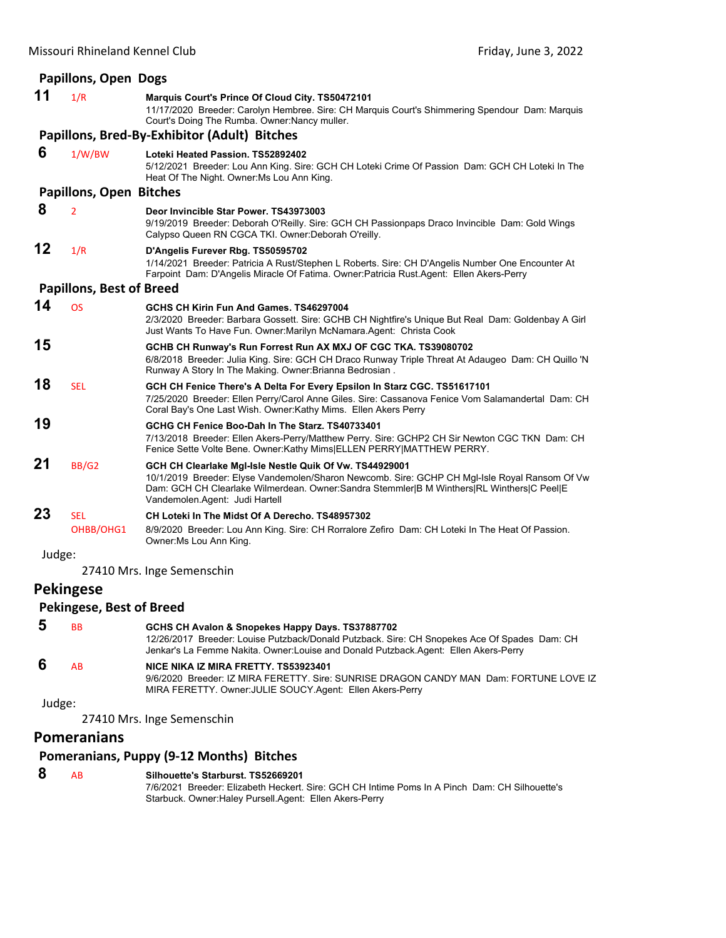| <b>Papillons, Open Dogs</b>                    |                                 |                                                                                                                                                                                                                                                                                         |
|------------------------------------------------|---------------------------------|-----------------------------------------------------------------------------------------------------------------------------------------------------------------------------------------------------------------------------------------------------------------------------------------|
| 11                                             | 1/R                             | Marquis Court's Prince Of Cloud City. TS50472101<br>11/17/2020 Breeder: Carolyn Hembree. Sire: CH Marquis Court's Shimmering Spendour Dam: Marquis<br>Court's Doing The Rumba. Owner: Nancy muller.                                                                                     |
|                                                |                                 | Papillons, Bred-By-Exhibitor (Adult) Bitches                                                                                                                                                                                                                                            |
| 6                                              | 1/W/BW                          | Loteki Heated Passion. TS52892402<br>5/12/2021 Breeder: Lou Ann King. Sire: GCH CH Loteki Crime Of Passion Dam: GCH CH Loteki In The<br>Heat Of The Night. Owner: Ms Lou Ann King.                                                                                                      |
|                                                | <b>Papillons, Open Bitches</b>  |                                                                                                                                                                                                                                                                                         |
| 8                                              | $\overline{2}$                  | Deor Invincible Star Power, TS43973003<br>9/19/2019 Breeder: Deborah O'Reilly. Sire: GCH CH Passionpaps Draco Invincible Dam: Gold Wings<br>Calypso Queen RN CGCA TKI. Owner: Deborah O'reilly.                                                                                         |
| 12                                             | 1/R                             | D'Angelis Furever Rbg. TS50595702<br>1/14/2021 Breeder: Patricia A Rust/Stephen L Roberts. Sire: CH D'Angelis Number One Encounter At<br>Farpoint Dam: D'Angelis Miracle Of Fatima. Owner:Patricia Rust.Agent: Ellen Akers-Perry                                                        |
|                                                | <b>Papillons, Best of Breed</b> |                                                                                                                                                                                                                                                                                         |
| 14                                             | <b>OS</b>                       | GCHS CH Kirin Fun And Games, TS46297004<br>2/3/2020 Breeder: Barbara Gossett. Sire: GCHB CH Nightfire's Unique But Real Dam: Goldenbay A Girl<br>Just Wants To Have Fun. Owner: Marilyn McNamara. Agent: Christa Cook                                                                   |
| 15                                             |                                 | GCHB CH Runway's Run Forrest Run AX MXJ OF CGC TKA. TS39080702<br>6/8/2018 Breeder: Julia King. Sire: GCH CH Draco Runway Triple Threat At Adaugeo Dam: CH Quillo 'N<br>Runway A Story In The Making. Owner: Brianna Bedrosian.                                                         |
| 18                                             | <b>SEL</b>                      | GCH CH Fenice There's A Delta For Every Epsilon In Starz CGC. TS51617101<br>7/25/2020 Breeder: Ellen Perry/Carol Anne Giles. Sire: Cassanova Fenice Vom Salamandertal Dam: CH<br>Coral Bay's One Last Wish. Owner:Kathy Mims. Ellen Akers Perry                                         |
| 19                                             |                                 | GCHG CH Fenice Boo-Dah In The Starz, TS40733401<br>7/13/2018 Breeder: Ellen Akers-Perry/Matthew Perry. Sire: GCHP2 CH Sir Newton CGC TKN Dam: CH<br>Fenice Sette Volte Bene. Owner: Kathy Mims ELLEN PERRY MATTHEW PERRY.                                                               |
| 21                                             | BB/G2                           | GCH CH Clearlake MgI-Isle Nestle Quik Of Vw. TS44929001<br>10/1/2019 Breeder: Elyse Vandemolen/Sharon Newcomb. Sire: GCHP CH Mgl-Isle Royal Ransom Of Vw<br>Dam: GCH CH Clearlake Wilmerdean. Owner:Sandra Stemmler B M Winthers RL Winthers C Peel E<br>Vandemolen.Agent: Judi Hartell |
| 23                                             | <b>SEL</b><br>OHBB/OHG1         | CH Loteki In The Midst Of A Derecho, TS48957302<br>8/9/2020 Breeder: Lou Ann King. Sire: CH Rorralore Zefiro Dam: CH Loteki In The Heat Of Passion.<br>Owner: Ms Lou Ann King.                                                                                                          |
| Judge:                                         |                                 |                                                                                                                                                                                                                                                                                         |
| 27410 Mrs. Inge Semenschin<br><b>Dokingoco</b> |                                 |                                                                                                                                                                                                                                                                                         |

# **Pekingese**

# **Pekingese, Best of Breed**

| -5 | <b>BB</b> | GCHS CH Avalon & Snopekes Happy Days. TS37887702                                                                                                                                      |
|----|-----------|---------------------------------------------------------------------------------------------------------------------------------------------------------------------------------------|
|    |           | 12/26/2017 Breeder: Louise Putzback/Donald Putzback. Sire: CH Snopekes Ace Of Spades Dam: CH<br>Jenkar's La Femme Nakita. Owner: Louise and Donald Putzback. Agent: Ellen Akers-Perry |
| -6 | <b>AR</b> | NICE NIKA IZ MIRA FRETTY. TS53923401<br>ORPOOO Dreader 17 MIDA FEDETTY Circ CUNDICE DDACON CANDY MANI Dem FODTUNE LOVE                                                                |

9/6/2020 Breeder: IZ MIRA FERETTY. Sire: SUNRISE DRAGON CANDY MAN Dam: FORTUNE LOVE IZ MIRA FERETTY. Owner:JULIE SOUCY.Agent: Ellen Akers-Perry Judge:

27410 Mrs. Inge Semenschin

# **Pomeranians**

# **Pomeranians, Puppy (9‐12 Months) Bitches**

| 8 | A <sub>R</sub> | Silhouette's Starburst, TS52669201                                                            |
|---|----------------|-----------------------------------------------------------------------------------------------|
|   |                | 7/6/2021 Breeder: Elizabeth Heckert, Sire: GCH CH Intime Poms In A Pinch Dam: CH Silhouette's |
|   |                | Starbuck. Owner: Haley Pursell. Agent: Ellen Akers-Perry                                      |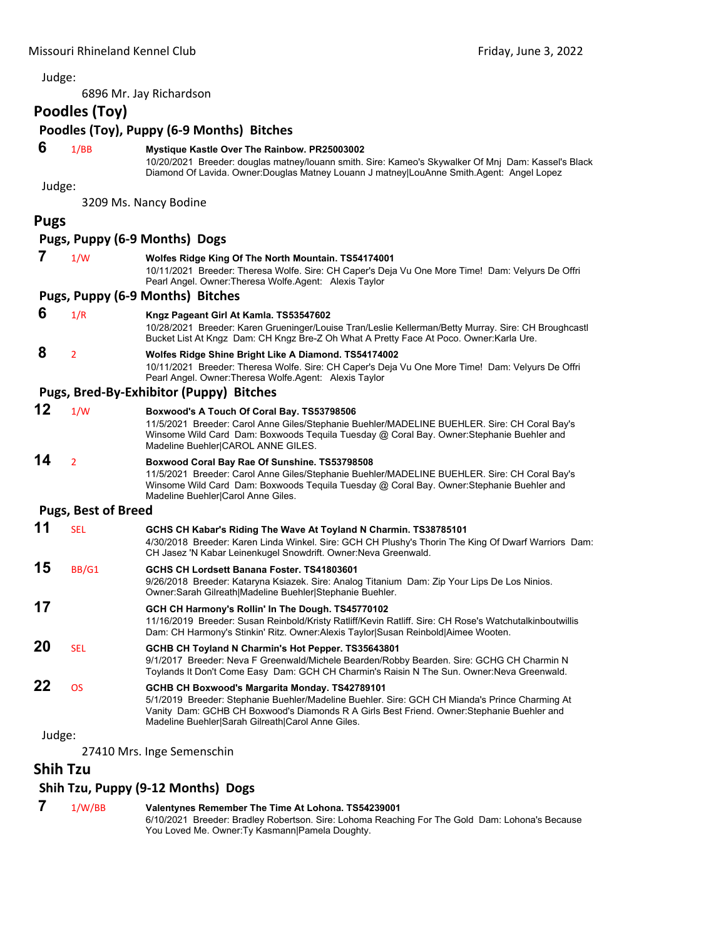6896 Mr. Jay Richardson

# **Poodles (Toy)**

# **Poodles (Toy), Puppy (6‐9 Months) Bitches**

# **6** 1/BB **Mystique Kastle Over The Rainbow. PR25003002**

10/20/2021 Breeder: douglas matney/louann smith. Sire: Kameo's Skywalker Of Mnj Dam: Kassel's Black Diamond Of Lavida. Owner:Douglas Matney Louann J matney|LouAnne Smith.Agent: Angel Lopez

Judge:

3209 Ms. Nancy Bodine

# **Pugs**

# **Pugs, Puppy (6‐9 Months) Dogs**

| 7  | 1/W                        | Wolfes Ridge King Of The North Mountain. TS54174001<br>10/11/2021 Breeder: Theresa Wolfe. Sire: CH Caper's Deja Vu One More Time! Dam: Velyurs De Offri<br>Pearl Angel. Owner: Theresa Wolfe Agent: Alexis Taylor                                                                |
|----|----------------------------|----------------------------------------------------------------------------------------------------------------------------------------------------------------------------------------------------------------------------------------------------------------------------------|
|    |                            | Pugs, Puppy (6-9 Months) Bitches                                                                                                                                                                                                                                                 |
| 6  | 1/R                        | Kngz Pageant Girl At Kamla. TS53547602<br>10/28/2021 Breeder: Karen Grueninger/Louise Tran/Leslie Kellerman/Betty Murray. Sire: CH Broughcastl<br>Bucket List At Kngz Dam: CH Kngz Bre-Z Oh What A Pretty Face At Poco. Owner: Karla Ure.                                        |
| 8  | $\overline{2}$             | Wolfes Ridge Shine Bright Like A Diamond. TS54174002<br>10/11/2021 Breeder: Theresa Wolfe. Sire: CH Caper's Deja Vu One More Time! Dam: Velyurs De Offri<br>Pearl Angel. Owner: Theresa Wolfe Agent: Alexis Taylor                                                               |
|    |                            | Pugs, Bred-By-Exhibitor (Puppy) Bitches                                                                                                                                                                                                                                          |
| 12 | 1/W                        | Boxwood's A Touch Of Coral Bay. TS53798506<br>11/5/2021 Breeder: Carol Anne Giles/Stephanie Buehler/MADELINE BUEHLER. Sire: CH Coral Bay's<br>Winsome Wild Card Dam: Boxwoods Tequila Tuesday @ Coral Bay. Owner: Stephanie Buehler and<br>Madeline Buehler CAROL ANNE GILES.    |
| 14 | $\overline{2}$             | Boxwood Coral Bay Rae Of Sunshine. TS53798508<br>11/5/2021 Breeder: Carol Anne Giles/Stephanie Buehler/MADELINE BUEHLER. Sire: CH Coral Bay's<br>Winsome Wild Card Dam: Boxwoods Tequila Tuesday @ Coral Bay. Owner: Stephanie Buehler and<br>Madeline Buehler Carol Anne Giles. |
|    | <b>Pugs, Best of Breed</b> |                                                                                                                                                                                                                                                                                  |
| 11 | <b>SEL</b>                 | GCHS CH Kabar's Riding The Wave At Toyland N Charmin. TS38785101<br>4/30/2018 Breeder: Karen Linda Winkel. Sire: GCH CH Plushy's Thorin The King Of Dwarf Warriors Dam:<br>CH Jasez 'N Kabar Leinenkugel Snowdrift. Owner: Neva Greenwald.                                       |
| 15 | BB/G1                      | GCHS CH Lordsett Banana Foster, TS41803601<br>9/26/2018 Breeder: Kataryna Ksiazek. Sire: Analog Titanium Dam: Zip Your Lips De Los Ninios.<br>Owner: Sarah Gilreath Madeline Buehler Stephanie Buehler.                                                                          |
| 17 |                            | GCH CH Harmony's Rollin' In The Dough. TS45770102<br>11/16/2019 Breeder: Susan Reinbold/Kristy Ratliff/Kevin Ratliff. Sire: CH Rose's Watchutalkinboutwillis<br>Dam: CH Harmony's Stinkin' Ritz. Owner: Alexis Taylor Susan Reinbold Aimee Wooten.                               |

- **20** SEL **GCHB CH Toyland N Charmin's Hot Pepper. TS35643801** 9/1/2017 Breeder: Neva F Greenwald/Michele Bearden/Robby Bearden. Sire: GCHG CH Charmin N Toylands It Don't Come Easy Dam: GCH CH Charmin's Raisin N The Sun. Owner:Neva Greenwald. **22** OS **GCHB CH Boxwood's Margarita Monday. TS42789101**
	- 5/1/2019 Breeder: Stephanie Buehler/Madeline Buehler. Sire: GCH CH Mianda's Prince Charming At Vanity Dam: GCHB CH Boxwood's Diamonds R A Girls Best Friend. Owner:Stephanie Buehler and Madeline Buehler|Sarah Gilreath|Carol Anne Giles.

Judge:

27410 Mrs. Inge Semenschin

# **Shih Tzu**

# **Shih Tzu, Puppy (9‐12 Months) Dogs**

 **7** 1/W/BB **Valentynes Remember The Time At Lohona. TS54239001** 6/10/2021 Breeder: Bradley Robertson. Sire: Lohoma Reaching For The Gold Dam: Lohona's Because You Loved Me. Owner: Ty Kasmann | Pamela Doughty.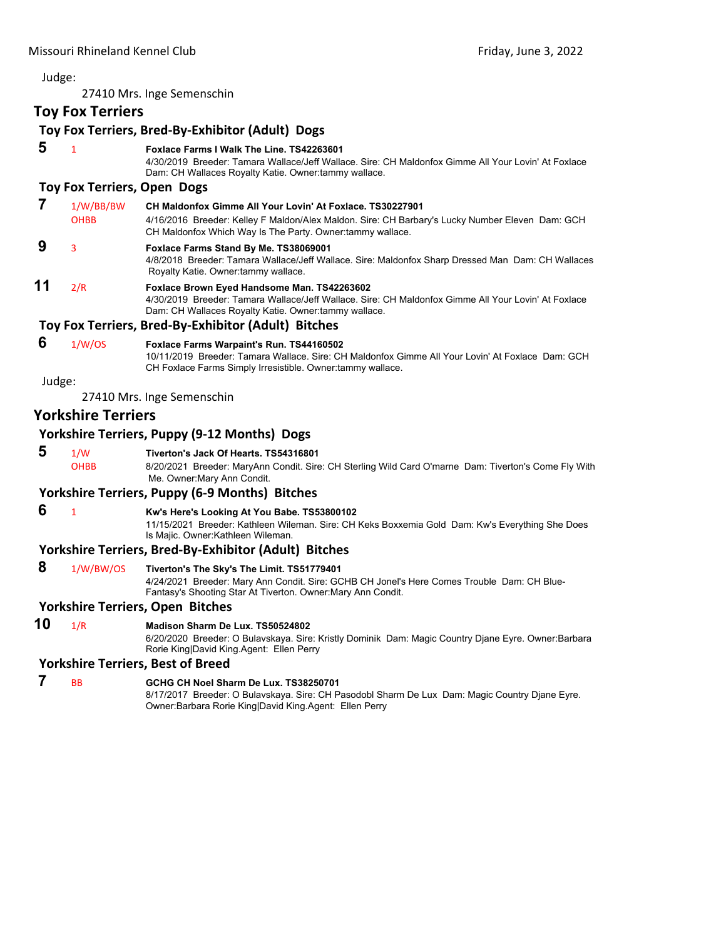|        |                           | 27410 Mrs. Inge Semenschin                                                                                                                                                                                                 |
|--------|---------------------------|----------------------------------------------------------------------------------------------------------------------------------------------------------------------------------------------------------------------------|
|        | <b>Toy Fox Terriers</b>   |                                                                                                                                                                                                                            |
|        |                           | Toy Fox Terriers, Bred-By-Exhibitor (Adult) Dogs                                                                                                                                                                           |
| 5      | $\mathbf{1}$              | Foxlace Farms I Walk The Line. TS42263601<br>4/30/2019 Breeder: Tamara Wallace/Jeff Wallace. Sire: CH Maldonfox Gimme All Your Lovin' At Foxlace<br>Dam: CH Wallaces Royalty Katie. Owner: tammy wallace.                  |
|        |                           | <b>Toy Fox Terriers, Open Dogs</b>                                                                                                                                                                                         |
| 7      | 1/W/BB/BW<br><b>OHBB</b>  | CH Maldonfox Gimme All Your Lovin' At Foxlace, TS30227901<br>4/16/2016 Breeder: Kelley F Maldon/Alex Maldon. Sire: CH Barbary's Lucky Number Eleven Dam: GCH<br>CH Maldonfox Which Way Is The Party. Owner: tammy wallace. |
| 9      | 3                         | Foxlace Farms Stand By Me. TS38069001<br>4/8/2018 Breeder: Tamara Wallace/Jeff Wallace. Sire: Maldonfox Sharp Dressed Man Dam: CH Wallaces<br>Royalty Katie. Owner tammy wallace.                                          |
| 11     | 2/R                       | Foxlace Brown Eyed Handsome Man. TS42263602<br>4/30/2019 Breeder: Tamara Wallace/Jeff Wallace. Sire: CH Maldonfox Gimme All Your Lovin' At Foxlace<br>Dam: CH Wallaces Royalty Katie. Owner: tammy wallace.                |
|        |                           | Toy Fox Terriers, Bred-By-Exhibitor (Adult) Bitches                                                                                                                                                                        |
| 6      | 1/W/OS                    | Foxlace Farms Warpaint's Run. TS44160502<br>10/11/2019 Breeder: Tamara Wallace. Sire: CH Maldonfox Gimme All Your Lovin' At Foxlace Dam: GCH<br>CH Foxlace Farms Simply Irresistible. Owner:tammy wallace.                 |
| Judge: |                           |                                                                                                                                                                                                                            |
|        |                           | 27410 Mrs. Inge Semenschin                                                                                                                                                                                                 |
|        | <b>Yorkshire Terriers</b> |                                                                                                                                                                                                                            |
|        |                           | <b>Yorkshire Terriers, Puppy (9-12 Months) Dogs</b>                                                                                                                                                                        |
| 5      | 1/W<br><b>OHBB</b>        | Tiverton's Jack Of Hearts. TS54316801<br>8/20/2021 Breeder: MaryAnn Condit. Sire: CH Sterling Wild Card O'marne Dam: Tiverton's Come Fly With<br>Me. Owner: Mary Ann Condit.                                               |
|        |                           | <b>Yorkshire Terriers, Puppy (6-9 Months) Bitches</b>                                                                                                                                                                      |
| 6      | $\mathbf{1}$              | Kw's Here's Looking At You Babe. TS53800102<br>11/15/2021 Breeder: Kathleen Wileman. Sire: CH Keks Boxxemia Gold Dam: Kw's Everything She Does<br>Is Majic. Owner: Kathleen Wileman.                                       |
|        |                           | <b>Yorkshire Terriers, Bred-By-Exhibitor (Adult) Bitches</b>                                                                                                                                                               |
| 8      | 1/W/BW/OS                 | Tiverton's The Sky's The Limit. TS51779401<br>4/24/2021 Breeder: Mary Ann Condit. Sire: GCHB CH Jonel's Here Comes Trouble Dam: CH Blue-<br>Fantasy's Shooting Star At Tiverton. Owner: Mary Ann Condit.                   |
|        |                           | <b>Yorkshire Terriers, Open Bitches</b>                                                                                                                                                                                    |
| 10     | 1/R                       | Madison Sharm De Lux. TS50524802                                                                                                                                                                                           |

6/20/2020 Breeder: O Bulavskaya. Sire: Kristly Dominik Dam: Magic Country Djane Eyre. Owner:Barbara Rorie King|David King.Agent: Ellen Perry

# **Yorkshire Terriers, Best of Breed**

# **7** BB **GCHG CH Noel Sharm De Lux. TS38250701**

8/17/2017 Breeder: O Bulavskaya. Sire: CH Pasodobl Sharm De Lux Dam: Magic Country Djane Eyre. Owner:Barbara Rorie King|David King.Agent: Ellen Perry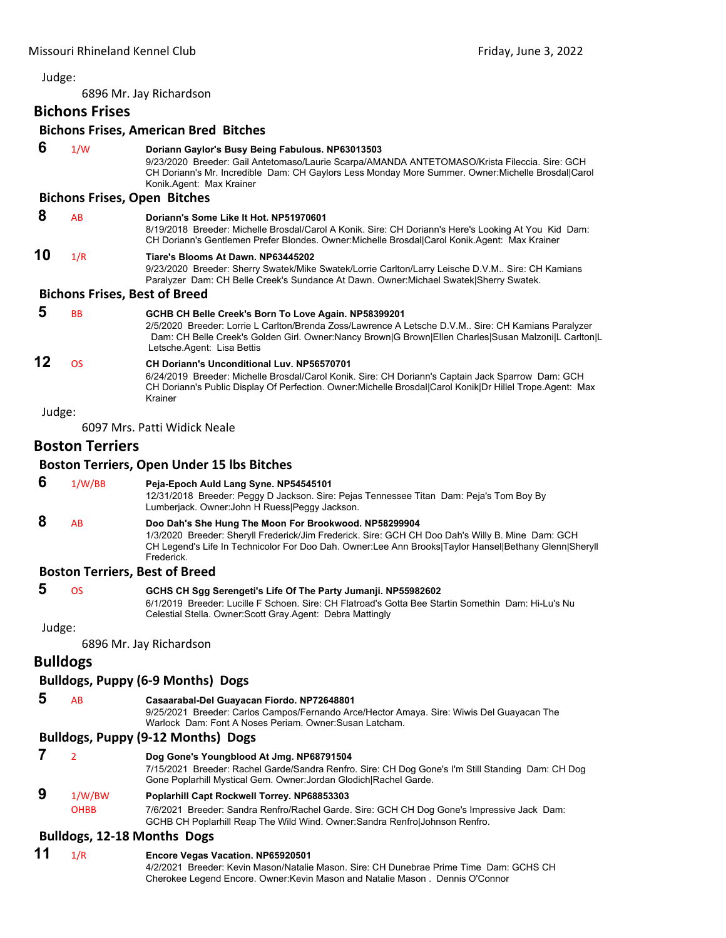6896 Mr. Jay Richardson

# **Bichons Frises**

# **Bichons Frises, American Bred Bitches**

| 6               | 1/W                                  | Doriann Gaylor's Busy Being Fabulous. NP63013503<br>9/23/2020 Breeder: Gail Antetomaso/Laurie Scarpa/AMANDA ANTETOMASO/Krista Fileccia. Sire: GCH<br>CH Doriann's Mr. Incredible Dam: CH Gaylors Less Monday More Summer. Owner: Michelle Brosdal Carol<br>Konik.Agent: Max Krainer              |
|-----------------|--------------------------------------|--------------------------------------------------------------------------------------------------------------------------------------------------------------------------------------------------------------------------------------------------------------------------------------------------|
|                 | <b>Bichons Frises, Open Bitches</b>  |                                                                                                                                                                                                                                                                                                  |
| 8               | AB                                   | Doriann's Some Like It Hot, NP51970601<br>8/19/2018 Breeder: Michelle Brosdal/Carol A Konik. Sire: CH Doriann's Here's Looking At You Kid Dam:<br>CH Doriann's Gentlemen Prefer Blondes. Owner: Michelle Brosdal Carol Konik. Agent: Max Krainer                                                 |
| 10              | 1/R                                  | Tiare's Blooms At Dawn, NP63445202<br>9/23/2020 Breeder: Sherry Swatek/Mike Swatek/Lorrie Carlton/Larry Leische D.V.M Sire: CH Kamians<br>Paralyzer Dam: CH Belle Creek's Sundance At Dawn. Owner: Michael Swatek Sherry Swatek.                                                                 |
|                 | <b>Bichons Frises, Best of Breed</b> |                                                                                                                                                                                                                                                                                                  |
| 5               | <b>BB</b>                            | GCHB CH Belle Creek's Born To Love Again. NP58399201<br>2/5/2020 Breeder: Lorrie L Carlton/Brenda Zoss/Lawrence A Letsche D.V.M Sire: CH Kamians Paralyzer<br>Dam: CH Belle Creek's Golden Girl. Owner:Nancy Brown G Brown Ellen Charles Susan Malzoni L Carlton L<br>Letsche Agent: Lisa Bettis |
| 12              | <b>OS</b>                            | <b>CH Doriann's Unconditional Luv. NP56570701</b><br>6/24/2019 Breeder: Michelle Brosdal/Carol Konik. Sire: CH Doriann's Captain Jack Sparrow Dam: GCH<br>CH Doriann's Public Display Of Perfection. Owner: Michelle Brosdal Carol Konik Dr Hillel Trope. Agent: Max<br>Krainer                  |
| Judge:          |                                      |                                                                                                                                                                                                                                                                                                  |
|                 |                                      | 6097 Mrs. Patti Widick Neale                                                                                                                                                                                                                                                                     |
|                 | <b>Boston Terriers</b>               |                                                                                                                                                                                                                                                                                                  |
|                 |                                      | <b>Boston Terriers, Open Under 15 lbs Bitches</b>                                                                                                                                                                                                                                                |
| 6               | 1/W/BB                               | Peja-Epoch Auld Lang Syne. NP54545101<br>12/31/2018 Breeder: Peggy D Jackson. Sire: Pejas Tennessee Titan Dam: Peja's Tom Boy By<br>Lumberjack. Owner: John H Ruess Peggy Jackson.                                                                                                               |
| 8               | AB                                   | Doo Dah's She Hung The Moon For Brookwood. NP58299904<br>1/3/2020 Breeder: Sheryll Frederick/Jim Frederick. Sire: GCH CH Doo Dah's Willy B. Mine Dam: GCH<br>CH Legend's Life In Technicolor For Doo Dah. Owner:Lee Ann Brooks Taylor Hansel Bethany Glenn Sheryll<br>Frederick.                 |
|                 |                                      | <b>Boston Terriers, Best of Breed</b>                                                                                                                                                                                                                                                            |
| 5               | OS                                   | GCHS CH Sgg Serengeti's Life Of The Party Jumanji. NP55982602<br>6/1/2019 Breeder: Lucille F Schoen. Sire: CH Flatroad's Gotta Bee Startin Somethin Dam: Hi-Lu's Nu<br>Celestial Stella. Owner: Scott Gray. Agent: Debra Mattingly                                                               |
| Judge:          |                                      |                                                                                                                                                                                                                                                                                                  |
|                 |                                      | 6896 Mr. Jay Richardson                                                                                                                                                                                                                                                                          |
| <b>Bulldogs</b> |                                      |                                                                                                                                                                                                                                                                                                  |
|                 |                                      | <b>Bulldogs, Puppy (6-9 Months) Dogs</b>                                                                                                                                                                                                                                                         |
| 5               | AB                                   | Casaarabal-Del Guayacan Fiordo. NP72648801<br>9/25/2021 Breeder: Carlos Campos/Fernando Arce/Hector Amaya. Sire: Wiwis Del Guayacan The<br>Warlock Dam: Font A Noses Periam, Owner: Susan Latcham.                                                                                               |
|                 |                                      | <b>Bulldogs, Puppy (9-12 Months) Dogs</b>                                                                                                                                                                                                                                                        |
| 7               | $\overline{2}$                       | Dog Gone's Youngblood At Jmg. NP68791504<br>7/15/2021 Breeder: Rachel Garde/Sandra Renfro. Sire: CH Dog Gone's I'm Still Standing Dam: CH Dog<br>Gone Poplarhill Mystical Gem. Owner: Jordan Glodich Rachel Garde.                                                                               |
| 9               | 1/W/BW                               | Poplarhill Capt Rockwell Torrey. NP68853303                                                                                                                                                                                                                                                      |
|                 | <b>OHBB</b>                          | 7/6/2021 Breeder: Sandra Renfro/Rachel Garde. Sire: GCH CH Dog Gone's Impressive Jack Dam:<br>GCHB CH Poplarhill Reap The Wild Wind. Owner: Sandra Renfro Johnson Renfro.                                                                                                                        |
|                 | <b>Bulldogs, 12-18 Months Dogs</b>   |                                                                                                                                                                                                                                                                                                  |
| 11              | 1/R                                  | Encore Vegas Vacation. NP65920501<br>4/2/2021 Breeder: Kevin Mason/Natalie Mason. Sire: CH Dunebrae Prime Time Dam: GCHS CH                                                                                                                                                                      |

Cherokee Legend Encore. Owner:Kevin Mason and Natalie Mason . Dennis O'Connor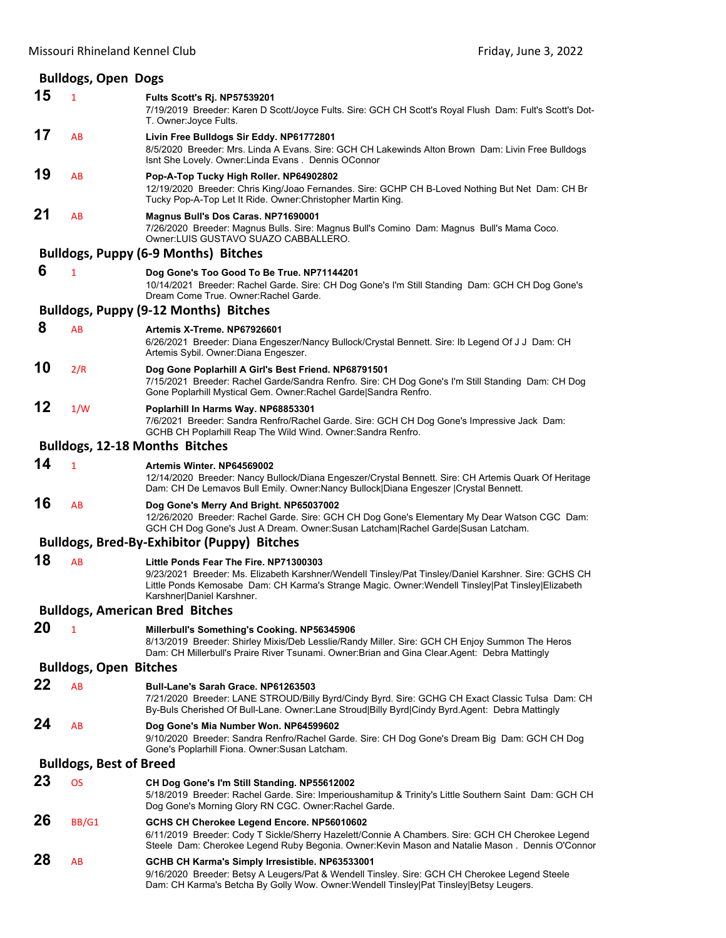|                                | <b>Bulldogs, Open Dogs</b>    |                                                                                                                                                                                                                                                                                      |  |
|--------------------------------|-------------------------------|--------------------------------------------------------------------------------------------------------------------------------------------------------------------------------------------------------------------------------------------------------------------------------------|--|
| 15                             | $\mathbf{1}$                  | Fults Scott's Rj. NP57539201<br>7/19/2019 Breeder: Karen D Scott/Joyce Fults. Sire: GCH CH Scott's Royal Flush Dam: Fult's Scott's Dot-<br>T. Owner: Joyce Fults.                                                                                                                    |  |
| 17                             | AB                            | Livin Free Bulldogs Sir Eddy. NP61772801<br>8/5/2020 Breeder: Mrs. Linda A Evans. Sire: GCH CH Lakewinds Alton Brown Dam: Livin Free Bulldogs<br>Isnt She Lovely. Owner: Linda Evans. Dennis OConnor                                                                                 |  |
| 19                             | AB                            | Pop-A-Top Tucky High Roller. NP64902802<br>12/19/2020 Breeder: Chris King/Joao Fernandes. Sire: GCHP CH B-Loved Nothing But Net Dam: CH Br<br>Tucky Pop-A-Top Let It Ride. Owner: Christopher Martin King.                                                                           |  |
| 21                             | AB                            | Magnus Bull's Dos Caras. NP71690001<br>7/26/2020 Breeder: Magnus Bulls. Sire: Magnus Bull's Comino Dam: Magnus Bull's Mama Coco.<br>Owner LUIS GUSTAVO SUAZO CABBALLERO.                                                                                                             |  |
|                                |                               | <b>Bulldogs, Puppy (6-9 Months) Bitches</b>                                                                                                                                                                                                                                          |  |
| 6                              | 1                             | Dog Gone's Too Good To Be True. NP71144201<br>10/14/2021 Breeder: Rachel Garde. Sire: CH Dog Gone's I'm Still Standing Dam: GCH CH Dog Gone's<br>Dream Come True. Owner: Rachel Garde.                                                                                               |  |
|                                |                               | <b>Bulldogs, Puppy (9-12 Months) Bitches</b>                                                                                                                                                                                                                                         |  |
| 8                              | AB                            | Artemis X-Treme, NP67926601<br>6/26/2021 Breeder: Diana Engeszer/Nancy Bullock/Crystal Bennett. Sire: Ib Legend Of J J Dam: CH<br>Artemis Sybil. Owner: Diana Engeszer.                                                                                                              |  |
| 10                             | 2/R                           | Dog Gone Poplarhill A Girl's Best Friend. NP68791501<br>7/15/2021 Breeder: Rachel Garde/Sandra Renfro. Sire: CH Dog Gone's I'm Still Standing Dam: CH Dog<br>Gone Poplarhill Mystical Gem. Owner: Rachel Garde Sandra Renfro.                                                        |  |
| 12                             | 1/W                           | Poplarhill In Harms Way. NP68853301<br>7/6/2021 Breeder: Sandra Renfro/Rachel Garde. Sire: GCH CH Dog Gone's Impressive Jack Dam:<br>GCHB CH Poplarhill Reap The Wild Wind. Owner: Sandra Renfro.                                                                                    |  |
|                                |                               | Bulldogs, 12-18 Months Bitches                                                                                                                                                                                                                                                       |  |
| 14                             | $\mathbf{1}$                  | Artemis Winter, NP64569002<br>12/14/2020 Breeder: Nancy Bullock/Diana Engeszer/Crystal Bennett. Sire: CH Artemis Quark Of Heritage<br>Dam: CH De Lemavos Bull Emily. Owner:Nancy Bullock   Diana Engeszer   Crystal Bennett.                                                         |  |
| 16                             | AB                            | Dog Gone's Merry And Bright. NP65037002<br>12/26/2020 Breeder: Rachel Garde. Sire: GCH CH Dog Gone's Elementary My Dear Watson CGC Dam:<br>GCH CH Dog Gone's Just A Dream. Owner:Susan Latcham Rachel Garde Susan Latcham.                                                           |  |
|                                |                               | <b>Bulldogs, Bred-By-Exhibitor (Puppy) Bitches</b>                                                                                                                                                                                                                                   |  |
| 18                             | AB                            | Little Ponds Fear The Fire. NP71300303<br>9/23/2021 Breeder: Ms. Elizabeth Karshner/Wendell Tinsley/Pat Tinsley/Daniel Karshner. Sire: GCHS CH<br>Little Ponds Kemosabe Dam: CH Karma's Strange Magic. Owner: Wendell Tinsley   Pat Tinsley   Elizabeth<br>Karshner Daniel Karshner. |  |
|                                |                               | <b>Bulldogs, American Bred Bitches</b>                                                                                                                                                                                                                                               |  |
| 20                             | 1                             | Millerbull's Something's Cooking. NP56345906<br>8/13/2019 Breeder: Shirley Mixis/Deb Lesslie/Randy Miller. Sire: GCH CH Enjoy Summon The Heros<br>Dam: CH Millerbull's Praire River Tsunami. Owner: Brian and Gina Clear. Agent: Debra Mattingly                                     |  |
|                                | <b>Bulldogs, Open Bitches</b> |                                                                                                                                                                                                                                                                                      |  |
| 22                             | AB                            | <b>Bull-Lane's Sarah Grace. NP61263503</b><br>7/21/2020 Breeder: LANE STROUD/Billy Byrd/Cindy Byrd. Sire: GCHG CH Exact Classic Tulsa Dam: CH<br>By-Buls Cherished Of Bull-Lane. Owner:Lane Stroud Billy Byrd Cindy Byrd.Agent: Debra Mattingly                                      |  |
| 24                             | AB                            | Dog Gone's Mia Number Won. NP64599602<br>9/10/2020 Breeder: Sandra Renfro/Rachel Garde. Sire: CH Dog Gone's Dream Big Dam: GCH CH Dog<br>Gone's Poplarhill Fiona. Owner: Susan Latcham.                                                                                              |  |
| <b>Bulldogs, Best of Breed</b> |                               |                                                                                                                                                                                                                                                                                      |  |
| 23                             | <b>OS</b>                     | CH Dog Gone's I'm Still Standing. NP55612002<br>5/18/2019 Breeder: Rachel Garde. Sire: Imperioushamitup & Trinity's Little Southern Saint Dam: GCH CH<br>Dog Gone's Morning Glory RN CGC. Owner: Rachel Garde.                                                                       |  |
| 26                             | BB/G1                         | GCHS CH Cherokee Legend Encore. NP56010602<br>6/11/2019 Breeder: Cody T Sickle/Sherry Hazelett/Connie A Chambers. Sire: GCH CH Cherokee Legend<br>Steele Dam: Cherokee Legend Ruby Begonia. Owner: Kevin Mason and Natalie Mason. Dennis O'Connor                                    |  |
| 28                             | AB                            | GCHB CH Karma's Simply Irresistible. NP63533001<br>9/16/2020 Breeder: Betsy A Leugers/Pat & Wendell Tinsley. Sire: GCH CH Cherokee Legend Steele<br>Dam: CH Karma's Betcha By Golly Wow. Owner: Wendell Tinsley Pat Tinsley Betsy Leugers.                                           |  |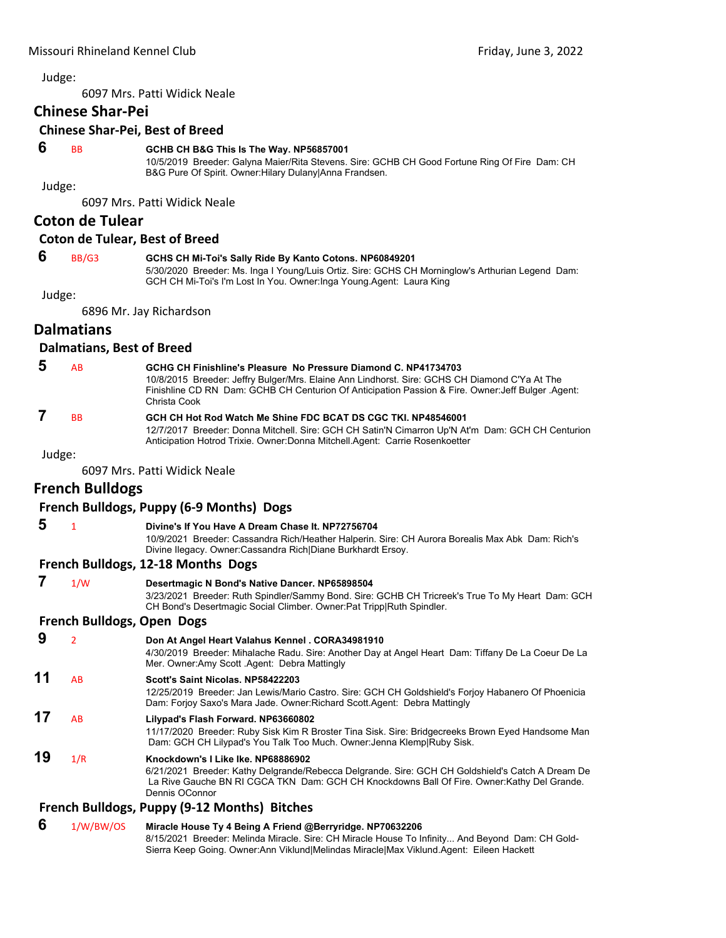6097 Mrs. Patti Widick Neale

#### **Chinese Shar‐Pei**

# **Chinese Shar‐Pei, Best of Breed**

#### **6** BB **GCHB CH B&G This Is The Way. NP56857001**

10/5/2019 Breeder: Galyna Maier/Rita Stevens. Sire: GCHB CH Good Fortune Ring Of Fire Dam: CH B&G Pure Of Spirit. Owner:Hilary Dulany|Anna Frandsen.

Judge:

6097 Mrs. Patti Widick Neale

# **Coton de Tulear**

#### **Coton de Tulear, Best of Breed**

# **6** BB/G3 **GCHS CH Mi-Toi's Sally Ride By Kanto Cotons. NP60849201**

5/30/2020 Breeder: Ms. Inga I Young/Luis Ortiz. Sire: GCHS CH Morninglow's Arthurian Legend Dam: GCH CH Mi-Toi's I'm Lost In You. Owner:Inga Young.Agent: Laura King

Judge:

6896 Mr. Jay Richardson

# **Dalmatians**

#### **Dalmatians, Best of Breed**

| -5 | AR.       | GCHG CH Finishline's Pleasure No Pressure Diamond C. NP41734703<br>10/8/2015 Breeder: Jeffry Bulger/Mrs. Elaine Ann Lindhorst. Sire: GCHS CH Diamond C'Ya At The<br>Finishline CD RN Dam: GCHB CH Centurion Of Anticipation Passion & Fire. Owner: Jeff Bulger. Agent:<br>Christa Cook |
|----|-----------|----------------------------------------------------------------------------------------------------------------------------------------------------------------------------------------------------------------------------------------------------------------------------------------|
|    | <b>DD</b> | CCU CU Het Bed Wetch Me Chine EDC BCAT DC CCC TVL ND40E40004                                                                                                                                                                                                                           |

#### **BB** GCH CH Hot Rod Watch Me Shine FDC BCAT DS CGC TKI. NP48546001

12/7/2017 Breeder: Donna Mitchell. Sire: GCH CH Satin'N Cimarron Up'N At'm Dam: GCH CH Centurion Anticipation Hotrod Trixie. Owner:Donna Mitchell.Agent: Carrie Rosenkoetter

Judge:

6097 Mrs. Patti Widick Neale

# **French Bulldogs**

# **French Bulldogs, Puppy (6‐9 Months) Dogs**

- **5** <sup>1</sup> **Divine's If You Have A Dream Chase It. NP72756704**
	- 10/9/2021 Breeder: Cassandra Rich/Heather Halperin. Sire: CH Aurora Borealis Max Abk Dam: Rich's Divine Ilegacy. Owner:Cassandra Rich|Diane Burkhardt Ersoy.

# **French Bulldogs, 12‐18 Months Dogs**

 **7** 1/W **Desertmagic N Bond's Native Dancer. NP65898504** 3/23/2021 Breeder: Ruth Spindler/Sammy Bond. Sire: GCHB CH Tricreek's True To My Heart Dam: GCH CH Bond's Desertmagic Social Climber. Owner:Pat Tripp|Ruth Spindler. **French Bulldogs, Open Dogs 9** <sup>2</sup> **Don At Angel Heart Valahus Kennel . CORA34981910** 4/30/2019 Breeder: Mihalache Radu. Sire: Another Day at Angel Heart Dam: Tiffany De La Coeur De La Mer. Owner:Amy Scott .Agent: Debra Mattingly **11** AB **Scott's Saint Nicolas. NP58422203** 12/25/2019 Breeder: Jan Lewis/Mario Castro. Sire: GCH CH Goldshield's Forjoy Habanero Of Phoenicia Dam: Forjoy Saxo's Mara Jade. Owner:Richard Scott.Agent: Debra Mattingly **17** AB **Lilypad's Flash Forward. NP63660802** 11/17/2020 Breeder: Ruby Sisk Kim R Broster Tina Sisk. Sire: Bridgecreeks Brown Eyed Handsome Man Dam: GCH CH Lilypad's You Talk Too Much. Owner:Jenna Klemp|Ruby Sisk. **19** 1/R **Knockdown's I Like Ike. NP68886902** 6/21/2021 Breeder: Kathy Delgrande/Rebecca Delgrande. Sire: GCH CH Goldshield's Catch A Dream De La Rive Gauche BN RI CGCA TKN Dam: GCH CH Knockdowns Ball Of Fire. Owner:Kathy Del Grande. Dennis OConnor

# **French Bulldogs, Puppy (9‐12 Months) Bitches**

#### **6** 1/W/BW/OS **Miracle House Ty 4 Being A Friend @Berryridge. NP70632206**

8/15/2021 Breeder: Melinda Miracle. Sire: CH Miracle House To Infinity... And Beyond Dam: CH Gold-Sierra Keep Going. Owner:Ann Viklund|Melindas Miracle|Max Viklund.Agent: Eileen Hackett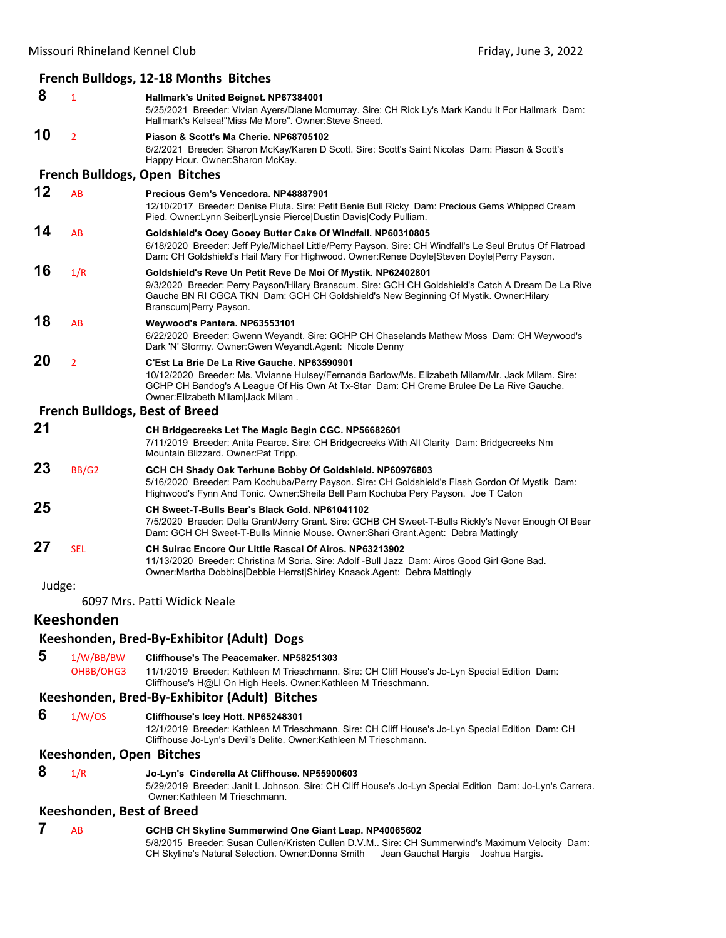|        |                                  | French Bulldogs, 12-18 Months Bitches                                                                                                                                                                                                                                                 |
|--------|----------------------------------|---------------------------------------------------------------------------------------------------------------------------------------------------------------------------------------------------------------------------------------------------------------------------------------|
| 8      | $\mathbf{1}$                     | Hallmark's United Beignet. NP67384001<br>5/25/2021 Breeder: Vivian Ayers/Diane Mcmurray. Sire: CH Rick Ly's Mark Kandu It For Hallmark Dam:<br>Hallmark's Kelsea!"Miss Me More", Owner:Steve Sneed.                                                                                   |
| 10     | $\overline{2}$                   | Piason & Scott's Ma Cherie, NP68705102<br>6/2/2021 Breeder: Sharon McKay/Karen D Scott. Sire: Scott's Saint Nicolas Dam: Piason & Scott's<br>Happy Hour. Owner: Sharon McKay.                                                                                                         |
|        |                                  | <b>French Bulldogs, Open Bitches</b>                                                                                                                                                                                                                                                  |
| 12     | <b>AB</b>                        | Precious Gem's Vencedora, NP48887901<br>12/10/2017 Breeder: Denise Pluta. Sire: Petit Benie Bull Ricky Dam: Precious Gems Whipped Cream<br>Pied. Owner: Lynn Seiber Lynsie Pierce Dustin Davis Cody Pulliam.                                                                          |
| 14     | AB                               | Goldshield's Ooey Gooey Butter Cake Of Windfall. NP60310805<br>6/18/2020 Breeder: Jeff Pyle/Michael Little/Perry Payson. Sire: CH Windfall's Le Seul Brutus Of Flatroad<br>Dam: CH Goldshield's Hail Mary For Highwood. Owner: Renee Doyle Steven Doyle   Perry Payson.               |
| 16     | 1/R                              | Goldshield's Reve Un Petit Reve De Moi Of Mystik. NP62402801<br>9/3/2020 Breeder: Perry Payson/Hilary Branscum. Sire: GCH CH Goldshield's Catch A Dream De La Rive<br>Gauche BN RI CGCA TKN Dam: GCH CH Goldshield's New Beginning Of Mystik. Owner: Hilary<br>Branscum Perry Payson. |
| 18     | AB                               | Weywood's Pantera. NP63553101<br>6/22/2020 Breeder: Gwenn Weyandt. Sire: GCHP CH Chaselands Mathew Moss Dam: CH Weywood's<br>Dark 'N' Stormy. Owner: Gwen Weyandt. Agent: Nicole Denny                                                                                                |
| 20     | $\overline{2}$                   | C'Est La Brie De La Rive Gauche. NP63590901<br>10/12/2020 Breeder: Ms. Vivianne Hulsey/Fernanda Barlow/Ms. Elizabeth Milam/Mr. Jack Milam. Sire:<br>GCHP CH Bandog's A League Of His Own At Tx-Star Dam: CH Creme Brulee De La Rive Gauche.<br>Owner: Elizabeth Milam   Jack Milam.   |
|        |                                  | <b>French Bulldogs, Best of Breed</b>                                                                                                                                                                                                                                                 |
| 21     |                                  | CH Bridgecreeks Let The Magic Begin CGC. NP56682601<br>7/11/2019 Breeder: Anita Pearce. Sire: CH Bridgecreeks With All Clarity Dam: Bridgecreeks Nm<br>Mountain Blizzard. Owner: Pat Tripp.                                                                                           |
| 23     | BB/G2                            | GCH CH Shady Oak Terhune Bobby Of Goldshield. NP60976803<br>5/16/2020 Breeder: Pam Kochuba/Perry Payson. Sire: CH Goldshield's Flash Gordon Of Mystik Dam:<br>Highwood's Fynn And Tonic. Owner: Sheila Bell Pam Kochuba Pery Payson. Joe T Caton                                      |
| 25     |                                  | CH Sweet-T-Bulls Bear's Black Gold. NP61041102<br>7/5/2020 Breeder: Della Grant/Jerry Grant. Sire: GCHB CH Sweet-T-Bulls Rickly's Never Enough Of Bear<br>Dam: GCH CH Sweet-T-Bulls Minnie Mouse. Owner: Shari Grant. Agent: Debra Mattingly                                          |
| 27     | <b>SEL</b>                       | CH Suirac Encore Our Little Rascal Of Airos, NP63213902<br>11/13/2020 Breeder: Christina M Soria. Sire: Adolf -Bull Jazz Dam: Airos Good Girl Gone Bad.<br>Owner: Martha Dobbins   Debbie Herrst   Shirley Knaack. Agent: Debra Mattingly                                             |
| Judge: |                                  |                                                                                                                                                                                                                                                                                       |
|        |                                  | 6097 Mrs. Patti Widick Neale                                                                                                                                                                                                                                                          |
|        | <b>Keeshonden</b>                |                                                                                                                                                                                                                                                                                       |
|        |                                  | Keeshonden, Bred-By-Exhibitor (Adult) Dogs                                                                                                                                                                                                                                            |
| 5      | 1/W/BB/BW<br>OHBB/OHG3           | Cliffhouse's The Peacemaker, NP58251303<br>11/1/2019 Breeder: Kathleen M Trieschmann. Sire: CH Cliff House's Jo-Lyn Special Edition Dam:<br>Cliffhouse's H@LI On High Heels. Owner:Kathleen M Trieschmann.                                                                            |
|        |                                  | Keeshonden, Bred-By-Exhibitor (Adult) Bitches                                                                                                                                                                                                                                         |
| 6      | 1/W/OS                           | Cliffhouse's Icey Hott. NP65248301<br>12/1/2019 Breeder: Kathleen M Trieschmann. Sire: CH Cliff House's Jo-Lyn Special Edition Dam: CH<br>Cliffhouse Jo-Lyn's Devil's Delite. Owner: Kathleen M Trieschmann.                                                                          |
|        | Keeshonden, Open Bitches         |                                                                                                                                                                                                                                                                                       |
| 8      | 1/R                              | Jo-Lyn's Cinderella At Cliffhouse. NP55900603<br>5/29/2019 Breeder: Janit L Johnson. Sire: CH Cliff House's Jo-Lyn Special Edition Dam: Jo-Lyn's Carrera.<br>Owner: Kathleen M Trieschmann.                                                                                           |
|        | <b>Keeshonden, Best of Breed</b> |                                                                                                                                                                                                                                                                                       |
| 7      | AB                               | GCHB CH Skyline Summerwind One Giant Leap. NP40065602<br>5/8/2015 Breeder: Susan Cullen/Kristen Cullen D.V.M Sire: CH Summerwind's Maximum Velocity Dam:                                                                                                                              |

CH Skyline's Natural Selection. Owner:Donna Smith Jean Gauchat Hargis Joshua Hargis.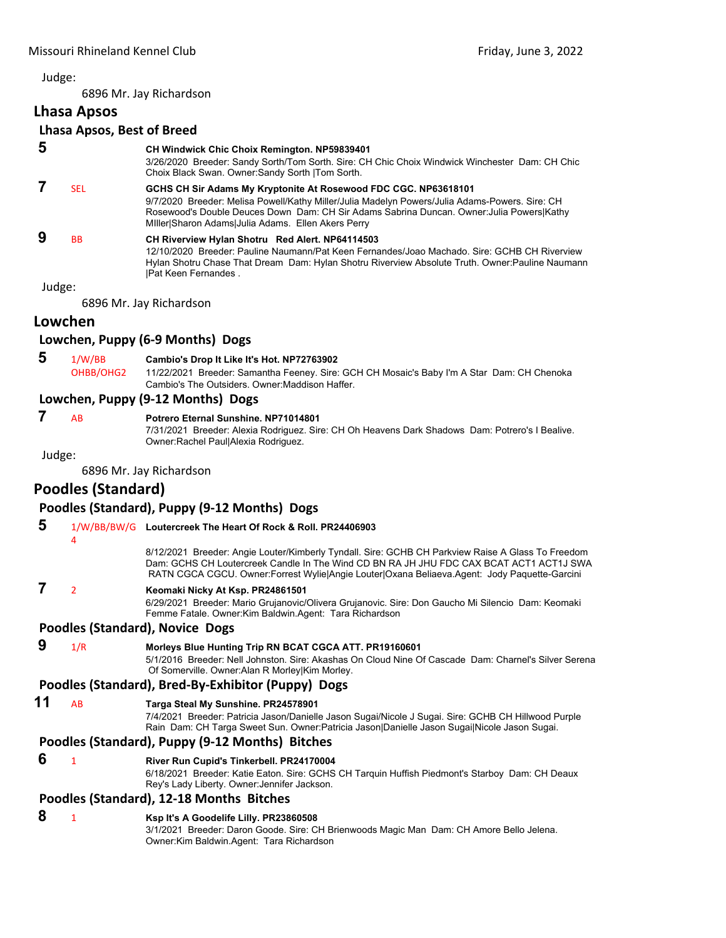6896 Mr. Jay Richardson

# **Lhasa Apsos**

# **Lhasa Apsos, Best of Breed**

 **5 CH Windwick Chic Choix Remington. NP59839401**

3/26/2020 Breeder: Sandy Sorth/Tom Sorth. Sire: CH Chic Choix Windwick Winchester Dam: CH Chic Choix Black Swan. Owner:Sandy Sorth |Tom Sorth.

 **7** SEL **GCHS CH Sir Adams My Kryptonite At Rosewood FDC CGC. NP63618101** 9/7/2020 Breeder: Melisa Powell/Kathy Miller/Julia Madelyn Powers/Julia Adams-Powers. Sire: CH Rosewood's Double Deuces Down Dam: CH Sir Adams Sabrina Duncan. Owner:Julia Powers|Kathy MIller|Sharon Adams|Julia Adams. Ellen Akers Perry  **9** BB **CH Riverview Hylan Shotru Red Alert. NP64114503**

12/10/2020 Breeder: Pauline Naumann/Pat Keen Fernandes/Joao Machado. Sire: GCHB CH Riverview Hylan Shotru Chase That Dream Dam: Hylan Shotru Riverview Absolute Truth. Owner:Pauline Naumann |Pat Keen Fernandes .

Judge:

6896 Mr. Jay Richardson

# **Lowchen**

# **Lowchen, Puppy (6‐9 Months) Dogs**

 **5** 1/W/BB **Cambio's Drop It Like It's Hot. NP72763902** OHBB/OHG2 11/22/2021 Breeder: Samantha Feeney. Sire: GCH CH Mosaic's Baby I'm A Star Dam: CH Chenoka Cambio's The Outsiders. Owner:Maddison Haffer.

# **Lowchen, Puppy (9‐12 Months) Dogs**

# **7** AB **Potrero Eternal Sunshine. NP71014801**

7/31/2021 Breeder: Alexia Rodriguez. Sire: CH Oh Heavens Dark Shadows Dam: Potrero's I Bealive. Owner:Rachel Paul|Alexia Rodriguez.

Judge:

6896 Mr. Jay Richardson

# **Poodles (Standard)**

# **Poodles (Standard), Puppy (9‐12 Months) Dogs**

| 5                                               | 4              | 1/W/BB/BW/G Loutercreek The Heart Of Rock & Roll. PR24406903                                                                                                                                                                                                                                    |  |
|-------------------------------------------------|----------------|-------------------------------------------------------------------------------------------------------------------------------------------------------------------------------------------------------------------------------------------------------------------------------------------------|--|
|                                                 |                | 8/12/2021 Breeder: Angie Louter/Kimberly Tyndall. Sire: GCHB CH Parkview Raise A Glass To Freedom<br>Dam: GCHS CH Loutercreek Candle In The Wind CD BN RA JH JHU FDC CAX BCAT ACT1 ACT1J SWA<br>RATN CGCA CGCU. Owner: Forrest Wylie Angie Louter   Oxana Beliaeva Agent: Jody Paquette-Garcini |  |
|                                                 | $\mathfrak{p}$ | Keomaki Nicky At Ksp. PR24861501<br>6/29/2021 Breeder: Mario Grujanovic/Olivera Grujanovic. Sire: Don Gaucho Mi Silencio Dam: Keomaki<br>Femme Fatale. Owner: Kim Baldwin. Agent: Tara Richardson                                                                                               |  |
|                                                 |                | Poodles (Standard), Novice Dogs                                                                                                                                                                                                                                                                 |  |
| 9                                               | 1/R            | Morleys Blue Hunting Trip RN BCAT CGCA ATT. PR19160601<br>5/1/2016 Breeder: Nell Johnston. Sire: Akashas On Cloud Nine Of Cascade Dam: Charnel's Silver Serena<br>Of Somerville. Owner: Alan R Morley Kim Morley.                                                                               |  |
|                                                 |                | Poodles (Standard), Bred-By-Exhibitor (Puppy) Dogs                                                                                                                                                                                                                                              |  |
| 11                                              | AB             | Targa Steal My Sunshine. PR24578901<br>7/4/2021 Breeder: Patricia Jason/Danielle Jason Sugai/Nicole J Sugai. Sire: GCHB CH Hillwood Purple<br>Rain Dam: CH Targa Sweet Sun. Owner: Patricia Jason   Danielle Jason Sugai   Nicole Jason Sugai.                                                  |  |
| Poodles (Standard), Puppy (9-12 Months) Bitches |                |                                                                                                                                                                                                                                                                                                 |  |
| 6                                               | 1              | River Run Cupid's Tinkerbell. PR24170004<br>6/18/2021 Breeder: Katie Eaton. Sire: GCHS CH Tarquin Huffish Piedmont's Starboy Dam: CH Deaux<br>Rey's Lady Liberty. Owner: Jennifer Jackson.                                                                                                      |  |
|                                                 |                | Poodles (Standard), 12-18 Months Bitches                                                                                                                                                                                                                                                        |  |
| 8                                               |                | Ksp It's A Goodelife Lilly. PR23860508                                                                                                                                                                                                                                                          |  |

3/1/2021 Breeder: Daron Goode. Sire: CH Brienwoods Magic Man Dam: CH Amore Bello Jelena. Owner:Kim Baldwin.Agent: Tara Richardson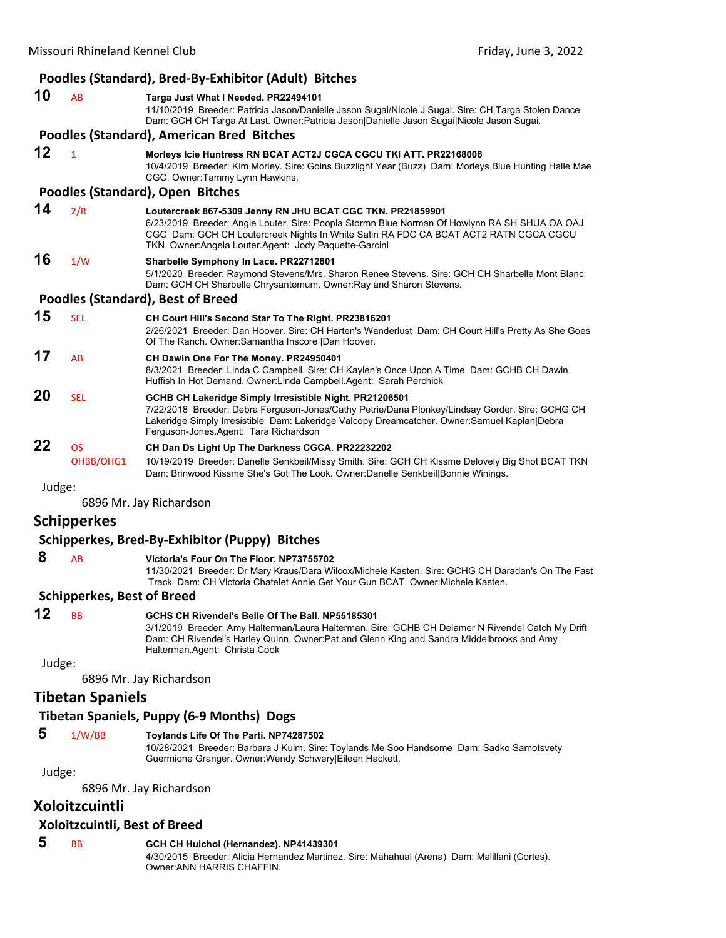| Poodles (Standard), Bred-By-Exhibitor (Adult) Bitches |  |  |  |
|-------------------------------------------------------|--|--|--|
|-------------------------------------------------------|--|--|--|

| 10 | AB                                | Targa Just What I Needed. PR22494101<br>11/10/2019 Breeder: Patricia Jason/Danielle Jason Sugai/Nicole J Sugai. Sire: CH Targa Stolen Dance<br>Dam: GCH CH Targa At Last. Owner: Patricia Jason Danielle Jason Sugai Nicole Jason Sugai.                                                                       |  |
|----|-----------------------------------|----------------------------------------------------------------------------------------------------------------------------------------------------------------------------------------------------------------------------------------------------------------------------------------------------------------|--|
|    |                                   | Poodles (Standard), American Bred Bitches                                                                                                                                                                                                                                                                      |  |
| 12 | $\mathbf{1}$                      | Morleys Icie Huntress RN BCAT ACT2J CGCA CGCU TKI ATT. PR22168006<br>10/4/2019 Breeder: Kim Morley. Sire: Goins Buzzlight Year (Buzz) Dam: Morleys Blue Hunting Halle Mae<br>CGC. Owner:Tammy Lynn Hawkins.                                                                                                    |  |
|    |                                   | Poodles (Standard), Open Bitches                                                                                                                                                                                                                                                                               |  |
| 14 | 2/R                               | Loutercreek 867-5309 Jenny RN JHU BCAT CGC TKN. PR21859901<br>6/23/2019 Breeder: Angie Louter. Sire: Poopla Stormn Blue Norman Of Howlynn RA SH SHUA OA OAJ<br>CGC Dam: GCH CH Loutercreek Nights In White Satin RA FDC CA BCAT ACT2 RATN CGCA CGCU<br>TKN. Owner: Angela Louter. Agent: Jody Paquette-Garcini |  |
| 16 | 1/W                               | Sharbelle Symphony In Lace. PR22712801<br>5/1/2020 Breeder: Raymond Stevens/Mrs. Sharon Renee Stevens. Sire: GCH CH Sharbelle Mont Blanc<br>Dam: GCH CH Sharbelle Chrysantemum. Owner: Ray and Sharon Stevens.                                                                                                 |  |
|    | Poodles (Standard), Best of Breed |                                                                                                                                                                                                                                                                                                                |  |
| 15 | <b>SEL</b>                        | CH Court Hill's Second Star To The Right. PR23816201<br>2/26/2021 Breeder: Dan Hoover. Sire: CH Harten's Wanderlust Dam: CH Court Hill's Pretty As She Goes<br>Of The Ranch. Owner: Samantha Inscore   Dan Hoover.                                                                                             |  |
| 17 | AB                                | CH Dawin One For The Money. PR24950401<br>8/3/2021 Breeder: Linda C Campbell. Sire: CH Kaylen's Once Upon A Time Dam: GCHB CH Dawin<br>Huffish In Hot Demand. Owner: Linda Campbell. Agent: Sarah Perchick                                                                                                     |  |
| 20 | <b>SEL</b>                        | GCHB CH Lakeridge Simply Irresistible Night. PR21206501<br>7/22/2018 Breeder: Debra Ferguson-Jones/Cathy Petrie/Dana Plonkey/Lindsay Gorder. Sire: GCHG CH<br>Lakeridge Simply Irresistible Dam: Lakeridge Valcopy Dreamcatcher. Owner: Samuel Kaplan Debra<br>Ferguson-Jones Agent: Tara Richardson           |  |
| 22 | <b>OS</b><br>OHBB/OHG1            | CH Dan Ds Light Up The Darkness CGCA. PR22232202<br>10/19/2019 Breeder: Danelle Senkbeil/Missy Smith. Sire: GCH CH Kissme Delovely Big Shot BCAT TKN<br>Dam: Brinwood Kissme She's Got The Look. Owner:Danelle Senkbeil Bonnie Winings.                                                                        |  |

6896 Mr. Jay Richardson

# **Schipperkes**

# **Schipperkes, Bred‐By‐Exhibitor (Puppy) Bitches**

 **8** AB **Victoria's Four On The Floor. NP73755702**

11/30/2021 Breeder: Dr Mary Kraus/Dara Wilcox/Michele Kasten. Sire: GCHG CH Daradan's On The Fast Track Dam: CH Victoria Chatelet Annie Get Your Gun BCAT. Owner:Michele Kasten.

# **Schipperkes, Best of Breed**

# **12** BB **GCHS CH Rivendel's Belle Of The Ball. NP55185301**

3/1/2019 Breeder: Amy Halterman/Laura Halterman. Sire: GCHB CH Delamer N Rivendel Catch My Drift Dam: CH Rivendel's Harley Quinn. Owner:Pat and Glenn King and Sandra Middelbrooks and Amy Halterman.Agent: Christa Cook

Judge:

6896 Mr. Jay Richardson

# **Tibetan Spaniels**

# **Tibetan Spaniels, Puppy (6‐9 Months) Dogs**

# **5** 1/W/BB **Toylands Life Of The Parti. NP74287502**

10/28/2021 Breeder: Barbara J Kulm. Sire: Toylands Me Soo Handsome Dam: Sadko Samotsvety Guermione Granger. Owner:Wendy Schwery|Eileen Hackett.

Judge:

6896 Mr. Jay Richardson

# **Xoloitzcuintli**

# **Xoloitzcuintli, Best of Breed**

#### **5** BB **GCH CH Huichol (Hernandez). NP41439301**

4/30/2015 Breeder: Alicia Hernandez Martinez. Sire: Mahahual (Arena) Dam: Malillani (Cortes). Owner:ANN HARRIS CHAFFIN.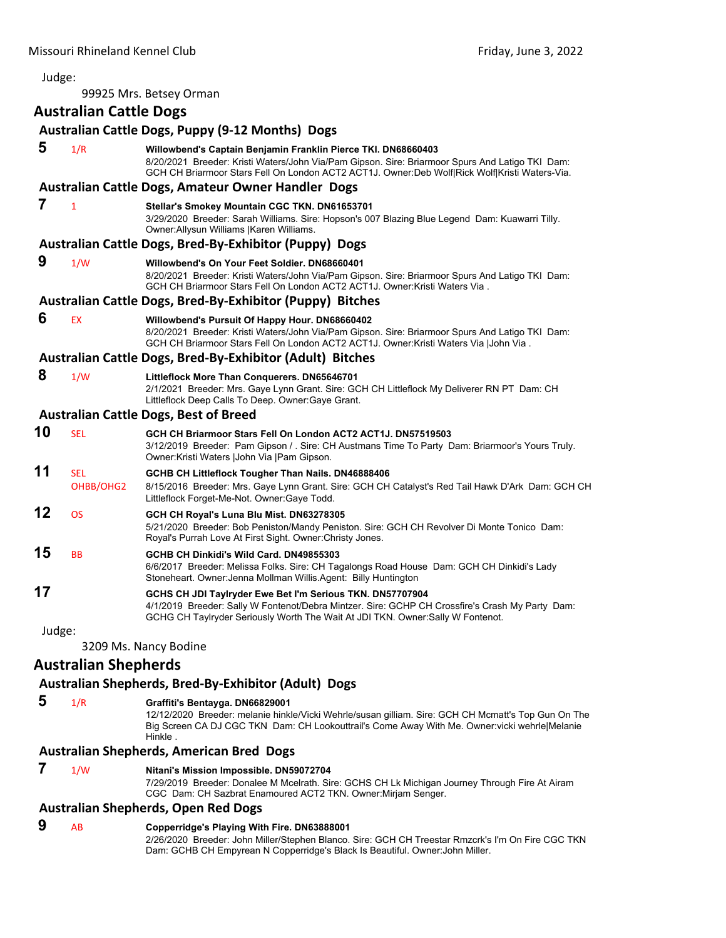Judge: 99925 Mrs. Betsey Orman **Australian Cattle Dogs Australian Cattle Dogs, Puppy (9‐12 Months) Dogs 5** 1/R **Willowbend's Captain Benjamin Franklin Pierce TKI. DN68660403** 8/20/2021 Breeder: Kristi Waters/John Via/Pam Gipson. Sire: Briarmoor Spurs And Latigo TKI Dam: GCH CH Briarmoor Stars Fell On London ACT2 ACT1J. Owner:Deb Wolf|Rick Wolf|Kristi Waters-Via. **Australian Cattle Dogs, Amateur Owner Handler Dogs 7** <sup>1</sup> **Stellar's Smokey Mountain CGC TKN. DN61653701** 3/29/2020 Breeder: Sarah Williams. Sire: Hopson's 007 Blazing Blue Legend Dam: Kuawarri Tilly. Owner:Allysun Williams |Karen Williams. **Australian Cattle Dogs, Bred‐By‐Exhibitor (Puppy) Dogs 9** 1/W **Willowbend's On Your Feet Soldier. DN68660401** 8/20/2021 Breeder: Kristi Waters/John Via/Pam Gipson. Sire: Briarmoor Spurs And Latigo TKI Dam: GCH CH Briarmoor Stars Fell On London ACT2 ACT1J. Owner:Kristi Waters Via . **Australian Cattle Dogs, Bred‐By‐Exhibitor (Puppy) Bitches 6** EX **Willowbend's Pursuit Of Happy Hour. DN68660402** 8/20/2021 Breeder: Kristi Waters/John Via/Pam Gipson. Sire: Briarmoor Spurs And Latigo TKI Dam: GCH CH Briarmoor Stars Fell On London ACT2 ACT1J. Owner:Kristi Waters Via |John Via . **Australian Cattle Dogs, Bred‐By‐Exhibitor (Adult) Bitches 8** 1/W **Littleflock More Than Conquerers. DN65646701** 2/1/2021 Breeder: Mrs. Gaye Lynn Grant. Sire: GCH CH Littleflock My Deliverer RN PT Dam: CH Littleflock Deep Calls To Deep. Owner:Gaye Grant. **Australian Cattle Dogs, Best of Breed 10** SEL **GCH CH Briarmoor Stars Fell On London ACT2 ACT1J. DN57519503** 3/12/2019 Breeder: Pam Gipson / . Sire: CH Austmans Time To Party Dam: Briarmoor's Yours Truly. Owner:Kristi Waters |John Via |Pam Gipson. **11** SEL **GCHB CH Littleflock Tougher Than Nails. DN46888406** OHBB/OHG2 8/15/2016 Breeder: Mrs. Gaye Lynn Grant. Sire: GCH CH Catalyst's Red Tail Hawk D'Ark Dam: GCH CH Littleflock Forget-Me-Not. Owner:Gaye Todd. **12** OS **GCH CH Royal's Luna Blu Mist. DN63278305** 5/21/2020 Breeder: Bob Peniston/Mandy Peniston. Sire: GCH CH Revolver Di Monte Tonico Dam: Royal's Purrah Love At First Sight. Owner:Christy Jones. **15** BB **GCHB CH Dinkidi's Wild Card. DN49855303** 6/6/2017 Breeder: Melissa Folks. Sire: CH Tagalongs Road House Dam: GCH CH Dinkidi's Lady Stoneheart. Owner:Jenna Mollman Willis.Agent: Billy Huntington **17 GCHS CH JDI Taylryder Ewe Bet I'm Serious TKN. DN57707904** 4/1/2019 Breeder: Sally W Fontenot/Debra Mintzer. Sire: GCHP CH Crossfire's Crash My Party Dam: GCHG CH Taylryder Seriously Worth The Wait At JDI TKN. Owner:Sally W Fontenot. Judge: 3209 Ms. Nancy Bodine **Australian Shepherds**

# **Australian Shepherds, Bred‐By‐Exhibitor (Adult) Dogs**

 **5** 1/R **Graffiti's Bentayga. DN66829001**

12/12/2020 Breeder: melanie hinkle/Vicki Wehrle/susan gilliam. Sire: GCH CH Mcmatt's Top Gun On The Big Screen CA DJ CGC TKN Dam: CH Lookouttrail's Come Away With Me. Owner:vicki wehrle|Melanie Hinkle .

# **Australian Shepherds, American Bred Dogs**

 **7** 1/W **Nitani's Mission Impossible. DN59072704**

7/29/2019 Breeder: Donalee M Mcelrath. Sire: GCHS CH Lk Michigan Journey Through Fire At Airam CGC Dam: CH Sazbrat Enamoured ACT2 TKN. Owner:Mirjam Senger.

# **Australian Shepherds, Open Red Dogs**

# **9** AB **Copperridge's Playing With Fire. DN63888001**

2/26/2020 Breeder: John Miller/Stephen Blanco. Sire: GCH CH Treestar Rmzcrk's I'm On Fire CGC TKN Dam: GCHB CH Empyrean N Copperridge's Black Is Beautiful. Owner:John Miller.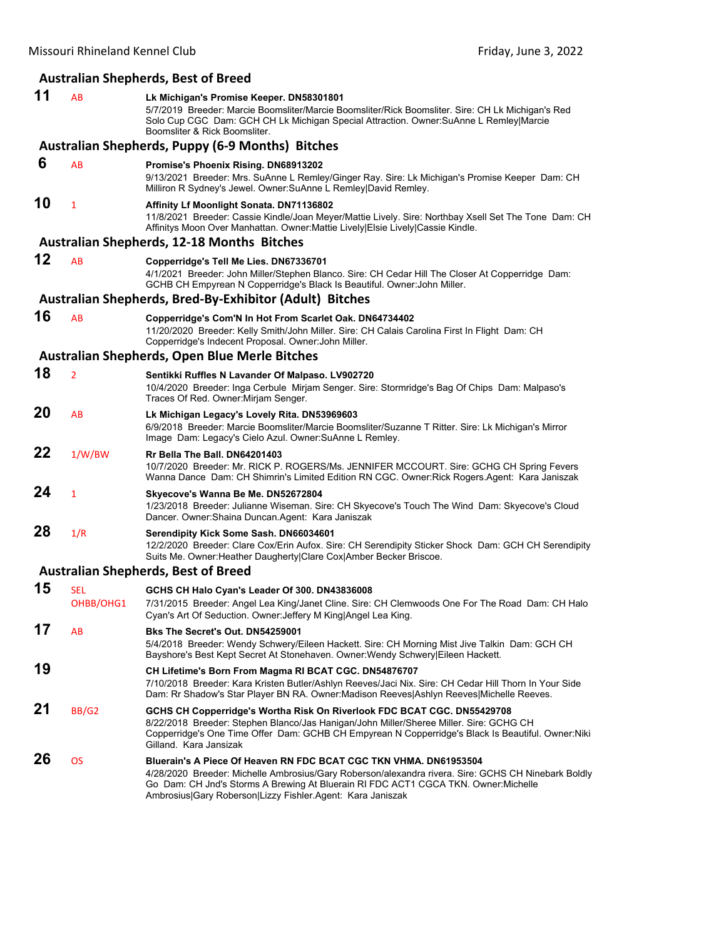# **Australian Shepherds, Best of Breed**

| 11 | AB                      | Lk Michigan's Promise Keeper. DN58301801<br>5/7/2019 Breeder: Marcie Boomsliter/Marcie Boomsliter/Rick Boomsliter. Sire: CH Lk Michigan's Red<br>Solo Cup CGC Dam: GCH CH Lk Michigan Special Attraction. Owner:SuAnne L Remley Marcie<br>Boomsliter & Rick Boomsliter.                                                       |
|----|-------------------------|-------------------------------------------------------------------------------------------------------------------------------------------------------------------------------------------------------------------------------------------------------------------------------------------------------------------------------|
|    |                         | <b>Australian Shepherds, Puppy (6-9 Months) Bitches</b>                                                                                                                                                                                                                                                                       |
| 6  | AB                      | Promise's Phoenix Rising. DN68913202<br>9/13/2021 Breeder: Mrs. SuAnne L Remley/Ginger Ray. Sire: Lk Michigan's Promise Keeper Dam: CH<br>Milliron R Sydney's Jewel. Owner: SuAnne L Remley David Remley.                                                                                                                     |
| 10 | $\mathbf{1}$            | Affinity Lf Moonlight Sonata. DN71136802<br>11/8/2021 Breeder: Cassie Kindle/Joan Meyer/Mattie Lively. Sire: Northbay Xsell Set The Tone Dam: CH<br>Affinitys Moon Over Manhattan. Owner: Mattie Lively Elsie Lively Cassie Kindle.                                                                                           |
|    |                         | <b>Australian Shepherds, 12-18 Months Bitches</b>                                                                                                                                                                                                                                                                             |
| 12 | AB                      | Copperridge's Tell Me Lies. DN67336701<br>4/1/2021 Breeder: John Miller/Stephen Blanco. Sire: CH Cedar Hill The Closer At Copperridge Dam:<br>GCHB CH Empyrean N Copperridge's Black Is Beautiful. Owner: John Miller.                                                                                                        |
|    |                         | Australian Shepherds, Bred-By-Exhibitor (Adult) Bitches                                                                                                                                                                                                                                                                       |
| 16 | AB                      | Copperridge's Com'N In Hot From Scarlet Oak. DN64734402<br>11/20/2020 Breeder: Kelly Smith/John Miller. Sire: CH Calais Carolina First In Flight Dam: CH<br>Copperridge's Indecent Proposal. Owner: John Miller.                                                                                                              |
|    |                         | <b>Australian Shepherds, Open Blue Merle Bitches</b>                                                                                                                                                                                                                                                                          |
| 18 | $\overline{2}$          | Sentikki Ruffles N Lavander Of Malpaso. LV902720<br>10/4/2020 Breeder: Inga Cerbule Mirjam Senger. Sire: Stormridge's Bag Of Chips Dam: Malpaso's<br>Traces Of Red. Owner: Mirjam Senger.                                                                                                                                     |
| 20 | AB                      | Lk Michigan Legacy's Lovely Rita. DN53969603<br>6/9/2018 Breeder: Marcie Boomsliter/Marcie Boomsliter/Suzanne T Ritter. Sire: Lk Michigan's Mirror<br>Image Dam: Legacy's Cielo Azul. Owner: SuAnne L Remley.                                                                                                                 |
| 22 | 1/W/BW                  | Rr Bella The Ball, DN64201403<br>10/7/2020 Breeder: Mr. RICK P. ROGERS/Ms. JENNIFER MCCOURT. Sire: GCHG CH Spring Fevers<br>Wanna Dance Dam: CH Shimrin's Limited Edition RN CGC. Owner: Rick Rogers. Agent: Kara Janiszak                                                                                                    |
| 24 | $\mathbf{1}$            | Skyecove's Wanna Be Me. DN52672804<br>1/23/2018 Breeder: Julianne Wiseman. Sire: CH Skyecove's Touch The Wind Dam: Skyecove's Cloud<br>Dancer. Owner: Shaina Duncan. Agent: Kara Janiszak                                                                                                                                     |
| 28 | 1/R                     | Serendipity Kick Some Sash. DN66034601<br>12/2/2020 Breeder: Clare Cox/Erin Aufox. Sire: CH Serendipity Sticker Shock Dam: GCH CH Serendipity<br>Suits Me. Owner: Heather Daugherty Clare Cox Amber Becker Briscoe.                                                                                                           |
|    |                         | <b>Australian Shepherds, Best of Breed</b>                                                                                                                                                                                                                                                                                    |
| 15 | <b>SEL</b><br>OHBB/OHG1 | GCHS CH Halo Cyan's Leader Of 300. DN43836008<br>7/31/2015 Breeder: Angel Lea King/Janet Cline. Sire: CH Clemwoods One For The Road Dam: CH Halo<br>Cyan's Art Of Seduction. Owner: Jeffery M King Angel Lea King.                                                                                                            |
| 17 | AB                      | Bks The Secret's Out. DN54259001<br>5/4/2018 Breeder: Wendy Schwery/Eileen Hackett. Sire: CH Morning Mist Jive Talkin Dam: GCH CH<br>Bayshore's Best Kept Secret At Stonehaven. Owner: Wendy Schwery Eileen Hackett.                                                                                                          |
| 19 |                         | CH Lifetime's Born From Magma RI BCAT CGC. DN54876707<br>7/10/2018 Breeder: Kara Kristen Butler/Ashlyn Reeves/Jaci Nix. Sire: CH Cedar Hill Thorn In Your Side<br>Dam: Rr Shadow's Star Player BN RA. Owner:Madison Reeves Ashlyn Reeves Michelle Reeves.                                                                     |
| 21 | <b>BB/G2</b>            | GCHS CH Copperridge's Wortha Risk On Riverlook FDC BCAT CGC. DN55429708<br>8/22/2018 Breeder: Stephen Blanco/Jas Hanigan/John Miller/Sheree Miller. Sire: GCHG CH<br>Copperridge's One Time Offer Dam: GCHB CH Empyrean N Copperridge's Black Is Beautiful. Owner: Niki<br>Gilland. Kara Jansizak                             |
| 26 | <b>OS</b>               | Bluerain's A Piece Of Heaven RN FDC BCAT CGC TKN VHMA. DN61953504<br>4/28/2020 Breeder: Michelle Ambrosius/Gary Roberson/alexandra rivera. Sire: GCHS CH Ninebark Boldly<br>Go Dam: CH Jnd's Storms A Brewing At Bluerain RI FDC ACT1 CGCA TKN. Owner: Michelle<br>Ambrosius Gary Roberson Lizzy Fishler.Agent: Kara Janiszak |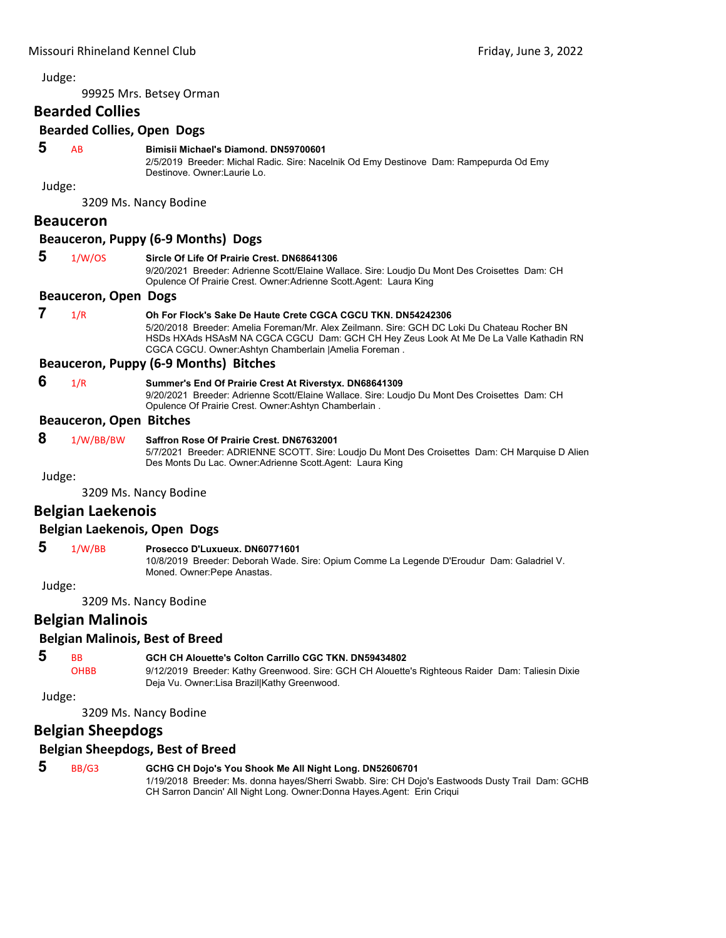99925 Mrs. Betsey Orman

# **Bearded Collies**

#### **Bearded Collies, Open Dogs**

# **5** AB **Bimisii Michael's Diamond. DN59700601**

2/5/2019 Breeder: Michal Radic. Sire: Nacelnik Od Emy Destinove Dam: Rampepurda Od Emy Destinove. Owner:Laurie Lo.

Judge:

3209 Ms. Nancy Bodine

# **Beauceron**

#### **Beauceron, Puppy (6‐9 Months) Dogs**

| 1/W/OS |  |
|--------|--|

#### **Sircle Of Life Of Prairie Crest. DN68641306**

9/20/2021 Breeder: Adrienne Scott/Elaine Wallace. Sire: Loudjo Du Mont Des Croisettes Dam: CH Opulence Of Prairie Crest. Owner:Adrienne Scott.Agent: Laura King

#### **Beauceron, Open Dogs**

# **7** 1/R **Oh For Flock's Sake De Haute Crete CGCA CGCU TKN. DN54242306**

5/20/2018 Breeder: Amelia Foreman/Mr. Alex Zeilmann. Sire: GCH DC Loki Du Chateau Rocher BN HSDs HXAds HSAsM NA CGCA CGCU Dam: GCH CH Hey Zeus Look At Me De La Valle Kathadin RN CGCA CGCU. Owner:Ashtyn Chamberlain |Amelia Foreman .

# **Beauceron, Puppy (6‐9 Months) Bitches**

 **6** 1/R **Summer's End Of Prairie Crest At Riverstyx. DN68641309** 9/20/2021 Breeder: Adrienne Scott/Elaine Wallace. Sire: Loudjo Du Mont Des Croisettes Dam: CH

Opulence Of Prairie Crest. Owner:Ashtyn Chamberlain .

# **Beauceron, Open Bitches**

 **8** 1/W/BB/BW **Saffron Rose Of Prairie Crest. DN67632001** 5/7/2021 Breeder: ADRIENNE SCOTT. Sire: Loudjo Du Mont Des Croisettes Dam: CH Marquise D Alien Des Monts Du Lac. Owner:Adrienne Scott.Agent: Laura King

Judge:

3209 Ms. Nancy Bodine

# **Belgian Laekenois**

# **Belgian Laekenois, Open Dogs**

# **5** 1/W/BB **Prosecco D'Luxueux. DN60771601**

10/8/2019 Breeder: Deborah Wade. Sire: Opium Comme La Legende D'Eroudur Dam: Galadriel V. Moned. Owner:Pepe Anastas.

Judge:

3209 Ms. Nancy Bodine

# **Belgian Malinois**

# **Belgian Malinois, Best of Breed**

| -5 | <b>RR</b>   | <b>GCH CH Alouette's Colton Carrillo CGC TKN, DN59434802</b>                                     |
|----|-------------|--------------------------------------------------------------------------------------------------|
|    | <b>OHBB</b> | 9/12/2019 Breeder: Kathy Greenwood. Sire: GCH CH Alouette's Righteous Raider Dam: Taliesin Dixie |
|    |             | Deja Vu. Owner: Lisa Brazill Kathy Greenwood.                                                    |

Judge:

3209 Ms. Nancy Bodine

# **Belgian Sheepdogs**

# **Belgian Sheepdogs, Best of Breed**

 **5** BB/G3 **GCHG CH Dojo's You Shook Me All Night Long. DN52606701** 1/19/2018 Breeder: Ms. donna hayes/Sherri Swabb. Sire: CH Dojo's Eastwoods Dusty Trail Dam: GCHB CH Sarron Dancin' All Night Long. Owner:Donna Hayes.Agent: Erin Criqui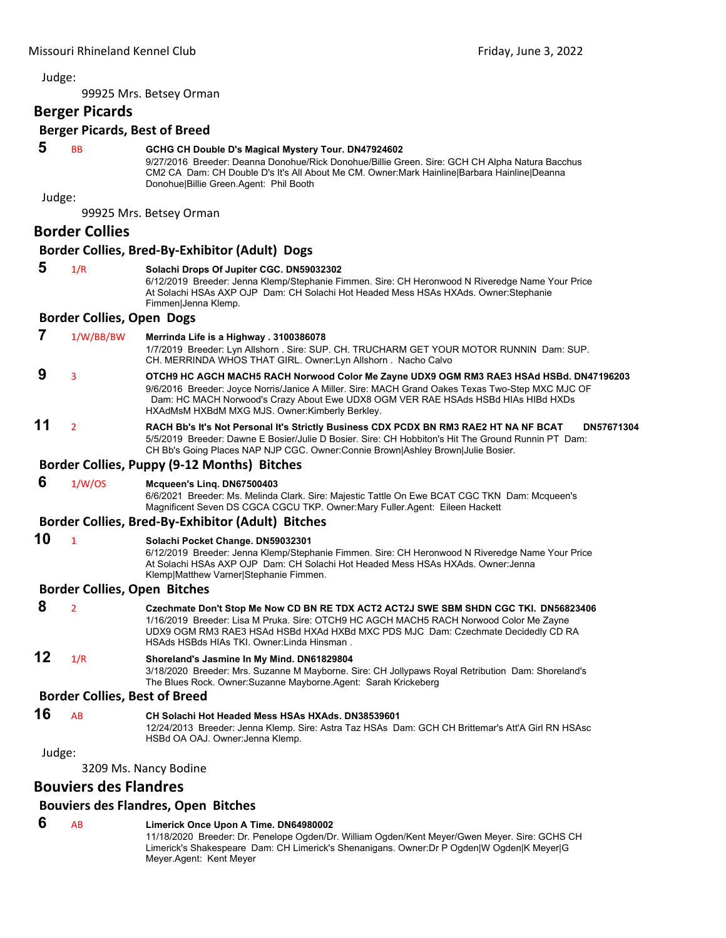99925 Mrs. Betsey Orman

# **Berger Picards**

# **Berger Picards, Best of Breed**

# **5** BB **GCHG CH Double D's Magical Mystery Tour. DN47924602**

9/27/2016 Breeder: Deanna Donohue/Rick Donohue/Billie Green. Sire: GCH CH Alpha Natura Bacchus CM2 CA Dam: CH Double D's It's All About Me CM. Owner:Mark Hainline|Barbara Hainline|Deanna Donohue|Billie Green.Agent: Phil Booth

Judge:

99925 Mrs. Betsey Orman

# **Border Collies**

#### **Border Collies, Bred‐By‐Exhibitor (Adult) Dogs**

# **5** 1/R **Solachi Drops Of Jupiter CGC. DN59032302**

6/12/2019 Breeder: Jenna Klemp/Stephanie Fimmen. Sire: CH Heronwood N Riveredge Name Your Price At Solachi HSAs AXP OJP Dam: CH Solachi Hot Headed Mess HSAs HXAds. Owner:Stephanie Fimmen|Jenna Klemp.

# **Border Collies, Open Dogs**

 **7** 1/W/BB/BW **Merrinda Life is a Highway . 3100386078**

1/7/2019 Breeder: Lyn Allshorn . Sire: SUP. CH. TRUCHARM GET YOUR MOTOR RUNNIN Dam: SUP. CH. MERRINDA WHOS THAT GIRL. Owner:Lyn Allshorn . Nacho Calvo

- **9** <sup>3</sup> **OTCH9 HC AGCH MACH5 RACH Norwood Color Me Zayne UDX9 OGM RM3 RAE3 HSAd HSBd. DN47196203** 9/6/2016 Breeder: Joyce Norris/Janice A Miller. Sire: MACH Grand Oakes Texas Two-Step MXC MJC OF Dam: HC MACH Norwood's Crazy About Ewe UDX8 OGM VER RAE HSAds HSBd HIAs HIBd HXDs HXAdMsM HXBdM MXG MJS. Owner:Kimberly Berkley.
- **11** <sup>2</sup> **RACH Bb's It's Not Personal It's Strictly Business CDX PCDX BN RM3 RAE2 HT NA NF BCAT DN57671304** 5/5/2019 Breeder: Dawne E Bosier/Julie D Bosier. Sire: CH Hobbiton's Hit The Ground Runnin PT Dam: CH Bb's Going Places NAP NJP CGC. Owner:Connie Brown|Ashley Brown|Julie Bosier.

#### **Border Collies, Puppy (9‐12 Months) Bitches**

# **6** 1/W/OS **Mcqueen's Linq. DN67500403**

6/6/2021 Breeder: Ms. Melinda Clark. Sire: Majestic Tattle On Ewe BCAT CGC TKN Dam: Mcqueen's Magnificent Seven DS CGCA CGCU TKP. Owner:Mary Fuller.Agent: Eileen Hackett

# **Border Collies, Bred‐By‐Exhibitor (Adult) Bitches**

# **10** <sup>1</sup> **Solachi Pocket Change. DN59032301**

6/12/2019 Breeder: Jenna Klemp/Stephanie Fimmen. Sire: CH Heronwood N Riveredge Name Your Price At Solachi HSAs AXP OJP Dam: CH Solachi Hot Headed Mess HSAs HXAds. Owner:Jenna Klemp|Matthew Varner|Stephanie Fimmen.

# **Border Collies, Open Bitches**

| 8 <sub>2</sub> | Czechmate Don't Stop Me Now CD BN RE TDX ACT2 ACT2J SWE SBM SHDN CGC TKI. DN56823406   |
|----------------|----------------------------------------------------------------------------------------|
|                | 1/16/2019 Breeder: Lisa M Pruka. Sire: OTCH9 HC AGCH MACH5 RACH Norwood Color Me Zayne |
|                | UDX9 OGM RM3 RAE3 HSAd HSBd HXAd HXBd MXC PDS MJC Dam: Czechmate Decidedly CD RA       |
|                | HSAds HSBds HIAs TKI. Owner: Linda Hinsman.                                            |

# **12** 1/R **Shoreland's Jasmine In My Mind. DN61829804**

3/18/2020 Breeder: Mrs. Suzanne M Mayborne. Sire: CH Jollypaws Royal Retribution Dam: Shoreland's The Blues Rock. Owner:Suzanne Mayborne.Agent: Sarah Krickeberg

# **Border Collies, Best of Breed**

**16** AB **CH Solachi Hot Headed Mess HSAs HXAds. DN38539601** 12/24/2013 Breeder: Jenna Klemp. Sire: Astra Taz HSAs Dam: GCH CH Brittemar's Att'A Girl RN HSAsc HSBd OA OAJ. Owner:Jenna Klemp.

#### Judge:

3209 Ms. Nancy Bodine

# **Bouviers des Flandres**

# **Bouviers des Flandres, Open Bitches**

# **6** AB **Limerick Once Upon A Time. DN64980002**

11/18/2020 Breeder: Dr. Penelope Ogden/Dr. William Ogden/Kent Meyer/Gwen Meyer. Sire: GCHS CH Limerick's Shakespeare Dam: CH Limerick's Shenanigans. Owner:Dr P Ogden|W Ogden|K Meyer|G Meyer.Agent: Kent Meyer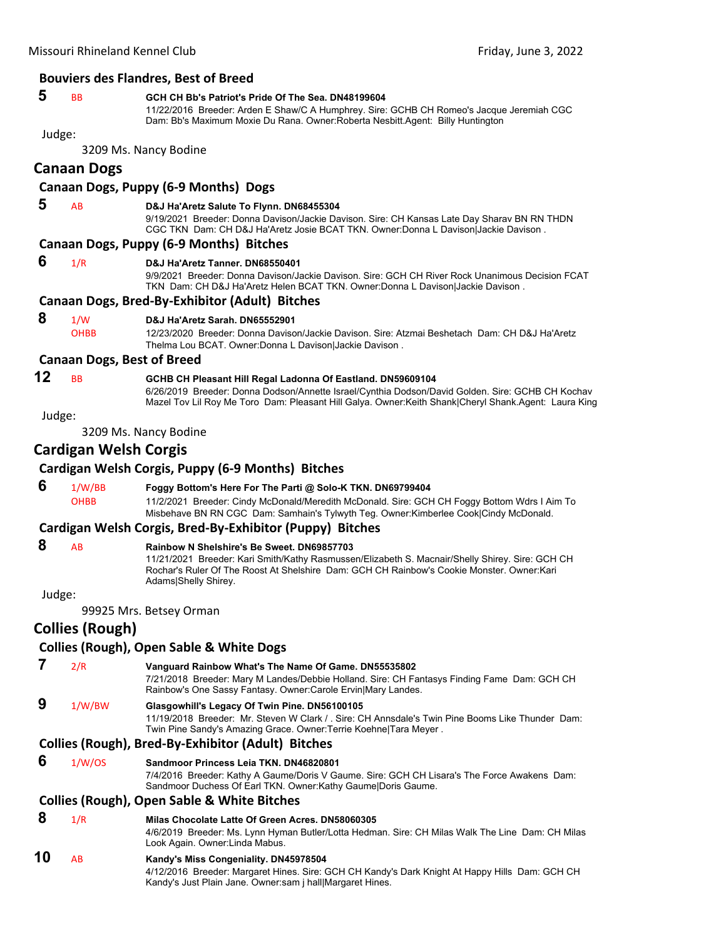#### **Bouviers des Flandres, Best of Breed**

# **5** BB **GCH CH Bb's Patriot's Pride Of The Sea. DN48199604**

11/22/2016 Breeder: Arden E Shaw/C A Humphrey. Sire: GCHB CH Romeo's Jacque Jeremiah CGC Dam: Bb's Maximum Moxie Du Rana. Owner:Roberta Nesbitt.Agent: Billy Huntington

# Judge:

3209 Ms. Nancy Bodine

# **Canaan Dogs**

# **Canaan Dogs, Puppy (6‐9 Months) Dogs**

 **5** AB **D&J Ha'Aretz Salute To Flynn. DN68455304**

9/19/2021 Breeder: Donna Davison/Jackie Davison. Sire: CH Kansas Late Day Sharav BN RN THDN CGC TKN Dam: CH D&J Ha'Aretz Josie BCAT TKN. Owner:Donna L Davison|Jackie Davison .

#### **Canaan Dogs, Puppy (6‐9 Months) Bitches**

 **6** 1/R **D&J Ha'Aretz Tanner. DN68550401**

9/9/2021 Breeder: Donna Davison/Jackie Davison. Sire: GCH CH River Rock Unanimous Decision FCAT TKN Dam: CH D&J Ha'Aretz Helen BCAT TKN. Owner:Donna L Davison|Jackie Davison .

#### **Canaan Dogs, Bred‐By‐Exhibitor (Adult) Bitches**

# **8** 1/W **D&J Ha'Aretz Sarah. DN65552901**

OHBB 12/23/2020 Breeder: Donna Davison/Jackie Davison. Sire: Atzmai Beshetach Dam: CH D&J Ha'Aretz Thelma Lou BCAT. Owner:Donna L Davison|Jackie Davison .

#### **Canaan Dogs, Best of Breed**

# **12** BB **GCHB CH Pleasant Hill Regal Ladonna Of Eastland. DN59609104**

6/26/2019 Breeder: Donna Dodson/Annette Israel/Cynthia Dodson/David Golden. Sire: GCHB CH Kochav Mazel Tov Lil Roy Me Toro Dam: Pleasant Hill Galya. Owner:Keith Shank|Cheryl Shank.Agent: Laura King

#### Judge:

3209 Ms. Nancy Bodine

# **Cardigan Welsh Corgis**

#### **Cardigan Welsh Corgis, Puppy (6‐9 Months) Bitches**

 **6** 1/W/BB **Foggy Bottom's Here For The Parti @ Solo-K TKN. DN69799404** OHBB 11/2/2021 Breeder: Cindy McDonald/Meredith McDonald. Sire: GCH CH Foggy Bottom Wdrs I Aim To Misbehave BN RN CGC Dam: Samhain's Tylwyth Teg. Owner:Kimberlee Cook|Cindy McDonald.

# **Cardigan Welsh Corgis, Bred‐By‐Exhibitor (Puppy) Bitches**

# **8** AB **Rainbow N Shelshire's Be Sweet. DN69857703**

11/21/2021 Breeder: Kari Smith/Kathy Rasmussen/Elizabeth S. Macnair/Shelly Shirey. Sire: GCH CH Rochar's Ruler Of The Roost At Shelshire Dam: GCH CH Rainbow's Cookie Monster. Owner:Kari Adams|Shelly Shirey.

#### Judge:

99925 Mrs. Betsey Orman

# **Collies (Rough)**

# **Collies (Rough), Open Sable & White Dogs**

 **7** 2/R **Vanguard Rainbow What's The Name Of Game. DN55535802**

7/21/2018 Breeder: Mary M Landes/Debbie Holland. Sire: CH Fantasys Finding Fame Dam: GCH CH Rainbow's One Sassy Fantasy. Owner:Carole Ervin|Mary Landes.

# **9** 1/W/BW **Glasgowhill's Legacy Of Twin Pine. DN56100105**

11/19/2018 Breeder: Mr. Steven W Clark / . Sire: CH Annsdale's Twin Pine Booms Like Thunder Dam: Twin Pine Sandy's Amazing Grace. Owner:Terrie Koehne|Tara Meyer .

# **Collies (Rough), Bred‐By‐Exhibitor (Adult) Bitches**

 **6** 1/W/OS **Sandmoor Princess Leia TKN. DN46820801** 7/4/2016 Breeder: Kathy A Gaume/Doris V Gaume. Sire: GCH CH Lisara's The Force Awakens Dam: Sandmoor Duchess Of Earl TKN. Owner:Kathy Gaume|Doris Gaume.

# **Collies (Rough), Open Sable & White Bitches**

#### **8** 1/R **Milas Chocolate Latte Of Green Acres. DN58060305**

4/6/2019 Breeder: Ms. Lynn Hyman Butler/Lotta Hedman. Sire: CH Milas Walk The Line Dam: CH Milas Look Again. Owner:Linda Mabus.

# **10** AB **Kandy's Miss Congeniality. DN45978504**

4/12/2016 Breeder: Margaret Hines. Sire: GCH CH Kandy's Dark Knight At Happy Hills Dam: GCH CH Kandy's Just Plain Jane. Owner:sam j hall|Margaret Hines.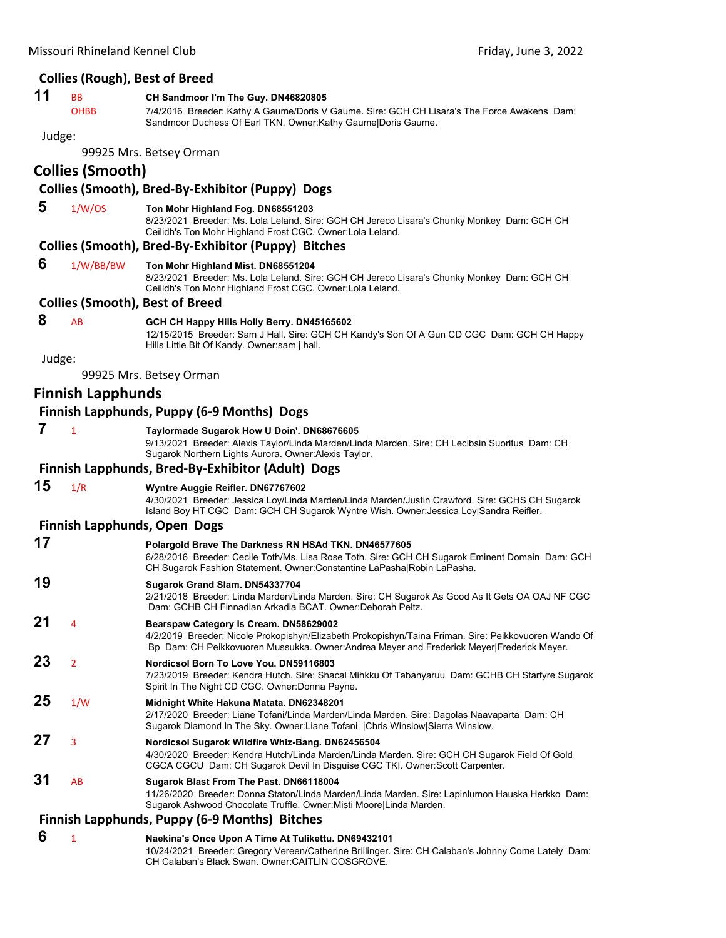# **Collies (Rough), Best of Breed**

# **11** BB **CH Sandmoor I'm The Guy. DN46820805**

OHBB 7/4/2016 Breeder: Kathy A Gaume/Doris V Gaume. Sire: GCH CH Lisara's The Force Awakens Dam: Sandmoor Duchess Of Earl TKN. Owner:Kathy Gaume|Doris Gaume.

#### Judge:

99925 Mrs. Betsey Orman

# **Collies (Smooth)**

# **Collies (Smooth), Bred‐By‐Exhibitor (Puppy) Dogs**

 **5** 1/W/OS **Ton Mohr Highland Fog. DN68551203**

8/23/2021 Breeder: Ms. Lola Leland. Sire: GCH CH Jereco Lisara's Chunky Monkey Dam: GCH CH Ceilidh's Ton Mohr Highland Frost CGC. Owner:Lola Leland.

# **Collies (Smooth), Bred‐By‐Exhibitor (Puppy) Bitches**

 **6** 1/W/BB/BW **Ton Mohr Highland Mist. DN68551204**

8/23/2021 Breeder: Ms. Lola Leland. Sire: GCH CH Jereco Lisara's Chunky Monkey Dam: GCH CH Ceilidh's Ton Mohr Highland Frost CGC. Owner:Lola Leland.

# **Collies (Smooth), Best of Breed**

# **8** AB **GCH CH Happy Hills Holly Berry. DN45165602**

12/15/2015 Breeder: Sam J Hall. Sire: GCH CH Kandy's Son Of A Gun CD CGC Dam: GCH CH Happy Hills Little Bit Of Kandy. Owner:sam j hall.

Judge:

99925 Mrs. Betsey Orman

# **Finnish Lapphunds**

# **Finnish Lapphunds, Puppy (6‐9 Months) Dogs**

 **7** <sup>1</sup> **Taylormade Sugarok How U Doin'. DN68676605**

9/13/2021 Breeder: Alexis Taylor/Linda Marden/Linda Marden. Sire: CH Lecibsin Suoritus Dam: CH Sugarok Northern Lights Aurora. Owner:Alexis Taylor.

# **Finnish Lapphunds, Bred‐By‐Exhibitor (Adult) Dogs**

**15** 1/R **Wyntre Auggie Reifler. DN67767602**

4/30/2021 Breeder: Jessica Loy/Linda Marden/Linda Marden/Justin Crawford. Sire: GCHS CH Sugarok Island Boy HT CGC Dam: GCH CH Sugarok Wyntre Wish. Owner:Jessica Loy|Sandra Reifler.

# **Finnish Lapphunds, Open Dogs**

| 17 |                | Polargold Brave The Darkness RN HSAd TKN. DN46577605<br>6/28/2016 Breeder: Cecile Toth/Ms. Lisa Rose Toth. Sire: GCH CH Sugarok Eminent Domain Dam: GCH<br>CH Sugarok Fashion Statement. Owner: Constantine LaPasha Robin LaPasha.           |
|----|----------------|----------------------------------------------------------------------------------------------------------------------------------------------------------------------------------------------------------------------------------------------|
| 19 |                | Sugarok Grand Slam. DN54337704<br>2/21/2018 Breeder: Linda Marden/Linda Marden. Sire: CH Sugarok As Good As It Gets OA OAJ NF CGC<br>Dam: GCHB CH Finnadian Arkadia BCAT, Owner: Deborah Peltz.                                              |
| 21 | 4              | Bearspaw Category Is Cream. DN58629002<br>4/2/2019 Breeder: Nicole Prokopishyn/Elizabeth Prokopishyn/Taina Friman. Sire: Peikkovuoren Wando Of<br>Bp Dam: CH Peikkovuoren Mussukka. Owner: Andrea Meyer and Frederick Meyer Frederick Meyer. |
| 23 | $\overline{2}$ | Nordicsol Born To Love You. DN59116803<br>7/23/2019 Breeder: Kendra Hutch. Sire: Shacal Mihkku Of Tabanyaruu Dam: GCHB CH Starfyre Sugarok<br>Spirit In The Night CD CGC. Owner: Donna Payne.                                                |
| 25 | 1/W            | Midnight White Hakuna Matata. DN62348201<br>2/17/2020 Breeder: Liane Tofani/Linda Marden/Linda Marden. Sire: Dagolas Naavaparta Dam: CH<br>Sugarok Diamond In The Sky. Owner: Liane Tofani   Chris Winslow  Sierra Winslow.                  |
| 27 | $\overline{3}$ | Nordicsol Sugarok Wildfire Whiz-Bang. DN62456504<br>4/30/2020 Breeder: Kendra Hutch/Linda Marden/Linda Marden. Sire: GCH CH Sugarok Field Of Gold<br>CGCA CGCU Dam: CH Sugarok Devil In Disguise CGC TKI. Owner:Scott Carpenter.             |
| 31 | AB             | Sugarok Blast From The Past. DN66118004<br>11/26/2020 Breeder: Donna Staton/Linda Marden/Linda Marden. Sire: Lapinlumon Hauska Herkko Dam:<br>Sugarok Ashwood Chocolate Truffle. Owner:Misti Moore Linda Marden.                             |

# **Finnish Lapphunds, Puppy (6‐9 Months) Bitches**

 **6** <sup>1</sup> **Naekina's Once Upon A Time At Tulikettu. DN69432101** 10/24/2021 Breeder: Gregory Vereen/Catherine Brillinger. Sire: CH Calaban's Johnny Come Lately Dam: CH Calaban's Black Swan. Owner:CAITLIN COSGROVE.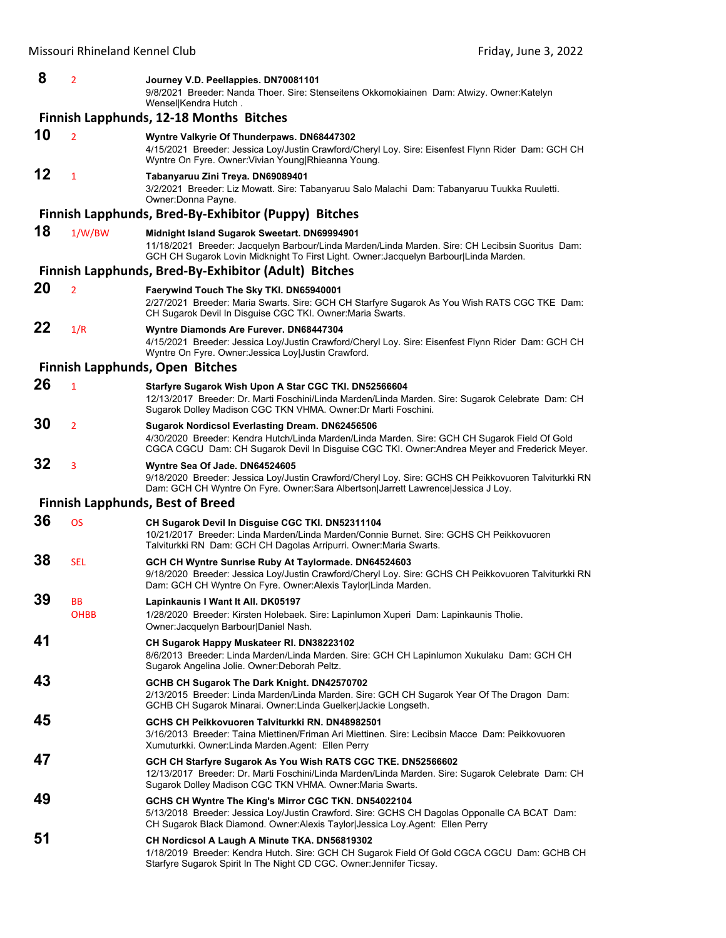| 8  | $\overline{2}$ | Journey V.D. Peellappies. DN70081101<br>9/8/2021 Breeder: Nanda Thoer. Sire: Stenseitens Okkomokiainen Dam: Atwizy. Owner: Katelyn<br>Wensel Kendra Hutch.                                                                                               |
|----|----------------|----------------------------------------------------------------------------------------------------------------------------------------------------------------------------------------------------------------------------------------------------------|
|    |                | <b>Finnish Lapphunds, 12-18 Months Bitches</b>                                                                                                                                                                                                           |
| 10 | $\overline{2}$ | Wyntre Valkyrie Of Thunderpaws. DN68447302<br>4/15/2021 Breeder: Jessica Loy/Justin Crawford/Cheryl Loy. Sire: Eisenfest Flynn Rider Dam: GCH CH<br>Wyntre On Fyre. Owner: Vivian Young Rhieanna Young.                                                  |
| 12 | $\mathbf{1}$   | Tabanyaruu Zini Treya. DN69089401<br>3/2/2021 Breeder: Liz Mowatt. Sire: Tabanyaruu Salo Malachi Dam: Tabanyaruu Tuukka Ruuletti.<br>Owner:Donna Payne.                                                                                                  |
|    |                | Finnish Lapphunds, Bred-By-Exhibitor (Puppy) Bitches                                                                                                                                                                                                     |
| 18 | 1/W/BW         | Midnight Island Sugarok Sweetart. DN69994901<br>11/18/2021 Breeder: Jacquelyn Barbour/Linda Marden/Linda Marden. Sire: CH Lecibsin Suoritus Dam:<br>GCH CH Sugarok Lovin Midknight To First Light. Owner: Jacquelyn Barbour Linda Marden.                |
|    |                | Finnish Lapphunds, Bred-By-Exhibitor (Adult) Bitches                                                                                                                                                                                                     |
| 20 | $\overline{2}$ | Faerywind Touch The Sky TKI. DN65940001<br>2/27/2021 Breeder: Maria Swarts. Sire: GCH CH Starfyre Sugarok As You Wish RATS CGC TKE Dam:<br>CH Sugarok Devil In Disguise CGC TKI. Owner: Maria Swarts.                                                    |
| 22 | 1/R            | Wyntre Diamonds Are Furever. DN68447304<br>4/15/2021 Breeder: Jessica Loy/Justin Crawford/Cheryl Loy. Sire: Eisenfest Flynn Rider Dam: GCH CH<br>Wyntre On Fyre. Owner: Jessica Loy Justin Crawford.                                                     |
|    |                | Finnish Lapphunds, Open Bitches                                                                                                                                                                                                                          |
| 26 | $\mathbf{1}$   | Starfyre Sugarok Wish Upon A Star CGC TKI. DN52566604<br>12/13/2017 Breeder: Dr. Marti Foschini/Linda Marden/Linda Marden. Sire: Sugarok Celebrate Dam: CH<br>Sugarok Dolley Madison CGC TKN VHMA. Owner: Dr Marti Foschini.                             |
| 30 | $\overline{2}$ | <b>Sugarok Nordicsol Everlasting Dream. DN62456506</b><br>4/30/2020 Breeder: Kendra Hutch/Linda Marden/Linda Marden. Sire: GCH CH Sugarok Field Of Gold<br>CGCA CGCU Dam: CH Sugarok Devil In Disguise CGC TKI. Owner: Andrea Meyer and Frederick Meyer. |
| 32 | 3              | Wyntre Sea Of Jade. DN64524605<br>9/18/2020 Breeder: Jessica Loy/Justin Crawford/Cheryl Loy. Sire: GCHS CH Peikkovuoren Talviturkki RN<br>Dam: GCH CH Wyntre On Fyre. Owner:Sara Albertson Jarrett Lawrence Jessica J Loy.                               |
|    |                | <b>Finnish Lapphunds, Best of Breed</b>                                                                                                                                                                                                                  |
| 36 | <b>OS</b>      | CH Sugarok Devil In Disguise CGC TKI. DN52311104<br>10/21/2017 Breeder: Linda Marden/Linda Marden/Connie Burnet. Sire: GCHS CH Peikkovuoren<br>Talviturkki RN Dam: GCH CH Dagolas Arripurri. Owner: Maria Swarts.                                        |
| 38 | <b>SEL</b>     | GCH CH Wyntre Sunrise Ruby At Taylormade. DN64524603<br>9/18/2020 Breeder: Jessica Loy/Justin Crawford/Cheryl Loy. Sire: GCHS CH Peikkovuoren Talviturkki RN<br>Dam: GCH CH Wyntre On Fyre. Owner: Alexis Taylor Linda Marden.                           |
| 39 | ВB<br>OHBB     | Lapinkaunis I Want It All. DK05197<br>1/28/2020 Breeder: Kirsten Holebaek. Sire: Lapinlumon Xuperi Dam: Lapinkaunis Tholie.<br>Owner: Jacquelyn Barbour Daniel Nash.                                                                                     |
| 41 |                | CH Sugarok Happy Muskateer RI. DN38223102<br>8/6/2013 Breeder: Linda Marden/Linda Marden. Sire: GCH CH Lapinlumon Xukulaku Dam: GCH CH<br>Sugarok Angelina Jolie. Owner: Deborah Peltz.                                                                  |
| 43 |                | GCHB CH Sugarok The Dark Knight. DN42570702<br>2/13/2015 Breeder: Linda Marden/Linda Marden. Sire: GCH CH Sugarok Year Of The Dragon Dam:<br>GCHB CH Sugarok Minarai. Owner:Linda Guelker Jackie Longseth.                                               |
| 45 |                | GCHS CH Peikkovuoren Talviturkki RN. DN48982501<br>3/16/2013 Breeder: Taina Miettinen/Friman Ari Miettinen. Sire: Lecibsin Macce Dam: Peikkovuoren<br>Xumuturkki. Owner: Linda Marden. Agent: Ellen Perry                                                |
| 47 |                | GCH CH Starfyre Sugarok As You Wish RATS CGC TKE. DN52566602<br>12/13/2017 Breeder: Dr. Marti Foschini/Linda Marden/Linda Marden. Sire: Sugarok Celebrate Dam: CH<br>Sugarok Dolley Madison CGC TKN VHMA. Owner: Maria Swarts.                           |
| 49 |                | GCHS CH Wyntre The King's Mirror CGC TKN. DN54022104<br>5/13/2018 Breeder: Jessica Loy/Justin Crawford. Sire: GCHS CH Dagolas Opponalle CA BCAT Dam:<br>CH Sugarok Black Diamond. Owner: Alexis Taylor Jessica Loy. Agent: Ellen Perry                   |
| 51 |                | CH Nordicsol A Laugh A Minute TKA. DN56819302<br>1/18/2019 Breeder: Kendra Hutch. Sire: GCH CH Sugarok Field Of Gold CGCA CGCU Dam: GCHB CH<br>Starfyre Sugarok Spirit In The Night CD CGC. Owner: Jennifer Ticsay.                                      |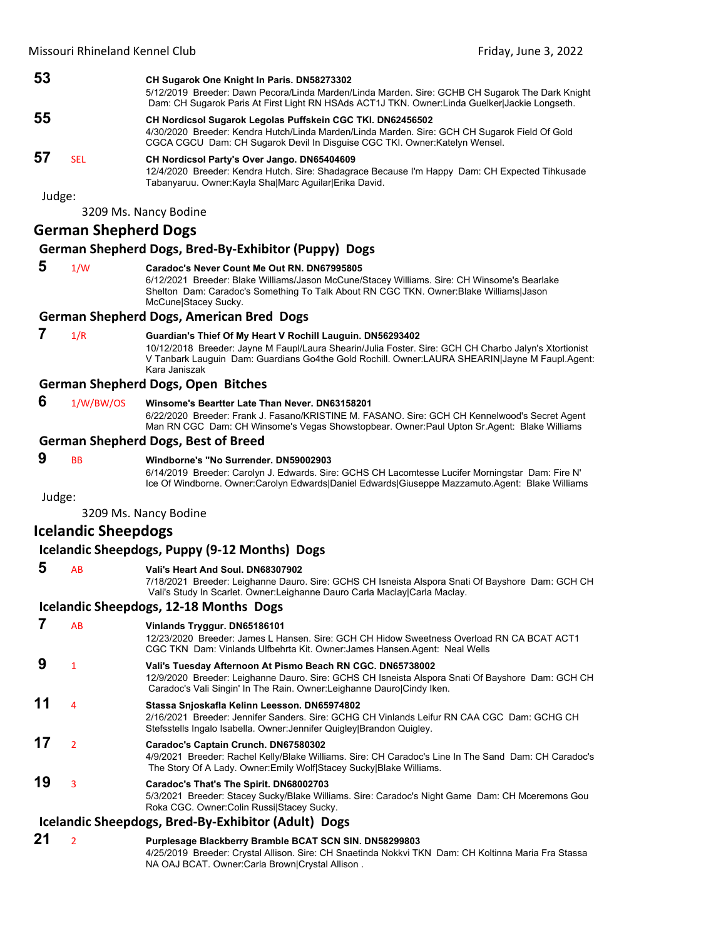| 53 |      | CH Sugarok One Knight In Paris. DN58273302                                                                                                                                                        |
|----|------|---------------------------------------------------------------------------------------------------------------------------------------------------------------------------------------------------|
|    |      | 5/12/2019 Breeder: Dawn Pecora/Linda Marden/Linda Marden. Sire: GCHB CH Sugarok The Dark Knight<br>Dam: CH Sugarok Paris At First Light RN HSAds ACT1J TKN. Owner: Linda Guelker Jackie Longseth. |
| 55 |      | CH Nordicsol Sugarok Legolas Puffskein CGC TKI. DN62456502                                                                                                                                        |
|    |      | 4/30/2020 Breeder: Kendra Hutch/Linda Marden/Linda Marden. Sire: GCH CH Sugarok Field Of Gold<br>CGCA CGCU Dam: CH Sugarok Devil In Disguise CGC TKI. Owner: Katelyn Wensel.                      |
| 57 | SEL. | CH Nordicsol Party's Over Jango. DN65404609                                                                                                                                                       |
|    |      | 12/4/2020 Breeder: Kendra Hutch, Sire: Shadagrace Because I'm Happy Dam: CH Expected Tihkusade<br>Tabanyaruu. Owner:Kayla Sha Marc Aguilar Erika David.                                           |

3209 Ms. Nancy Bodine

# **German Shepherd Dogs**

#### **German Shepherd Dogs, Bred‐By‐Exhibitor (Puppy) Dogs**

 **5** 1/W **Caradoc's Never Count Me Out RN. DN67995805** 6/12/2021 Breeder: Blake Williams/Jason McCune/Stacey Williams. Sire: CH Winsome's Bearlake Shelton Dam: Caradoc's Something To Talk About RN CGC TKN. Owner:Blake Williams|Jason McCune|Stacey Sucky.

#### **German Shepherd Dogs, American Bred Dogs**

# **7** 1/R **Guardian's Thief Of My Heart V Rochill Lauguin. DN56293402**

10/12/2018 Breeder: Jayne M Faupl/Laura Shearin/Julia Foster. Sire: GCH CH Charbo Jalyn's Xtortionist V Tanbark Lauguin Dam: Guardians Go4the Gold Rochill. Owner:LAURA SHEARIN|Jayne M Faupl.Agent: Kara Janiszak

# **German Shepherd Dogs, Open Bitches**

 **6** 1/W/BW/OS **Winsome's Beartter Late Than Never. DN63158201**

6/22/2020 Breeder: Frank J. Fasano/KRISTINE M. FASANO. Sire: GCH CH Kennelwood's Secret Agent Man RN CGC Dam: CH Winsome's Vegas Showstopbear. Owner:Paul Upton Sr.Agent: Blake Williams

#### **German Shepherd Dogs, Best of Breed**

# **9** BB **Windborne's "No Surrender. DN59002903**

6/14/2019 Breeder: Carolyn J. Edwards. Sire: GCHS CH Lacomtesse Lucifer Morningstar Dam: Fire N' Ice Of Windborne. Owner:Carolyn Edwards|Daniel Edwards|Giuseppe Mazzamuto.Agent: Blake Williams

Judge:

3209 Ms. Nancy Bodine

# **Icelandic Sheepdogs**

# **Icelandic Sheepdogs, Puppy (9‐12 Months) Dogs**

#### **5** AB **Vali's Heart And Soul. DN68307902**

7/18/2021 Breeder: Leighanne Dauro. Sire: GCHS CH Isneista Alspora Snati Of Bayshore Dam: GCH CH Vali's Study In Scarlet. Owner:Leighanne Dauro Carla Maclay|Carla Maclay.

# **Icelandic Sheepdogs, 12‐18 Months Dogs**

# **7** AB **Vinlands Tryggur. DN65186101**

12/23/2020 Breeder: James L Hansen. Sire: GCH CH Hidow Sweetness Overload RN CA BCAT ACT1 CGC TKN Dam: Vinlands Ulfbehrta Kit. Owner:James Hansen.Agent: Neal Wells

# **9** <sup>1</sup> **Vali's Tuesday Afternoon At Pismo Beach RN CGC. DN65738002** 12/9/2020 Breeder: Leighanne Dauro. Sire: GCHS CH Isneista Alspora Snati Of Bayshore Dam: GCH CH Caradoc's Vali Singin' In The Rain. Owner:Leighanne Dauro|Cindy Iken.

- **11** <sup>4</sup> **Stassa Snjoskafla Kelinn Leesson. DN65974802**
	- 2/16/2021 Breeder: Jennifer Sanders. Sire: GCHG CH Vinlands Leifur RN CAA CGC Dam: GCHG CH Stefsstells Ingalo Isabella. Owner:Jennifer Quigley|Brandon Quigley.

# **17** <sup>2</sup> **Caradoc's Captain Crunch. DN67580302**

4/9/2021 Breeder: Rachel Kelly/Blake Williams. Sire: CH Caradoc's Line In The Sand Dam: CH Caradoc's The Story Of A Lady. Owner:Emily Wolf|Stacey Sucky|Blake Williams.

# **19** <sup>3</sup> **Caradoc's That's The Spirit. DN68002703**

5/3/2021 Breeder: Stacey Sucky/Blake Williams. Sire: Caradoc's Night Game Dam: CH Mceremons Gou Roka CGC. Owner:Colin Russi|Stacey Sucky.

# **Icelandic Sheepdogs, Bred‐By‐Exhibitor (Adult) Dogs**

**21** <sup>2</sup> **Purplesage Blackberry Bramble BCAT SCN SIN. DN58299803** 4/25/2019 Breeder: Crystal Allison. Sire: CH Snaetinda Nokkvi TKN Dam: CH Koltinna Maria Fra Stassa NA OAJ BCAT. Owner:Carla Brown|Crystal Allison .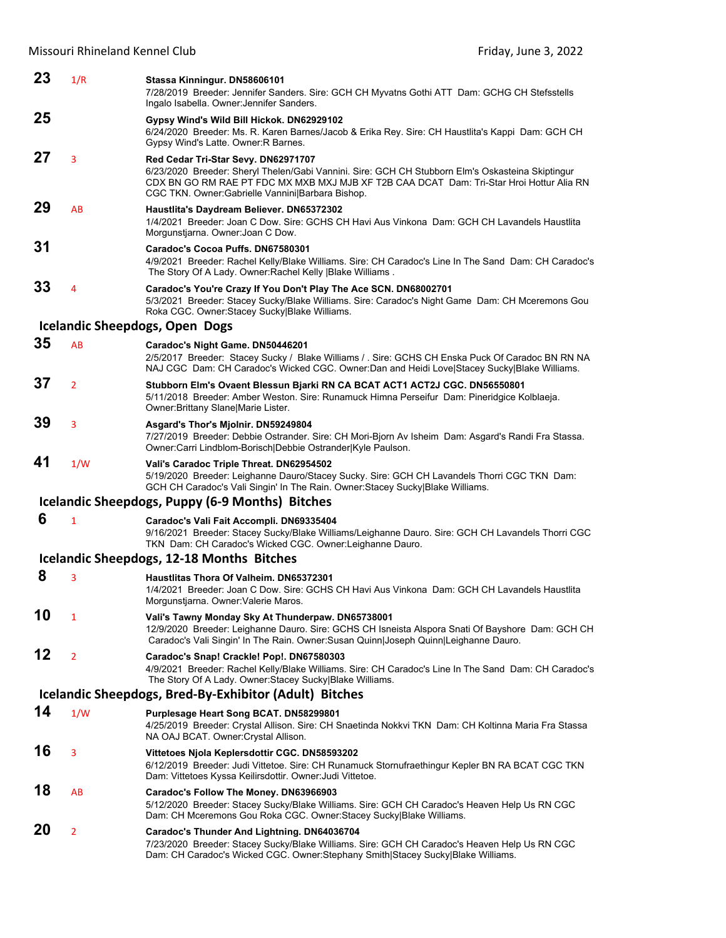| 23 | 1/R            | Stassa Kinningur. DN58606101<br>7/28/2019 Breeder: Jennifer Sanders. Sire: GCH CH Myvatns Gothi ATT Dam: GCHG CH Stefsstells<br>Ingalo Isabella. Owner: Jennifer Sanders.                                                                                                               |
|----|----------------|-----------------------------------------------------------------------------------------------------------------------------------------------------------------------------------------------------------------------------------------------------------------------------------------|
| 25 |                | Gypsy Wind's Wild Bill Hickok. DN62929102                                                                                                                                                                                                                                               |
|    |                | 6/24/2020 Breeder: Ms. R. Karen Barnes/Jacob & Erika Rey. Sire: CH Haustlita's Kappi Dam: GCH CH<br>Gypsy Wind's Latte. Owner: R Barnes.                                                                                                                                                |
| 27 | 3              | Red Cedar Tri-Star Sevy. DN62971707<br>6/23/2020 Breeder: Sheryl Thelen/Gabi Vannini. Sire: GCH CH Stubborn Elm's Oskasteina Skiptingur<br>CDX BN GO RM RAE PT FDC MX MXB MXJ MJB XF T2B CAA DCAT Dam: Tri-Star Hroi Hottur Alia RN<br>CGC TKN. Owner:Gabrielle Vannini Barbara Bishop. |
| 29 | AB             | Haustlita's Daydream Believer. DN65372302<br>1/4/2021 Breeder: Joan C Dow. Sire: GCHS CH Havi Aus Vinkona Dam: GCH CH Lavandels Haustlita<br>Morgunstjarna. Owner: Joan C Dow.                                                                                                          |
| 31 |                | Caradoc's Cocoa Puffs. DN67580301<br>4/9/2021 Breeder: Rachel Kelly/Blake Williams. Sire: CH Caradoc's Line In The Sand Dam: CH Caradoc's<br>The Story Of A Lady. Owner: Rachel Kelly   Blake Williams.                                                                                 |
| 33 | 4              | Caradoc's You're Crazy If You Don't Play The Ace SCN. DN68002701<br>5/3/2021 Breeder: Stacey Sucky/Blake Williams. Sire: Caradoc's Night Game Dam: CH Mceremons Gou<br>Roka CGC. Owner:Stacey Sucky Blake Williams.                                                                     |
|    |                | <b>Icelandic Sheepdogs, Open Dogs</b>                                                                                                                                                                                                                                                   |
| 35 | AB             | Caradoc's Night Game. DN50446201<br>2/5/2017 Breeder: Stacey Sucky / Blake Williams / . Sire: GCHS CH Enska Puck Of Caradoc BN RN NA<br>NAJ CGC Dam: CH Caradoc's Wicked CGC. Owner:Dan and Heidi Love Stacey Sucky Blake Williams.                                                     |
| 37 | $\overline{2}$ | Stubborn Elm's Ovaent Blessun Bjarki RN CA BCAT ACT1 ACT2J CGC. DN56550801<br>5/11/2018 Breeder: Amber Weston. Sire: Runamuck Himna Perseifur Dam: Pineridgice Kolblaeja.<br>Owner: Brittany Slane Marie Lister.                                                                        |
| 39 | 3              | Asgard's Thor's Mjolnir. DN59249804<br>7/27/2019 Breeder: Debbie Ostrander. Sire: CH Mori-Bjorn Av Isheim Dam: Asgard's Randi Fra Stassa.<br>Owner:Carri Lindblom-Borisch Debbie Ostrander Kyle Paulson.                                                                                |
| 41 | 1/W            | Vali's Caradoc Triple Threat. DN62954502<br>5/19/2020 Breeder: Leighanne Dauro/Stacey Sucky. Sire: GCH CH Lavandels Thorri CGC TKN Dam:<br>GCH CH Caradoc's Vali Singin' In The Rain. Owner: Stacey Sucky Blake Williams.                                                               |
|    |                | Icelandic Sheepdogs, Puppy (6-9 Months) Bitches                                                                                                                                                                                                                                         |
| 6  | 1              | Caradoc's Vali Fait Accompli. DN69335404<br>9/16/2021 Breeder: Stacey Sucky/Blake Williams/Leighanne Dauro. Sire: GCH CH Lavandels Thorri CGC<br>TKN Dam: CH Caradoc's Wicked CGC. Owner:Leighanne Dauro.                                                                               |
|    |                | <b>Icelandic Sheepdogs, 12-18 Months Bitches</b>                                                                                                                                                                                                                                        |
| 8  | 3              | Haustlitas Thora Of Valheim. DN65372301<br>1/4/2021 Breeder: Joan C Dow. Sire: GCHS CH Havi Aus Vinkona Dam: GCH CH Lavandels Haustlita<br>Morgunstjarna. Owner: Valerie Maros.                                                                                                         |
| 10 | 1              | Vali's Tawny Monday Sky At Thunderpaw. DN65738001<br>12/9/2020 Breeder: Leighanne Dauro. Sire: GCHS CH Isneista Alspora Snati Of Bayshore Dam: GCH CH<br>Caradoc's Vali Singin' In The Rain. Owner:Susan Quinn Joseph Quinn Leighanne Dauro.                                            |
| 12 | $\overline{2}$ | Caradoc's Snap! Crackle! Pop!. DN67580303<br>4/9/2021 Breeder: Rachel Kelly/Blake Williams. Sire: CH Caradoc's Line In The Sand Dam: CH Caradoc's<br>The Story Of A Lady. Owner: Stacey Sucky Blake Williams.                                                                           |
|    |                | Icelandic Sheepdogs, Bred-By-Exhibitor (Adult) Bitches                                                                                                                                                                                                                                  |
| 14 | 1/W            | Purplesage Heart Song BCAT. DN58299801<br>4/25/2019 Breeder: Crystal Allison. Sire: CH Snaetinda Nokkvi TKN Dam: CH Koltinna Maria Fra Stassa<br>NA OAJ BCAT. Owner: Crystal Allison.                                                                                                   |
| 16 | 3              | Vittetoes Njola Keplersdottir CGC. DN58593202<br>6/12/2019 Breeder: Judi Vittetoe. Sire: CH Runamuck Stornufraethingur Kepler BN RA BCAT CGC TKN<br>Dam: Vittetoes Kyssa Keilirsdottir. Owner: Judi Vittetoe.                                                                           |
| 18 | AB             | Caradoc's Follow The Money. DN63966903<br>5/12/2020 Breeder: Stacey Sucky/Blake Williams. Sire: GCH CH Caradoc's Heaven Help Us RN CGC<br>Dam: CH Mceremons Gou Roka CGC. Owner:Stacey Sucky Blake Williams.                                                                            |
| 20 | 2              | Caradoc's Thunder And Lightning. DN64036704<br>7/23/2020 Breeder: Stacey Sucky/Blake Williams. Sire: GCH CH Caradoc's Heaven Help Us RN CGC<br>Dam: CH Caradoc's Wicked CGC. Owner:Stephany Smith Stacey Sucky Blake Williams.                                                          |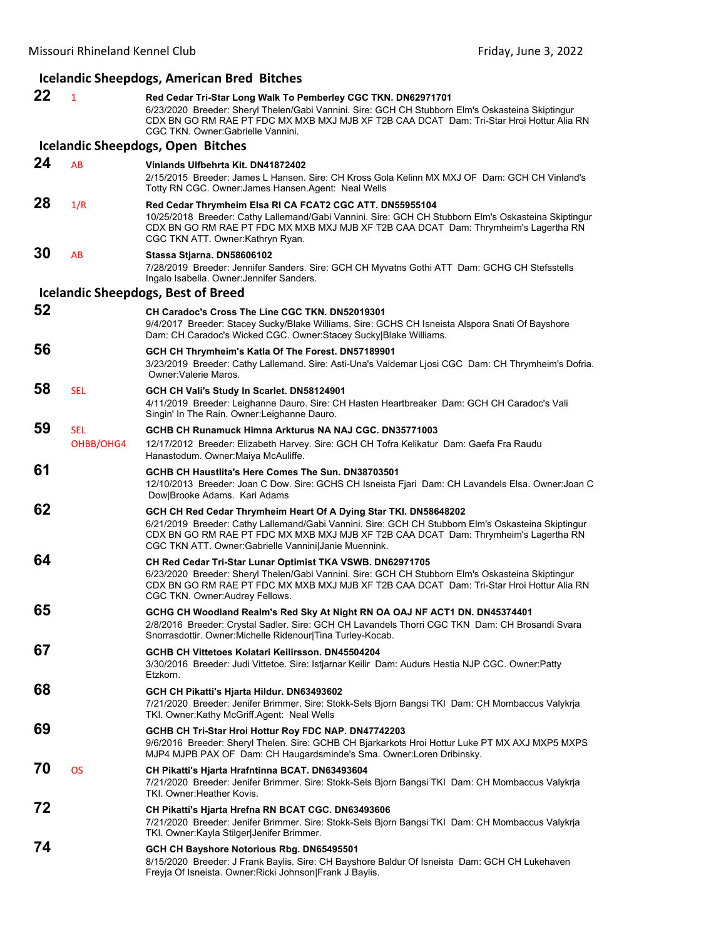| <b>Icelandic Sheepdogs, American Bred Bitches</b> |                         |                                                                                                                                                                                                                                                                                                                       |
|---------------------------------------------------|-------------------------|-----------------------------------------------------------------------------------------------------------------------------------------------------------------------------------------------------------------------------------------------------------------------------------------------------------------------|
| 22                                                | $\mathbf{1}$            | Red Cedar Tri-Star Long Walk To Pemberley CGC TKN. DN62971701<br>6/23/2020 Breeder: Sheryl Thelen/Gabi Vannini. Sire: GCH CH Stubborn Elm's Oskasteina Skiptingur<br>CDX BN GO RM RAE PT FDC MX MXB MXJ MJB XF T2B CAA DCAT Dam: Tri-Star Hroi Hottur Alia RN<br>CGC TKN. Owner: Gabrielle Vannini.                   |
|                                                   |                         | <b>Icelandic Sheepdogs, Open Bitches</b>                                                                                                                                                                                                                                                                              |
| 24                                                | AB                      | Vinlands Ulfbehrta Kit, DN41872402<br>2/15/2015 Breeder: James L Hansen. Sire: CH Kross Gola Kelinn MX MXJ OF Dam: GCH CH Vinland's<br>Totty RN CGC. Owner: James Hansen. Agent: Neal Wells                                                                                                                           |
| 28                                                | 1/R                     | Red Cedar Thrymheim Elsa RI CA FCAT2 CGC ATT. DN55955104<br>10/25/2018 Breeder: Cathy Lallemand/Gabi Vannini. Sire: GCH CH Stubborn Elm's Oskasteina Skiptingur<br>CDX BN GO RM RAE PT FDC MX MXB MXJ MJB XF T2B CAA DCAT Dam: Thrymheim's Lagertha RN<br>CGC TKN ATT. Owner: Kathryn Ryan.                           |
| 30                                                | AB                      | Stassa Stjarna. DN58606102<br>7/28/2019 Breeder: Jennifer Sanders. Sire: GCH CH Myvatns Gothi ATT Dam: GCHG CH Stefsstells<br>Ingalo Isabella. Owner: Jennifer Sanders.                                                                                                                                               |
|                                                   |                         | <b>Icelandic Sheepdogs, Best of Breed</b>                                                                                                                                                                                                                                                                             |
| 52                                                |                         | CH Caradoc's Cross The Line CGC TKN, DN52019301<br>9/4/2017 Breeder: Stacey Sucky/Blake Williams. Sire: GCHS CH Isneista Alspora Snati Of Bayshore<br>Dam: CH Caradoc's Wicked CGC. Owner:Stacey Sucky Blake Williams.                                                                                                |
| 56                                                |                         | GCH CH Thrymheim's Katla Of The Forest. DN57189901<br>3/23/2019 Breeder: Cathy Lallemand. Sire: Asti-Una's Valdemar Ljosi CGC Dam: CH Thrymheim's Dofria.<br>Owner: Valerie Maros.                                                                                                                                    |
| 58                                                | <b>SEL</b>              | GCH CH Vali's Study In Scarlet. DN58124901<br>4/11/2019 Breeder: Leighanne Dauro. Sire: CH Hasten Heartbreaker Dam: GCH CH Caradoc's Vali<br>Singin' In The Rain. Owner: Leighanne Dauro.                                                                                                                             |
| 59                                                | <b>SEL</b><br>OHBB/OHG4 | GCHB CH Runamuck Himna Arkturus NA NAJ CGC, DN35771003<br>12/17/2012 Breeder: Elizabeth Harvey. Sire: GCH CH Tofra Kelikatur Dam: Gaefa Fra Raudu<br>Hanastodum. Owner: Maiya McAuliffe.                                                                                                                              |
| 61                                                |                         | GCHB CH Haustlita's Here Comes The Sun. DN38703501<br>12/10/2013 Breeder: Joan C Dow. Sire: GCHS CH Isneista Fjari Dam: CH Lavandels Elsa. Owner: Joan C<br>Dow Brooke Adams. Kari Adams                                                                                                                              |
| 62                                                |                         | GCH CH Red Cedar Thrymheim Heart Of A Dying Star TKI. DN58648202<br>6/21/2019 Breeder: Cathy Lallemand/Gabi Vannini. Sire: GCH CH Stubborn Elm's Oskasteina Skiptingur<br>CDX BN GO RM RAE PT FDC MX MXB MXJ MJB XF T2B CAA DCAT Dam: Thrymheim's Lagertha RN<br>CGC TKN ATT. Owner:Gabrielle Vannini Janie Muennink. |
| 64                                                |                         | CH Red Cedar Tri-Star Lunar Optimist TKA VSWB. DN62971705<br>6/23/2020 Breeder: Sheryl Thelen/Gabi Vannini. Sire: GCH CH Stubborn Elm's Oskasteina Skiptingur<br>CDX BN GO RM RAE PT FDC MX MXB MXJ MJB XF T2B CAA DCAT Dam: Tri-Star Hroi Hottur Alia RN<br>CGC TKN. Owner: Audrey Fellows.                          |
| 65                                                |                         | GCHG CH Woodland Realm's Red Sky At Night RN OA OAJ NF ACT1 DN. DN45374401<br>2/8/2016 Breeder: Crystal Sadler. Sire: GCH CH Lavandels Thorri CGC TKN Dam: CH Brosandi Svara<br>Snorrasdottir. Owner: Michelle Ridenour Tina Turley-Kocab.                                                                            |
| 67                                                |                         | GCHB CH Vittetoes Kolatari Keilirsson, DN45504204<br>3/30/2016 Breeder: Judi Vittetoe. Sire: Istjarnar Keilir Dam: Audurs Hestia NJP CGC. Owner:Patty<br>Etzkorn.                                                                                                                                                     |
| 68                                                |                         | GCH CH Pikatti's Hjarta Hildur. DN63493602<br>7/21/2020 Breeder: Jenifer Brimmer. Sire: Stokk-Sels Bjorn Bangsi TKI Dam: CH Mombaccus Valykrja<br>TKI. Owner:Kathy McGriff.Agent: Neal Wells                                                                                                                          |
| 69                                                |                         | GCHB CH Tri-Star Hroi Hottur Roy FDC NAP. DN47742203<br>9/6/2016 Breeder: Sheryl Thelen. Sire: GCHB CH Bjarkarkots Hroi Hottur Luke PT MX AXJ MXP5 MXPS<br>MJP4 MJPB PAX OF Dam: CH Haugardsminde's Sma. Owner:Loren Dribinsky.                                                                                       |
| 70                                                | <b>OS</b>               | CH Pikatti's Hjarta Hrafntinna BCAT. DN63493604<br>7/21/2020 Breeder: Jenifer Brimmer. Sire: Stokk-Sels Bjorn Bangsi TKI Dam: CH Mombaccus Valykrja<br>TKI. Owner: Heather Kovis.                                                                                                                                     |
| 72                                                |                         | CH Pikatti's Hjarta Hrefna RN BCAT CGC. DN63493606<br>7/21/2020 Breeder: Jenifer Brimmer. Sire: Stokk-Sels Bjorn Bangsi TKI Dam: CH Mombaccus Valykrja<br>TKI. Owner: Kayla Stilger Jenifer Brimmer.                                                                                                                  |
| 74                                                |                         | GCH CH Bayshore Notorious Rbg. DN65495501<br>8/15/2020 Breeder: J Frank Baylis. Sire: CH Bayshore Baldur Of Isneista Dam: GCH CH Lukehaven<br>Freyja Of Isneista. Owner: Ricki Johnson Frank J Baylis.                                                                                                                |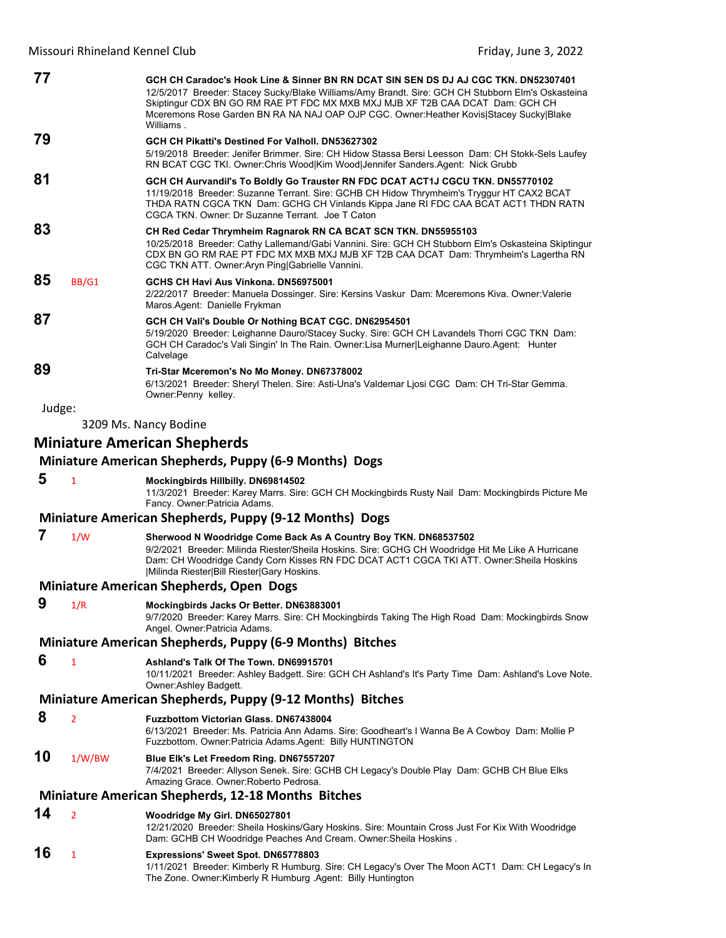| 77                                                        |                | GCH CH Caradoc's Hook Line & Sinner BN RN DCAT SIN SEN DS DJ AJ CGC TKN. DN52307401<br>12/5/2017 Breeder: Stacey Sucky/Blake Williams/Amy Brandt. Sire: GCH CH Stubborn Elm's Oskasteina<br>Skiptingur CDX BN GO RM RAE PT FDC MX MXB MXJ MJB XF T2B CAA DCAT Dam: GCH CH<br>Mceremons Rose Garden BN RA NA NAJ OAP OJP CGC. Owner: Heather Kovis Stacey Sucky Blake<br>Williams. |
|-----------------------------------------------------------|----------------|-----------------------------------------------------------------------------------------------------------------------------------------------------------------------------------------------------------------------------------------------------------------------------------------------------------------------------------------------------------------------------------|
| 79                                                        |                | GCH CH Pikatti's Destined For Valholl, DN53627302<br>5/19/2018 Breeder: Jenifer Brimmer. Sire: CH Hidow Stassa Bersi Leesson Dam: CH Stokk-Sels Laufey<br>RN BCAT CGC TKI. Owner:Chris Wood Kim Wood Jennifer Sanders.Agent: Nick Grubb                                                                                                                                           |
| 81                                                        |                | GCH CH Aurvandil's To Boldly Go Trauster RN FDC DCAT ACT1J CGCU TKN. DN55770102<br>11/19/2018 Breeder: Suzanne Terrant. Sire: GCHB CH Hidow Thrymheim's Tryggur HT CAX2 BCAT<br>THDA RATN CGCA TKN Dam: GCHG CH Vinlands Kippa Jane RI FDC CAA BCAT ACT1 THDN RATN<br>CGCA TKN, Owner: Dr Suzanne Terrant, Joe T Caton                                                            |
| 83                                                        |                | CH Red Cedar Thrymheim Ragnarok RN CA BCAT SCN TKN. DN55955103<br>10/25/2018 Breeder: Cathy Lallemand/Gabi Vannini. Sire: GCH CH Stubborn Elm's Oskasteina Skiptingur<br>CDX BN GO RM RAE PT FDC MX MXB MXJ MJB XF T2B CAA DCAT Dam: Thrymheim's Lagertha RN<br>CGC TKN ATT. Owner: Aryn Ping Gabrielle Vannini.                                                                  |
| 85                                                        | BB/G1          | GCHS CH Havi Aus Vinkona, DN56975001<br>2/22/2017 Breeder: Manuela Dossinger. Sire: Kersins Vaskur Dam: Mceremons Kiva. Owner: Valerie<br>Maros Agent: Danielle Frykman                                                                                                                                                                                                           |
| 87                                                        |                | GCH CH Vali's Double Or Nothing BCAT CGC. DN62954501<br>5/19/2020 Breeder: Leighanne Dauro/Stacey Sucky. Sire: GCH CH Lavandels Thorri CGC TKN Dam:<br>GCH CH Caradoc's Vali Singin' In The Rain. Owner: Lisa Murner Leighanne Dauro. Agent: Hunter<br>Calvelage                                                                                                                  |
| 89                                                        |                | Tri-Star Mceremon's No Mo Money. DN67378002<br>6/13/2021 Breeder: Sheryl Thelen. Sire: Asti-Una's Valdemar Ljosi CGC Dam: CH Tri-Star Gemma.<br>Owner: Penny kelley.                                                                                                                                                                                                              |
| Judge:                                                    |                |                                                                                                                                                                                                                                                                                                                                                                                   |
|                                                           |                | 3209 Ms. Nancy Bodine                                                                                                                                                                                                                                                                                                                                                             |
|                                                           |                | <b>Miniature American Shepherds</b>                                                                                                                                                                                                                                                                                                                                               |
|                                                           |                | Miniature American Shepherds, Puppy (6-9 Months) Dogs                                                                                                                                                                                                                                                                                                                             |
| 5                                                         | $\mathbf{1}$   | Mockingbirds Hillbilly. DN69814502<br>11/3/2021 Breeder: Karey Marrs. Sire: GCH CH Mockingbirds Rusty Nail Dam: Mockingbirds Picture Me<br>Fancy. Owner: Patricia Adams.                                                                                                                                                                                                          |
|                                                           |                | Miniature American Shepherds, Puppy (9-12 Months) Dogs                                                                                                                                                                                                                                                                                                                            |
| 7                                                         | 1/W            | Sherwood N Woodridge Come Back As A Country Boy TKN. DN68537502                                                                                                                                                                                                                                                                                                                   |
|                                                           |                | 9/2/2021 Breeder: Milinda Riester/Sheila Hoskins. Sire: GCHG CH Woodridge Hit Me Like A Hurricane<br>Dam: CH Woodridge Candy Corn Kisses RN FDC DCAT ACT1 CGCA TKI ATT. Owner: Sheila Hoskins<br> Milinda Riester Bill Riester Gary Hoskins.                                                                                                                                      |
|                                                           |                | <b>Miniature American Shepherds, Open Dogs</b>                                                                                                                                                                                                                                                                                                                                    |
| 9                                                         | 1/R            | Mockingbirds Jacks Or Better. DN63883001<br>9/7/2020 Breeder: Karey Marrs. Sire: CH Mockingbirds Taking The High Road Dam: Mockingbirds Snow<br>Angel. Owner: Patricia Adams.                                                                                                                                                                                                     |
|                                                           |                | Miniature American Shepherds, Puppy (6-9 Months) Bitches                                                                                                                                                                                                                                                                                                                          |
| 6                                                         | 1              | Ashland's Talk Of The Town. DN69915701<br>10/11/2021 Breeder: Ashley Badgett. Sire: GCH CH Ashland's It's Party Time Dam: Ashland's Love Note.<br>Owner: Ashley Badgett.                                                                                                                                                                                                          |
| Miniature American Shepherds, Puppy (9-12 Months) Bitches |                |                                                                                                                                                                                                                                                                                                                                                                                   |
| 8                                                         | $\overline{2}$ | Fuzzbottom Victorian Glass. DN67438004<br>6/13/2021 Breeder: Ms. Patricia Ann Adams. Sire: Goodheart's I Wanna Be A Cowboy Dam: Mollie P<br>Fuzzbottom. Owner: Patricia Adams. Agent: Billy HUNTINGTON                                                                                                                                                                            |
| 10                                                        | 1/W/BW         | Blue Elk's Let Freedom Ring. DN67557207<br>7/4/2021 Breeder: Allyson Senek. Sire: GCHB CH Legacy's Double Play Dam: GCHB CH Blue Elks<br>Amazing Grace. Owner: Roberto Pedrosa.                                                                                                                                                                                                   |

# **Miniature American Shepherds, 12‐18 Months Bitches**

#### **14** <sup>2</sup> **Woodridge My Girl. DN65027801**

12/21/2020 Breeder: Sheila Hoskins/Gary Hoskins. Sire: Mountain Cross Just For Kix With Woodridge Dam: GCHB CH Woodridge Peaches And Cream. Owner:Sheila Hoskins .

# **16** <sup>1</sup> **Expressions' Sweet Spot. DN65778803**

1/11/2021 Breeder: Kimberly R Humburg. Sire: CH Legacy's Over The Moon ACT1 Dam: CH Legacy's In The Zone. Owner:Kimberly R Humburg .Agent: Billy Huntington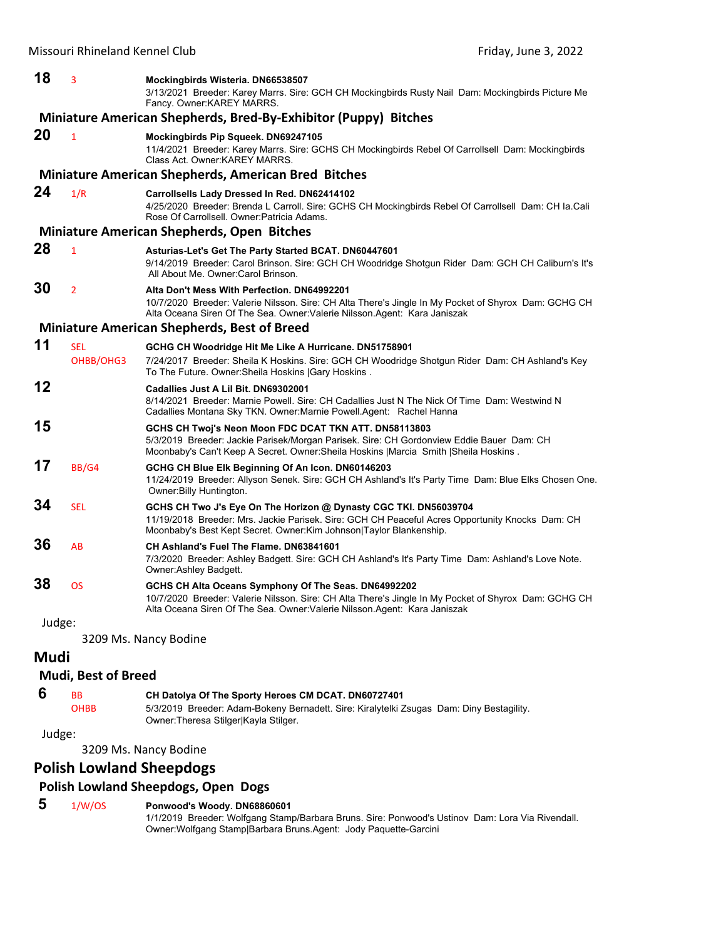|        | ויוואסטעור ומחווכוסווט ולכוחוכו כוטט | 111001,30110.3,2022                                                                                                                                                                                                                         |
|--------|--------------------------------------|---------------------------------------------------------------------------------------------------------------------------------------------------------------------------------------------------------------------------------------------|
| 18     | 3                                    | Mockingbirds Wisteria. DN66538507<br>3/13/2021 Breeder: Karey Marrs. Sire: GCH CH Mockingbirds Rusty Nail Dam: Mockingbirds Picture Me<br>Fancy. Owner: KAREY MARRS.                                                                        |
|        |                                      | Miniature American Shepherds, Bred-By-Exhibitor (Puppy) Bitches                                                                                                                                                                             |
| 20     | $\mathbf{1}$                         | Mockingbirds Pip Squeek. DN69247105<br>11/4/2021 Breeder: Karey Marrs. Sire: GCHS CH Mockingbirds Rebel Of Carrollsell Dam: Mockingbirds<br>Class Act. Owner: KAREY MARRS.                                                                  |
|        |                                      | <b>Miniature American Shepherds, American Bred Bitches</b>                                                                                                                                                                                  |
| 24     | 1/R                                  | Carrollsells Lady Dressed In Red. DN62414102<br>4/25/2020 Breeder: Brenda L Carroll. Sire: GCHS CH Mockingbirds Rebel Of Carrollsell Dam: CH la Cali<br>Rose Of Carrollsell. Owner: Patricia Adams.                                         |
|        |                                      | <b>Miniature American Shepherds, Open Bitches</b>                                                                                                                                                                                           |
| 28     | 1                                    | Asturias-Let's Get The Party Started BCAT. DN60447601<br>9/14/2019 Breeder: Carol Brinson. Sire: GCH CH Woodridge Shotgun Rider Dam: GCH CH Caliburn's It's<br>All About Me. Owner: Carol Brinson.                                          |
| 30     | 2                                    | Alta Don't Mess With Perfection. DN64992201<br>10/7/2020 Breeder: Valerie Nilsson. Sire: CH Alta There's Jingle In My Pocket of Shyrox Dam: GCHG CH<br>Alta Oceana Siren Of The Sea. Owner: Valerie Nilsson. Agent: Kara Janiszak           |
|        |                                      | <b>Miniature American Shepherds, Best of Breed</b>                                                                                                                                                                                          |
| 11     | <b>SEL</b><br>OHBB/OHG3              | GCHG CH Woodridge Hit Me Like A Hurricane. DN51758901<br>7/24/2017 Breeder: Sheila K Hoskins. Sire: GCH CH Woodridge Shotgun Rider Dam: CH Ashland's Key<br>To The Future. Owner: Sheila Hoskins   Gary Hoskins.                            |
| 12     |                                      | Cadallies Just A Lil Bit. DN69302001<br>8/14/2021 Breeder: Marnie Powell. Sire: CH Cadallies Just N The Nick Of Time Dam: Westwind N<br>Cadallies Montana Sky TKN. Owner: Marnie Powell. Agent: Rachel Hanna                                |
| 15     |                                      | GCHS CH Twoj's Neon Moon FDC DCAT TKN ATT. DN58113803<br>5/3/2019 Breeder: Jackie Parisek/Morgan Parisek. Sire: CH Gordonview Eddie Bauer Dam: CH<br>Moonbaby's Can't Keep A Secret. Owner: Sheila Hoskins   Marcia Smith   Sheila Hoskins. |
| 17     | BB/G4                                | GCHG CH Blue Elk Beginning Of An Icon. DN60146203<br>11/24/2019 Breeder: Allyson Senek. Sire: GCH CH Ashland's It's Party Time Dam: Blue Elks Chosen One.<br>Owner: Billy Huntington.                                                       |
| 34     | <b>SEL</b>                           | GCHS CH Two J's Eye On The Horizon @ Dynasty CGC TKI. DN56039704<br>11/19/2018 Breeder: Mrs. Jackie Parisek. Sire: GCH CH Peaceful Acres Opportunity Knocks Dam: CH<br>Moonbaby's Best Kept Secret. Owner: Kim Johnson Taylor Blankenship.  |
| 36     | AB                                   | CH Ashland's Fuel The Flame, DN63841601<br>7/3/2020 Breeder: Ashley Badgett. Sire: GCH CH Ashland's It's Party Time Dam: Ashland's Love Note.<br>Owner:Ashley Badgett.                                                                      |
| 38     | <b>OS</b>                            | GCHS CH Alta Oceans Symphony Of The Seas. DN64992202<br>10/7/2020 Breeder: Valerie Nilsson. Sire: CH Alta There's Jingle In My Pocket of Shyrox Dam: GCHG CH<br>Alta Oceana Siren Of The Sea. Owner: Valerie Nilsson Agent: Kara Janiszak   |
| Judge: |                                      |                                                                                                                                                                                                                                             |
|        |                                      | 3209 Ms. Nancy Bodine                                                                                                                                                                                                                       |
| Mudi   |                                      |                                                                                                                                                                                                                                             |
|        | <b>Mudi, Best of Breed</b>           |                                                                                                                                                                                                                                             |

 **6** BB **CH Datolya Of The Sporty Heroes CM DCAT. DN60727401**

OHBB 5/3/2019 Breeder: Adam-Bokeny Bernadett. Sire: Kiralytelki Zsugas Dam: Diny Bestagility. Owner:Theresa Stilger|Kayla Stilger.

Judge:

3209 Ms. Nancy Bodine

# **Polish Lowland Sheepdogs**

# **Polish Lowland Sheepdogs, Open Dogs**

# **5** 1/W/OS **Ponwood's Woody. DN68860601**

1/1/2019 Breeder: Wolfgang Stamp/Barbara Bruns. Sire: Ponwood's Ustinov Dam: Lora Via Rivendall. Owner:Wolfgang Stamp|Barbara Bruns.Agent: Jody Paquette-Garcini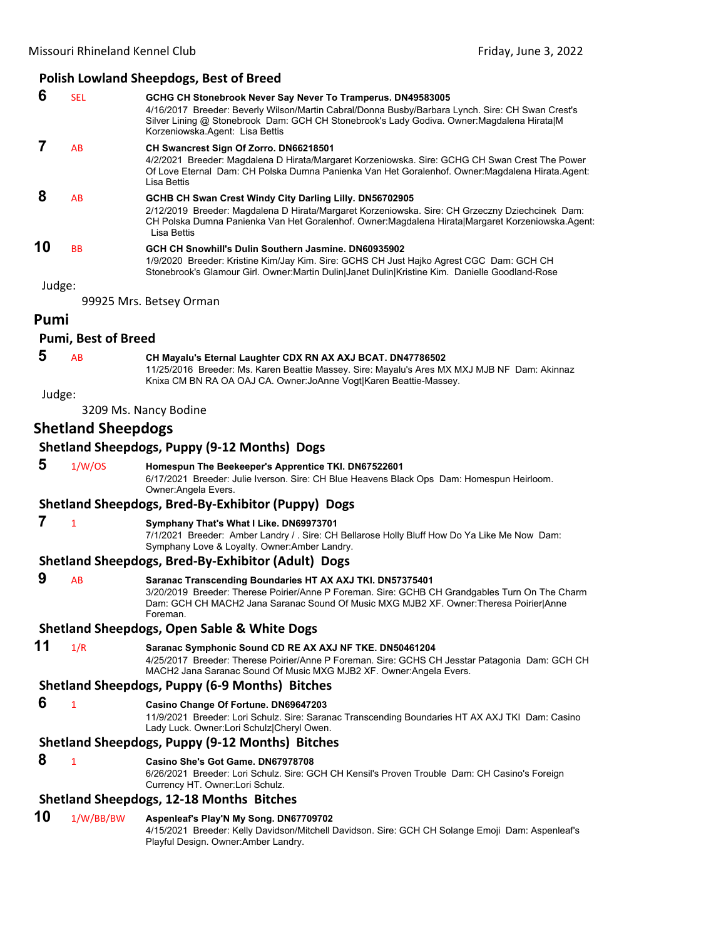|        |                           | <b>Polish Lowland Sheepdogs, Best of Breed</b>                                                                                                                                                                                                                                                   |
|--------|---------------------------|--------------------------------------------------------------------------------------------------------------------------------------------------------------------------------------------------------------------------------------------------------------------------------------------------|
| 6      | <b>SEL</b>                | GCHG CH Stonebrook Never Say Never To Tramperus. DN49583005<br>4/16/2017 Breeder: Beverly Wilson/Martin Cabral/Donna Busby/Barbara Lynch. Sire: CH Swan Crest's<br>Silver Lining @ Stonebrook Dam: GCH CH Stonebrook's Lady Godiva. Owner: Magdalena Hirata M<br>Korzeniowska.Agent: Lisa Bettis |
| 7      | AB                        | CH Swancrest Sign Of Zorro. DN66218501<br>4/2/2021 Breeder: Magdalena D Hirata/Margaret Korzeniowska. Sire: GCHG CH Swan Crest The Power<br>Of Love Eternal Dam: CH Polska Dumna Panienka Van Het Goralenhof. Owner: Magdalena Hirata. Agent:<br>Lisa Bettis                                     |
| 8      | AB                        | GCHB CH Swan Crest Windy City Darling Lilly. DN56702905<br>2/12/2019 Breeder: Magdalena D Hirata/Margaret Korzeniowska. Sire: CH Grzeczny Dziechcinek Dam:<br>CH Polska Dumna Panienka Van Het Goralenhof. Owner:Magdalena Hirata Margaret Korzeniowska.Agent:<br>Lisa Bettis                    |
| 10     | BB                        | GCH CH Snowhill's Dulin Southern Jasmine. DN60935902<br>1/9/2020 Breeder: Kristine Kim/Jay Kim. Sire: GCHS CH Just Hajko Agrest CGC Dam: GCH CH<br>Stonebrook's Glamour Girl. Owner:Martin Dulin Janet Dulin Kristine Kim. Danielle Goodland-Rose                                                |
| Judge: |                           | 99925 Mrs. Betsey Orman                                                                                                                                                                                                                                                                          |
| Pumi   |                           |                                                                                                                                                                                                                                                                                                  |
|        | Pumi, Best of Breed       |                                                                                                                                                                                                                                                                                                  |
| 5      | AB                        | CH Mayalu's Eternal Laughter CDX RN AX AXJ BCAT. DN47786502<br>11/25/2016 Breeder: Ms. Karen Beattie Massey. Sire: Mayalu's Ares MX MXJ MJB NF Dam: Akinnaz<br>Knixa CM BN RA OA OAJ CA. Owner: JoAnne Vogt Karen Beattie-Massey.                                                                |
| Judge: |                           |                                                                                                                                                                                                                                                                                                  |
|        |                           | 3209 Ms. Nancy Bodine                                                                                                                                                                                                                                                                            |
|        | <b>Shetland Sheepdogs</b> |                                                                                                                                                                                                                                                                                                  |
|        |                           | <b>Shetland Sheepdogs, Puppy (9-12 Months) Dogs</b>                                                                                                                                                                                                                                              |
| 5      | 1/W/OS                    | Homespun The Beekeeper's Apprentice TKI. DN67522601<br>6/17/2021 Breeder: Julie Iverson. Sire: CH Blue Heavens Black Ops Dam: Homespun Heirloom.<br>Owner: Angela Evers.                                                                                                                         |
|        |                           | Shetland Sheepdogs, Bred-By-Exhibitor (Puppy) Dogs                                                                                                                                                                                                                                               |
| 7      | $\mathbf{1}$              | Symphany That's What I Like. DN69973701<br>7/1/2021 Breeder: Amber Landry / . Sire: CH Bellarose Holly Bluff How Do Ya Like Me Now Dam:<br>Symphany Love & Loyalty. Owner: Amber Landry.                                                                                                         |
|        |                           | Shetland Sheepdogs, Bred-By-Exhibitor (Adult) Dogs                                                                                                                                                                                                                                               |
| 9      | AB                        | Saranac Transcending Boundaries HT AX AXJ TKI. DN57375401<br>3/20/2019 Breeder: Therese Poirier/Anne P Foreman. Sire: GCHB CH Grandgables Turn On The Charm<br>Dam: GCH CH MACH2 Jana Saranac Sound Of Music MXG MJB2 XF. Owner:Theresa Poirier Anne<br>Foreman.                                 |
|        |                           | Shetland Sheepdogs, Open Sable & White Dogs                                                                                                                                                                                                                                                      |
| 11     | 1/R                       | Saranac Symphonic Sound CD RE AX AXJ NF TKE. DN50461204<br>4/25/2017 Breeder: Therese Poirier/Anne P Foreman. Sire: GCHS CH Jesstar Patagonia Dam: GCH CH<br>MACH2 Jana Saranac Sound Of Music MXG MJB2 XF. Owner:Angela Evers.                                                                  |
|        |                           | Shetland Sheepdogs, Puppy (6-9 Months) Bitches                                                                                                                                                                                                                                                   |
| 6      | $\mathbf{1}$              | Casino Change Of Fortune. DN69647203<br>11/9/2021 Breeder: Lori Schulz. Sire: Saranac Transcending Boundaries HT AX AXJ TKI Dam: Casino<br>Lady Luck. Owner:Lori Schulz Cheryl Owen.                                                                                                             |
|        |                           | Shetland Sheepdogs, Puppy (9-12 Months) Bitches                                                                                                                                                                                                                                                  |
| 8      | $\mathbf{1}$              | Casino She's Got Game. DN67978708<br>6/26/2021 Breeder: Lori Schulz. Sire: GCH CH Kensil's Proven Trouble Dam: CH Casino's Foreign<br>Currency HT. Owner:Lori Schulz.                                                                                                                            |
|        |                           |                                                                                                                                                                                                                                                                                                  |

# **Shetland Sheepdogs, 12‐18 Months Bitches**

#### **10** 1/W/BB/BW **Aspenleaf's Play'N My Song. DN67709702** 4/15/2021 Breeder: Kelly Davidson/Mitchell Davidson. Sire: GCH CH Solange Emoji Dam: Aspenleaf's Playful Design. Owner:Amber Landry.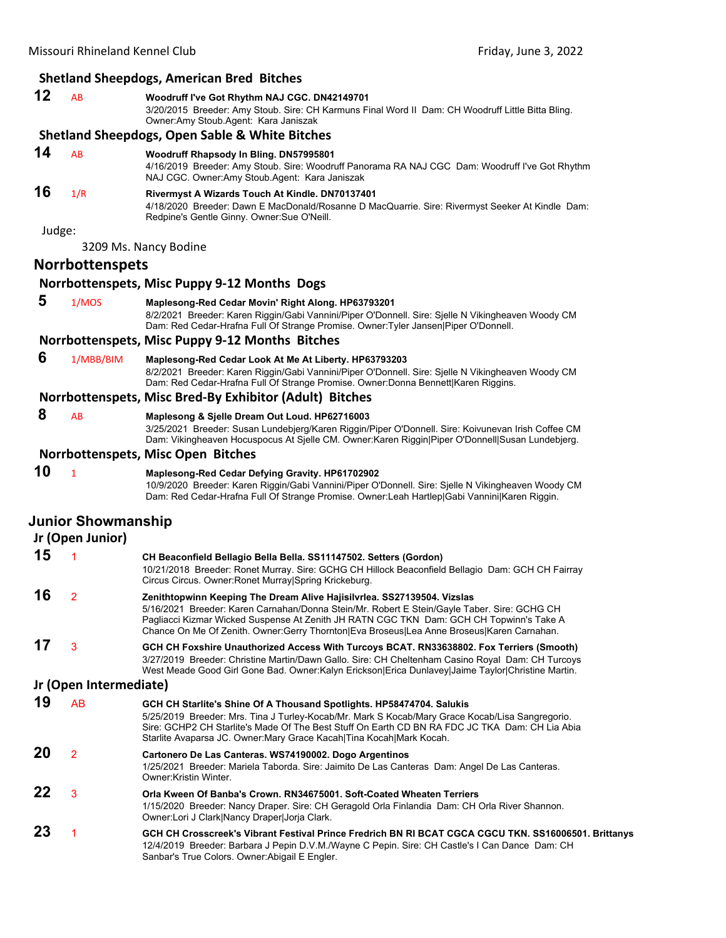# **Shetland Sheepdogs, American Bred Bitches**

| 12     | AB                                            | Woodruff I've Got Rhythm NAJ CGC. DN42149701<br>3/20/2015 Breeder: Amy Stoub. Sire: CH Karmuns Final Word II Dam: CH Woodruff Little Bitta Bling.<br>Owner:Amy Stoub.Agent: Kara Janiszak                                                                                                                                                                      |
|--------|-----------------------------------------------|----------------------------------------------------------------------------------------------------------------------------------------------------------------------------------------------------------------------------------------------------------------------------------------------------------------------------------------------------------------|
|        |                                               | <b>Shetland Sheepdogs, Open Sable &amp; White Bitches</b>                                                                                                                                                                                                                                                                                                      |
| 14     | AB                                            | Woodruff Rhapsody In Bling. DN57995801<br>4/16/2019 Breeder: Amy Stoub. Sire: Woodruff Panorama RA NAJ CGC Dam: Woodruff I've Got Rhythm<br>NAJ CGC. Owner:Amy Stoub.Agent: Kara Janiszak                                                                                                                                                                      |
| 16     | 1/R                                           | Rivermyst A Wizards Touch At Kindle. DN70137401<br>4/18/2020 Breeder: Dawn E MacDonald/Rosanne D MacQuarrie. Sire: Rivermyst Seeker At Kindle Dam:<br>Redpine's Gentle Ginny. Owner: Sue O'Neill.                                                                                                                                                              |
| Judge: |                                               |                                                                                                                                                                                                                                                                                                                                                                |
|        |                                               | 3209 Ms. Nancy Bodine                                                                                                                                                                                                                                                                                                                                          |
|        | <b>Norrbottenspets</b>                        |                                                                                                                                                                                                                                                                                                                                                                |
|        |                                               | Norrbottenspets, Misc Puppy 9-12 Months Dogs                                                                                                                                                                                                                                                                                                                   |
| 5      | 1/MOS                                         | Maplesong-Red Cedar Movin' Right Along. HP63793201<br>8/2/2021 Breeder: Karen Riggin/Gabi Vannini/Piper O'Donnell. Sire: Sjelle N Vikingheaven Woody CM<br>Dam: Red Cedar-Hrafna Full Of Strange Promise. Owner:Tyler Jansen Piper O'Donnell.                                                                                                                  |
|        |                                               | Norrbottenspets, Misc Puppy 9-12 Months Bitches                                                                                                                                                                                                                                                                                                                |
| 6      | 1/MBB/BIM                                     | Maplesong-Red Cedar Look At Me At Liberty. HP63793203<br>8/2/2021 Breeder: Karen Riggin/Gabi Vannini/Piper O'Donnell. Sire: Sjelle N Vikingheaven Woody CM<br>Dam: Red Cedar-Hrafna Full Of Strange Promise. Owner:Donna Bennett Karen Riggins.                                                                                                                |
|        |                                               | Norrbottenspets, Misc Bred-By Exhibitor (Adult) Bitches                                                                                                                                                                                                                                                                                                        |
| 8      | AB                                            | Maplesong & Sjelle Dream Out Loud. HP62716003<br>3/25/2021 Breeder: Susan Lundebjerg/Karen Riggin/Piper O'Donnell. Sire: Koivunevan Irish Coffee CM<br>Dam: Vikingheaven Hocuspocus At Sjelle CM. Owner:Karen Riggin Piper O'Donnell Susan Lundebjerg.                                                                                                         |
|        |                                               | Norrbottenspets, Misc Open Bitches                                                                                                                                                                                                                                                                                                                             |
| 10     | $\mathbf{1}$                                  | Maplesong-Red Cedar Defying Gravity. HP61702902<br>10/9/2020 Breeder: Karen Riggin/Gabi Vannini/Piper O'Donnell. Sire: Sjelle N Vikingheaven Woody CM<br>Dam: Red Cedar-Hrafna Full Of Strange Promise. Owner:Leah Hartlep Gabi Vannini Karen Riggin.                                                                                                          |
|        | <b>Junior Showmanship</b><br>Jr (Open Junior) |                                                                                                                                                                                                                                                                                                                                                                |
| 15     | 1                                             | CH Beaconfield Bellagio Bella Bella. SS11147502. Setters (Gordon)<br>10/21/2018 Breeder: Ronet Murray. Sire: GCHG CH Hillock Beaconfield Bellagio Dam: GCH CH Fairray<br>Circus Circus. Owner: Ronet Murray Spring Krickeburg.                                                                                                                                 |
| 16     | 2                                             | Zenithtopwinn Keeping The Dream Alive Hajisilvrlea. SS27139504. Vizslas<br>5/16/2021 Breeder: Karen Carnahan/Donna Stein/Mr. Robert E Stein/Gayle Taber. Sire: GCHG CH<br>Pagliacci Kizmar Wicked Suspense At Zenith JH RATN CGC TKN Dam: GCH CH Topwinn's Take A<br>Chance On Me Of Zenith. Owner:Gerry Thornton Eva Broseus Lea Anne Broseus Karen Carnahan. |
| 17     | 3                                             | GCH CH Foxshire Unauthorized Access With Turcoys BCAT. RN33638802. Fox Terriers (Smooth)<br>3/27/2019 Breeder: Christine Martin/Dawn Gallo. Sire: CH Cheltenham Casino Royal Dam: CH Turcoys<br>West Meade Good Girl Gone Bad. Owner:Kalyn Erickson Erica Dunlavey Jaime Taylor Christine Martin.                                                              |
|        | Jr (Open Intermediate)                        |                                                                                                                                                                                                                                                                                                                                                                |
| 19     | <b>AB</b>                                     | GCH CH Starlite's Shine Of A Thousand Spotlights. HP58474704. Salukis<br>5/25/2019 Breeder: Mrs. Tina J Turley-Kocab/Mr. Mark S Kocab/Mary Grace Kocab/Lisa Sangregorio.<br>Sire: GCHP2 CH Starlite's Made Of The Best Stuff On Earth CD BN RA FDC JC TKA Dam: CH Lia Abia<br>Starlite Avaparsa JC. Owner: Mary Grace Kacah   Tina Kocah   Mark Kocah.         |
| 20     | $\overline{2}$                                | Cartonero De Las Canteras. WS74190002. Dogo Argentinos<br>1/25/2021 Breeder: Mariela Taborda. Sire: Jaimito De Las Canteras Dam: Angel De Las Canteras.<br>Owner: Kristin Winter.                                                                                                                                                                              |
| 22     | 3                                             | Orla Kween Of Banba's Crown, RN34675001, Soft-Coated Wheaten Terriers<br>1/15/2020 Breeder: Nancy Draper. Sire: CH Geragold Orla Finlandia Dam: CH Orla River Shannon.<br>Owner:Lori J Clark Nancy Draper Jorja Clark.                                                                                                                                         |
| 23     | 1                                             | GCH CH Crosscreek's Vibrant Festival Prince Fredrich BN RI BCAT CGCA CGCU TKN. SS16006501. Brittanys<br>12/4/2019 Breeder: Barbara J Pepin D.V.M./Wayne C Pepin. Sire: CH Castle's I Can Dance Dam: CH<br>Sanbar's True Colors. Owner: Abigail E Engler.                                                                                                       |